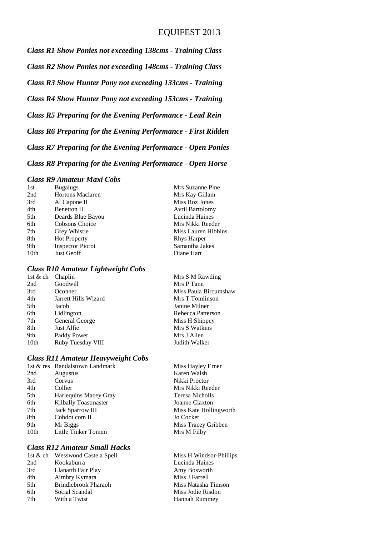### EQUIFEST 2013

*Class R1 Show Ponies not exceeding 138cms - Training Class Class R2 Show Ponies not exceeding 148cms - Training Class Class R3 Show Hunter Pony not exceeding 133cms - Training Class R4 Show Hunter Pony not exceeding 153cms - Training Class R5 Preparing for the Evening Performance - Lead Rein Class R6 Preparing for the Evening Performance - First Ridden Class R7 Preparing for the Evening Performance - Open Ponies Class R8 Preparing for the Evening Performance - Open Horse*

#### *Class R9 Amateur Maxi Cobs*

| 1st              | <b>Bugalugs</b>         | Mrs Suzanne Pine       |
|------------------|-------------------------|------------------------|
| 2nd              | <b>Hortons Maclaren</b> | Mrs Kay Gillam         |
| 3rd              | Al Capone II            | Miss Roz Jones         |
| 4th              | <b>Benetton II</b>      | <b>Avril Bartolomy</b> |
| 5th              | Deards Blue Bayou       | Lucinda Haines         |
| 6th              | Cobsons Choice          | Mrs Nikki Reeder       |
| 7th              | Grey Whistle            | Miss Lauren Hibbins    |
| 8th              | <b>Hot Property</b>     | <b>Rhys Harper</b>     |
| 9th              | <b>Inspector Piorot</b> | Samantha Jakes         |
| 10 <sub>th</sub> | <b>Just Geoff</b>       | Diane Hart             |
|                  |                         |                        |

#### *Class R10 Amateur Lightweight Cobs*

| 1st & ch Chaplin |                      | Mrs S M Rawding       |
|------------------|----------------------|-----------------------|
| 2nd              | Goodwill             | Mrs P Tann            |
| 3rd              | Oconner              | Miss Paula Bircumshaw |
| 4th              | Jarrett Hills Wizard | Mrs T Tomlinson       |
| 5th              | Jacob                | Janine Milner         |
| 6th              | Lidlington           | Rebecca Patterson     |
| 7th              | General George       | Miss H Shippey        |
| 8th              | Just Alfie           | Mrs S Watkins         |
| 9th              | Paddy Power          | Mrs J Allen           |
| 10th             | Ruby Tuesday VIII    | Judith Walker         |

#### *Class R11 Amateur Heavyweight Cobs*

|                  | 1st & res Randalstown Landmark | Miss Hayley Erner |
|------------------|--------------------------------|-------------------|
| 2nd              | Augustus                       | Karen Walsh       |
| 3rd              | Corvus                         | Nikki Proctor     |
| 4th              | Collier                        | Mrs Nikki Reeder  |
| 5th              | Harlequins Macey Gray          | Teresa Nicholls   |
| 6th              | Kilbally Toastmaster           | Joanne Claxton    |
| 7th              | <b>Jack Sparrow III</b>        | Miss Kate Holling |
| 8th              | Cobdot com II                  | Jo Cocker         |
| 9th              | Mr Biggs                       | Miss Tracey Gribb |
| 10 <sub>th</sub> | Little Tinker Tommi            | Mrs M Filby       |
|                  |                                |                   |

### *Class R12 Amateur Small Hacks*

|     | 1st & ch Wesswood Caste a Spell |
|-----|---------------------------------|
| 2nd | Kookaburra                      |
| 3rd | Llanarth Fair Play              |
| 4th | Aimbry Kymara                   |
| 5th | Brindlebrook Pharaoh            |
| 6th | Social Scandal                  |
| 7th | With a Twist                    |
|     |                                 |

Hollingworth ey Gribben

Miss H Windsor-Phillips Lucinda Haines Amy Bosworth Miss J Farrell Miss Natasha Timson Miss Jodie Risdon Hannah Rummey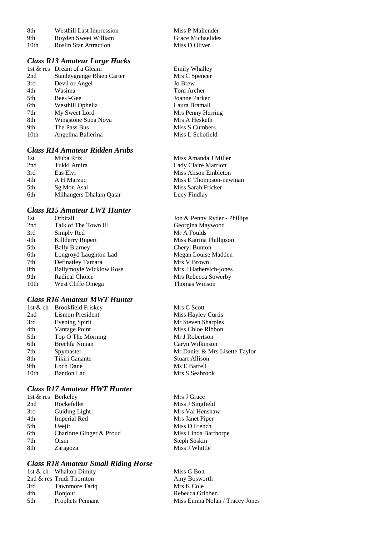| 8th  | <b>Westhill Last Impression</b> | Miss P Mallender  |
|------|---------------------------------|-------------------|
| 9th  | Royden Sweet William            | Grace Michaelides |
| 10th | <b>Roslin Star Attraction</b>   | Miss D Oliver     |

#### *Class R13 Amateur Large Hacks*

|                  | 1st & res Dream of a Gleam |
|------------------|----------------------------|
| 2nd              | Stanleygrange Blaen Carter |
| 3rd              | Devil or Angel             |
| 4th              | Wasima                     |
| 5th              | Bee-J-Gee                  |
| 6th              | Westhill Ophelia           |
| 7th              | My Sweet Lord              |
| 8th              | Wingstone Supa Nova        |
| 9th              | The Pass Bus               |
| 10 <sub>th</sub> | Angelina Ballerina         |
|                  |                            |

## *Class R14 Amateur Ridden Arabs*

1st Muba Rriz J<br>
2nd Tukki Amira<br>
2nd Tukki Amira<br>
1991 - Miss Amanda J Miller<br>
2nd Tukki Amira 2nd Tukki Amira Lady Claire Marriott 4th A H Marzuq Miss E Thompson-newman 5th Sg Mon Asal Miss Sarah Fricker<br>6th Milhangers Dhalam Qatar Lucy Findlay 6th Milhangers Dhalam Qatar

#### *Class R15 Amateur LWT Hunter*

| 1st              | Orbitall                       | Jor |
|------------------|--------------------------------|-----|
| 2nd              | Talk of The Town III           | Ge  |
| 3rd              | Simply Red                     | Mr  |
| 4th              | Killderry Rupert               | Mi  |
| 5th              | <b>Bally Blarney</b>           | Ch  |
| 6th              | Longroyd Laughton Lad          | Me  |
| 7th              | Definatley Tamara              | Mr  |
| 8th              | <b>Ballymoyle Wicklow Rose</b> | Mr  |
| 9th              | Radical Choice                 | Mr  |
| 10 <sub>th</sub> | West Cliffe Omega              | Th  |
|                  |                                |     |

### *Class R16 Amateur MWT Hunter*

|                  | 1st & ch Brookfield Friskey | Mrs C Scott           |
|------------------|-----------------------------|-----------------------|
| 2nd              | Lismon President            | Miss Hayley Curtis    |
| 3rd              | Evening Spirit              | Mr Steven Sharples    |
| 4th              | Vantage Point               | Miss Chloe Ribbon     |
| 5th              | Top O The Morning           | Mr J Robertson        |
| 6th              | Brechfa Ninian              | Caryn Wilkinson       |
| 7th              | Spymaster                   | Mr Daniel & Mrs L     |
| 8th              | Tikiri Canante              | <b>Stuart Allison</b> |
| 9th              | Loch Dane                   | Ms E Barrell          |
| 10 <sub>th</sub> | Bandon Lad                  | Mrs S Seabrook        |
|                  |                             |                       |

### *Class R17 Amateur HWT Hunter*

|     | 1st & res Berkeley       | Mrs J Grace          |
|-----|--------------------------|----------------------|
| 2nd | Rockefeller              | Miss J Singfield     |
| 3rd | Guiding Light            | Mrs Val Henshaw      |
| 4th | Imperial Red             | Mrs Janet Piper      |
| 5th | Ueejit                   | Miss D French        |
| 6th | Charlotte Ginger & Proud | Miss Linda Barthorpe |
| 7th | Oisin                    | Steph Soskin         |
| 8th | Zaragoza                 | Miss J Whittle       |
|     |                          |                      |

### *Class R18 Amateur Small Riding Horse*

|     | 1st & ch Whalton Dimity  | Miss G Bott                    |
|-----|--------------------------|--------------------------------|
|     | 2nd & res Trudi Thornton | Amy Bosworth                   |
| 3rd | Tawnmore Tariq           | Mrs K Cole                     |
| 4th | <b>B</b> onjour          | Rebecca Gribben                |
| 5th | <b>Prophets Pennant</b>  | Miss Emma Nolan / Tracey Jones |
|     |                          |                                |

n Miss P Mallender

Emily Whalley Mrs C Spencer Jo Brew Tom Archer Joanne Parker Laura Bramall Mrs Penny Herring Mrs A Hesketh Miss S Cumbers Miss L Schofield

Miss Alison Embleton

n & Penny Ryder - Phillips orgina Maywood A Foulds ss Katrina Phillipson eryl Bunton egan Louise Madden s V Brown s J Hathersich-jones s Rebecca Sowerby omas Winson

Mrs Lisette Taylor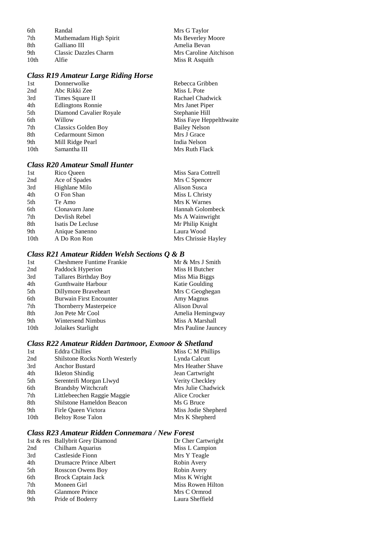| 6th              | Randal                 | Mrs G Taylor           |
|------------------|------------------------|------------------------|
| 7th              | Mathemadam High Spirit | Ms Beverley Moore      |
| 8th              | Galliano III           | Amelia Bevan           |
| 9th              | Classic Dazzles Charm  | Mrs Caroline Aitchison |
| 10 <sub>th</sub> | Alfie                  | Miss R Asquith         |

### *Class R19 Amateur Large Riding Horse*

| 1st  | Donnerwolke              | Rebecca Gribben         |
|------|--------------------------|-------------------------|
| 2nd  | Abc Rikki Zee            | Miss L Pote             |
| 3rd  | Times Square II          | Rachael Chadwick        |
| 4th  | <b>Edlingtons Ronnie</b> | Mrs Janet Piper         |
| 5th  | Diamond Cavalier Royale  | Stephanie Hill          |
| 6th  | Willow                   | Miss Faye Heppelthwaite |
| 7th  | Classics Golden Boy      | <b>Bailey Nelson</b>    |
| 8th  | Cedarmount Simon         | Mrs J Grace             |
| 9th  | Mill Ridge Pearl         | India Nelson            |
| 10th | Samantha III             | Mrs Ruth Flack          |
|      |                          |                         |

### *Class R20 Amateur Small Hunter*

| 1st  | Rico Queen        | Miss Sara Cottrell  |
|------|-------------------|---------------------|
| 2nd  | Ace of Spades     | Mrs C Spencer       |
| 3rd  | Highlane Milo     | Alison Susca        |
| 4th  | O Fon Shan        | Miss L Christy      |
| 5th  | Te Amo            | Mrs K Warnes        |
| 6th  | Clonavarn Jane    | Hannah Golombeck    |
| 7th  | Devlish Rebel     | Ms A Wainwright     |
| 8th  | Isatis De Lecluse | Mr Philip Knight    |
| 9th  | Anique Sanenno    | Laura Wood          |
| 10th | A Do Ron Ron      | Mrs Chrissie Hayley |

### *Class R21 Amateur Ridden Welsh Sections Q & B*

| 1st  | <b>Cheshmere Funtime Frankie</b> | Mr & Mrs J Smith    |
|------|----------------------------------|---------------------|
| 2nd  | Paddock Hyperion                 | Miss H Butcher      |
| 3rd  | <b>Tallares Birthday Boy</b>     | Miss Mia Biggs      |
| 4th  | Gunthwaite Harbour               | Katie Goulding      |
| 5th  | Dillymore Braveheart             | Mrs C Geoghegan     |
| 6th  | <b>Burwain First Encounter</b>   | Amy Magnus          |
| 7th  | <b>Thornberry Masterpeice</b>    | <b>Alison Duval</b> |
| 8th  | Jon Pete Mr Cool                 | Amelia Hemingway    |
| 9th  | Wintersend Nimbus                | Miss A Marshall     |
| 10th | Jolaikes Starlight               | Mrs Pauline Jauncey |
|      |                                  |                     |

### *Class R22 Amateur Ridden Dartmoor, Exmoor & Shetland*

| <b>Eddra Chillies</b>                 | Miss C M Phillips   |
|---------------------------------------|---------------------|
| <b>Shilstone Rocks North Westerly</b> | Lynda Calcutt       |
| <b>Anchor Bustard</b>                 | Mrs Heather Shave   |
| Ikleton Shindig                       | Jean Cartwright     |
| Serenteifi Morgan Llwyd               | Verity Checkley     |
| <b>Brandsby Witchcraft</b>            | Mrs Julie Chadwick  |
| Littlebeechen Raggie Maggie           | Alice Crocker       |
| Shilstone Hameldon Beacon             | Ms G Bruce          |
| Firle Queen Victora                   | Miss Jodie Shepherd |
| <b>Beltoy Rose Talon</b>              | Mrs K Shepherd      |
|                                       |                     |

### *Class R23 Amateur Ridden Connemara / New Forest*

|     | 1st & res Ballybrit Grey Diamond | Dr Cher Cartwright |
|-----|----------------------------------|--------------------|
| 2nd | Chilham Aquarius                 | Miss L Campion     |
| 3rd | Castleside Fionn                 | Mrs Y Teagle       |
| 4th | Drumacre Prince Albert           | Robin Avery        |
| 5th | Rosscon Owens Boy                | Robin Avery        |
| 6th | <b>Brock Captain Jack</b>        | Miss K Wright      |
| 7th | Moneen Girl                      | Miss Rowen Hilton  |
| 8th | <b>Glanmore Prince</b>           | Mrs C Ormrod       |
| 9th | Pride of Boderry                 | Laura Sheffield    |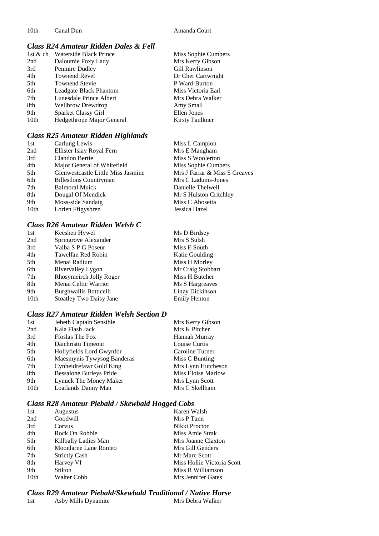### *Class R24 Amateur Ridden Dales & Fell*

| 1st $&$ ch | Waterside Black Prince    | Miss Sophie Cumbers |
|------------|---------------------------|---------------------|
| 2nd        | Daloumie Foxy Lady        | Mrs Kerry Gibson    |
| 3rd        | Penmire Dudley            | Gill Rawlinson      |
| 4th        | <b>Townend Revel</b>      | Dr Cher Cartwright  |
| 5th        | <b>Townend Stevie</b>     | P Ward-Burton       |
| 6th        | Leadgate Black Phantom    | Miss Victoria Earl  |
| 7th        | Lunesdale Prince Albert   | Mrs Debra Walker    |
| 8th        | <b>Wellbrow Drewdrop</b>  | Amy Small           |
| 9th        | Sparket Classy Girl       | Ellen Jones         |
| 10th       | Hedgethrope Major General | Kirsty Faulkner     |
|            |                           |                     |

#### *Class R25 Amateur Ridden Highlands*

| 1st              | Carlung Lewis                      | Miss L Campion                |
|------------------|------------------------------------|-------------------------------|
| 2nd              | Ellister Islay Royal Fern          | Mrs E Mangham                 |
| 3rd              | Clandon Bertie                     | Miss S Woolerton              |
| 4th              | Major General of Whitefield        | Miss Sophie Cumbers           |
| 5th              | Glenwestcastle Little Miss Jasmine | Mrs J Farrar & Miss S Greaves |
| 6th              | <b>Billesdons Countryman</b>       | Mrs C Ladums-Jones            |
| 7th              | <b>Balmoral Muick</b>              | Danielle Thelwell             |
| 8th              | Dougal Of Mendick                  | Mr S Hulston Critchley        |
| 9th              | Moss-side Sandaig                  | Miss C Abosetta               |
| 10 <sub>th</sub> | Lorien Ffigysbren                  | Jessica Hazel                 |
|                  |                                    |                               |

### *Class R26 Amateur Ridden Welsh C*

| Keeshen Hywel           | Ms D Birdsey        |
|-------------------------|---------------------|
| Springrove Alexander    | Mrs S Sulsh         |
| Valba S P G Poseur      | Miss E South        |
| Tawelfan Red Robin      | Katie Goulding      |
| Menai Radium            | Miss H Morley       |
| Rivervalley Lygon       | Mr Craig Stobbart   |
| Rhosymeirch Jolly Roger | Miss H Butcher      |
| Menai Celtic Warrior    | Ms S Hargreaves     |
| Burghwallis Botticelli  | Linzy Dickinson     |
| Stoatley Two Daisy Jane | <b>Emily Henton</b> |
|                         |                     |

### *Class R27 Amateur Ridden Welsh Section D*

| Jebeth Captain Sensible        | Mrs Kerry Gibson   |
|--------------------------------|--------------------|
| Kala Flash Jack                | Mrs K Pitcher      |
| <b>Ffoslas The Fox</b>         | Hannah Murray      |
| Daichristu Timeout             | Louise Curtis      |
| Hollyfields Lord Gwynfor       | Caroline Turner    |
| Maesmynis Tywysog Banderas     | Miss C Bunting     |
| Cynheidrefawr Gold King        | Mrs Lynn Hutcheson |
| <b>Bessalone Burleys Pride</b> | Miss Eloise Marlow |
| Lynuck The Money Maker         | Mrs Lynn Scott     |
| Loatlands Danny Man            | Mrs C Skellham     |
|                                |                    |

### *Class R28 Amateur Piebald / Skewbald Hogged Cobs*

| 1st  | <b>Augustus</b>      | Karen Walsh                |
|------|----------------------|----------------------------|
| 2nd  | Goodwill             | Mrs P Tann                 |
| 3rd  | Corvus               | Nikki Proctor              |
| 4th  | Rock On Robbie       | Miss Amie Strak            |
| 5th  | Killbally Ladies Man | Mrs Joanne Claxton         |
| 6th  | Moonlarne Lane Romeo | Mrs Gill Genders           |
| 7th  | <b>Strictly Cash</b> | Mr Marc Scott              |
| 8th  | Harvey VI            | Miss Hollie Victoria Scott |
| 9th  | Stilton              | Miss R Williamson          |
| 10th | Walter Cobb          | Mrs Jennifer Gates         |

#### *Class R29 Amateur Piebald/Skewbald Traditional / Native Horse* Mrs Debra Walker

| Asby Mills Dynamite<br>1st |  |
|----------------------------|--|
|----------------------------|--|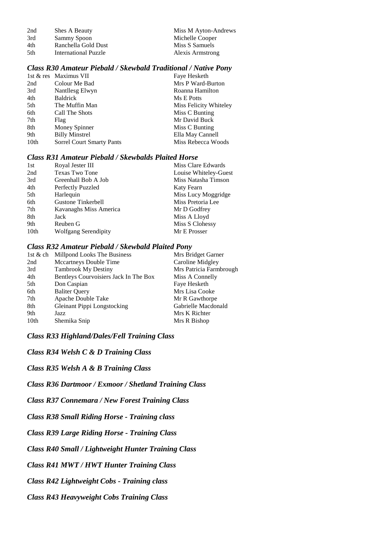| 2nd  | Shes A Beauty        | Miss M Ayton-Andrews |
|------|----------------------|----------------------|
| 3rd  | Sammy Spoon          | Michelle Cooper      |
| 4th  | Ranchella Gold Dust  | Miss S Samuels       |
| .5th | International Puzzle | Alexis Armstrong     |

#### *Class R30 Amateur Piebald / Skewbald Traditional / Native Pony*

|      | 1st & res Maximus VII            | Faye Hesketh           |
|------|----------------------------------|------------------------|
| 2nd  | Colour Me Bad                    | Mrs P Ward-Burton      |
| 3rd  | Nantllesg Elwyn                  | Roanna Hamilton        |
| 4th  | <b>Baldrick</b>                  | Ms E Potts             |
| 5th  | The Muffin Man                   | Miss Felicity Whiteley |
| 6th  | Call The Shots                   | Miss C Bunting         |
| 7th  | Flag                             | Mr David Buck          |
| 8th  | Money Spinner                    | Miss C Bunting         |
| 9th  | <b>Billy Minstrel</b>            | Ella May Cannell       |
| 10th | <b>Sorrel Court Smarty Pants</b> | Miss Rebecca Woods     |

#### *Class R31 Amateur Piebald / Skewbalds Plaited Horse*

| 1st  | Royal Jester III            | Miss Clare Edwards    |
|------|-----------------------------|-----------------------|
| 2nd  | <b>Texas Two Tone</b>       | Louise Whiteley-Guest |
| 3rd  | Greenhall Bob A Job         | Miss Natasha Timson   |
| 4th  | Perfectly Puzzled           | Katy Fearn            |
| 5th  | Harlequin                   | Miss Lucy Moggridge   |
| 6th  | Gustone Tinkerbell          | Miss Pretoria Lee     |
| 7th  | Kavanaghs Miss America      | Mr D Godfrey          |
| 8th  | Jack                        | Miss A Lloyd          |
| 9th  | Reuben G                    | Miss S Clohessy       |
| 10th | <b>Wolfgang Serendipity</b> | Mr E Prosser          |
|      |                             |                       |

#### *Class R32 Amateur Piebald / Skewbald Plaited Pony*

| 1st & ch         | Millpond Looks The Business           | Mrs Bridget Garner      |
|------------------|---------------------------------------|-------------------------|
| 2nd              | Mccartneys Double Time                | Caroline Midgley        |
| 3rd              | <b>Tambrook My Destiny</b>            | Mrs Patricia Farmbrough |
| 4th              | Bentleys Courvoisiers Jack In The Box | Miss A Connelly         |
| 5th              | Don Caspian                           | Faye Hesketh            |
| 6th              | <b>Baliter Query</b>                  | Mrs Lisa Cooke          |
| 7th              | Apache Double Take                    | Mr R Gawthorpe          |
| 8th              | Gleinant Pippi Longstocking           | Gabrielle Macdonald     |
| 9th              | Jazz                                  | Mrs K Richter           |
| 10 <sub>th</sub> | Shemika Snip                          | Mrs R Bishop            |
|                  |                                       |                         |

*Class R33 Highland/Dales/Fell Training Class*

*Class R34 Welsh C & D Training Class*

*Class R35 Welsh A & B Training Class*

*Class R36 Dartmoor / Exmoor / Shetland Training Class*

*Class R37 Connemara / New Forest Training Class*

*Class R38 Small Riding Horse - Training class*

*Class R39 Large Riding Horse - Training Class*

*Class R40 Small / Lightweight Hunter Training Class*

*Class R41 MWT / HWT Hunter Training Class*

*Class R42 Lightweight Cobs - Training class*

*Class R43 Heavyweight Cobs Training Class*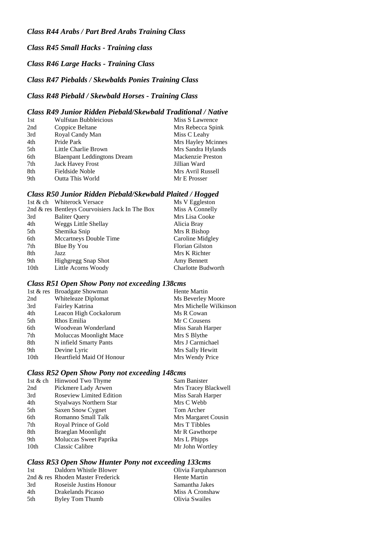*Class R45 Small Hacks - Training class*

*Class R46 Large Hacks - Training Class*

### *Class R47 Piebalds / Skewbalds Ponies Training Class*

### *Class R48 Piebald / Skewbald Horses - Training Class*

#### *Class R49 Junior Ridden Piebald/Skewbald Traditional / Native*

| 1st | <b>Wulfstan Bubbleicious</b>       | Miss S Lawrence          |
|-----|------------------------------------|--------------------------|
| 2nd | Coppice Beltane                    | Mrs Rebecca Spink        |
| 3rd | Royal Candy Man                    | Miss C Leahy             |
| 4th | Pride Park                         | Mrs Hayley Mcinnes       |
| 5th | Little Charlie Brown               | Mrs Sandra Hylands       |
| 6th | <b>Blaenpant Leddingtons Dream</b> | <b>Mackenzie Preston</b> |
| 7th | <b>Jack Havey Frost</b>            | Jillian Ward             |
| 8th | Fieldside Noble                    | Mrs Avril Russell        |
| 9th | <b>Outta This World</b>            | Mr E Prosser             |

#### *Class R50 Junior Ridden Piebald/Skewbald Plaited / Hogged*

| 1st & ch Whiterock Versace                      | Ms V Eggleston            |
|-------------------------------------------------|---------------------------|
| 2nd & res Bentleys Courvoisiers Jack In The Box | Miss A Connelly           |
| <b>Baliter Query</b>                            | Mrs Lisa Cooke            |
| <b>Weggs Little Shellay</b>                     | Alicia Bray               |
| Shemika Snip                                    | Mrs R Bishop              |
| Mccartneys Double Time                          | Caroline Midgley          |
| Blue By You                                     | <b>Florian Gilston</b>    |
| Jazz                                            | Mrs K Richter             |
| <b>Highgregg Snap Shot</b>                      | Amy Bennett               |
| Little Acorns Woody                             | <b>Charlotte Budworth</b> |
|                                                 |                           |

#### *Class R51 Open Show Pony not exceeding 138cms*

|                  | 1st & res Broadgate Showman | Hente Martin           |
|------------------|-----------------------------|------------------------|
| 2nd              | Whiteleaze Diplomat         | Ms Beverley Moore      |
| 3rd              | Fairley Katrina             | Mrs Michelle Wilkinson |
| 4th              | Leacon High Cockalorum      | Ms R Cowan             |
| 5th              | Rhos Emilia                 | Mr C Cousens           |
| 6th              | Woodvean Wonderland         | Miss Sarah Harper      |
| 7th              | Moluccas Moonlight Mace     | Mrs S Blythe           |
| 8th              | N infield Smarty Pants      | Mrs J Carmichael       |
| 9th              | Devine Lyric                | Mrs Sally Hewitt       |
| 10 <sub>th</sub> | Heartfield Maid Of Honour   | Mrs Wendy Price        |

### *Class R52 Open Show Pony not exceeding 148cms*

|                  | 1st & ch Hinwood Two Thyme      | Sam Banister         |
|------------------|---------------------------------|----------------------|
| 2nd              | Pickmere Lady Arwen             | Mrs Tracey Blackwell |
| 3rd              | <b>Roseview Limited Edition</b> | Miss Sarah Harper    |
| 4th              | Styalways Northern Star         | Mrs C Webb           |
| 5th              | <b>Saxen Snow Cygnet</b>        | Tom Archer           |
| 6th              | Romanno Small Talk              | Mrs Margaret Cousin  |
| 7th              | Royal Prince of Gold            | Mrs T Tibbles        |
| 8th              | <b>Braeglan Moonlight</b>       | Mr R Gawthorpe       |
| 9th              | Moluccas Sweet Paprika          | Mrs L Phipps         |
| 10 <sub>th</sub> | <b>Classic Calibre</b>          | Mr John Wortley      |

### *Class R53 Open Show Hunter Pony not exceeding 133cms*

| 1st | Daldorn Whistle Blower            | Olivia Farquhanrson |
|-----|-----------------------------------|---------------------|
|     | 2nd & res Rhoden Master Frederick | Hente Martin        |
| 3rd | Roseisle Justins Honour           | Samantha Jakes      |
| 4th | Drakelands Picasso                | Miss A Cronshaw     |
| 5th | Byley Tom Thumb                   | Olivia Swailes      |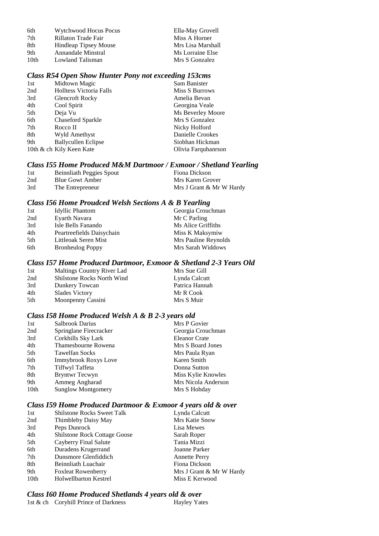| Wytchwood Hocus Pocus        | Ella-May Grovell  |
|------------------------------|-------------------|
| Rillaton Trade Fair          | Miss A Horner     |
| <b>Hindleap Tipsey Mouse</b> | Mrs Lisa Marshall |
| Annandale Minstral           | Ms Lorraine Else  |
| Lowland Talisman             | Mrs S Gonzalez    |
|                              |                   |

#### *Class R54 Open Show Hunter Pony not exceeding 153cms*

| 1st | Midtown Magic                  | Sam Banister        |
|-----|--------------------------------|---------------------|
| 2nd | <b>Holltess Victoria Falls</b> | Miss S Burrows      |
| 3rd | <b>Glencroft Rocky</b>         | Amelia Bevan        |
| 4th | Cool Spirit                    | Georgina Veale      |
| 5th | Deja Vu                        | Ms Beverley Moore   |
| 6th | Chaseford Sparkle              | Mrs S Gonzalez      |
| 7th | Rocco II                       | Nicky Holford       |
| 8th | Wyld Amethyst                  | Danielle Crookes    |
| 9th | <b>Ballycullen Eclipse</b>     | Siobhan Hickman     |
|     | 10th & ch Kily Keen Kate       | Olivia Farquhanrson |

### *Class I55 Home Produced M&M Dartmoor / Exmoor / Shetland Yearling*

| 1st | Beinnliath Peggies Spout | Fiona Dickson            |
|-----|--------------------------|--------------------------|
| 2nd | <b>Blue Gowt Amber</b>   | Mrs Karen Grover         |
| 3rd | The Entrepreneur         | Mrs J Grant & Mr W Hardy |

#### *Class I56 Home Proudced Welsh Sections A & B Yearling*

| 1st | <b>Idyllic Phantom</b>    | Georgia Crouchman    |
|-----|---------------------------|----------------------|
| 2nd | Eyarth Navara             | Mr C Parling         |
| 3rd | Isle Bells Fanando        | Ms Alice Griffiths   |
| 4th | Peartreefields Daisychain | Miss K Maksymiw      |
| 5th | Littleoak Seren Mist      | Mrs Pauline Reynolds |
| 6th | <b>Bronheulog Poppy</b>   | Mrs Sarah Widdows    |

### *Class I57 Home Produced Dartmoor, Exmoor & Shetland 2-3 Years Old*

| 1st | Maltings Country River Lad        | Mrs Sue Gill   |
|-----|-----------------------------------|----------------|
| 2nd | <b>Shilstone Rocks North Wind</b> | Lynda Calcutt  |
| 3rd | Dunkery Towcan                    | Patrica Hannah |
| 4th | <b>Slades Victory</b>             | Mr R Cook      |
| 5th | Moonpenny Cassini                 | Mrs S Muir     |

### *Class I58 Home Produced Welsh A & B 2-3 years old*

| 1st              | Salbrook Darius             | Mrs P Govier         |
|------------------|-----------------------------|----------------------|
| 2nd              | Springlane Firecracker      | Georgia Crouchman    |
| 3rd              | Corkhills Sky Lark          | <b>Eleanor Crate</b> |
| 4th              | Thamesbourne Rowena         | Mrs S Board Jones    |
| 5th              | <b>Tawelfan Socks</b>       | Mrs Paula Ryan       |
| 6th              | <b>Immybrook Roxys Love</b> | Karen Smith          |
| 7th              | Tiffwyl Taffeta             | Donna Sutton         |
| 8th              | <b>Bryntwr</b> Tecwyn       | Miss Kylie Knowles   |
| 9th              | Ammeg Angharad              | Mrs Nicola Anderson  |
| 10 <sub>th</sub> | <b>Sunglow Montgomery</b>   | Mrs S Hobday         |

#### *Class I59 Home Produced Dartmoor & Exmoor 4 years old & over*

| 1st  | <b>Shilstone Rocks Sweet Talk</b>   | Lynda Calcutt            |
|------|-------------------------------------|--------------------------|
| 2nd  | Thimbleby Daisy May                 | Mrs Katie Snow           |
| 3rd  | Peps Dunrock                        | Lisa Mewes               |
| 4th  | <b>Shilstone Rock Cottage Goose</b> | Sarah Roper              |
| 5th  | Cayberry Final Salute               | Tania Mizzi              |
| 6th  | Duradens Krugerrand                 | Joanne Parker            |
| 7th  | Dunsmore Glenfiddich                | <b>Annette Perry</b>     |
| 8th  | Beinnliath Luachair                 | Fiona Dickson            |
| 9th  | <b>Foxleat Rowenberry</b>           | Mrs J Grant & Mr W Hardy |
| 10th | <b>Holwellbarton Kestrel</b>        | Miss E Kerwood           |
|      |                                     |                          |

#### *Class I60 Home Produced Shetlands 4 years old & over*

|  | 1st & ch Coryhill Prince of Darkness | <b>Hayley Yates</b> |
|--|--------------------------------------|---------------------|
|--|--------------------------------------|---------------------|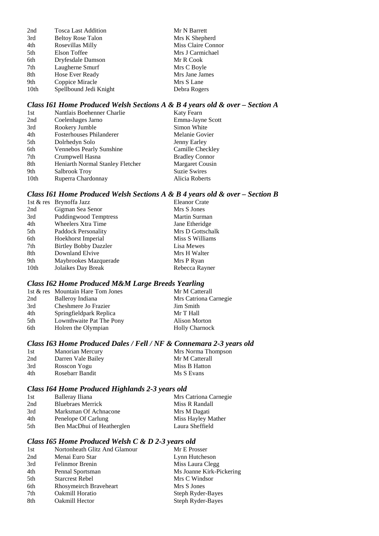| <b>Tosca Last Addition</b> | Mr N Barrett       |
|----------------------------|--------------------|
| <b>Beltoy Rose Talon</b>   | Mrs K Shepherd     |
| Rosevillas Milly           | Miss Claire Connor |
| Elson Toffee               | Mrs J Carmichael   |
| Dryfesdale Damson          | Mr R Cook          |
| Laugherne Smurf            | Mrs C Boyle        |
| Hose Ever Ready            | Mrs Jane James     |
| Coppice Miracle            | Mrs S Lane         |
| Spellbound Jedi Knight     | Debra Rogers       |
|                            |                    |

### *Class I61 Home Produced Welsh Sections A & B 4 years old & over – Section A*

| 1st              | Nantlais Boehenner Charlie       | Katy Fearn            |
|------------------|----------------------------------|-----------------------|
| 2nd              | Coelenhages Jarno                | Emma-Jayne Scott      |
| 3rd              | Rookery Jumble                   | Simon White           |
| 4th              | <b>Fosterhouses Philanderer</b>  | Melanie Govier        |
| 5th              | Dolrhedyn Solo                   | Jenny Earley          |
| 6th              | Vennebos Pearly Sunshine         | Camille Checkley      |
| 7th              | Crumpwell Hasna                  | <b>Bradley Connor</b> |
| 8th              | Heniarth Normal Stanley Fletcher | Margaret Cousin       |
| 9th              | Salbrook Troy                    | <b>Suzie Swires</b>   |
| 10 <sub>th</sub> | Ruperra Chardonnay               | Alicia Roberts        |
|                  |                                  |                       |

### *Class I61 Home Produced Welsh Sections A & B 4 years old & over – Section B*

|                  | 1st & res Brynoffa Jazz      | <b>Eleanor Crate</b> |
|------------------|------------------------------|----------------------|
| 2nd              | Gigman Sea Senor             | Mrs S Jones          |
| 3rd              | <b>Puddingwood Temptress</b> | Martin Surman        |
| 4th              | <b>Wheelers Xtra Time</b>    | Jane Etheridge       |
| 5th              | Paddock Personality          | Mrs D Gottschalk     |
| 6th              | Hoekhorst Imperial           | Miss S Williams      |
| 7th              | <b>Birtley Bobby Dazzler</b> | Lisa Mewes           |
| 8th              | Downland Elvive              | Mrs H Walter         |
| 9th              | Maybrookes Mazquerade        | Mrs P Ryan           |
| 10 <sub>th</sub> | Jolaikes Day Break           | Rebecca Rayner       |

### *Class I62 Home Produced M&M Large Breeds Yearling*

|     | 1st & res Mountain Hare Tom Jones | Mr M Catterall        |
|-----|-----------------------------------|-----------------------|
| 2nd | Balleroy Indiana                  | Mrs Catriona Carnegie |
| 3rd | Cheshmere Jo Frazier              | Jim Smith             |
| 4th | Springfieldpark Replica           | Mr T Hall             |
| 5th | Lownthwaite Pat The Pony          | <b>Alison Morton</b>  |
| 6th | Holren the Olympian               | <b>Holly Charnock</b> |
|     |                                   |                       |

### *Class I63 Home Produced Dales / Fell / NF & Connemara 2-3 years old*

| 1st | <b>Manorian Mercury</b> | Mrs Norma Thompson |
|-----|-------------------------|--------------------|
| 2nd | Darren Vale Bailey      | Mr M Catterall     |
| 3rd | Rosscon Yogu            | Miss B Hatton      |
| 4th | Rosebarr Bandit         | Ms S Evans         |

### *Class I64 Home Produced Highlands 2-3 years old*

| 1st | Balleray Iliana            | Mrs Catriona Carnegie |
|-----|----------------------------|-----------------------|
| 2nd | <b>Bluebraes Merrick</b>   | Miss R Randall        |
| 3rd | Marksman Of Achnacone      | Mrs M Dagati          |
| 4th | Penelope Of Carlung        | Miss Hayley Mather    |
| 5th | Ben MacDhui of Heatherglen | Laura Sheffield       |

### *Class I65 Home Produced Welsh C & D 2-3 years old*

| 1st | Nortonheath Glitz And Glamour | Mr E Prosser             |
|-----|-------------------------------|--------------------------|
| 2nd | Menai Euro Star               | Lynn Hutcheson           |
| 3rd | Felinmor Brenin               | Miss Laura Clegg         |
| 4th | Pennal Sportsman              | Ms Joanne Kirk-Pickering |
| 5th | <b>Starcrest Rebel</b>        | Mrs C Windsor            |
| 6th | Rhosymeirch Braveheart        | Mrs S Jones              |
| 7th | Oakmill Horatio               | Steph Ryder-Bayes        |
| 8th | <b>Oakmill Hector</b>         | Steph Ryder-Bayes        |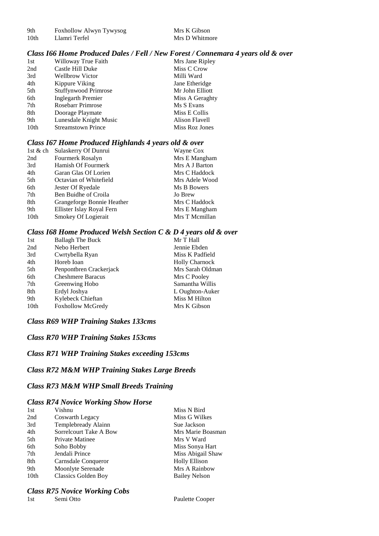9th Foxhollow Alwyn Tywysog Mrs K Gibson

#### *Class I66 Home Produced Dales / Fell / New Forest / Connemara 4 years old & over*

| 1st              | Willoway True Faith         | Mrs Jane Ripley |
|------------------|-----------------------------|-----------------|
| 2nd              | Castle Hill Duke            | Miss C Crow     |
| 3rd              | <b>Wellbrow Victor</b>      | Milli Ward      |
| 4th              | Kippure Viking              | Jane Etheridge  |
| 5th              | <b>Stuffynwood Primrose</b> | Mr John Elliott |
| 6th              | <b>Inglegarth Premier</b>   | Miss A Geraghty |
| 7th              | <b>Rosebarr Primrose</b>    | Ms S Evans      |
| 8th              | Doorage Playmate            | Miss E Collis   |
| 9th              | Lunesdale Knight Music      | Alison Flavell  |
| 10 <sub>th</sub> | <b>Streamstown Prince</b>   | Miss Roz Jones  |

### *Class I67 Home Produced Highlands 4 years old & over*

| 1st & ch         | Sulaskerry Of Dunrui       | Wayne Cox      |
|------------------|----------------------------|----------------|
| 2nd              | Fourmerk Rosalyn           | Mrs E Mangham  |
| 3rd              | Hamish Of Fourmerk         | Mrs A J Barton |
| 4th              | Garan Glas Of Lorien       | Mrs C Haddock  |
| 5th              | Octavian of Whitefield     | Mrs Adele Wood |
| 6th              | Jester Of Ryedale          | Ms B Bowers    |
| 7th              | Ben Buidhe of Croila       | Jo Brew        |
| 8th              | Grangeforge Bonnie Heather | Mrs C Haddock  |
| 9th              | Ellister Islay Royal Fern  | Mrs E Mangham  |
| 10 <sub>th</sub> | Smokey Of Logierait        | Mrs T Mcmillan |

#### *Class I68 Home Produced Welsh Section C & D 4 years old & over*

| 1st              | <b>Ballagh The Buck</b>  | Mr T Hall             |
|------------------|--------------------------|-----------------------|
| 2nd              | Nebo Herbert             | Jennie Ebden          |
| 3rd              | Cwrtybella Ryan          | Miss K Padfield       |
| 4th              | Horeb Ioan               | <b>Holly Charnock</b> |
| 5th              | Penpontbren Crackerjack  | Mrs Sarah Oldman      |
| 6th              | <b>Cheshmere Baracus</b> | Mrs C Pooley          |
| 7th              | Greenwing Hobo           | Samantha Willis       |
| 8th              | Erdyl Joshya             | L Oughton-Auker       |
| 9th              | Kylebeck Chieftan        | Miss M Hilton         |
| 10 <sub>th</sub> | <b>Foxhollow McGredy</b> | Mrs K Gibson          |

#### *Class R69 WHP Training Stakes 133cms*

#### *Class R70 WHP Training Stakes 153cms*

### *Class R71 WHP Training Stakes exceeding 153cms*

#### *Class R72 M&M WHP Training Stakes Large Breeds*

#### *Class R73 M&M WHP Small Breeds Training*

#### *Class R74 Novice Working Show Horse*

| 1st              | Vishnu                     | Miss N Bird          |
|------------------|----------------------------|----------------------|
| 2nd              | Coswarth Legacy            | Miss G Wilkes        |
| 3rd              | Templebready Alainn        | Sue Jackson          |
| 4th              | Sorrelcourt Take A Bow     | Mrs Marie Boasman    |
| 5th              | Private Matinee            | Mrs V Ward           |
| 6th              | Soho Bobby                 | Miss Sonya Hart      |
| 7th              | Jendali Prince             | Miss Abigail Shaw    |
| 8th              | Carnsdale Conqueror        | <b>Holly Ellison</b> |
| 9th              | Moonlyte Serenade          | Mrs A Rainbow        |
| 10 <sub>th</sub> | <b>Classics Golden Boy</b> | <b>Bailey Nelson</b> |

## *Class R75 Novice Working Cobs*

Paulette Cooper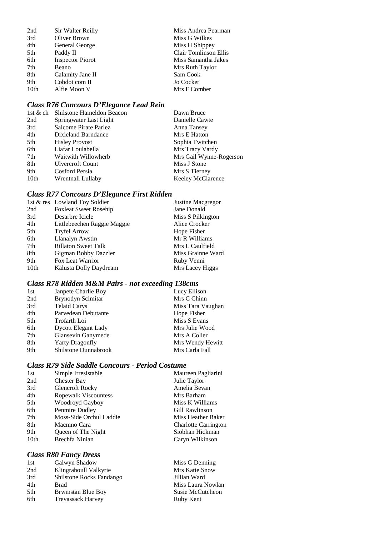| 2nd              | Sir Walter Reilly       | Miss Andrea Pearman   |
|------------------|-------------------------|-----------------------|
| 3rd              | Oliver Brown            | Miss G Wilkes         |
| 4th              | General George          | Miss H Shippey        |
| 5th              | Paddy II                | Clair Tomlinson Ellis |
| 6th              | <b>Inspector Piorot</b> | Miss Samantha Jakes   |
| 7th              | Beano                   | Mrs Ruth Taylor       |
| 8th              | Calamity Jane II        | Sam Cook              |
| 9th              | Cobdot com II           | Jo Cocker             |
| 10 <sub>th</sub> | Alfie Moon V            | Mrs F Comber          |

### *Class R76 Concours D'Elegance Lead Rein*

|                         | Dawn Bruce                         |
|-------------------------|------------------------------------|
| Springwater Last Light  | Danielle Cawte                     |
| Salcome Pirate Parlez   | Anna Tansey                        |
| Dixieland Barndance     | Mrs E Hatton                       |
| <b>Hisley Provost</b>   | Sophia Twitchen                    |
| Liafar Loulabella       | Mrs Tracy Vardy                    |
| Waitwith Willowherb     | Mrs Gail Wynne-Rogerson            |
| <b>Ulvercroft Count</b> | Miss J Stone                       |
| Cosford Persia          | Mrs S Tierney                      |
| Wrentnall Lullaby       | Keeley McClarence                  |
|                         | 1st & ch Shilstone Hameldon Beacon |

### *Class R77 Concours D'Elegance First Ridden*

|                  | 1st & res Lowland Toy Soldier | Justine Macgregor |
|------------------|-------------------------------|-------------------|
| 2nd              | <b>Foxleat Sweet Rosehip</b>  | Jane Donald       |
| 3rd              | Desarbre Icicle               | Miss S Pilkington |
| 4th              | Littlebeechen Raggie Maggie   | Alice Crocker     |
| 5th              | <b>Tryfel Arrow</b>           | Hope Fisher       |
| 6th              | Llanalyn Awstin               | Mr R Williams     |
| 7th              | <b>Rillaton Sweet Talk</b>    | Mrs L Caulfield   |
| 8th              | Gigman Bobby Dazzler          | Miss Grainne Ward |
| 9th              | Fox Leat Warrior              | Ruby Venni        |
| 10 <sub>th</sub> | Kalusta Dolly Daydream        | Mrs Lacey Higgs   |

### *Class R78 Ridden M&M Pairs - not exceeding 138cms*

| 1st | Janpete Charlie Boy         | Lucy Ellison      |
|-----|-----------------------------|-------------------|
| 2nd | Brynodyn Scimitar           | Mrs C Chinn       |
| 3rd | <b>Telaid Carys</b>         | Miss Tara Vaughan |
| 4th | Parvedean Debutante         | Hope Fisher       |
| 5th | Trofarth Loi                | Miss S Evans      |
| 6th | <b>Dycott Elegant Lady</b>  | Mrs Julie Wood    |
| 7th | Glansevin Ganymede          | Mrs A Coller      |
| 8th | <b>Yarty Dragonfly</b>      | Mrs Wendy Hewitt  |
| 9th | <b>Shilstone Dunnabrook</b> | Mrs Carla Fall    |

### *Class R79 Side Saddle Concours - Period Costume*

| 1st  | Simple Irresistable     | Maureen Pagliarini          |
|------|-------------------------|-----------------------------|
| 2nd  | Chester Bay             | Julie Taylor                |
| 3rd  | <b>Glencroft Rocky</b>  | Amelia Bevan                |
| 4th  | Ropewalk Viscountess    | Mrs Barham                  |
| 5th  | Woodroyd Gayboy         | Miss K Williams             |
| 6th  | Penmire Dudley          | Gill Rawlinson              |
| 7th  | Moss-Side Orchul Laddie | Miss Heather Baker          |
| 8th  | Macmno Cara             | <b>Charlotte Carrington</b> |
| 9th  | Queen of The Night      | Siobhan Hickman             |
| 10th | Brechfa Ninian          | Caryn Wilkinson             |
|      |                         |                             |

### *Class R80 Fancy Dress*

| 1st | Galwyn Shadow            | Miss G Denning        |
|-----|--------------------------|-----------------------|
| 2nd | Klingrahoull Valkyrie    | <b>Mrs Katie Snow</b> |
| 3rd | Shilstone Rocks Fandango | Jillian Ward          |
| 4th | Brad                     | Miss Laura Nowlan     |
| 5th | <b>Brwmstan Blue Boy</b> | Susie McCutcheon      |
| 6th | <b>Trevassack Harvey</b> | Ruby Kent             |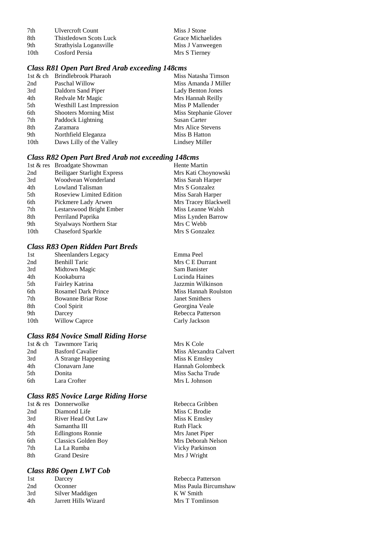| 7th  | <b>Ulvercroft Count</b> | Miss J Stone      |
|------|-------------------------|-------------------|
| -8th | Thistledown Scots Luck  | Grace Michaelides |
| 9th  | Strathyisla Logansville | Miss J Vanweegen  |
| 10th | Cosford Persia          | Mrs S Tierney     |

#### *Class R81 Open Part Bred Arab exceeding 148cms*

| 1st & ch | Brindlebrook Pharaoh            | Miss Natasha Timson      |
|----------|---------------------------------|--------------------------|
| 2nd      | Paschal Willow                  | Miss Amanda J Miller     |
| 3rd      | Daldorn Sand Piper              | <b>Lady Benton Jones</b> |
| 4th      | Redvale Mr Magic                | Mrs Hannah Reilly        |
| 5th      | <b>Westhill Last Impression</b> | Miss P Mallender         |
| 6th      | <b>Shooters Morning Mist</b>    | Miss Stephanie Glover    |
| 7th      | Paddock Lightning               | Susan Carter             |
| 8th      | Zaramara                        | Mrs Alice Stevens        |
| 9th      | Northfield Eleganza             | Miss B Hatton            |
| 10th     | Daws Lilly of the Valley        | Lindsey Miller           |

### *Class R82 Open Part Bred Arab not exceeding 148cms*

| 1st & res Broadgate Showman        | <b>Hente Martin</b>  |
|------------------------------------|----------------------|
| <b>Beiligaer Starlight Express</b> | Mrs Kati Choynowski  |
| Woodvean Wonderland                | Miss Sarah Harper    |
| Lowland Talisman                   | Mrs S Gonzalez       |
| Roseview Limited Edition           | Miss Sarah Harper    |
| Pickmere Lady Arwen                | Mrs Tracey Blackwell |
| Lestarswood Bright Ember           | Miss Leanne Walsh    |
| Perriland Paprika                  | Miss Lynden Barrow   |
| <b>Styalways Northern Star</b>     | Mrs C Webb           |
| Chaseford Sparkle                  | Mrs S Gonzalez       |
|                                    |                      |

### *Class R83 Open Ridden Part Breds*

| 1st  | Sheenlanders Legacy        | Emma Peel             |
|------|----------------------------|-----------------------|
| 2nd  | <b>Benhill Taric</b>       | Mrs C E Durrant       |
| 3rd  | Midtown Magic              | Sam Banister          |
| 4th  | Kookaburra                 | Lucinda Haines        |
| 5th  | Fairley Katrina            | Jazzmin Wilkinson     |
| 6th  | <b>Rosamel Dark Prince</b> | Miss Hannah Roulston  |
| 7th  | <b>Bowanne Briar Rose</b>  | <b>Janet Smithers</b> |
| 8th  | Cool Spirit                | Georgina Veale        |
| 9th  | Darcey                     | Rebecca Patterson     |
| 10th | Willow Caprce              | Carly Jackson         |
|      |                            |                       |

#### *Class R84 Novice Small Riding Horse*

|     | 1st & ch Tawnmore Tariq | Mrs K Cole             |
|-----|-------------------------|------------------------|
| 2nd | <b>Basford Cavalier</b> | Miss Alexandra Calvert |
| 3rd | A Strange Happening     | Miss K Emsley          |
| 4th | Clonavarn Jane          | Hannah Golombeck       |
| 5th | Donita                  | Miss Sacha Trude       |
| 6th | Lara Crofter            | Mrs L Johnson          |
|     |                         |                        |

### *Class R85 Novice Large Riding Horse*

|     | 1st & res Donnerwolke    | Rebecca Gribben    |
|-----|--------------------------|--------------------|
| 2nd | Diamond Life             | Miss C Brodie      |
| 3rd | River Head Out Law       | Miss K Emsley      |
| 4th | Samantha III             | <b>Ruth Flack</b>  |
| 5th | <b>Edlingtons Ronnie</b> | Mrs Janet Piper    |
| 6th | Classics Golden Boy      | Mrs Deborah Nelson |
| 7th | La La Rumba              | Vicky Parkinson    |
| 8th | <b>Grand Desire</b>      | Mrs J Wright       |
|     |                          |                    |

### *Class R86 Open LWT Cob*

| 1st | Darcey               |
|-----|----------------------|
| 2nd | Oconner              |
| 3rd | Silver Maddigen      |
| 4th | Jarrett Hills Wizard |

| Rebecca Gribben    |
|--------------------|
| Miss C Brodie      |
| Miss K Emsley      |
| Ruth Flack         |
| Mrs Janet Piper    |
| Mrs Deborah Nelson |
| Vicky Parkinson    |
| Mrs J Wright       |
|                    |

Rebecca Patterson Miss Paula Bircumshaw K W Smith Mrs T Tomlinson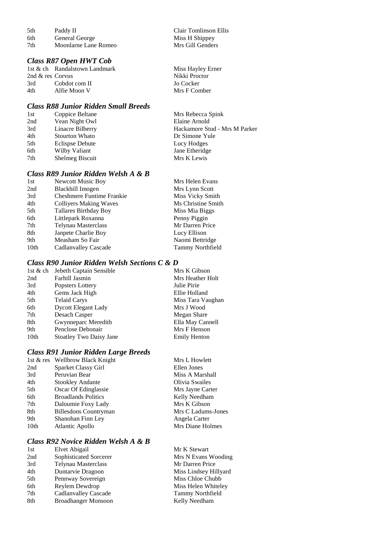| 5th | Paddy II             | Clair Tomlinson I |
|-----|----------------------|-------------------|
| 6th | General George       | Miss H Shippey    |
| 7th | Moonlarne Lane Romeo | Mrs Gill Genders  |

#### *Class R87 Open HWT Cob*

1st & ch Randalstown Landmark Miss Hayley Erner<br>
2nd & res Corvus Nikki Proctor 2nd & res Corvus Nikki Proctor 3rd Cobdot com II Jo Cocker<br>4th Alfie Moon V Mrs F Comber Alfie Moon V

#### *Class R88 Junior Ridden Small Breeds*

| 1st             | Coppice Beltane        | Mrs Rebecca Spink             |
|-----------------|------------------------|-------------------------------|
| 2nd             | Vean Night Owl         | Elaine Arnold                 |
| 3rd             | Linacre Bilberry       | Hackamore Stud - Mrs M Parker |
| 4th             | Stourton Whato         | Dr Simone Yule                |
| 5th             | <b>Eclispse Debute</b> | Lucy Hodges                   |
| 6th             | Wilby Valiant          | Jane Etheridge                |
| 7 <sub>th</sub> | Shelmeg Biscuit        | Mrs K Lewis                   |
|                 |                        |                               |

Clair Tomlinson Ellis Miss H Shippey

### *Class R89 Junior Ridden Welsh A & B*

| 1st  | <b>Newcott Music Boy</b>         | Mrs Helen Evans         |
|------|----------------------------------|-------------------------|
| 2nd  | Blackhill Imogen                 | Mrs Lynn Scott          |
| 3rd  | <b>Cheshmere Funtime Frankie</b> | Miss Vicky Smith        |
| 4th  | <b>Collivers Making Waves</b>    | Ms Christine Smith      |
| 5th  | Tallares Birthday Boy            | Miss Mia Biggs          |
| 6th  | Littlepark Roxanna               | Penny Piggin            |
| 7th  | Telynau Masterclass              | Mr Darren Price         |
| 8th  | Janpete Charlie Boy              | Lucy Ellison            |
| 9th  | Measham So Fair                  | Naomi Bettridge         |
| 10th | Cadlanvalley Cascade             | <b>Tammy Northfield</b> |
|      |                                  |                         |

### *Class R90 Junior Ridden Welsh Sections C & D*

|                  | 1st & ch Jebeth Captain Sensible | Mrs K Gibson        |
|------------------|----------------------------------|---------------------|
| 2nd              | Farhill Jasmin                   | Mrs Heather Holt    |
| 3rd              | Popsters Lottery                 | Julie Pirie         |
| 4th              | Gems Jack High                   | Ellie Holland       |
| 5th              | <b>Telaid Carys</b>              | Miss Tara Vaughan   |
| 6th              | <b>Dycott Elegant Lady</b>       | Mrs J Wood          |
| 7th              | Desach Casper                    | Megan Share         |
| 8th              | Gwynneparc Meredith              | Ella May Cannell    |
| 9th              | Penclose Debonair                | Mrs F Henson        |
| 10 <sub>th</sub> | <b>Stoatley Two Daisy Jane</b>   | <b>Emily Henton</b> |

#### *Class R91 Junior Ridden Large Breeds*

|      | 1st & res Wellbrow Black Knight | Mrs L Howlett      |
|------|---------------------------------|--------------------|
| 2nd  | Sparket Classy Girl             | Ellen Jones        |
| 3rd  | Peruvian Bear                   | Miss A Marshall    |
| 4th  | <b>Stookley Andante</b>         | Olivia Swailes     |
| 5th  | Oscar Of Edinglassie            | Mrs Jayne Carter   |
| 6th  | <b>Broadlands Politics</b>      | Kelly Needham      |
| 7th  | Daloumie Foxy Lady              | Mrs K Gibson       |
| 8th  | Billesdons Countryman           | Mrs C Ladums-Jones |
| 9th  | Shanohan Finn Ley               | Angela Carter      |
| 10th | Atlantic Apollo                 | Mrs Diane Holmes   |
|      |                                 |                    |

## *Class R92 Novice Ridden Welsh A & B*

| 1st | Elvet Abigail               | Mr K Stewart            |
|-----|-----------------------------|-------------------------|
| 2nd | Sophisticated Sorcerer      | Mrs N Evans Wooding     |
| 3rd | <b>Telynau Masterclass</b>  | Mr Darren Price         |
| 4th | Duntarvie Dragoon           | Miss Lindsey Hillyard   |
| 5th | Pennway Sovereign           | Miss Chloe Chubb        |
| 6th | Reylem Dewdrop              | Miss Helen Whiteley     |
| 7th | <b>Cadlanvalley Cascade</b> | <b>Tammy Northfield</b> |
| 8th | <b>Broadhanger Monsoon</b>  | Kelly Needham           |
|     |                             |                         |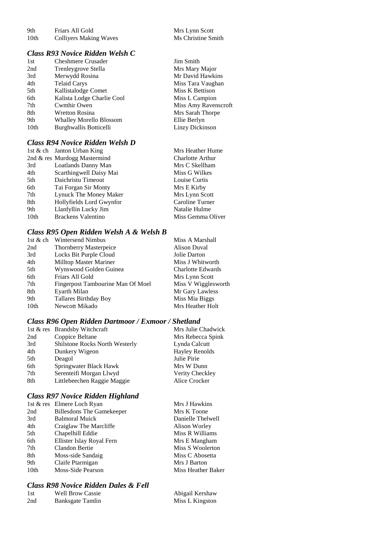| 9th              | Friars All Gold               | Mrs Lynn Scott  |
|------------------|-------------------------------|-----------------|
| 10 <sub>th</sub> | <b>Colliyers Making Waves</b> | Ms Christine Si |

### *Class R93 Novice Ridden Welsh C*

| 1st              | <b>Cheshmere Crusader</b>      | <b>Jim Smith</b>     |
|------------------|--------------------------------|----------------------|
| 2nd              | Trenleygrove Stella            | Mrs Mary Major       |
| 3rd              | Merwydd Rosina                 | Mr David Hawkins     |
| 4th              | <b>Telaid Carys</b>            | Miss Tara Vaughan    |
| 5th              | Kallistalodge Comet            | Miss K Bettison      |
| 6th              | Kalista Lodge Charlie Cool     | Miss L Campion       |
| 7th              | Cwmhir Owen                    | Miss Amy Ravenscroft |
| 8th              | <b>Wretton Rosina</b>          | Mrs Sarah Thorpe     |
| 9th              | <b>Whalley Morello Blossom</b> | Ellie Berlyn         |
| 10 <sub>th</sub> | Burghwallis Botticelli         | Linzy Dickinson      |
|                  |                                |                      |

### *Class R94 Novice Ridden Welsh D*

|                  | 1st & ch Janton Urban King   | Mrs Heather Hume  |
|------------------|------------------------------|-------------------|
|                  | 2nd & res Murdogg Mastermind | Charlotte Arthur  |
| 3rd              | Loatlands Danny Man          | Mrs C Skellham    |
| 4th              | Scarthingwell Daisy Mai      | Miss G Wilkes     |
| 5th              | Daichristu Timeout           | Louise Curtis     |
| 6th              | Tai Forgan Sir Monty         | Mrs E Kirby       |
| 7th              | Lynuck The Money Maker       | Mrs Lynn Scott    |
| 8th              | Hollyfields Lord Gwynfor     | Caroline Turner   |
| 9th              | Llanfyllin Lucky Jim         | Natalie Hulme     |
| 10 <sub>th</sub> | <b>Brackens Valentino</b>    | Miss Gemma Oliver |

### *Class R95 Open Ridden Welsh A & Welsh B*

| 1st $&$ ch       | <b>Wintersend Nimbus</b>          | Miss A Marshall          |
|------------------|-----------------------------------|--------------------------|
| 2nd              | <b>Thornberry Masterpeice</b>     | Alison Duval             |
| 3rd              | Locks Bit Purple Cloud            | Jolie Darton             |
| 4th              | <b>Milltop Master Mariner</b>     | Miss J Whitworth         |
| 5th              | Wynswood Golden Guinea            | <b>Charlotte Edwards</b> |
| 6th              | Friars All Gold                   | Mrs Lynn Scott           |
| 7th              | Fingerpost Tambourine Man Of Moel | Miss V Wigglesworth      |
| 8th              | Eyarth Milan                      | Mr Gary Lawless          |
| 9th              | <b>Tallares Birthday Boy</b>      | Miss Mia Biggs           |
| 10 <sub>th</sub> | Newcott Mikado                    | Mrs Heather Holt         |

### *Class R96 Open Ridden Dartmoor / Exmoor / Shetland*

|     | 1st & res Brandsby Witchcraft  | Mrs Julie Chadwick    |
|-----|--------------------------------|-----------------------|
| 2nd | Coppice Beltane                | Mrs Rebecca Spink     |
| 3rd | Shilstone Rocks North Westerly | Lynda Calcutt         |
| 4th | Dunkery Wigeon                 | <b>Hayley Renolds</b> |
| 5th | Deagol                         | Julie Pirie           |
| 6th | Springwater Black Hawk         | Mrs W Dunn            |
| 7th | Serenteifi Morgan Llwyd        | Verity Checkley       |
| 8th | Littlebeechen Raggie Maggie    | Alice Crocker         |

### *Class R97 Novice Ridden Highland*

|      | 1st & res Elmere Loch Ryan       | Mrs J Hawkins      |
|------|----------------------------------|--------------------|
| 2nd  | <b>Billesdons The Gamekeeper</b> | Mrs K Toone        |
| 3rd  | <b>Balmoral Muick</b>            | Danielle Thelwell  |
| 4th  | Craiglaw The Marcliffe           | Alison Worley      |
| 5th  | Chapelhill Eddie                 | Miss R Williams    |
| 6th  | Ellister Islay Royal Fern        | Mrs E Mangham      |
| 7th  | Clandon Bertie                   | Miss S Woolerton   |
| 8th  | Moss-side Sandaig                | Miss C Abosetta    |
| 9th  | Claife Ptarmigan                 | Mrs J Barton       |
| 10th | Moss-Side Pearson                | Miss Heather Baker |
|      |                                  |                    |

### *Class R98 Novice Ridden Dales & Fell*

| -1st | <b>Well Brow Cassie</b> | Abigail Kershaw |
|------|-------------------------|-----------------|
| 2nd  | Banksgate Tamlin        | Miss L Kingston |

| Mrs Lynn Scott     |
|--------------------|
| Ms Christine Smith |

| Jim Smith            |
|----------------------|
| Mrs Mary Major       |
| Mr David Hawkins     |
| Miss Tara Vaughan    |
| Miss K Bettison      |
| Miss L Campion       |
| Miss Amy Ravenscroft |
| Mrs Sarah Thorpe     |
| Ellie Berlyn         |
| Linzy Dickinson      |

| Mrs Heather Hume |  |
|------------------|--|
| Charlotte Arthur |  |
| Mrs C Skellham   |  |
| Miss G Wilkes    |  |
| Louise Curtis    |  |
| Mrs E Kirby      |  |
| Mrs Lynn Scott   |  |
| Caroline Turner  |  |
| Natalie Hulme    |  |
| Miss Gemma Oliv  |  |
|                  |  |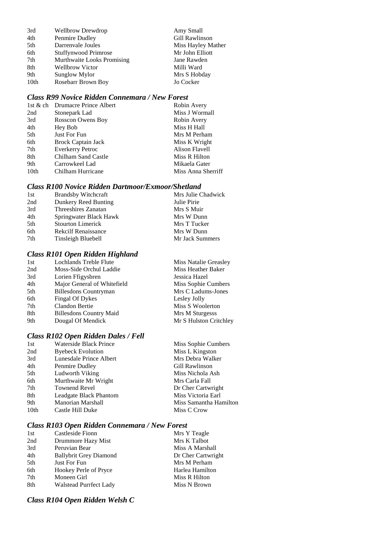| 3rd  | Wellbrow Drewdrop           | Amy Small          |
|------|-----------------------------|--------------------|
| 4th  | Penmire Dudley              | Gill Rawlinson     |
| 5th  | Darrenvale Joules           | Miss Hayley Mather |
| 6th  | <b>Stuffynwood Primrose</b> | Mr John Elliott    |
| 7th  | Murthwaite Looks Promising  | Jane Rawden        |
| 8th  | <b>Wellbrow Victor</b>      | Milli Ward         |
| 9th  | Sunglow Mylor               | Mrs S Hobday       |
| 10th | Rosebarr Brown Boy          | Jo Cocker          |

### *Class R99 Novice Ridden Connemara / New Forest*

|                  | 1st & ch Drumacre Prince Albert | Robin Avery        |
|------------------|---------------------------------|--------------------|
| 2nd              | Stonepark Lad                   | Miss J Wormall     |
| 3rd              | Rosscon Owens Boy               | Robin Avery        |
| 4th              | Hey Bob                         | Miss H Hall        |
| 5th              | Just For Fun                    | Mrs M Perham       |
| 6th              | <b>Brock Captain Jack</b>       | Miss K Wright      |
| 7th              | <b>Everkerry Petroc</b>         | Alison Flavell     |
| 8th              | Chilham Sand Castle             | Miss R Hilton      |
| 9th              | Carrowkeel Lad                  | Mikaela Gater      |
| 10 <sub>th</sub> | Chilham Hurricane               | Miss Anna Sherriff |

### *Class R100 Novice Ridden Dartmoor/Exmoor/Shetland*

| 1st | <b>Brandsby Witchcraft</b> | Mrs Julie Chadwick |
|-----|----------------------------|--------------------|
| 2nd | Dunkery Reed Bunting       | Julie Pirie        |
| 3rd | Threeshires Zanatan        | Mrs S Muir         |
| 4th | Springwater Black Hawk     | Mrs W Dunn         |
| 5th | <b>Stourton Limerick</b>   | Mrs T Tucker       |
| 6th | <b>Rekcilf Renaissance</b> | Mrs W Dunn         |
| 7th | Tinsleigh Bluebell         | Mr Jack Summers    |

### *Class R101 Open Ridden Highland*

| 1st | <b>Lochlands Treble Flute</b>  | Miss Natalie Greasley  |
|-----|--------------------------------|------------------------|
| 2nd | Moss-Side Orchul Laddie        | Miss Heather Baker     |
| 3rd | Lorien Ffigysbren              | Jessica Hazel          |
| 4th | Major General of Whitefield    | Miss Sophie Cumbers    |
| 5th | <b>Billesdons Countryman</b>   | Mrs C Ladums-Jones     |
| 6th | Fingal Of Dykes                | Lesley Jolly           |
| 7th | Clandon Bertie                 | Miss S Woolerton       |
| 8th | <b>Billesdons Country Maid</b> | Mrs M Sturgesss        |
| 9th | Dougal Of Mendick              | Mr S Hulston Critchley |
|     |                                |                        |

### *Class R102 Open Ridden Dales / Fell*

| 1st  | Waterside Black Prince   | Miss Sophie Cumbers    |
|------|--------------------------|------------------------|
| 2nd  | <b>Byebeck Evolution</b> | Miss L Kingston        |
| 3rd  | Lunesdale Prince Albert  | Mrs Debra Walker       |
| 4th  | Penmire Dudley           | Gill Rawlinson         |
| 5th  | Ludworth Viking          | Miss Nichola Ash       |
| 6th  | Murthwaite Mr Wright     | Mrs Carla Fall         |
| 7th  | <b>Townend Revel</b>     | Dr Cher Cartwright     |
| 8th  | Leadgate Black Phantom   | Miss Victoria Earl     |
| 9th  | Manorian Marshall        | Miss Samantha Hamilton |
| 10th | Castle Hill Duke         | Miss C Crow            |
|      |                          |                        |

### *Class R103 Open Ridden Connemara / New Forest*

| Castleside Fionn              | Mrs Y Teagle       |
|-------------------------------|--------------------|
| Drummore Hazy Mist            | Mrs K Talbot       |
| Peruvian Bear                 | Miss A Marshall    |
| <b>Ballybrit Grey Diamond</b> | Dr Cher Cartwright |
| Just For Fun                  | Mrs M Perham       |
| Hookey Perle of Pryce         | Harlea Hamilton    |
| Moneen Girl                   | Miss R Hilton      |
| Walstead Purrfect Lady        | Miss N Brown       |
|                               |                    |

### *Class R104 Open Ridden Welsh C*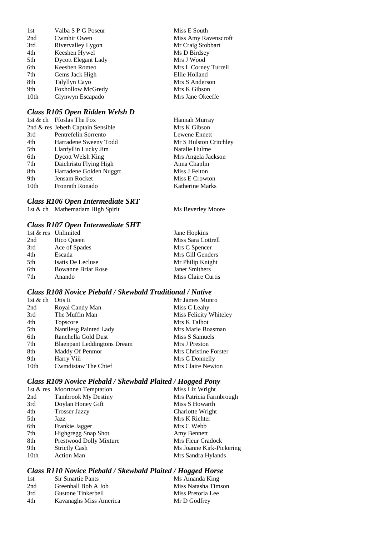| 1st              | Valba S P G Poseur         |
|------------------|----------------------------|
| 2nd              | Cwmhir Owen                |
| 3rd              | Rivervalley Lygon          |
| 4th              | Keeshen Hywel              |
| 5th              | <b>Dycott Elegant Lady</b> |
| 6th              | Keeshen Romeo              |
| 7th              | Gems Jack High             |
| 8th              | Talyllyn Cayo              |
| 9th              | <b>Foxhollow McGredy</b>   |
| 10 <sub>th</sub> | Glynwyn Escapado           |
|                  |                            |

### *Class R105 Open Ridden Welsh D*

|      | 1st & ch Ffoslas The Fox          | Hannah Murray          |
|------|-----------------------------------|------------------------|
|      | 2nd & res Jebeth Captain Sensible | Mrs K Gibson           |
| 3rd  | Pentrefelin Sorrento              | Lewene Ennett          |
| 4th  | Harradene Sweeny Todd             | Mr S Hulston Critchley |
| 5th  | Llanfyllin Lucky Jim              | Natalie Hulme          |
| 6th  | <b>Dycott Welsh King</b>          | Mrs Angela Jackson     |
| 7th  | Daichristu Flying High            | Anna Chaplin           |
| 8th  | Harradene Golden Nuggrt           | Miss J Felton          |
| 9th  | Jensam Rocket                     | Miss E Crowton         |
| 10th | Fronrath Ronado                   | Katherine Marks        |
|      |                                   |                        |

#### *Class R106 Open Intermediate SRT*

*Class R107 Open Intermediate SHT*

1st & ch Mathemadam High Spirit Ms Beverley Moore

Miss E South

Miss Amy Ravenscroft Mr Craig Stobbart Ms D Birdsey Mrs J Wood

Mrs L Corney Turrell Ellie Holland Mrs S Anderson Mrs K Gibson Mrs Jane Okeeffe

|     | 1st & res Unlimited       | Jane Hopkins          |
|-----|---------------------------|-----------------------|
| 2nd | Rico Queen                | Miss Sara Cottrell    |
| 3rd | Ace of Spades             | Mrs C Spencer         |
| 4th | Escada                    | Mrs Gill Genders      |
| 5th | Isatis De Lecluse         | Mr Philip Knight      |
| 6th | <b>Bowanne Briar Rose</b> | <b>Janet Smithers</b> |
| 7th | Anando                    | Miss Claire Curtis    |

### *Class R108 Novice Piebald / Skewbald Traditional / Native*

| 1st & ch | Otis Ii                            | Mr James Munro         |
|----------|------------------------------------|------------------------|
| 2nd      | Royal Candy Man                    | Miss C Leahy           |
| 3rd      | The Muffin Man                     | Miss Felicity Whiteley |
| 4th      | Topscore                           | Mrs K Talbot           |
| 5th      | Nantllesg Painted Lady             | Mrs Marie Boasman      |
| 6th      | Ranchella Gold Dust                | Miss S Samuels         |
| 7th      | <b>Blaenpant Leddingtons Dream</b> | Mrs J Preston          |
| 8th      | Maddy Of Penmor                    | Mrs Christine Forster  |
| 9th      | Harry Viii                         | Mrs C Donnelly         |
| 10th     | Cwmdistaw The Chief                | Mrs Claire Newton      |

### *Class R109 Novice Piebald / Skewbald Plaited / Hogged Pony*

|      | 1st & res Moortown Temptation | Miss Liz Wright          |
|------|-------------------------------|--------------------------|
| 2nd  | <b>Tambrook My Destiny</b>    | Mrs Patricia Farmbrough  |
| 3rd  | Doylan Honey Gift             | Miss S Howarth           |
| 4th  | <b>Trosser Jazzy</b>          | Charlotte Wright         |
| 5th  | Jazz                          | Mrs K Richter            |
| 6th  | Frankie Jagger                | Mrs C Webb               |
| 7th  | <b>Highgregg Snap Shot</b>    | Amy Bennett              |
| 8th  | Prestwood Dolly Mixture       | Mrs Fleur Cradock        |
| 9th  | <b>Strictly Cash</b>          | Ms Joanne Kirk-Pickering |
| 10th | <b>Action Man</b>             | Mrs Sandra Hylands       |
|      |                               |                          |

### *Class R110 Novice Piebald / Skewbald Plaited / Hogged Horse*

| 1st | <b>Sir Smartie Pants</b> | Ms Amanda King      |
|-----|--------------------------|---------------------|
| 2nd | Greenhall Bob A Job      | Miss Natasha Timson |
| 3rd | Gustone Tinkerbell       | Miss Pretoria Lee   |
| 4th | Kavanaghs Miss America   | Mr D Godfrey        |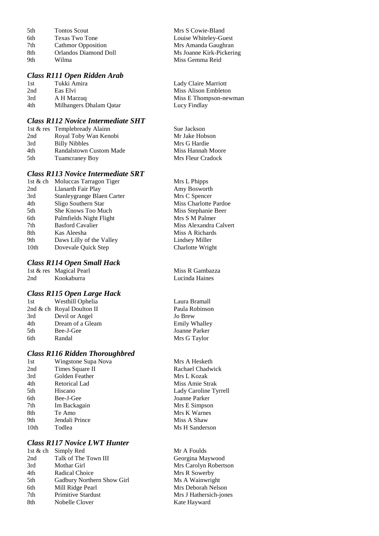| 5th | <b>Tontos Scout</b>       | Mrs S Cowie-Bland        |
|-----|---------------------------|--------------------------|
| 6th | Texas Two Tone            | Louise Whiteley-Guest    |
| 7th | <b>Cathmor Opposition</b> | Mrs Amanda Gaughran      |
| 8th | Orlandos Diamond Doll     | Ms Joanne Kirk-Pickering |
| 9th | Wilma                     | Miss Gemma Reid          |
|     |                           |                          |

## *Class R111 Open Ridden Arab*

1st Tukki Amira 1st Lady Claire Marriott 2nd Eas Elvi Miss Alison Embleton 3rd A H Marzuq Miss E Thompson-newman 4th Milhangers Dhalam Qatar Lucy Findlay

#### *Class R112 Novice Intermediate SHT*

|     | 1st & res Templebready Alainn | Sue Jackson       |
|-----|-------------------------------|-------------------|
| 2nd | Royal Toby Wan Kenobi         | Mr Jake Hobson    |
| 3rd | <b>Billy Nibbles</b>          | Mrs G Hardie      |
| 4th | Randalstown Custom Made       | Miss Hannah Moore |
| 5th | <b>Tuamcraney Boy</b>         | Mrs Fleur Cradock |
|     |                               |                   |

### *Class R113 Novice Intermediate SRT*

|                  | 1st & ch Moluccas Tarragon Tiger | Mrs L Phipps     |
|------------------|----------------------------------|------------------|
| 2nd              | Llanarth Fair Play               | Amy Bosworth     |
| 3rd              | Stanleygrange Blaen Carter       | Mrs C Spencer    |
| 4th              | Sligo Southern Star              | Miss Charlotte P |
| 5th              | She Knows Too Much               | Miss Stephanie I |
| 6th              | Palmfields Night Flight          | Mrs S M Palmer   |
| 7th              | <b>Basford Cavalier</b>          | Miss Alexandra   |
| 8th              | Kas Aleesha                      | Miss A Richards  |
| 9th              | Daws Lilly of the Valley         | Lindsey Miller   |
| 10 <sub>th</sub> | Dovevale Quick Step              | Charlotte Wright |
|                  |                                  |                  |

### *Class R114 Open Small Hack*

|     | 1st & res Magical Pearl | Miss R Gambazza |
|-----|-------------------------|-----------------|
| 2nd | Kookaburra              | Lucinda Haines  |

### *Class R115 Open Large Hack*

| 1st | Westhill Ophelia          | Laura B  |
|-----|---------------------------|----------|
|     | 2nd & ch Royal Doulton II | Paula Ro |
| 3rd | Devil or Angel            | Jo Brew  |
| 4th | Dream of a Gleam          | Emily W  |
| 5th | Bee-J-Gee                 | Joanne I |
| 6th | Randal                    | Mrs G T  |
|     |                           |          |

## *Class R116 Ridden Thoroughbred*

| 1st              | Wingstone Supa No |
|------------------|-------------------|
| 2nd              | Times Square II   |
| 3rd              | Golden Feather    |
| 4th              | Retorical Lad     |
| 5th              | Hiscano           |
| 6th              | Bee-J-Gee         |
| 7th              | Im Backagain      |
| 8th              | Te Amo            |
| 9th              | Jendali Prince    |
| 10 <sub>th</sub> | Todlea            |
|                  |                   |

### *Class R117 Novice LWT Hunter*

|     | 1st & ch Simply Red        |
|-----|----------------------------|
| 2nd | Talk of The Town III       |
| 3rd | Mothar Girl                |
| 4th | Radical Choice             |
| 5th | Gadbury Northern Show Girl |
| 6th | Mill Ridge Pearl           |
| 7th | Primitive Stardust         |
| 8th | Nobelle Clover             |
|     |                            |

arlotte Pardoe phanie Beer **7** xandra Calvert<br>Richards

ra Bramall la Robinson ily Whalley nne Parker G Taylor

Mrs A Hesketh Rachael Chadwick Mrs L Kozak Miss Amie Strak Lady Caroline Tyrrell Joanne Parker Mrs E Simpson **Mrs K Warnes** Miss A Shaw Ms H Sanderson

Mr A Foulds Georgina Maywood Mrs Carolyn Robertson Mrs R Sowerby Ms A Wainwright Mrs Deborah Nelson Mrs J Hathersich-jones Kate Hayward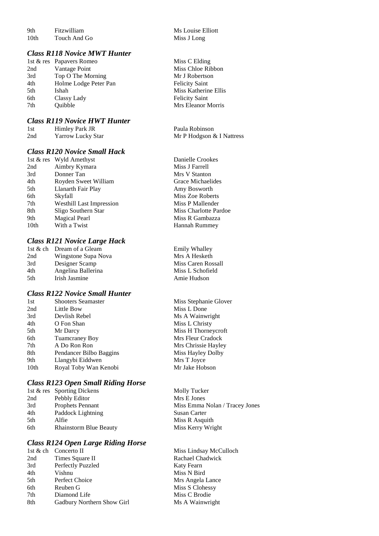9th Fitzwilliam Ms Louise Elliott<br>
10th Touch And Go<br>
Miss J Long Touch And Go

#### *Class R118 Novice MWT Hunter*

|     | 1st & res Papavers Romeo | Miss C Elding         |
|-----|--------------------------|-----------------------|
| 2nd | Vantage Point            | Miss Chloe Ribbon     |
| 3rd | Top O The Morning        | Mr J Robertson        |
| 4th | Holme Lodge Peter Pan    | <b>Felicity Saint</b> |
| 5th | Ishah                    | Miss Katherine Ellis  |
| 6th | Classy Lady              | <b>Felicity Saint</b> |
| 7th | <b>Ouibble</b>           | Mrs Eleanor Morris    |
|     |                          |                       |

#### *Class R119 Novice HWT Hunter*

| 1st | Himley Park JR           |  |
|-----|--------------------------|--|
| 2nd | <b>Yarrow Lucky Star</b> |  |

## *Class R120 Novice Small Hack*

|      | 1st & res Wyld Amethyst         | Danielle Crookes      |
|------|---------------------------------|-----------------------|
| 2nd  | Aimbry Kymara                   | Miss J Farrell        |
| 3rd  | Donner Tan                      | Mrs V Stanton         |
| 4th  | Royden Sweet William            | Grace Michaelides     |
| 5th  | Llanarth Fair Play              | Amy Bosworth          |
| 6th  | Skyfall                         | Miss Zoe Roberts      |
| 7th  | <b>Westhill Last Impression</b> | Miss P Mallender      |
| 8th  | Sligo Southern Star             | Miss Charlotte Pardoe |
| 9th  | <b>Magical Pearl</b>            | Miss R Gambazza       |
| 10th | With a Twist                    | <b>Hannah Rummey</b>  |
|      |                                 |                       |

#### *Class R121 Novice Large Hack*

|      | 1st & ch Dream of a Gleam |
|------|---------------------------|
| 2nd  | Wingstone Supa Nova       |
| 3rd  | Designer Scamp            |
| 4th  | Angelina Ballerina        |
| .5th | Irish Jasmine             |
|      |                           |

#### *Class R122 Novice Small Hunter*

| 1st  | <b>Shooters Seamaster</b> | Miss Stephanie Glov |
|------|---------------------------|---------------------|
| 2nd  | Little Bow                | Miss L Done         |
| 3rd  | Devlish Rebel             | Ms A Wainwright     |
| 4th  | O Fon Shan                | Miss L Christy      |
| 5th  | Mr Darcy                  | Miss H Thorneycrof  |
| 6th  | <b>Tuamcraney Boy</b>     | Mrs Fleur Cradock   |
| 7th  | A Do Ron Ron              | Mrs Chrissie Hayley |
| 8th  | Pendancer Bilbo Baggins   | Miss Hayley Dolby   |
| 9th  | Llangybi Eiddwen          | Mrs T Joyce         |
| 10th | Royal Toby Wan Kenobi     | Mr Jake Hobson      |
|      |                           |                     |

### *Class R123 Open Small Riding Horse*

|     | 1st & res Sporting Dickens    | Molly Tucker                   |
|-----|-------------------------------|--------------------------------|
| 2nd | Pebbly Editor                 | Mrs E Jones                    |
| 3rd | <b>Prophets Pennant</b>       | Miss Emma Nolan / Tracey Jones |
| 4th | Paddock Lightning             | Susan Carter                   |
| 5th | Alfie                         | Miss R Asquith                 |
| 6th | <b>Rhainstorm Blue Beauty</b> | Miss Kerry Wright              |
|     |                               |                                |

#### *Class R124 Open Large Riding Horse*

|     | 1st & ch Concerto II       |
|-----|----------------------------|
| 2nd | Times Square II            |
| 3rd | Perfectly Puzzled          |
| 4th | Vishnu                     |
| 5th | Perfect Choice             |
| 6th | Reuben G                   |
| 7th | Diamond Life               |
| 8th | Gadbury Northern Show Girl |
|     |                            |

| Miss C Elding         |
|-----------------------|
| Miss Chloe Ribbon     |
| Mr J Robertson        |
| <b>Felicity Saint</b> |
| Miss Katherine Ellis  |
| <b>Felicity Saint</b> |
| Mrs Eleanor Morris    |

Paula Robinson Mr P Hodgson & I Nattress

| Danielle Crookes      |
|-----------------------|
| Miss J Farrell        |
| Mrs V Stanton         |
| Grace Michaelides     |
| Amy Bosworth          |
| Miss Zoe Roberts      |
| Miss P Mallender      |
| Miss Charlotte Pardoe |
| Miss R Gambazza       |
| <b>Hannah Rummey</b>  |

Emily Whalley Mrs A Hesketh Miss Caren Rossall Miss L Schofield Amie Hudson

nie Glover rneycroft<br>radock

Miss Lindsay McCulloch Rachael Chadwick Katy Fearn Miss N Bird Mrs Angela Lance Miss S Clohessy Miss C Brodie Ms A Wainwright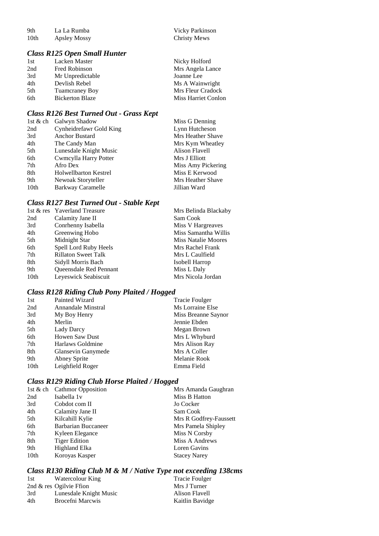9th La La Rumba<br>10th Apsley Mossy Christy Mews Apsley Mossy

#### *Class R125 Open Small Hunter*

| 1st | Lacken Master          | Nicky Holford       |
|-----|------------------------|---------------------|
| 2nd | Fred Robinson          | Mrs Angela Lance    |
| 3rd | Mr Unpredictable       | Joanne Lee          |
| 4th | Devlish Rebel          | Ms A Wainwright     |
| 5th | Tuamcraney Boy         | Mrs Fleur Cradock   |
| 6th | <b>Bickerton Blaze</b> | Miss Harriet Conlon |
|     |                        |                     |

### *Class R126 Best Turned Out - Grass Kept*

| 1st & ch | Galwyn Shadow                | Miss G Denning     |
|----------|------------------------------|--------------------|
| 2nd      | Cynheidrefawr Gold King      | Lynn Hutcheson     |
| 3rd      | Anchor Bustard               | Mrs Heather Shave  |
| 4th      | The Candy Man                | Mrs Kym Wheatley   |
| 5th      | Lunesdale Knight Music       | Alison Flavell     |
| 6th      | Cwmcylla Harry Potter        | Mrs J Elliott      |
| 7th      | Afro Dex                     | Miss Amy Pickering |
| 8th      | <b>Holwellbarton Kestrel</b> | Miss E Kerwood     |
| 9th      | Newoak Storyteller           | Mrs Heather Shave  |
| 10th     | Barkway Caramelle            | Jillian Ward       |

### *Class R127 Best Turned Out - Stable Kept*

| Class R127 Best Turned Out - Stable Kept |                              |                      |  |
|------------------------------------------|------------------------------|----------------------|--|
|                                          | 1st & res Yaverland Treasure | Mrs Belinda Blackaby |  |
| 2nd                                      | Calamity Jane II             | Sam Cook             |  |
| 3rd                                      | Conrhenny Isabella           | Miss V Hargreaves    |  |
| 4th                                      | Greenwing Hobo               | Miss Samantha Willis |  |
| 5th                                      | Midnight Star                | Miss Natalie Moores  |  |
| 6th                                      | Spell Lord Ruby Heels        | Mrs Rachel Frank     |  |
| 7th                                      | <b>Rillaton Sweet Talk</b>   | Mrs L Caulfield      |  |
| 8th                                      | Sidyll Morris Bach           | Isobell Harrop       |  |
| 9th                                      | Queensdale Red Pennant       | Miss L Daly          |  |
| 10th                                     | Leyeswick Seabiscuit         | Mrs Nicola Jordan    |  |
|                                          |                              |                      |  |

### *Class R128 Riding Club Pony Plaited / Hogged*

| 1st              | Painted Wizard        | <b>Tracie Foulger</b> |
|------------------|-----------------------|-----------------------|
| 2nd              | Annandale Minstral    | Ms Lorraine Else      |
| 3rd              | My Boy Henry          | Miss Breanne Saynor   |
| 4th              | Merlin                | Jennie Ebden          |
| 5th              | Lady Darcy            | Megan Brown           |
| 6th              | <b>Howen Saw Dust</b> | Mrs L Whyburd         |
| 7th              | Harlaws Goldmine      | Mrs Alison Ray        |
| 8th              | Glansevin Ganymede    | Mrs A Coller          |
| 9th              | Abney Sprite          | Melanie Rook          |
| 10 <sub>th</sub> | Leighfield Roger      | Emma Field            |
|                  |                       |                       |

### *Class R129 Riding Club Horse Plaited / Hogged*

|      | 1st & ch Cathmor Opposition | Mrs Amanda Gaughran    |
|------|-----------------------------|------------------------|
| 2nd  | Isabella 1v                 | Miss B Hatton          |
| 3rd  | Cobdot com II               | Jo Cocker              |
| 4th  | Calamity Jane II            | Sam Cook               |
| 5th  | Kilcahill Kylie             | Mrs R Godfrey-Faussett |
| 6th  | <b>Barbarian Buccaneer</b>  | Mrs Pamela Shipley     |
| 7th  | Kyleen Elegance             | Miss N Corsby          |
| 8th  | <b>Tiger Edition</b>        | Miss A Andrews         |
| 9th  | Highland Elka               | Loren Gavins           |
| 10th | Koroyas Kasper              | <b>Stacey Narey</b>    |
|      |                             |                        |

### *Class R130 Riding Club M & M / Native Type not exceeding 138cms*

| 1st | Watercolour King        | Tracie Foulger  |
|-----|-------------------------|-----------------|
|     | 2nd & res Ogilvie Ffion | Mrs J Turner    |
| 3rd | Lunesdale Knight Music  | Alison Flavell  |
| 4th | Brocefni Marcwis        | Kaitlin Bavidge |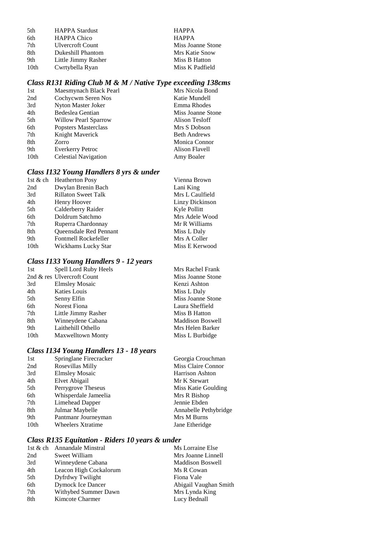| 5th              | <b>HAPPA Stardust</b> |
|------------------|-----------------------|
| 6th              | <b>HAPPA Chico</b>    |
| 7th              | Ulvercroft Count      |
| 8th              | Dukeshill Phantom     |
| 9th              | Little Jimmy Rasher   |
| 10 <sub>th</sub> | Cwrtybella Ryan       |

HAPPA HAPPA Miss Joanne Stone **Mrs Katie Snow** Miss B Hatton Miss K Padfield

### *Class R131 Riding Club M & M / Native Type exceeding 138cms*

| 1st  | Maesmynach Black Pearl      | Mrs Nicola Bond     |
|------|-----------------------------|---------------------|
| 2nd  | Cochycwm Seren Nos          | Katie Mundell       |
| 3rd  | Nyton Master Joker          | Emma Rhodes         |
| 4th  | Bedeslea Gentian            | Miss Joanne Stone   |
| 5th  | <b>Willow Pearl Sparrow</b> | Alison Tesloff      |
| 6th  | Popsters Masterclass        | Mrs S Dobson        |
| 7th  | Knight Maverick             | <b>Beth Andrews</b> |
| 8th  | Zorro                       | Monica Connor       |
| 9th  | <b>Everkerry Petroc</b>     | Alison Flavell      |
| 10th | <b>Celestial Navigation</b> | Amy Boaler          |
|      |                             |                     |

### *Class I132 Young Handlers 8 yrs & under*

|                  | 1st & ch Heatherton Posy      | Vienna Brown    |
|------------------|-------------------------------|-----------------|
| 2nd              | Dwylan Brenin Bach            | Lani King       |
| 3rd              | <b>Rillaton Sweet Talk</b>    | Mrs L Caulfield |
| 4th              | Henry Hoover                  | Linzy Dickinson |
| 5th              | Calderberry Raider            | Kyle Pollitt    |
| 6th              | Doldrum Satchmo               | Mrs Adele Wood  |
| 7th              | Ruperra Chardonnay            | Mr R Williams   |
| 8th              | <b>Oueensdale Red Pennant</b> | Miss L Daly     |
| 9th              | Fontmell Rockefeller          | Mrs A Coller    |
| 10 <sub>th</sub> | Wickhams Lucky Star           | Miss E Kerwood  |
|                  |                               |                 |

### *Class I133 Young Handlers 9 - 12 years*

| 1st  | Spell Lord Ruby Heels      | Mrs Rachel Frank        |
|------|----------------------------|-------------------------|
|      | 2nd & res Ulvercroft Count | Miss Joanne Stone       |
| 3rd  | <b>Elmsley Mosaic</b>      | Kenzi Ashton            |
| 4th  | Katies Louis               | Miss L Daly             |
| 5th  | Senny Elfin                | Miss Joanne Stone       |
| 6th  | Norest Fiona               | Laura Sheffield         |
| 7th  | Little Jimmy Rasher        | Miss B Hatton           |
| 8th  | Winneydene Cabana          | <b>Maddison Boswell</b> |
| 9th  | Laithehill Othello         | Mrs Helen Barker        |
| 10th | <b>Maxwelltown Monty</b>   | Miss L Burbidge         |
|      |                            |                         |

### *Class I134 Young Handlers 13 - 18 years*

| 1st  | Springlane Firecracker   | Georgia Crouchman     |
|------|--------------------------|-----------------------|
| 2nd  | Rosevillas Milly         | Miss Claire Connor    |
| 3rd  | <b>Elmsley Mosaic</b>    | Harrison Ashton       |
| 4th  | Elvet Abigail            | Mr K Stewart          |
| 5th  | Perrygrove Theseus       | Miss Katie Goulding   |
| 6th  | Whisperdale Jameelia     | Mrs R Bishop          |
| 7th  | Limehead Dapper          | Jennie Ebden          |
| 8th  | Julmar Maybelle          | Annabelle Pethybridge |
| 9th  | Pantmanr Journeyman      | Mrs M Burns           |
| 10th | <b>Wheelers Xtratime</b> | Jane Etheridge        |
|      |                          |                       |

### *Class R135 Equitation - Riders 10 years & under*

|     | 1st & ch Annandale Minstral | Ms Lorraine Else        |
|-----|-----------------------------|-------------------------|
| 2nd | Sweet William               | Mrs Joanne Linnell      |
| 3rd | Winneydene Cabana           | <b>Maddison Boswell</b> |
| 4th | Leacon High Cockalorum      | Ms R Cowan              |
| 5th | Dyfrdwy Twilight            | Fiona Vale              |
| 6th | <b>Dymock Ice Dancer</b>    | Abigail Vaughan Smith   |
| 7th | Withybed Summer Dawn        | Mrs Lynda King          |
| 8th | Kimcote Charmer             | Lucy Bednall            |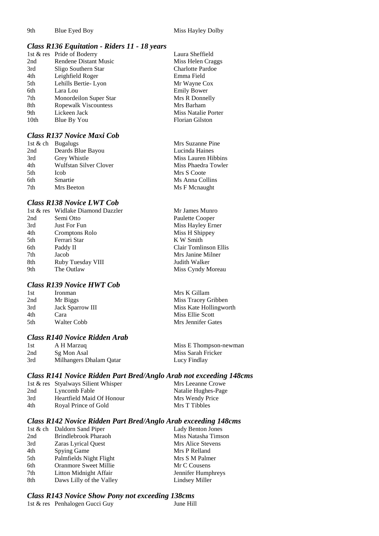### *Class R136 Equitation - Riders 11 - 18 years*

|      | 1st & res Pride of Boderry   | Laura Sheffield         |
|------|------------------------------|-------------------------|
| 2nd  | <b>Rendene Distant Music</b> | Miss Helen Craggs       |
| 3rd  | Sligo Southern Star          | <b>Charlotte Pardoe</b> |
| 4th  | Leighfield Roger             | Emma Field              |
| 5th  | Lehills Bertie-Lyon          | Mr Wayne Cox            |
| 6th  | Lara Lou                     | <b>Emily Bower</b>      |
| 7th  | Monordeilon Super Star       | Mrs R Donnelly          |
| 8th  | <b>Ropewalk Viscountess</b>  | Mrs Barham              |
| 9th  | Lickeen Jack                 | Miss Natalie Porter     |
| 10th | Blue By You                  | <b>Florian Gilston</b>  |

#### *Class R137 Novice Maxi Cob*

|     | 1st & ch Bugalugs      | Mrs Suzanne Pine    |
|-----|------------------------|---------------------|
| 2nd | Deards Blue Bayou      | Lucinda Haines      |
| 3rd | <b>Grey Whistle</b>    | Miss Lauren Hibbins |
| 4th | Wulfstan Silver Clover | Miss Phaedra Towler |
| 5th | <b>Icob</b>            | Mrs S Coote         |
| 6th | Smartie                | Ms Anna Collins     |
| 7th | Mrs Beeton             | Ms F Mcnaught       |
|     |                        |                     |

#### *Class R138 Novice LWT Cob*

|     | 1st & res Widlake Diamond Dazzler | Mr James Munro        |
|-----|-----------------------------------|-----------------------|
| 2nd | Semi Otto                         | Paulette Cooper       |
| 3rd | Just For Fun                      | Miss Hayley Erner     |
| 4th | Cromptons Rolo                    | Miss H Shippey        |
| 5th | Ferrari Star                      | K W Smith             |
| 6th | Paddy II                          | Clair Tomlinson Ellis |
| 7th | Jacob                             | Mrs Janine Milner     |
| 8th | Ruby Tuesday VIII                 | Judith Walker         |
| 9th | The Outlaw                        | Miss Cyndy Moreau     |
|     |                                   |                       |

#### *Class R139 Novice HWT Cob*

| 1st | Ironman                 |  |
|-----|-------------------------|--|
| 2nd | Mr Biggs                |  |
| 3rd | <b>Jack Sparrow III</b> |  |
| 4th | Cara                    |  |
| 5th | Walter Cobb             |  |
|     |                         |  |

#### *Class R140 Novice Ridden Arab*

| 1st | A H Marzuq              |
|-----|-------------------------|
| 2nd | Sg Mon Asal             |
| 3rd | Milhangers Dhalam Qatar |

Miss E Thompson-newman Miss Sarah Fricker Lucy Findlay

Mrs K Gillam Miss Tracey Gribben Miss Kate Hollingworth Miss Ellie Scott Mrs Jennifer Gates

### *Class R141 Novice Ridden Part Bred/Anglo Arab not exceeding 148cms*

|     | 1st & res Styalways Silient Whisper | Mrs Leeanne Crowe   |
|-----|-------------------------------------|---------------------|
| 2nd | Lyncomb Fable                       | Natalie Hughes-Page |
| 3rd | Heartfield Maid Of Honour           | Mrs Wendy Price     |
| 4th | Royal Prince of Gold                | Mrs T Tibbles       |

#### *Class R142 Novice Ridden Part Bred/Anglo Arab exceeding 148cms*

|     | 1st & ch Daldorn Sand Piper  | Lady Benton Jones   |
|-----|------------------------------|---------------------|
| 2nd | <b>Brindlebrook Pharaoh</b>  | Miss Natasha Timson |
| 3rd | Zaras Lyrical Quest          | Mrs Alice Stevens   |
| 4th | Spying Game                  | Mrs P Relland       |
| 5th | Palmfields Night Flight      | Mrs S M Palmer      |
| 6th | <b>Oranmore Sweet Millie</b> | Mr C Cousens        |
| 7th | Litton Midnight Affair       | Jennifer Humphreys  |
| 8th | Daws Lilly of the Valley     | Lindsey Miller      |
|     |                              |                     |

#### *Class R143 Novice Show Pony not exceeding 138cms*

1st & res Penhalogen Gucci Guy June Hill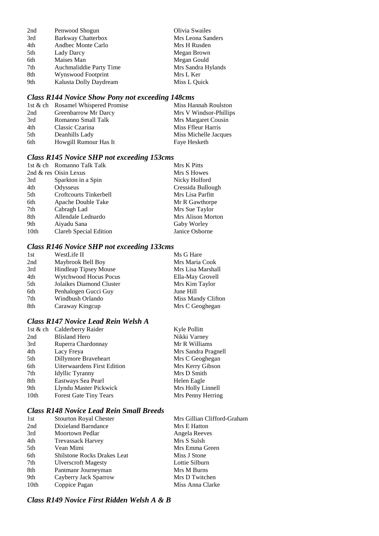| 2nd | Penwood Shogun            | Olivia Swailes     |
|-----|---------------------------|--------------------|
| 3rd | <b>Barkway Chatterbox</b> | Mrs Leona Sanders  |
| 4th | Andbec Monte Carlo        | Mrs H Rusden       |
| 5th | Lady Darcy                | Megan Brown        |
| 6th | Maises Man                | Megan Gould        |
| 7th | Auchmaliddie Party Time   | Mrs Sandra Hylands |
| 8th | Wynswood Footprint        | Mrs L Ker          |
| 9th | Kalusta Dolly Daydream    | Miss L Quick       |

### *Class R144 Novice Show Pony not exceeding 148cms*

|     | 1st & ch Rosamel Whispered Promise | Miss Hannah Roulston   |
|-----|------------------------------------|------------------------|
| 2nd | Greenbarrow Mr Darcy               | Mrs V Windsor-Phillips |
| 3rd | Romanno Small Talk                 | Mrs Margaret Cousin    |
| 4th | Classic Czarina                    | Miss Ffleur Harris     |
| 5th | Deanhills Lady                     | Miss Michelle Jacques  |
| 6th | Howgill Rumour Has It              | Faye Hesketh           |

### *Class R145 Novice SHP not exceeding 153cms*

|                  | 1st & ch Romanno Talk Talk | Mrs K Pitts       |
|------------------|----------------------------|-------------------|
|                  | 2nd & res Oisin Lexus      | Mrs S Howes       |
| 3rd              | Sparkton in a Spin         | Nicky Holford     |
| 4th              | Odysseus                   | Cressida Bullough |
| 5th              | Croftcourts Tinkerbell     | Mrs Lisa Parfitt  |
| 6th              | Apache Double Take         | Mr R Gawthorpe    |
| 7th              | Cabragh Lad                | Mrs Sue Taylor    |
| 8th              | Allendale Lednardo         | Mrs Alison Morton |
| 9th              | Aiyadu Sana                | Gaby Worley       |
| 10 <sub>th</sub> | Clareb Special Edition     | Janice Osborne    |

### *Class R146 Novice SHP not exceeding 133cms*

| 1st | WestLife II                  | Ms G Hare          |
|-----|------------------------------|--------------------|
| 2nd | Maybrook Bell Boy            | Mrs Maria Cook     |
| 3rd | <b>Hindleap Tipsey Mouse</b> | Mrs Lisa Marshall  |
| 4th | <b>Wytchwood Hocus Pocus</b> | Ella-May Grovell   |
| 5th | Jolaikes Diamond Cluster     | Mrs Kim Taylor     |
| 6th | Penhalogen Gucci Guy         | June Hill          |
| 7th | Windbush Orlando             | Miss Mandy Clifton |
| 8th | Caraway Kingcup              | Mrs C Geoghegan    |

### *Class R147 Novice Lead Rein Welsh A*

|      | 1st & ch Calderberry Raider        | Kyle Pollitt        |
|------|------------------------------------|---------------------|
| 2nd  | <b>Blisland Hero</b>               | Nikki Varney        |
| 3rd  | Ruperra Chardonnay                 | Mr R Williams       |
| 4th  | Lacy Freya                         | Mrs Sandra Pragnell |
| 5th  | Dillymore Braveheart               | Mrs C Geoghegan     |
| 6th  | <b>Uiterwaardens First Edition</b> | Mrs Kerry Gibson    |
| 7th  | Idyllic Tyranny                    | Mrs D Smith         |
| 8th  | Eastways Sea Pearl                 | Helen Eagle         |
| 9th  | Llyndu Master Pickwick             | Mrs Holly Linnell   |
| 10th | <b>Forest Gate Tiny Tears</b>      | Mrs Penny Herring   |
|      |                                    |                     |

### *Class R148 Novice Lead Rein Small Breeds*

| 1st  | <b>Stourton Royal Chester</b>      | Mrs Gillian Clifford-Graham |
|------|------------------------------------|-----------------------------|
| 2nd  | Dixieland Barndance                | Mrs E Hatton                |
| 3rd  | Moortown Pedlar                    | Angela Reeves               |
| 4th  | <b>Trevassack Harvey</b>           | Mrs S Sulsh                 |
| 5th  | Vean Mimi                          | Mrs Emma Green              |
| 6th  | <b>Shilstone Rocks Drakes Leat</b> | Miss J Stone                |
| 7th  | <b>Ulverscroft Magesty</b>         | Lottie Silburn              |
| 8th  | Pantmanr Journeyman                | Mrs M Burns                 |
| 9th  | Cayberry Jack Sparrow              | Mrs D Twitchen              |
| 10th | Coppice Pagan                      | Miss Anna Clarke            |

*Class R149 Novice First Ridden Welsh A & B*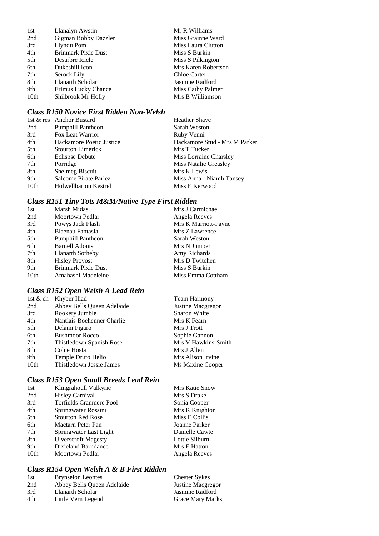| 1st              | Llanalyn Awstin            | Mr R Williams       |
|------------------|----------------------------|---------------------|
| 2nd              | Gigman Bobby Dazzler       | Miss Grainne Ward   |
| 3rd              | Llyndu Pom                 | Miss Laura Clutton  |
| 4th              | <b>Brinmark Pixie Dust</b> | Miss S Burkin       |
| 5th              | Desarbre Icicle            | Miss S Pilkington   |
| 6th              | Dukeshill Icon             | Mrs Karen Robertson |
| 7th              | Serock Lily                | Chloe Carter        |
| 8th              | Llanarth Scholar           | Jasmine Radford     |
| 9th              | Erimus Lucky Chance        | Miss Cathy Palmer   |
| 10 <sub>th</sub> | Shilbrook Mr Holly         | Mrs B Williamson    |

#### *Class R150 Novice First Ridden Non-Welsh*

|                              | <b>Heather Shave</b>          |
|------------------------------|-------------------------------|
| <b>Pumphill Pantheon</b>     | Sarah Weston                  |
| Fox Leat Warrior             | Ruby Venni                    |
| Hackamore Poetic Justice     | Hackamore Stud - Mrs M Parker |
| <b>Stourton Limerick</b>     | Mrs T Tucker                  |
| Eclispse Debute              | Miss Lorraine Charsley        |
| Porridge                     | Miss Natalie Greasley         |
| Shelmeg Biscuit              | Mrs K Lewis                   |
| Salcome Pirate Parlez        | Miss Anna - Niamh Tansey      |
| <b>Holwellbarton Kestrel</b> | Miss E Kerwood                |
|                              | 1st & res Anchor Bustard      |

### *Class R151 Tiny Tots M&M/Native Type First Ridden*

| 1st              | Marsh Midas                | Mrs J Carmichael     |
|------------------|----------------------------|----------------------|
| 2nd              | <b>Moortown Pedlar</b>     | Angela Reeves        |
| 3rd              | Powys Jack Flash           | Mrs K Marriott-Payne |
| 4th              | Blaenau Fantasia           | Mrs Z Lawrence       |
| 5th              | Pumphill Pantheon          | Sarah Weston         |
| 6th              | <b>Barnell Adonis</b>      | Mrs N Juniper        |
| 7th              | Llanarth Sotheby           | Amy Richards         |
| 8th              | <b>Hisley Provost</b>      | Mrs D Twitchen       |
| 9th              | <b>Brinmark Pixie Dust</b> | Miss S Burkin        |
| 10 <sub>th</sub> | Amahashi Madeleine         | Miss Emma Cottham    |

### *Class R152 Open Welsh A Lead Rein*

|      | 1st & ch Khyber Iliad      | <b>Team Harmony</b> |
|------|----------------------------|---------------------|
| 2nd  | Abbey Bells Queen Adelaide | Justine Macgregor   |
| 3rd  | Rookery Jumble             | <b>Sharon White</b> |
| 4th  | Nantlais Boehenner Charlie | Mrs K Fearn         |
| 5th  | Delami Figaro              | Mrs J Trott         |
| 6th  | <b>Bushmoor Rocco</b>      | Sophie Gannon       |
| 7th  | Thistledown Spanish Rose   | Mrs V Hawkins-Smith |
| 8th  | Colne Hosta                | Mrs J Allen         |
| 9th  | Temple Druto Helio         | Mrs Alison Irvine   |
| 10th | Thistledown Jessie James   | Ms Maxine Cooper    |

### *Class R153 Open Small Breeds Lead Rein*

| 1st              | Klingrahoull Valkyrie      | <b>Mrs Katie Snow</b> |
|------------------|----------------------------|-----------------------|
| 2nd              | <b>Hisley Carnival</b>     | Mrs S Drake           |
| 3rd              | Torfields Cranmere Pool    | Sonia Cooper          |
| 4th              | Springwater Rossini        | Mrs K Knighton        |
| 5th              | <b>Stourton Red Rose</b>   | Miss E Collis         |
| 6th              | Mactarn Peter Pan          | Joanne Parker         |
| 7th              | Springwater Last Light     | Danielle Cawte        |
| 8th              | <b>Ulverscroft Magesty</b> | Lottie Silburn        |
| 9th              | Dixieland Barndance        | Mrs E Hatton          |
| 10 <sub>th</sub> | Moortown Pedlar            | Angela Reeves         |
|                  |                            |                       |

### *Class R154 Open Welsh A & B First Ridden*

| 1st | <b>Brynseion Leontes</b>   | <b>Chester Sykes</b>    |
|-----|----------------------------|-------------------------|
| 2nd | Abbey Bells Queen Adelaide | Justine Macgregor       |
| 3rd | Llanarth Scholar           | Jasmine Radford         |
| 4th | Little Vern Legend         | <b>Grace Mary Marks</b> |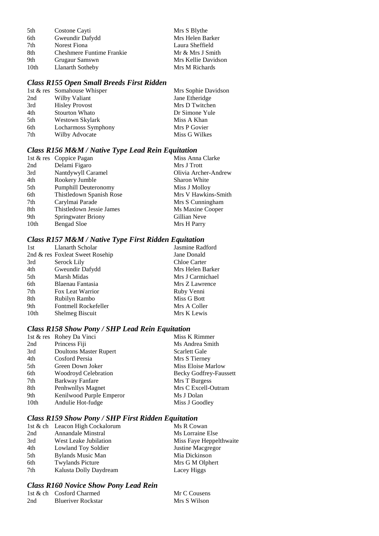| 5th  | Costone Cayti                    | Mrs S Blythe        |
|------|----------------------------------|---------------------|
| 6th  | Gweundir Dafydd                  | Mrs Helen Barker    |
| 7th  | Norest Fiona                     | Laura Sheffield     |
| 8th  | <b>Cheshmere Funtime Frankie</b> | Mr & Mrs J Smith    |
| 9th  | Grugaur Samswn                   | Mrs Kellie Davidson |
| 10th | Llanarth Sotheby                 | Mrs M Richards      |

### *Class R155 Open Small Breeds First Ridden*

|     | 1st & res Somahouse Whisper | Mrs Sophie Davidson |
|-----|-----------------------------|---------------------|
| 2nd | Wilby Valiant               | Jane Etheridge      |
| 3rd | <b>Hisley Provost</b>       | Mrs D Twitchen      |
| 4th | <b>Stourton Whato</b>       | Dr Simone Yule      |
| 5th | Westown Skylark             | Miss A Khan         |
| 6th | Locharmoss Symphony         | Mrs P Govier        |
| 7th | Wilby Advocate              | Miss G Wilkes       |
|     |                             |                     |

### *Class R156 M&M / Native Type Lead Rein Equitation*

|                  | 1st & res Coppice Pagan     | Miss Anna Clarke     |
|------------------|-----------------------------|----------------------|
| 2nd              | Delami Figaro               | Mrs J Trott          |
| 3rd              | Nantdywyll Caramel          | Olivia Archer-Andrew |
| 4th              | Rookery Jumble              | Sharon White         |
| 5th              | <b>Pumphill Deuteronomy</b> | Miss J Molloy        |
| 6th              | Thistledown Spanish Rose    | Mrs V Hawkins-Smith  |
| 7th              | Carylmai Parade             | Mrs S Cunningham     |
| 8th              | Thistledown Jessie James    | Ms Maxine Cooper     |
| 9th              | Springwater Briony          | Gillian Neve         |
| 10 <sub>th</sub> | Bengad Sloe                 | Mrs H Parry          |

### *Class R157 M&M / Native Type First Ridden Equitation*

| 1st  | Llanarth Scholar                | Jasmine Radford  |
|------|---------------------------------|------------------|
|      | 2nd & res Foxleat Sweet Rosehip | Jane Donald      |
| 3rd  | Serock Lily                     | Chloe Carter     |
| 4th  | Gweundir Dafydd                 | Mrs Helen Barker |
| 5th  | Marsh Midas                     | Mrs J Carmichael |
| 6th  | Blaenau Fantasia                | Mrs Z Lawrence   |
| 7th  | Fox Leat Warrior                | Ruby Venni       |
| 8th  | Rubilyn Rambo                   | Miss G Bott      |
| 9th  | Fontmell Rockefeller            | Mrs A Coller     |
| 10th | Shelmeg Biscuit                 | Mrs K Lewis      |
|      |                                 |                  |

### *Class R158 Show Pony / SHP Lead Rein Equitation*

|                  | 1st & res Rohey Da Vinci      | Miss K Rimmer                 |
|------------------|-------------------------------|-------------------------------|
| 2nd              | Princess Fiji                 | Ms Andrea Smith               |
| 3rd              | <b>Doultons Master Rupert</b> | <b>Scarlett Gale</b>          |
| 4th              | Cosford Persia                | Mrs S Tierney                 |
| 5th              | Green Down Joker              | Miss Eloise Marlow            |
| 6th              | <b>Woodroyd Celebration</b>   | <b>Becky Godfrey-Faussett</b> |
| 7th              | <b>Barkway Fanfare</b>        | Mrs T Burgess                 |
| 8th              | Penhwnllys Magnet             | Mrs C Excell-Outram           |
| 9th              | Kenilwood Purple Emperor      | Ms J Dolan                    |
| 10 <sub>th</sub> | Andulie Hot-fudge             | Miss J Goodley                |

### *Class R159 Show Pony / SHP First Ridden Equitation*

|     | 1st & ch Leacon High Cockalorum | Ms R Cowan              |
|-----|---------------------------------|-------------------------|
| 2nd | Annandale Minstral              | Ms Lorraine Else        |
| 3rd | West Leake Jubilation           | Miss Faye Heppelthwaite |
| 4th | Lowland Toy Soldier             | Justine Macgregor       |
| 5th | Bylands Music Man               | Mia Dickinson           |
| 6th | <b>Twylands Picture</b>         | Mrs G M Olphert         |
| 7th | Kalusta Dolly Daydream          | Lacey Higgs             |

### *Class R160 Novice Show Pony Lead Rein*

|     | 1st & ch Cosford Charmed  | Mr C Cousens |
|-----|---------------------------|--------------|
| 2nd | <b>Blueriver Rockstar</b> | Mrs S Wilson |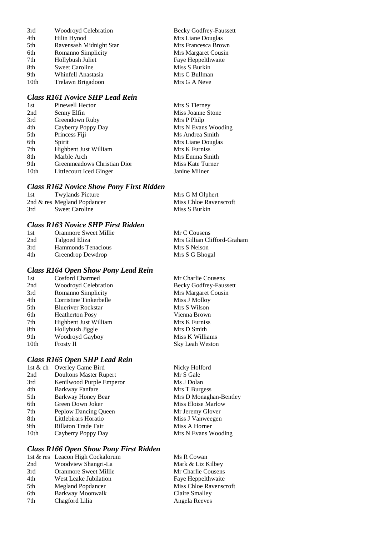| 3rd  | Woodroyd Celebration    | <b>Becky Godfrey-Faussett</b> |
|------|-------------------------|-------------------------------|
| 4th  | Hilin Hynod             | Mrs Liane Douglas             |
| 5th  | Ravensash Midnight Star | Mrs Francesca Brown           |
| 6th  | Romanno Simplicity      | Mrs Margaret Cousin           |
| 7th  | Hollybush Juliet        | Faye Heppelthwaite            |
| 8th  | <b>Sweet Caroline</b>   | Miss S Burkin                 |
| 9th  | Whinfell Anastasia      | Mrs C Bullman                 |
| 10th | Trelawn Brigadoon       | Mrs G A Neve                  |
|      |                         |                               |

### *Class R161 Novice SHP Lead Rein*

| 1st              | Pinewell Hector             | Mrs S Tierney       |
|------------------|-----------------------------|---------------------|
| 2nd              | Senny Elfin                 | Miss Joanne Stone   |
| 3rd              | Greendown Ruby              | Mrs P Philp         |
| 4th              | Cayberry Poppy Day          | Mrs N Evans Wooding |
| 5th              | Princess Fiji               | Ms Andrea Smith     |
| 6th              | Spirit                      | Mrs Liane Douglas   |
| 7th              | Highbent Just William       | Mrs K Furniss       |
| 8th              | Marble Arch                 | Mrs Emma Smith      |
| 9th              | Greenmeadows Christian Dior | Miss Kate Turner    |
| 10 <sub>th</sub> | Littlecourt Iced Ginger     | Janine Milner       |
|                  |                             |                     |

#### *Class R162 Novice Show Pony First Ridden*

| 1st | <b>Twylands Picture</b>     | Mrs G M Olphert        |
|-----|-----------------------------|------------------------|
|     | 2nd & res Megland Popdancer | Miss Chloe Ravenscroft |
| 3rd | Sweet Caroline              | Miss S Burkin          |

### *Class R163 Novice SHP First Ridden*

| 1st | Oranmore Sweet Millie | Mr C Cousens                |
|-----|-----------------------|-----------------------------|
| 2nd | Talgoed Eliza         | Mrs Gillian Clifford-Graham |
| 3rd | Hammonds Tenacious    | Mrs S Nelson                |
| 4th | Greendrop Dewdrop     | Mrs S G Bhogal              |
|     |                       |                             |

### *Class R164 Open Show Pony Lead Rein*

| 1st  | Cosford Charmed             | Mr Charlie Cousens            |
|------|-----------------------------|-------------------------------|
| 2nd  | <b>Woodroyd Celebration</b> | <b>Becky Godfrey-Faussett</b> |
| 3rd  | Romanno Simplicity          | Mrs Margaret Cousin           |
| 4th  | Corristine Tinkerbelle      | Miss J Molloy                 |
| 5th  | <b>Blueriver Rockstar</b>   | Mrs S Wilson                  |
| 6th  | <b>Heatherton Posy</b>      | Vienna Brown                  |
| 7th  | Highbent Just William       | Mrs K Furniss                 |
| 8th  | Hollybush Jiggle            | Mrs D Smith                   |
| 9th  | Woodroyd Gayboy             | Miss K Williams               |
| 10th | <b>Frosty II</b>            | Sky Leah Weston               |

### *Class R165 Open SHP Lead Rein*

| 1st & ch | Overley Game Bird             |
|----------|-------------------------------|
| 2nd      | <b>Doultons Master Rupert</b> |
| 3rd      | Kenilwood Purple Emperor      |
| 4th      | Barkway Fanfare               |
| 5th      | Barkway Honey Bear            |
| 6th      | Green Down Joker              |
| 7th      | Peplow Dancing Queen          |
| 8th      | Littlebirars Horatio          |
| 9th      | Rillaton Trade Fair           |
| 10th     | Cayberry Poppy Day            |

#### *Class R166 Open Show Pony First Ridden*

|     | 1st & res Leacon High Cockalorum | Ms R Cowan         |
|-----|----------------------------------|--------------------|
| 2nd | Woodview Shangri-La              | Mark & Liz Kilbey  |
| 3rd | <b>Oranmore Sweet Millie</b>     | Mr Charlie Cousens |
| 4th | West Leake Jubilation            | Faye Heppelthwaite |
| 5th | Megland Popdancer                | Miss Chloe Ravenso |
| 6th | Barkway Moonwalk                 | Claire Smalley     |
| 7th | Chagford Lilia                   | Angela Reeves      |
|     |                                  |                    |

Nicky Holford Mr S Gale Ms J Dolan Mrs T Burgess Mrs D Monaghan-Bentley Miss Eloise Marlow Mr Jeremy Glover Miss J Vanweegen Miss A Horner Mrs N Evans Wooding

Ravenscroft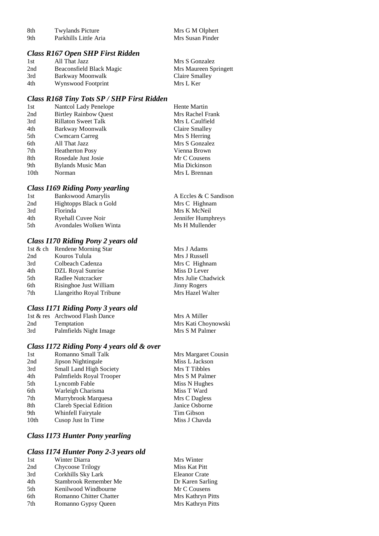| 8th                              | <b>Twylands Picture</b> | Mrs G M Olphert  |  |
|----------------------------------|-------------------------|------------------|--|
| 9th                              | Parkhills Little Aria   | Mrs Susan Pinder |  |
|                                  |                         |                  |  |
| Class R167 Open SHP First Ridden |                         |                  |  |

| 1st | All That Jazz            | Mrs S Gonzalez        |
|-----|--------------------------|-----------------------|
| 2nd | Beaconsfield Black Magic | Mrs Maureen Springett |
| 3rd | Barkway Moonwalk         | Claire Smalley        |
| 4th | Wynswood Footprint       | Mrs L Ker             |

#### *Class R168 Tiny Tots SP / SHP First Ridden*

| 1st              | Nantcol Lady Penelope        | <b>Hente Martin</b> |
|------------------|------------------------------|---------------------|
| 2nd              | <b>Birtley Rainbow Ouest</b> | Mrs Rachel Frank    |
| 3rd              | <b>Rillaton Sweet Talk</b>   | Mrs L Caulfield     |
| 4th              | Barkway Moonwalk             | Claire Smalley      |
| 5th              | <b>Cwmcarn Carreg</b>        | Mrs S Herring       |
| 6th              | All That Jazz                | Mrs S Gonzalez      |
| 7th              | <b>Heatherton Posy</b>       | Vienna Brown        |
| 8th              | Rosedale Just Josie          | Mr C Cousens        |
| 9th              | Bylands Music Man            | Mia Dickinson       |
| 10 <sub>th</sub> | Norman                       | Mrs L Brennan       |

#### *Class I169 Riding Pony yearling*

| 1st | <b>Bankswood Amarylis</b> | A Eccles & C Sandison |
|-----|---------------------------|-----------------------|
| 2nd | Hightopps Black n Gold    | Mrs C Highnam         |
| 3rd | Florinda                  | Mrs K McNeil          |
| 4th | Ryehall Cuvee Noir        | Jennifer Humphreys    |
| 5th | Avondales Wolken Winta    | Ms H Mullender        |
|     |                           |                       |

### *Class I170 Riding Pony 2 years old*

|     | 1st & ch Rendene Morning Star | Mrs J Adams         |
|-----|-------------------------------|---------------------|
| 2nd | Kouros Tulula                 | Mrs J Russell       |
| 3rd | Colbeach Cadenza              | Mrs C Highnam       |
| 4th | DZL Royal Sunrise             | Miss D Lever        |
| 5th | Radlee Nutcracker             | Mrs Julie Chadwick  |
| 6th | Risinghoe Just William        | <b>Jinny Rogers</b> |
| 7th | Llangeitho Royal Tribune      | Mrs Hazel Walter    |
|     |                               |                     |

Mrs Margaret Cousin Miss L Jackson Mrs T Tibbles Mrs S M Palmer Miss N Hughes Miss T Ward Mrs C Dagless Janice Osborne Tim Gibson Miss J Chavda

#### *Class I171 Riding Pony 3 years old*

|     | 1st & res Archwood Flash Dance | Mrs A Miller        |
|-----|--------------------------------|---------------------|
| 2nd | Temptation                     | Mrs Kati Choynowski |
| 3rd | Palmfields Night Image         | Mrs S M Palmer      |

#### *Class I172 Riding Pony 4 years old & over*

| 1st              | Romanno Small Talk            |
|------------------|-------------------------------|
| 2nd              | Jipson Nightingale            |
| 3rd              | Small Land High Society       |
| 4th              | Palmfields Royal Trooper      |
| 5th              | Lyncomb Fable                 |
| 6th              | Warleigh Charisma             |
| 7th              | Murrybrook Marquesa           |
| 8th              | <b>Clareb Special Edition</b> |
| 9th              | Whinfell Fairytale            |
| 10 <sub>th</sub> | Cusop Just In Time            |
|                  |                               |

### *Class I173 Hunter Pony yearling*

#### *Class I174 Hunter Pony 2-3 years old*

| 1st | Winter Diarra           | Mrs Winter           |
|-----|-------------------------|----------------------|
| 2nd | Chycoose Trilogy        | Miss Kat Pitt        |
| 3rd | Corkhills Sky Lark      | <b>Eleanor Crate</b> |
| 4th | Stambrook Remember Me   | Dr Karen Sarling     |
| 5th | Kenilwood Windbourne    | Mr C Cousens         |
| 6th | Romanno Chitter Chatter | Mrs Kathryn Pitts    |
| 7th | Romanno Gypsy Queen     | Mrs Kathryn Pitts    |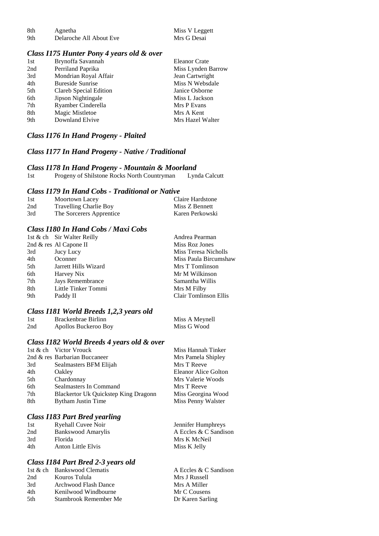| -8th | Agnetha                 | Miss V Leggett |
|------|-------------------------|----------------|
| 9th  | Delaroche All About Eve | Mrs G Desai    |

#### *Class I175 Hunter Pony 4 years old & over*

| 1st | Brynoffa Savannah       | <b>Eleanor Crate</b> |
|-----|-------------------------|----------------------|
| 2nd | Perriland Paprika       | Miss Lynden Barrow   |
| 3rd | Mondrian Royal Affair   | Jean Cartwright      |
| 4th | <b>Bureside Sunrise</b> | Miss N Websdale      |
| 5th | Clareb Special Edition  | Janice Osborne       |
| 6th | Jipson Nightingale      | Miss L Jackson       |
| 7th | Ryamber Cinderella      | Mrs P Evans          |
| 8th | Magic Mistletoe         | Mrs A Kent           |
| 9th | Downland Elvive         | Mrs Hazel Walter     |
|     |                         |                      |

#### *Class I176 In Hand Progeny - Plaited*

#### *Class I177 In Hand Progeny - Native / Traditional*

*Class I178 In Hand Progeny - Mountain & Moorland* Progeny of Shilstone Rocks North Countryman

#### *Class I179 In Hand Cobs - Traditional or Native*

| 1st | Moortown Lacey                | Claire Hardstone |
|-----|-------------------------------|------------------|
| 2nd | <b>Travelling Charlie Boy</b> | Miss Z Bennett   |
| 3rd | The Sorcerers Apprentice      | Karen Perkowski  |

#### *Class I180 In Hand Cobs / Maxi Cobs*

|     | 1st & ch Sir Walter Reilly | Andrea Pearman               |
|-----|----------------------------|------------------------------|
|     | 2nd & res Al Capone II     | Miss Roz Jones               |
| 3rd | Jucy Lucy                  | Miss Teresa Nicholls         |
| 4th | Oconner                    | Miss Paula Bircumshaw        |
| 5th | Jarrett Hills Wizard       | Mrs T Tomlinson              |
| 6th | Harvey Nix                 | Mr M Wilkinson               |
| 7th | Jays Remembrance           | Samantha Willis              |
| 8th | Little Tinker Tommi        | Mrs M Filby                  |
| 9th | Paddy II                   | <b>Clair Tomlinson Ellis</b> |

#### *Class I181 World Breeds 1,2,3 years old*

| 1st | Brackenbrae Birlinn  | Miss A Meynell |
|-----|----------------------|----------------|
| 2nd | Apollos Buckeroo Boy | Miss G Wood    |

#### *Class I182 World Breeds 4 years old & over*

|     | 1st & ch Victor Vrouck               | Miss Hannah Tinker   |
|-----|--------------------------------------|----------------------|
|     | 2nd & res Barbarian Buccaneer        | Mrs Pamela Shipley   |
| 3rd | Sealmasters BFM Elijah               | Mrs T Reeve          |
| 4th | Oakley                               | Eleanor Alice Golton |
| 5th | Chardonnay                           | Mrs Valerie Woods    |
| 6th | Sealmasters In Command               | Mrs T Reeve          |
| 7th | Blackertor Uk Quickstep King Dragonn | Miss Georgina Wood   |
| 8th | Bytham Justin Time                   | Miss Penny Walster   |
|     |                                      |                      |

Jennifer Humphreys A Eccles  $& \overrightarrow{C}$  Sandison

Mrs K McNeil Miss K Jelly

#### *Class I183 Part Bred yearling*

| 1st | <b>Ryehall Cuvee Noir</b> |  |
|-----|---------------------------|--|
| 2nd | <b>Bankswood Amarylis</b> |  |
| 3rd | Florida                   |  |
| 4th | Anton Little Elvis        |  |

#### *Class I184 Part Bred 2-3 years old*

| 1st & ch Bankswood Clematis | A Eccles & C Sandison |
|-----------------------------|-----------------------|
| Kouros Tulula               | Mrs J Russell         |
| Archwood Flash Dance        | Mrs A Miller          |
| Kenilwood Windbourne        | Mr C Cousens          |
| Stambrook Remember Me       | Dr Karen Sarling      |
|                             |                       |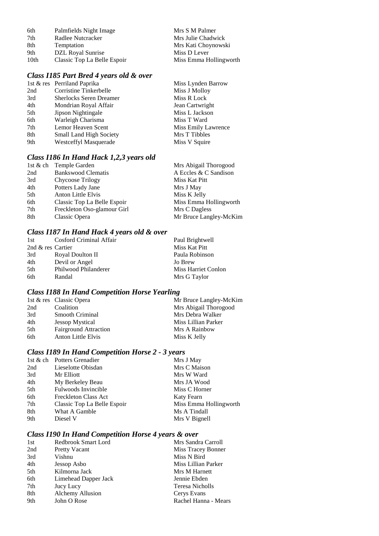| 6th  | Palmfields Night Image      | Mrs S M Palmer         |
|------|-----------------------------|------------------------|
| 7th  | Radlee Nutcracker           | Mrs Julie Chadwick     |
| 8th  | Temptation                  | Mrs Kati Choynowski    |
| 9th  | DZL Royal Sunrise           | Miss D Lever           |
| 10th | Classic Top La Belle Espoir | Miss Emma Hollingworth |

### *Class I185 Part Bred 4 years old & over*

|     | 1st & res Perriland Paprika    | Miss Lynden Barrow  |
|-----|--------------------------------|---------------------|
| 2nd | Corristine Tinkerbelle         | Miss J Molloy       |
| 3rd | <b>Sherlocks Seren Dreamer</b> | Miss R Lock         |
| 4th | Mondrian Royal Affair          | Jean Cartwright     |
| 5th | Jipson Nightingale             | Miss L Jackson      |
| 6th | Warleigh Charisma              | Miss T Ward         |
| 7th | Lemor Heaven Scent             | Miss Emily Lawrence |
| 8th | <b>Small Land High Society</b> | Mrs T Tibbles       |
| 9th | Westceffyl Masquerade          | Miss V Squire       |
|     |                                |                     |

### *Class I186 In Hand Hack 1,2,3 years old*

|     | 1st & ch Temple Garden      | Mrs Abigail Thorogood  |
|-----|-----------------------------|------------------------|
| 2nd | <b>Bankswood Clematis</b>   | A Eccles & C Sandison  |
| 3rd | Chycoose Trilogy            | Miss Kat Pitt          |
| 4th | Potters Lady Jane           | Mrs J May              |
| 5th | Anton Little Elvis          | Miss K Jelly           |
| 6th | Classic Top La Belle Espoir | Miss Emma Hollingworth |
| 7th | Freckleton Oso-glamour Girl | Mrs C Dagless          |
| 8th | Classic Opera               | Mr Bruce Langley-McKim |
|     |                             |                        |

### *Class I187 In Hand Hack 4 years old & over*

| 1st               | Cosford Criminal Affair | Paul Brightwell     |
|-------------------|-------------------------|---------------------|
| 2nd & res Cartier |                         | Miss Kat Pitt       |
| 3rd               | Royal Doulton II        | Paula Robinson      |
| 4th               | Devil or Angel          | Jo Brew             |
| 5th               | Philwood Philanderer    | Miss Harriet Conlon |
| 6th               | Randal                  | Mrs G Taylor        |

### *Class I188 In Hand Competition Horse Yearling*

|     | 1st & res Classic Opera      | Mr Bruce Langley-McKim |
|-----|------------------------------|------------------------|
| 2nd | Coalition                    | Mrs Abigail Thorogood  |
| 3rd | <b>Smooth Criminal</b>       | Mrs Debra Walker       |
| 4th | <b>Jessop Mystical</b>       | Miss Lillian Parker    |
| 5th | <b>Fairground Attraction</b> | Mrs A Rainbow          |
| 6th | Anton Little Elvis           | Miss K Jelly           |

### *Class I189 In Hand Competition Horse 2 - 3 years*

|     | 1st & ch Potters Grenadier  | Mrs J May              |
|-----|-----------------------------|------------------------|
| 2nd | Lieselotte Obisdan          | Mrs C Maison           |
| 3rd | Mr Elliott                  | Mrs W Ward             |
| 4th | My Berkeley Beau            | Mrs JA Wood            |
| 5th | Fulwoods Invincible         | Miss C Horner          |
| 6th | Freckleton Class Act        | <b>Katy Fearn</b>      |
| 7th | Classic Top La Belle Espoir | Miss Emma Hollingworth |
| 8th | What A Gamble               | Ms A Tindall           |
| 9th | Diesel V                    | Mrs V Bignell          |
|     |                             |                        |

### *Class I190 In Hand Competition Horse 4 years & over*

| 1st | Redbrook Smart Lord     | Mrs Sandra Carroll   |
|-----|-------------------------|----------------------|
| 2nd | <b>Pretty Vacant</b>    | Miss Tracey Bonner   |
| 3rd | Vishnu                  | Miss N Bird          |
| 4th | Jessop Asbo             | Miss Lillian Parker  |
| 5th | Kilmorna Jack           | Mrs M Harnett        |
| 6th | Limehead Dapper Jack    | Jennie Ebden         |
| 7th | Jucy Lucy               | Teresa Nicholls      |
| 8th | <b>Alchemy Allusion</b> | Cerys Evans          |
| 9th | John O Rose             | Rachel Hanna - Mears |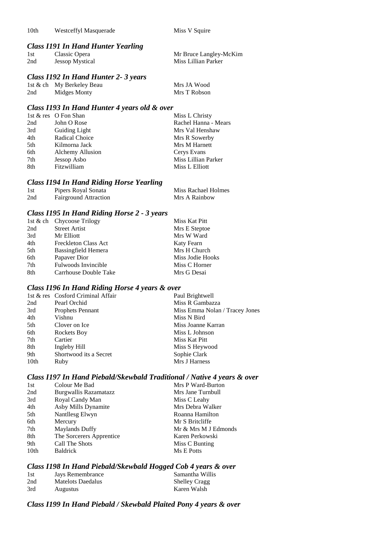#### *Class I191 In Hand Hunter Yearling*

| 1st | Classic Opera          | Mr Bruce Langley-McKim |
|-----|------------------------|------------------------|
| 2nd | <b>Jessop Mystical</b> | Miss Lillian Parker    |

#### *Class I192 In Hand Hunter 2- 3 years*

|     | 1st & ch My Berkeley Beau | Mrs JA Wood  |
|-----|---------------------------|--------------|
| 2nd | Midges Monty              | Mrs T Robson |

#### *Class I193 In Hand Hunter 4 years old & over*

| 1st & res O Fon Shan    | Miss L Christy       |
|-------------------------|----------------------|
| John O Rose             | Rachel Hanna - Mears |
| <b>Guiding Light</b>    | Mrs Val Henshaw      |
| Radical Choice          | Mrs R Sowerby        |
| Kilmorna Jack           | Mrs M Harnett        |
| <b>Alchemy Allusion</b> | Cerys Evans          |
| Jessop Asbo             | Miss Lillian Parker  |
| Fitzwilliam             | Miss L Elliott       |
|                         |                      |

### *Class I194 In Hand Riding Horse Yearling*

| 1st | Pipers Royal Sonata          | Miss Rachael Holmes |
|-----|------------------------------|---------------------|
| 2nd | <b>Fairground Attraction</b> | Mrs A Rainbow       |

#### *Class I195 In Hand Riding Horse 2 - 3 years*

|     | 1st & ch Chycoose Trilogy   | Miss Kat Pitt    |
|-----|-----------------------------|------------------|
| 2nd | <b>Street Artist</b>        | Mrs E Steptoe    |
| 3rd | Mr Elliott                  | Mrs W Ward       |
| 4th | <b>Freckleton Class Act</b> | Katy Fearn       |
| 5th | Bassingfield Hemera         | Mrs H Church     |
| 6th | Papaver Dior                | Miss Jodie Hooks |
| 7th | Fulwoods Invincible         | Miss C Horner    |
| 8th | Carrhouse Double Take       | Mrs G Desai      |

#### *Class I196 In Hand Riding Horse 4 years & over*

|      | 1st & res Cosford Criminal Affair | Paul Brightwell                |
|------|-----------------------------------|--------------------------------|
| 2nd  | Pearl Orchid                      | Miss R Gambazza                |
| 3rd  | Prophets Pennant                  | Miss Emma Nolan / Tracey Jones |
| 4th  | Vishnu                            | Miss N Bird                    |
| 5th  | Clover on Ice                     | Miss Joanne Karran             |
| 6th  | Rockets Boy                       | Miss L Johnson                 |
| 7th  | Cartier                           | Miss Kat Pitt                  |
| 8th  | Ingleby Hill                      | Miss S Heywood                 |
| 9th  | Shortwood its a Secret            | Sophie Clark                   |
| 10th | Ruby                              | Mrs J Harness                  |

#### *Class I197 In Hand Piebald/Skewbald Traditional / Native 4 years & over*

| 1st  | Colour Me Bad            | Mrs P Ward-Burton    |
|------|--------------------------|----------------------|
| 2nd  | Burgwallis Razamatazz    | Mrs Jane Turnbull    |
| 3rd  | Royal Candy Man          | Miss C Leahy         |
| 4th  | Asby Mills Dynamite      | Mrs Debra Walker     |
| 5th  | Nantllesg Elwyn          | Roanna Hamilton      |
| 6th  | Mercury                  | Mr S Britcliffe      |
| 7th  | <b>Maylands Duffy</b>    | Mr & Mrs M J Edmonds |
| 8th  | The Sorcerers Apprentice | Karen Perkowski      |
| 9th  | Call The Shots           | Miss C Bunting       |
| 10th | <b>Baldrick</b>          | Ms E Potts           |
|      |                          |                      |

### *Class I198 In Hand Piebald/Skewbald Hogged Cob 4 years & over*

| 1st | Jays Remembrance  | Samantha Willis      |
|-----|-------------------|----------------------|
| 2nd | Matelots Daedalus | <b>Shelley Cragg</b> |
| 3rd | Augustus          | Karen Walsh          |

#### *Class I199 In Hand Piebald / Skewbald Plaited Pony 4 years & over*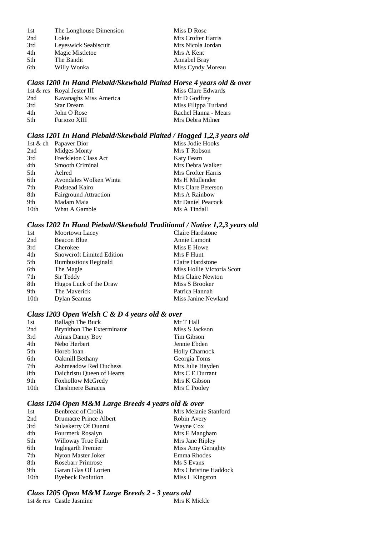| 1st | The Longhouse Dimension |
|-----|-------------------------|
| 2nd | Lokie                   |
| 3rd | Leyeswick Seabiscuit    |
| 4th | Magic Mistletoe         |
| 5th | The Bandit              |
| 6th | Willy Wonka             |

Miss D Rose Mrs Crofter Harris Mrs Nicola Jordan Mrs A Kent Annabel Bray Miss Cyndy Moreau

#### *Class I200 In Hand Piebald/Skewbald Plaited Horse 4 years old & over*

|     | 1st & res Royal Jester III | Miss Clare Edwards   |
|-----|----------------------------|----------------------|
| 2nd | Kavanaghs Miss America     | Mr D Godfrey         |
| 3rd | <b>Star Dream</b>          | Miss Filippa Turland |
| 4th | John O Rose                | Rachel Hanna - Mears |
| 5th | Furiozo XIII               | Mrs Debra Milner     |

### *Class I201 In Hand Piebald/Skewbald Plaited / Hogged 1,2,3 years old*

|      | 1st & ch Papaver Dior        | Miss Jodie Hooks   |
|------|------------------------------|--------------------|
| 2nd  | Midges Monty                 | Mrs T Robson       |
| 3rd  | <b>Freckleton Class Act</b>  | Katy Fearn         |
| 4th  | <b>Smooth Criminal</b>       | Mrs Debra Walker   |
| 5th  | Aelred                       | Mrs Crofter Harris |
| 6th  | Avondales Wolken Winta       | Ms H Mullender     |
| 7th  | Padstead Kairo               | Mrs Clare Peterson |
| 8th  | <b>Fairground Attraction</b> | Mrs A Rainbow      |
| 9th  | Madam Maia                   | Mr Daniel Peacock  |
| 10th | What A Gamble                | Ms A Tindall       |
|      |                              |                    |

#### *Class I202 In Hand Piebald/Skewbald Traditional / Native 1,2,3 years old*

| 1st  | Moortown Lacey                   | Claire Hardstone           |
|------|----------------------------------|----------------------------|
| 2nd  | Beacon Blue                      | Annie Lamont               |
| 3rd  | Cherokee                         | Miss E Howe                |
| 4th  | <b>Snowcroft Limited Edition</b> | Mrs F Hunt                 |
| 5th  | Rumbustious Reginald             | Claire Hardstone           |
| 6th  | The Magie                        | Miss Hollie Victoria Scott |
| 7th  | Sir Teddy                        | Mrs Claire Newton          |
| 8th  | Hugos Luck of the Draw           | Miss S Brooker             |
| 9th  | The Maverick                     | Patrica Hannah             |
| 10th | Dylan Seamus                     | Miss Janine Newland        |

### *Class I203 Open Welsh C & D 4 years old & over*

| <b>Ballagh The Buck</b>           | Mr T Hall             |
|-----------------------------------|-----------------------|
| <b>Brynithon The Exterminator</b> | Miss S Jackson        |
| <b>Atinas Danny Boy</b>           | Tim Gibson            |
| Nebo Herbert                      | Jennie Ebden          |
| Horeb Ioan                        | <b>Holly Charnock</b> |
| Oakmill Bethany                   | Georgia Toms          |
| <b>Ashmeadow Red Duchess</b>      | Mrs Julie Hayden      |
| Daichristu Oueen of Hearts        | Mrs C E Durrant       |
| <b>Foxhollow McGredy</b>          | Mrs K Gibson          |
| <b>Cheshmere Baracus</b>          | Mrs C Pooley          |
|                                   |                       |

#### *Class I204 Open M&M Large Breeds 4 years old & over*

| 1st              | Benbreac of Croila       | Mrs Melanie Stanford  |
|------------------|--------------------------|-----------------------|
| 2nd              | Drumacre Prince Albert   | Robin Avery           |
| 3rd              | Sulaskerry Of Dunrui     | Wayne Cox             |
| 4th              | Fourmerk Rosalyn         | Mrs E Mangham         |
| 5th              | Willoway True Faith      | Mrs Jane Ripley       |
| 6th              | Inglegarth Premier       | Miss Amy Geraghty     |
| 7th              | Nyton Master Joker       | Emma Rhodes           |
| 8th              | Rosebarr Primrose        | Ms S Evans            |
| 9th              | Garan Glas Of Lorien     | Mrs Christine Haddock |
| 10 <sub>th</sub> | <b>Byebeck Evolution</b> | Miss L Kingston       |

# *Class I205 Open M&M Large Breeds 2 - 3 years old*

1st  $&$  res Castle Jasmine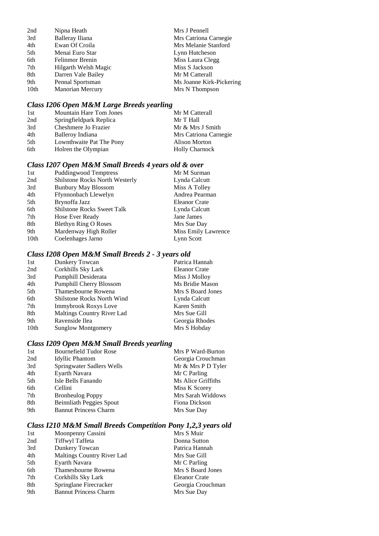| 2nd  | Nipna Heath            | Mrs J Pennell            |
|------|------------------------|--------------------------|
| 3rd  | Balleray Iliana        | Mrs Catriona Carnegie    |
| 4th  | Ewan Of Croila         | Mrs Melanie Stanford     |
| 5th  | Menai Euro Star        | Lynn Hutcheson           |
| 6th  | <b>Felinmor Brenin</b> | Miss Laura Clegg         |
| 7th  | Hilgarth Welsh Magic   | Miss S Jackson           |
| 8th  | Darren Vale Bailey     | Mr M Catterall           |
| 9th  | Pennal Sportsman       | Ms Joanne Kirk-Pickering |
| 10th | Manorian Mercury       | Mrs N Thompson           |

### *Class I206 Open M&M Large Breeds yearling*

| 1st | <b>Mountain Hare Tom Jones</b> | Mr M Catterall        |
|-----|--------------------------------|-----------------------|
| 2nd | Springfieldpark Replica        | Mr T Hall             |
| 3rd | Cheshmere Jo Frazier           | Mr & Mrs J Smith      |
| 4th | Balleroy Indiana               | Mrs Catriona Carnegie |
| 5th | Lownthwaite Pat The Pony       | <b>Alison Morton</b>  |
| 6th | Holren the Olympian            | <b>Holly Charnock</b> |

### *Class I207 Open M&M Small Breeds 4 years old & over*

| <b>Puddingwood Temptress</b>      | Mr M Surman          |
|-----------------------------------|----------------------|
| Shilstone Rocks North Westerly    | Lynda Calcutt        |
| <b>Bunbury May Blossom</b>        | Miss A Tolley        |
| Ffynnonbach Llewelyn              | Andrea Pearman       |
| Brynoffa Jazz                     | <b>Eleanor Crate</b> |
| <b>Shilstone Rocks Sweet Talk</b> | Lynda Calcutt        |
| Hose Ever Ready                   | Jane James           |
| <b>Blethyn Ring O Roses</b>       | Mrs Sue Day          |
| Mardenway High Roller             | Miss Emily Lawrence  |
| Coelenhages Jarno                 | Lynn Scott           |
|                                   |                      |

### *Class I208 Open M&M Small Breeds 2 - 3 years old*

| Dunkery Towcan                    | Patrica Hannah    |
|-----------------------------------|-------------------|
| Corkhills Sky Lark                | Eleanor Crate     |
| Pumphill Desiderata               | Miss J Molloy     |
| <b>Pumphill Cherry Blossom</b>    | Ms Bridie Mason   |
| Thamesbourne Rowena               | Mrs S Board Jones |
| <b>Shilstone Rocks North Wind</b> | Lynda Calcutt     |
| Immybrook Roxys Love              | Karen Smith       |
| Maltings Country River Lad        | Mrs Sue Gill      |
| Ravenside Ilea                    | Georgia Rhodes    |
| <b>Sunglow Montgomery</b>         | Mrs S Hobday      |
|                                   |                   |

### *Class I209 Open M&M Small Breeds yearling*

| 1st | <b>Bournefield Tudor Rose</b>   | Mrs P Ward-Burton  |
|-----|---------------------------------|--------------------|
| 2nd | <b>Idyllic Phantom</b>          | Georgia Crouchman  |
| 3rd | Springwater Sadlers Wells       | Mr & Mrs P D Tyler |
| 4th | Eyarth Navara                   | Mr C Parling       |
| 5th | Isle Bells Fanando              | Ms Alice Griffiths |
| 6th | Cellini                         | Miss K Scorey      |
| 7th | <b>Bronheulog Poppy</b>         | Mrs Sarah Widdows  |
| 8th | <b>Beinnliath Peggies Spout</b> | Fiona Dickson      |
| 9th | <b>Bannut Princess Charm</b>    | Mrs Sue Day        |
|     |                                 |                    |

### *Class I210 M&M Small Breeds Competition Pony 1,2,3 years old*

| 1st | Moonpenny Cassini            | Mrs S Muir           |
|-----|------------------------------|----------------------|
| 2nd | Tiffwyl Taffeta              | Donna Sutton         |
| 3rd | Dunkery Towcan               | Patrica Hannah       |
| 4th | Maltings Country River Lad   | Mrs Sue Gill         |
| 5th | Eyarth Navara                | Mr C Parling         |
| 6th | Thamesbourne Rowena          | Mrs S Board Jones    |
| 7th | Corkhills Sky Lark           | <b>Eleanor Crate</b> |
| 8th | Springlane Firecracker       | Georgia Crouchman    |
| 9th | <b>Bannut Princess Charm</b> | Mrs Sue Day          |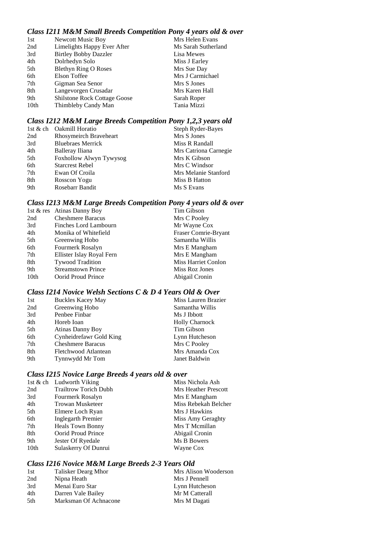### *Class I211 M&M Small Breeds Competition Pony 4 years old & over*

| 1st  | <b>Newcott Music Boy</b>            | Mrs Helen Evans     |
|------|-------------------------------------|---------------------|
| 2nd  | Limelights Happy Ever After         | Ms Sarah Sutherland |
| 3rd  | <b>Birtley Bobby Dazzler</b>        | Lisa Mewes          |
| 4th  | Dolrhedyn Solo                      | Miss J Earley       |
| 5th  | <b>Blethyn Ring O Roses</b>         | Mrs Sue Day         |
| 6th  | Elson Toffee                        | Mrs J Carmichael    |
| 7th  | Gigman Sea Senor                    | Mrs S Jones         |
| 8th  | Langevorgen Crusadar                | Mrs Karen Hall      |
| 9th  | <b>Shilstone Rock Cottage Goose</b> | Sarah Roper         |
| 10th | Thimbleby Candy Man                 | Tania Mizzi         |

### *Class I212 M&M Large Breeds Competition Pony 1,2,3 years old*

|     | 1st & ch Oakmill Horatio | Steph Ryder-Bayes     |
|-----|--------------------------|-----------------------|
| 2nd | Rhosymeirch Braveheart   | Mrs S Jones           |
| 3rd | <b>Bluebraes Merrick</b> | Miss R Randall        |
| 4th | Balleray Iliana          | Mrs Catriona Carnegie |
| 5th | Foxhollow Alwyn Tywysog  | Mrs K Gibson          |
| 6th | <b>Starcrest Rebel</b>   | Mrs C Windsor         |
| 7th | Ewan Of Croila           | Mrs Melanie Stanford  |
| 8th | Rosscon Yogu             | Miss B Hatton         |
| 9th | Rosebarr Bandit          | Ms S Evans            |
|     |                          |                       |

### *Class I213 M&M Large Breeds Competition Pony 4 years old & over*

|                  | 1st & res Atinas Danny Boy | Tim Gibson                 |
|------------------|----------------------------|----------------------------|
| 2nd              | <b>Cheshmere Baracus</b>   | Mrs C Pooley               |
| 3rd              | Finches Lord Lambourn      | Mr Wayne Cox               |
| 4th              | Monika of Whitefield       | Fraser Comrie-Bryant       |
| 5th              | Greenwing Hobo             | Samantha Willis            |
| 6th              | Fourmerk Rosalyn           | Mrs E Mangham              |
| 7th              | Ellister Islay Royal Fern  | Mrs E Mangham              |
| 8th              | <b>Tywood Tradition</b>    | <b>Miss Harriet Conlon</b> |
| 9th              | <b>Streamstown Prince</b>  | Miss Roz Jones             |
| 10 <sub>th</sub> | Oorid Proud Prince         | Abigail Cronin             |
|                  |                            |                            |

### *Class I214 Novice Welsh Sections C & D 4 Years Old & Over*

| 1st | <b>Buckles Kacey May</b> | Miss Lauren Brazier   |
|-----|--------------------------|-----------------------|
| 2nd | Greenwing Hobo           | Samantha Willis       |
| 3rd | Penbee Finbar            | Ms J Ibbott           |
| 4th | Horeb Ioan               | <b>Holly Charnock</b> |
| 5th | <b>Atinas Danny Boy</b>  | Tim Gibson            |
| 6th | Cynheidrefawr Gold King  | Lynn Hutcheson        |
| 7th | <b>Cheshmere Baracus</b> | Mrs C Pooley          |
| 8th | Fletchwood Atlantean     | Mrs Amanda Cox        |
| 9th | Tynnwydd Mr Tom          | Janet Baldwin         |

### *Class I215 Novice Large Breeds 4 years old & over*

|                  | 1st & ch Ludworth Viking     | Miss Nichola Ash     |
|------------------|------------------------------|----------------------|
| 2nd              | <b>Trailtrow Torich Dubh</b> | Mrs Heather Prescott |
| 3rd              | Fourmerk Rosalyn             | Mrs E Mangham        |
| 4th              | Trowan Musketeer             | Miss Rebekah Belcher |
| 5th              | Elmere Loch Ryan             | Mrs J Hawkins        |
| 6th              | <b>Inglegarth Premier</b>    | Miss Amy Geraghty    |
| 7th              | <b>Heals Town Bonny</b>      | Mrs T Memillan       |
| 8th              | Oorid Proud Prince           | Abigail Cronin       |
| 9th              | Jester Of Ryedale            | Ms B Bowers          |
| 10 <sub>th</sub> | Sulaskerry Of Dunrui         | Wayne Cox            |
|                  |                              |                      |

### *Class I216 Novice M&M Large Breeds 2-3 Years Old*

| 1st | Talisker Dearg Mhor   | Mrs Alison Wooderson |
|-----|-----------------------|----------------------|
| 2nd | Nipna Heath           | Mrs J Pennell        |
| 3rd | Menai Euro Star       | Lynn Hutcheson       |
| 4th | Darren Vale Bailey    | Mr M Catterall       |
| 5th | Marksman Of Achnacone | Mrs M Dagati         |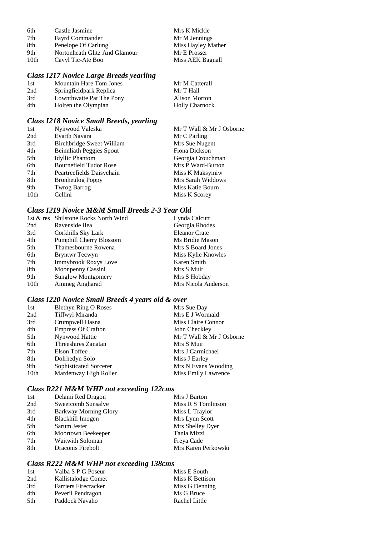| 6th  | Castle Jasmine                | Mrs K Mickle       |
|------|-------------------------------|--------------------|
| 7th  | <b>Fayrd Commander</b>        | Mr M Jennings      |
| 8th  | Penelope Of Carlung           | Miss Hayley Mather |
| 9th  | Nortonheath Glitz And Glamour | Mr E Prosser       |
| 10th | Cavyl Tic-Ate Boo             | Miss AEK Bagnall   |

### *Class I217 Novice Large Breeds yearling*

| Class I217 Novice Large Breeds yearling |                                |                       |  |
|-----------------------------------------|--------------------------------|-----------------------|--|
| 1st                                     | <b>Mountain Hare Tom Jones</b> | Mr M Catterall        |  |
| 2nd                                     | Springfieldpark Replica        | Mr T Hall             |  |
| 3rd                                     | Lownthwaite Pat The Pony       | Alison Morton         |  |
| 4th                                     | Holren the Olympian            | <b>Holly Charnock</b> |  |

### *Class I218 Novice Small Breeds, yearling*

| 1st              | Nynwood Valeska                  | Mr T Wall & Mr J Osborne |
|------------------|----------------------------------|--------------------------|
| 2nd              | Eyarth Navara                    | Mr C Parling             |
| 3rd              | <b>Birchbridge Sweet William</b> | Mrs Sue Nugent           |
| 4th              | <b>Beinnliath Peggies Spout</b>  | Fiona Dickson            |
| 5th              | <b>Idyllic Phantom</b>           | Georgia Crouchman        |
| 6th              | <b>Bournefield Tudor Rose</b>    | Mrs P Ward-Burton        |
| 7th              | Peartreefields Daisychain        | Miss K Maksymiw          |
| 8th              | <b>Bronheulog Poppy</b>          | Mrs Sarah Widdows        |
| 9th              | <b>Twrog Barrog</b>              | Miss Katie Bourn         |
| 10 <sub>th</sub> | Cellini                          | Miss K Scorey            |

### *Class I219 Novice M&M Small Breeds 2-3 Year Old*

|                  | 1st & res Shilstone Rocks North Wind | Lynda Calcutt        |
|------------------|--------------------------------------|----------------------|
| 2nd              | Ravenside Ilea                       | Georgia Rhodes       |
| 3rd              | Corkhills Sky Lark                   | <b>Eleanor Crate</b> |
| 4th              | <b>Pumphill Cherry Blossom</b>       | Ms Bridie Mason      |
| 5th              | Thamesbourne Rowena                  | Mrs S Board Jones    |
| 6th              | Bryntwr Tecwyn                       | Miss Kylie Knowles   |
| 7th              | <b>Immybrook Roxys Love</b>          | Karen Smith          |
| 8th              | Moonpenny Cassini                    | Mrs S Muir           |
| 9th              | <b>Sunglow Montgomery</b>            | Mrs S Hobday         |
| 10 <sub>th</sub> | Ammeg Angharad                       | Mrs Nicola Anderson  |

### *Class I220 Novice Small Breeds 4 years old & over*

| 1st  | <b>Blethyn Ring O Roses</b> | Mrs Sue Day                |
|------|-----------------------------|----------------------------|
| 2nd  | Tiffwyl Miranda             | Mrs E J Wormald            |
| 3rd  | Crumpwell Hasna             | Miss Claire Connor         |
| 4th  | <b>Empress Of Crafton</b>   | John Checkley              |
| 5th  | Nynwood Hattie              | Mr T Wall & Mr J Osborne   |
| 6th  | Threeshires Zanatan         | Mrs S Muir                 |
| 7th  | Elson Toffee                | Mrs J Carmichael           |
| 8th  | Dolrhedyn Solo              | Miss J Earley              |
| 9th  | Sophisticated Sorcerer      | Mrs N Evans Wooding        |
| 10th | Mardenway High Roller       | <b>Miss Emily Lawrence</b> |

### *Class R221 M&M WHP not exceeding 122cms*

| 1st | Delami Red Dragon            | Mrs J Barton        |
|-----|------------------------------|---------------------|
| 2nd | Sweetcomb Sunsalve           | Miss R S Tomlinson  |
| 3rd | <b>Barkway Morning Glory</b> | Miss L Traylor      |
| 4th | Blackhill Imogen             | Mrs Lynn Scott      |
| 5th | Sarum Jester                 | Mrs Shelley Dyer    |
| 6th | Moortown Beekeeper           | Tania Mizzi         |
| 7th | Waitwith Soloman             | Freya Cade          |
| 8th | Draconis Firebolt            | Mrs Karen Perkowski |

### *Class R222 M&M WHP not exceeding 138cms*

| Valba S P G Poseur          | Miss E South    |
|-----------------------------|-----------------|
| Kallistalodge Comet         | Miss K Bettison |
| <b>Farriers Firecracker</b> | Miss G Denning  |
| Peveril Pendragon           | Ms G Bruce      |
| Paddock Navaho              | Rachel Little   |
|                             |                 |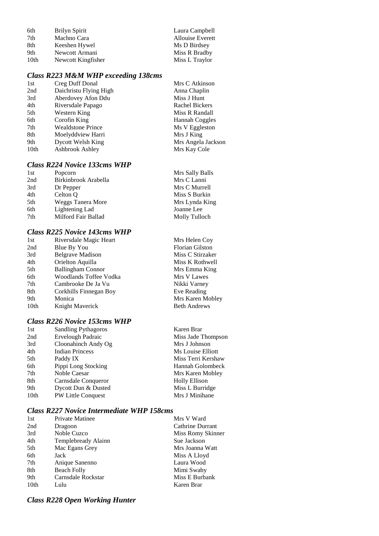| 6th              | Brilyn Spirit      | Laura Campbell          |
|------------------|--------------------|-------------------------|
| 7th              | Machno Cara        | <b>Allouise Everett</b> |
| 8th              | Keeshen Hywel      | Ms D Birdsey            |
| 9th              | Newcott Armani     | Miss R Bradby           |
| 10 <sub>th</sub> | Newcott Kingfisher | Miss L Traylor          |

### *Class R223 M&M WHP exceeding 138cms*

| 1st              | Creg Duff Donal          | Mrs C Atkinson     |
|------------------|--------------------------|--------------------|
| 2nd              | Daichristu Flying High   | Anna Chaplin       |
| 3rd              | Aberdovey Afon Ddu       | Miss J Hunt        |
| 4th              | Riversdale Papago        | Rachel Bickers     |
| 5th              | Western King             | Miss R Randall     |
| 6th              | Corofin King             | Hannah Coggles     |
| 7th              | <b>Wealdstone Prince</b> | Ms V Eggleston     |
| 8th              | Moelyddview Harri        | Mrs J King         |
| 9th              | Dycott Welsh King        | Mrs Angela Jackson |
| 10 <sub>th</sub> | Ashbrook Ashley          | Mrs Kay Cole       |
|                  |                          |                    |

### *Class R224 Novice 133cms WHP*

| 1st | Popcorn              | Mrs Sally Balls |
|-----|----------------------|-----------------|
| 2nd | Birkinbrook Arabella | Mrs C Lanni     |
| 3rd | Dr Pepper            | Mrs C Murrell   |
| 4th | Celton O             | Miss S Burkin   |
| 5th | Weggs Tanera More    | Mrs Lynda King  |
| 6th | Lightening Lad       | Joanne Lee      |
| 7th | Milford Fair Ballad  | Molly Tulloch   |

### *Class R225 Novice 143cms WHP*

| 1st              | Riversdale Magic Heart        | Mrs Helen Coy          |
|------------------|-------------------------------|------------------------|
| 2nd              | Blue By You                   | <b>Florian Gilston</b> |
| 3rd              | <b>Belgrave Madison</b>       | Miss C Stirzaker       |
| 4th              | Orielton Aquilla              | Miss K Rothwell        |
| 5th              | <b>Ballingham Connor</b>      | Mrs Emma King          |
| 6th              | <b>Woodlands Toffee Vodka</b> | Mrs V Lawes            |
| 7th              | Cambrooke De Ja Vu            | Nikki Varney           |
| 8th              | Corkhills Finnegan Boy        | Eve Reading            |
| 9th              | Monica                        | Mrs Karen Mobley       |
| 10 <sub>th</sub> | Knight Maverick               | <b>Beth Andrews</b>    |
|                  |                               |                        |

### *Class R226 Novice 153cms WHP*

| 1st  | <b>Sandling Pythagoros</b> | Karen Brar           |
|------|----------------------------|----------------------|
| 2nd  | <b>Ervelough Padraic</b>   | Miss Jade Thompson   |
| 3rd  | Cloonahinch Andy Og        | Mrs J Johnson        |
| 4th  | <b>Indian Princess</b>     | Ms Louise Elliott    |
| 5th  | Paddy IX                   | Miss Terri Kershaw   |
| 6th  | Pippi Long Stocking        | Hannah Golombeck     |
| 7th  | Noble Caesar               | Mrs Karen Mobley     |
| 8th  | Carnsdale Conqueror        | <b>Holly Ellison</b> |
| 9th  | Dycott Dun & Dusted        | Miss L Burridge      |
| 10th | PW Little Conquest         | Mrs J Minihane       |
|      |                            |                      |

### *Class R227 Novice Intermediate WHP 158cms*

| 1st              | <b>Private Matinee</b> | Mrs V Ward        |
|------------------|------------------------|-------------------|
| 2nd              | Dragoon                | Cathrine Durrant  |
| 3rd              | Noble Cuzco            | Miss Romy Skinner |
| 4th              | Templebready Alainn    | Sue Jackson       |
| 5th              | Mac Egans Grey         | Mrs Joanna Watt   |
| 6th              | Jack                   | Miss A Lloyd      |
| 7th              | Anique Sanenno         | Laura Wood        |
| 8th              | <b>Beach Folly</b>     | Mimi Swaby        |
| 9th              | Carnsdale Rockstar     | Miss E Burbank    |
| 10 <sub>th</sub> | Lulu                   | Karen Brar        |

### *Class R228 Open Working Hunter*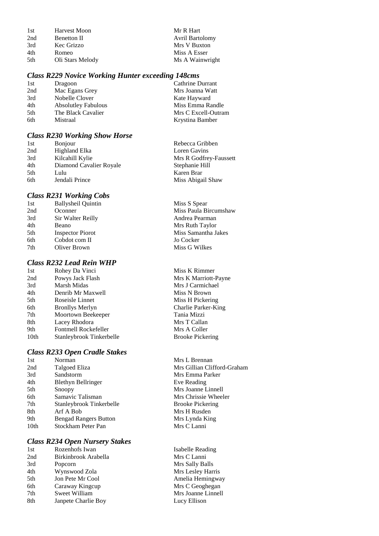| 1st | <b>Harvest Moon</b> | Mr R Hart              |
|-----|---------------------|------------------------|
| 2nd | <b>Benetton II</b>  | <b>Avril Bartolomy</b> |
| 3rd | Kec Grizzo          | Mrs V Buxton           |
| 4th | Romeo               | Miss A Esser           |
| 5th | Oli Stars Melody    | Ms A Wainwright        |
|     |                     |                        |

#### *Class R229 Novice Working Hunter exceeding 148cms*

| 1st | Dragoon                    | Cathrine Durrant    |
|-----|----------------------------|---------------------|
| 2nd | Mac Egans Grey             | Mrs Joanna Watt     |
| 3rd | Nobelle Clover             | Kate Hayward        |
| 4th | <b>Absolutley Fabulous</b> | Miss Emma Randle    |
| 5th | The Black Cavalier         | Mrs C Excell-Outram |
| 6th | Mistraal                   | Krystina Bamber     |

#### *Class R230 Working Show Horse*

| 1st | <b>Bonjour</b>          | Rebecca Gribben        |
|-----|-------------------------|------------------------|
| 2nd | Highland Elka           | Loren Gavins           |
| 3rd | Kilcahill Kylie         | Mrs R Godfrey-Faussett |
| 4th | Diamond Cavalier Royale | Stephanie Hill         |
| 5th | Lulu                    | Karen Brar             |
| 6th | Jendali Prince          | Miss Abigail Shaw      |
|     |                         |                        |

#### *Class R231 Working Cobs*

| 1st | <b>Ballysheil Quintin</b> | Miss S Spear          |
|-----|---------------------------|-----------------------|
| 2nd | Oconner                   | Miss Paula Bircumshaw |
| 3rd | Sir Walter Reilly         | Andrea Pearman        |
| 4th | Beano                     | Mrs Ruth Taylor       |
| 5th | <b>Inspector Piorot</b>   | Miss Samantha Jakes   |
| 6th | Cobdot com II             | Jo Cocker             |
| 7th | Oliver Brown              | Miss G Wilkes         |
|     |                           |                       |

### *Class R232 Lead Rein WHP*

| 1st  | Rohey Da Vinci           |
|------|--------------------------|
| 2nd  | Powys Jack Flash         |
| 3rd  | Marsh Midas              |
| 4th  | Denrib Mr Maxwell        |
| 5th  | Roseisle Linnet          |
| 6th  | <b>Bronllys Merlyn</b>   |
| 7th  | Moortown Beekeeper       |
| 8th  | Lacey Rhodora            |
| 9th  | Fontmell Rockefeller     |
| 10th | Stanleybrook Tinkerbelle |

#### *Class R233 Open Cradle Stakes*

| 1st              | Norman                       |
|------------------|------------------------------|
| 2nd              | Talgoed Eliza                |
| 3rd              | Sandstorm                    |
| 4th              | <b>Blethyn Bellringer</b>    |
| 5th              | Snoopy                       |
| 6th              | Samavic Talisman             |
| 7th              | Stanleybrook Tinkerbelle     |
| 8th              | Arf A Bob                    |
| 9th              | <b>Bengad Rangers Button</b> |
| 10 <sub>th</sub> | Stockham Peter Pan           |

#### *Class R234 Open Nursery Stakes*

| 1st | Rozenhofs Iwan       |
|-----|----------------------|
| 2nd | Birkinbrook Arabella |
| 3rd | Popcorn              |
| 4th | Wynswood Zola        |
| 5th | Jon Pete Mr Cool     |
| 6th | Caraway Kingcup      |
| 7th | Sweet William        |
| 8th | Janpete Charlie Boy  |
|     |                      |

Miss K Rimmer Mrs K Marriott-Payne Mrs J Carmichael Miss N Brown Miss H Pickering Charlie Parker-King Tania Mizzi Mrs T Callan Mrs A Coller e Brooke Pickering

> Mrs L Brennan Mrs Gillian Clifford-Graham Mrs Emma Parker Eve Reading Mrs Joanne Linnell Mrs Chrissie Wheeler Brooke Pickering Mrs H Rusden Mrs Lynda King Mrs C Lanni

Isabelle Reading Mrs C Lanni Mrs Sally Balls Mrs Lesley Harris Amelia Hemingway Mrs C Geoghegan Mrs Joanne Linnell Lucy Ellison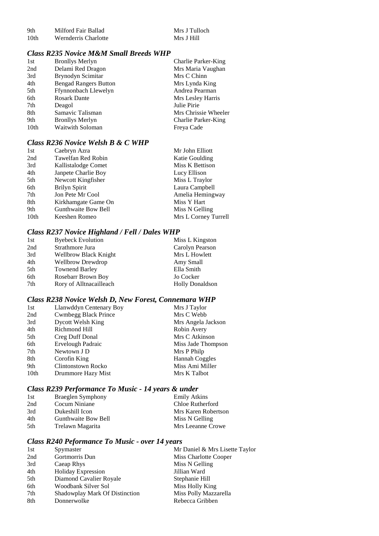| -9th             | Milford Fair Ballad  | Mrs J Tulloch |
|------------------|----------------------|---------------|
| 10 <sub>th</sub> | Wernderris Charlotte | Mrs J Hill    |

#### *Class R235 Novice M&M Small Breeds WHP*

| 1st              | <b>Bronllys Merlyn</b>       | <b>Charlie Parker-King</b> |
|------------------|------------------------------|----------------------------|
| 2nd              | Delami Red Dragon            | Mrs Maria Vaughan          |
| 3rd              | Brynodyn Scimitar            | Mrs C Chinn                |
| 4th              | <b>Bengad Rangers Button</b> | Mrs Lynda King             |
| 5th              | Ffynnonbach Llewelyn         | Andrea Pearman             |
| 6th              | <b>Rosark Dante</b>          | Mrs Lesley Harris          |
| 7th              | Deagol                       | Julie Pirie                |
| 8th              | Samavic Talisman             | Mrs Chrissie Wheeler       |
| 9th              | <b>Bronllys Merlyn</b>       | Charlie Parker-King        |
| 10 <sub>th</sub> | Waitwith Soloman             | Freya Cade                 |

### *Class R236 Novice Welsh B & C WHP*

| 1st              | Caebryn Azra        | Mr John Elliott       |
|------------------|---------------------|-----------------------|
| 2nd              | Tawelfan Red Robin  | <b>Katie Goulding</b> |
| 3rd              | Kallistalodge Comet | Miss K Bettison       |
| 4th              | Janpete Charlie Boy | Lucy Ellison          |
| 5th              | Newcott Kingfisher  | Miss L Traylor        |
| 6th              | Brilyn Spirit       | Laura Campbell        |
| 7th              | Jon Pete Mr Cool    | Amelia Hemingway      |
| 8th              | Kirkhamgate Game On | Miss Y Hart           |
| 9th              | Gunthwaite Bow Bell | Miss N Gelling        |
| 10 <sub>th</sub> | Keeshen Romeo       | Mrs L Corney Turrell  |

### *Class R237 Novice Highland / Fell / Dales WHP*

| 1st | <b>Byebeck Evolution</b> | Miss L Kingston        |
|-----|--------------------------|------------------------|
| 2nd | Strathmore Jura          | Carolyn Pearson        |
| 3rd | Wellbrow Black Knight    | Mrs L Howlett          |
| 4th | <b>Wellbrow Drewdrop</b> | Amy Small              |
| 5th | <b>Townend Barley</b>    | Ella Smith             |
| 6th | Rosebarr Brown Boy       | Jo Cocker              |
| 7th | Rory of Alltnacailleach  | <b>Holly Donaldson</b> |

### *Class R238 Novice Welsh D, New Forest, Connemara WHP*

| 1st              | Llanwddyn Centenary Boy     | Mrs J Taylor          |
|------------------|-----------------------------|-----------------------|
| 2nd              | <b>Cwmbegg Black Prince</b> | Mrs C Webb            |
| 3rd              | Dycott Welsh King           | Mrs Angela Jackson    |
| 4th              | Richmond Hill               | Robin Avery           |
| 5th              | Creg Duff Donal             | Mrs C Atkinson        |
| 6th              | Ervelough Padraic           | Miss Jade Thompson    |
| 7th              | Newtown J D                 | Mrs P Philp           |
| 8th              | Corofin King                | <b>Hannah Coggles</b> |
| 9th              | Clintonstown Rocko          | Miss Ami Miller       |
| 10 <sub>th</sub> | Drummore Hazy Mist          | Mrs K Talbot          |

### *Class R239 Performance To Music - 14 years & under*

| 1st | Braeglen Symphony   | <b>Emily Atkins</b> |
|-----|---------------------|---------------------|
| 2nd | Cocum Niniane       | Chloe Rutherford    |
| 3rd | Dukeshill Icon      | Mrs Karen Robertson |
| 4th | Gunthwaite Bow Bell | Miss N Gelling      |
| 5th | Trelawn Magarita    | Mrs Leeanne Crowe   |

### *Class R240 Peformance To Music - over 14 years*

| 1st | Spymaster                      | Mr Daniel & Mrs Lisette Taylor |
|-----|--------------------------------|--------------------------------|
| 2nd | Gortmorris Dun                 | Miss Charlotte Cooper          |
| 3rd | Caeap Rhys                     | Miss N Gelling                 |
| 4th | <b>Holiday Expression</b>      | Jillian Ward                   |
| 5th | Diamond Cavalier Royale        | Stephanie Hill                 |
| 6th | Woodbank Silver Sol            | Miss Holly King                |
| 7th | Shadowplay Mark Of Distinction | Miss Polly Mazzarella          |
| 8th | Donnerwolke                    | Rebecca Gribben                |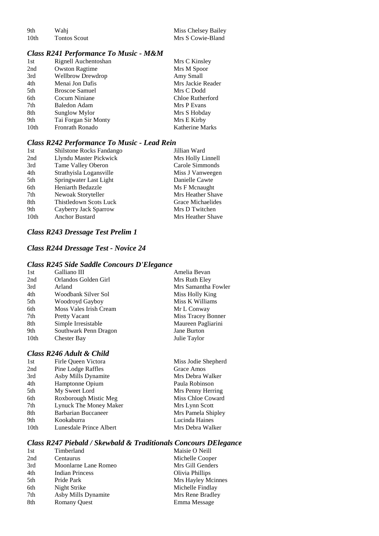| 9th  | Wahi         | Miss Chelsey Bailey |
|------|--------------|---------------------|
| 10th | Tontos Scout | Mrs S Cowie-Bland   |

### *Class R241 Performance To Music - M&M*

| 1st  | Rignell Auchentoshan     | Mrs C Kinsley          |
|------|--------------------------|------------------------|
| 2nd  | <b>Owston Ragtime</b>    | Mrs M Spoor            |
| 3rd  | <b>Wellbrow Drewdrop</b> | Amy Small              |
| 4th  | Menai Jon Dafis          | Mrs Jackie Reader      |
| 5th  | <b>Broscoe Samuel</b>    | Mrs C Dodd             |
| 6th  | Cocum Niniane            | Chloe Rutherford       |
| 7th  | <b>Baledon Adam</b>      | Mrs P Evans            |
| 8th  | Sunglow Mylor            | Mrs S Hobday           |
| 9th  | Tai Forgan Sir Monty     | Mrs E Kirby            |
| 10th | Fronrath Ronado          | <b>Katherine Marks</b> |

#### *Class R242 Performance To Music - Lead Rein*

| 1st              | Shilstone Rocks Fandango | Jillian Ward      |
|------------------|--------------------------|-------------------|
| 2nd              | Llyndu Master Pickwick   | Mrs Holly Linnell |
| 3rd              | Tame Valley Oberon       | Carole Simmonds   |
| 4th              | Strathyisla Logansville  | Miss J Vanweegen  |
| 5th              | Springwater Last Light   | Danielle Cawte    |
| 6th              | Heniarth Bedazzle        | Ms F Mcnaught     |
| 7th              | Newoak Storyteller       | Mrs Heather Shave |
| 8th              | Thistledown Scots Luck   | Grace Michaelides |
| 9th              | Cayberry Jack Sparrow    | Mrs D Twitchen    |
| 10 <sub>th</sub> | <b>Anchor Bustard</b>    | Mrs Heather Shave |

#### *Class R243 Dressage Test Prelim 1*

### *Class R244 Dressage Test - Novice 24*

#### *Class R245 Side Saddle Concours D'Elegance*

| 1st  | Galliano III           | Amelia Bevan        |
|------|------------------------|---------------------|
| 2nd  | Orlandos Golden Girl   | Mrs Ruth Elev       |
| 3rd  | Arland                 | Mrs Samantha Fowler |
| 4th  | Woodbank Silver Sol    | Miss Holly King     |
| 5th  | Woodroyd Gayboy        | Miss K Williams     |
| 6th  | Moss Vales Irish Cream | Mr L Conway         |
| 7th  | <b>Pretty Vacant</b>   | Miss Tracey Bonner  |
| 8th  | Simple Irresistable    | Maureen Pagliarini  |
| 9th  | Southwark Penn Dragon  | Jane Burton         |
| 10th | <b>Chester Bay</b>     | Julie Taylor        |
|      |                        |                     |

### *Class R246 Adult & Child*

| 1st  | Firle Oueen Victora     | Miss Jodie Shepherd |
|------|-------------------------|---------------------|
| 2nd  | Pine Lodge Raffles      | Grace Amos          |
| 3rd  | Asby Mills Dynamite     | Mrs Debra Walker    |
| 4th  | Hamptonne Opium         | Paula Robinson      |
| 5th  | My Sweet Lord           | Mrs Penny Herring   |
| 6th  | Roxborough Mistic Meg   | Miss Chloe Coward   |
| 7th  | Lynuck The Money Maker  | Mrs Lynn Scott      |
| 8th  | Barbarian Buccaneer     | Mrs Pamela Shipley  |
| 9th  | Kookaburra              | Lucinda Haines      |
| 10th | Lunesdale Prince Albert | Mrs Debra Walker    |
|      |                         |                     |

### *Class R247 Piebald / Skewbald & Traditionals Concours DElegance*

| 1st | Timberland             | Maisie O Neill     |
|-----|------------------------|--------------------|
| 2nd | Centaurus              | Michelle Cooper    |
| 3rd | Moonlarne Lane Romeo   | Mrs Gill Genders   |
| 4th | <b>Indian Princess</b> | Olivia Phillips    |
| 5th | Pride Park             | Mrs Hayley Mcinnes |
| 6th | Night Strike           | Michelle Findlay   |
| 7th | Asby Mills Dynamite    | Mrs Rene Bradley   |
| 8th | <b>Romany Quest</b>    | Emma Message       |
|     |                        |                    |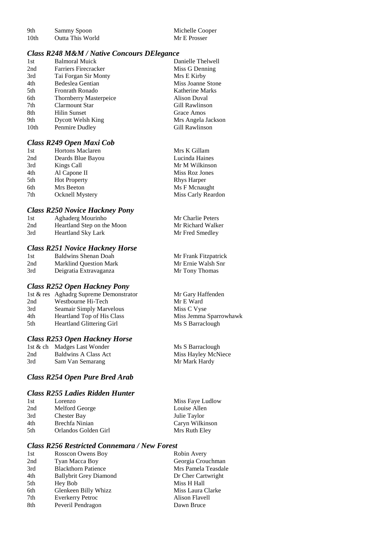| 9th              | Sammy Spoon      |  |
|------------------|------------------|--|
| 10 <sub>th</sub> | Outta This World |  |

Michelle Cooper Mr E Prosser

Mr Frank Fitzpatrick Mr Ernie Walsh Snr

Mr Gary Haffenden Mr E Ward Miss C Vyse

Ms S Barraclough

Ms S Barraclough Miss Hayley McNiece Mr Mark Hardy

Miss Jemma Sparrowhawk

#### *Class R248 M&M / Native Concours DElegance*

| 1st  | <b>Balmoral Muick</b>         | Danielle Thelwell  |
|------|-------------------------------|--------------------|
| 2nd  | Farriers Firecracker          | Miss G Denning     |
| 3rd  | Tai Forgan Sir Monty          | Mrs E Kirby        |
| 4th  | Bedeslea Gentian              | Miss Joanne Stone  |
| 5th  | Fronrath Ronado               | Katherine Marks    |
| 6th  | <b>Thornberry Masterpeice</b> | Alison Duval       |
| 7th  | <b>Clarmount Star</b>         | Gill Rawlinson     |
| 8th  | Hilin Sunset                  | Grace Amos         |
| 9th  | <b>Dycott Welsh King</b>      | Mrs Angela Jackson |
| 10th | Penmire Dudley                | Gill Rawlinson     |
|      |                               |                    |

### *Class R249 Open Maxi Cob*

| 1st | <b>Hortons Maclaren</b> | Mrs K Gillam       |
|-----|-------------------------|--------------------|
| 2nd | Deards Blue Bayou       | Lucinda Haines     |
| 3rd | Kings Call              | Mr M Wilkinson     |
| 4th | Al Capone II            | Miss Roz Jones     |
| 5th | <b>Hot Property</b>     | <b>Rhys Harper</b> |
| 6th | Mrs Beeton              | Ms F Mcnaught      |
| 7th | <b>Ocknell Mystery</b>  | Miss Carly Reardon |
|     |                         |                    |

#### *Class R250 Novice Hackney Pony*

| 1st | Aghaderg Mourinho          | Mr Charlie Peters |
|-----|----------------------------|-------------------|
| 2nd | Heartland Step on the Moon | Mr Richard Walker |
| 3rd | <b>Heartland Sky Lark</b>  | Mr Fred Smedley   |

## *Class R251 Novice Hackney Horse*

| 1st | Baldwins Shenan Doah          | Mr Frank Fitzpatr |
|-----|-------------------------------|-------------------|
| 2nd | <b>Marklind Ouestion Mark</b> | Mr Ernie Walsh S  |
| 3rd | Deigratia Extravaganza        | Mr Tony Thomas    |

#### *Class R252 Open Hackney Pony*

|      | 1st & res Aghadrg Supreme Demonstrator |
|------|----------------------------------------|
| 2nd  | Westbourne Hi-Tech                     |
| 3rd  | Seamair Simply Marvelous               |
| 4th  | <b>Heartland Top of His Class</b>      |
| .5th | <b>Heartland Glittering Girl</b>       |

#### *Class R253 Open Hackney Horse*

|     | 1st & ch Madges Last Wonder |
|-----|-----------------------------|
| 2nd | <b>Baldwins A Class Act</b> |
| 3rd | Sam Van Semarang            |

#### *Class R254 Open Pure Bred Arab*

#### *Class R255 Ladies Ridden Hunter*

| Lorenzo              | Miss Faye Ludlow |
|----------------------|------------------|
| Melford George       | Louise Allen     |
| Chester Bay          | Julie Taylor     |
| Brechfa Ninian       | Caryn Wilkinson  |
| Orlandos Golden Girl | Mrs Ruth Eley    |
|                      |                  |

## *Class R256 Restricted Connemara / New Forest*

| 1st | Rosscon Owens Boy             | Robin Avery         |
|-----|-------------------------------|---------------------|
| 2nd | Tyan Macca Boy                | Georgia Crouchman   |
| 3rd | <b>Blackthorn Patience</b>    | Mrs Pamela Teasdale |
| 4th | <b>Ballybrit Grey Diamond</b> | Dr Cher Cartwright  |
| 5th | Hey Bob                       | Miss H Hall         |
| 6th | Glenkeen Billy Whizz          | Miss Laura Clarke   |
| 7th | <b>Everkerry Petroc</b>       | Alison Flavell      |
| 8th | Peveril Pendragon             | Dawn Bruce          |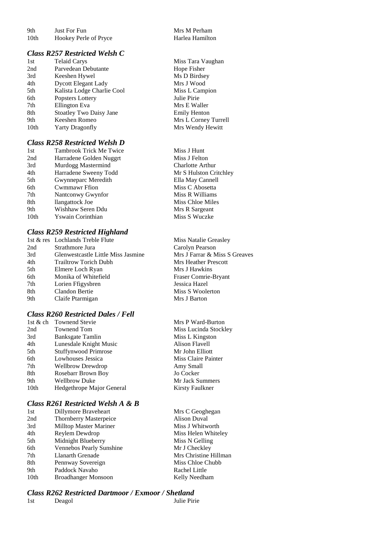| 9th  | <b>Just For Fun</b>   |
|------|-----------------------|
| 10th | Hookev Perle of Prvce |

#### *Class R257 Restricted Welsh C*

| 1st  | <b>Telaid Carys</b>            |
|------|--------------------------------|
| 2nd  | Parvedean Debutante            |
| 3rd  | Keeshen Hywel                  |
| 4th  | <b>Dycott Elegant Lady</b>     |
| 5th  | Kalista Lodge Charlie Cool     |
| 6th  | Popsters Lottery               |
| 7th  | <b>Ellington Eva</b>           |
| 8th  | <b>Stoatley Two Daisy Jane</b> |
| 9th  | Keeshen Romeo                  |
| 10th | <b>Yarty Dragonfly</b>         |
|      |                                |

#### *Class R258 Restricted Welsh D*

| 1st              | <b>Tambrook Trick Me Twic</b> |
|------------------|-------------------------------|
| 2nd              | Harradene Golden Nuggrt       |
| 3rd              | Murdogg Mastermind            |
| 4th              | Harradene Sweeny Todd         |
| 5th              | Gwynneparc Meredith           |
| 6th              | <b>Cwmmawr Ffion</b>          |
| 7th              | Nantconwy Gwynfor             |
| 8th              | llangattock Joe               |
| 9th              | Wishhaw Seren Ddu             |
| 10 <sub>th</sub> | Yswain Corinthian             |
|                  |                               |

#### *Class R259 Restricted Highland*

|     | 1st & res Lochlands Treble Flute   |
|-----|------------------------------------|
| 2nd | Strathmore Jura                    |
| 3rd | Glenwestcastle Little Miss Jasmine |
| 4th | <b>Trailtrow Torich Dubh</b>       |
| 5th | Elmere Loch Ryan                   |
| 6th | Monika of Whitefield               |
| 7th | Lorien Ffigysbren                  |
| 8th | Clandon Bertie                     |
| 9th | Claife Ptarmigan                   |
|     |                                    |

#### *Class R260 Restricted Dales / Fell*

| 1st $&$ ch | <b>Townend Stevie</b>       |
|------------|-----------------------------|
| 2nd        | Townend Tom                 |
| 3rd        | Banksgate Tamlin            |
| 4th        | Lunesdale Knight Music      |
| 5th        | <b>Stuffynwood Primrose</b> |
| 6th        | Lowhouses Jessica           |
| 7th        | <b>Wellbrow Drewdrop</b>    |
| 8th        | Rosebarr Brown Boy          |
| 9th        | <b>Wellbrow Duke</b>        |
| 10th       | Hedgethrope Major General   |

# *Class R261 Restricted Welsh A & B*

| 1st              | Dillymore Braveheart          |
|------------------|-------------------------------|
| 2nd              | <b>Thornberry Masterpeice</b> |
| 3rd              | <b>Milltop Master Mariner</b> |
| 4th              | Reylem Dewdrop                |
| 5th              | Midnight Blueberry            |
| 6th              | Vennebos Pearly Sunshine      |
| 7th              | Llanarth Grenade              |
| 8th              | Pennway Sovereign             |
| 9th              | Paddock Navaho                |
| 10 <sub>th</sub> | Broadhanger Monsoon           |

#### Mrs M Perham ey Perle of Pryce Harlea Hamilton

Miss Tara Vaughan Hope Fisher Ms D Birdsey Mrs J Wood Miss L Campion Julie Pirie Mrs E Waller **Emily Henton** Mrs L Corney Turrell Mrs Wendy Hewitt

nst Trick Miss J Hunt Miss J Felton Charlotte Arthur Mr S Hulston Critchley Ella May Cannell Miss C Abosetta Miss R Williams Miss Chloe Miles **Mrs R Sargeant** Miss S Wuczke

> Miss Natalie Greasley Carolyn Pearson Mrs J Farrar & Miss S Greaves **Mrs Heather Prescott** Mrs J Hawkins Fraser Comrie-Bryant Jessica Hazel Miss S Woolerton Mrs J Barton

Mrs P Ward-Burton Miss Lucinda Stockley Miss L Kingston Alison Flavell Mr John Elliott Miss Claire Painter Amy Small Jo Cocker Mr Jack Summers Kirsty Faulkner

Mrs C Geoghegan Alison Duval Miss J Whitworth Miss Helen Whiteley Miss N Gelling Mr J Checkley Mrs Christine Hillman Miss Chloe Chubb Rachel Little Kelly Needham

#### *Class R262 Restricted Dartmoor / Exmoor / Shetland*

| 1st | De |
|-----|----|
|     |    |

Prima and Dulie Pirie Julie Pirie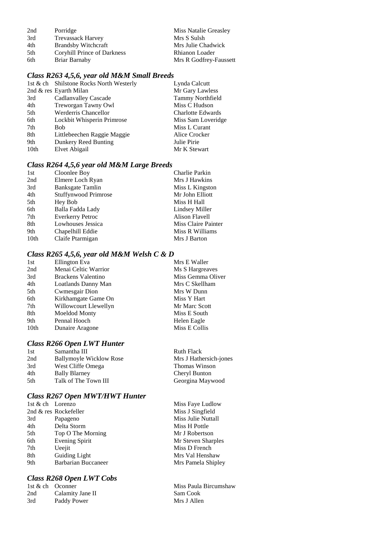| 2nd | Porridge                    | Miss Natalie Greasley  |
|-----|-----------------------------|------------------------|
| 3rd | <b>Trevassack Harvey</b>    | Mrs S Sulsh            |
| 4th | <b>Brandsby Witchcraft</b>  | Mrs Julie Chadwick     |
| 5th | Coryhill Prince of Darkness | Rhianon Loader         |
| 6th | Briar Barnaby               | Mrs R Godfrey-Faussett |

# *Class R263 4,5,6, year old M&M Small Breeds*

|                  | 1st & ch Shilstone Rocks North Westerly | Lynda Calcutt            |
|------------------|-----------------------------------------|--------------------------|
|                  | 2nd & res Eyarth Milan                  | Mr Gary Lawless          |
| 3rd              | <b>Cadlanvalley Cascade</b>             | Tammy Northfield         |
| 4th              | Treworgan Tawny Owl                     | Miss C Hudson            |
| 5th              | <b>Werderris Chancellor</b>             | <b>Charlotte Edwards</b> |
| 6th              | Lockbit Whisperin Primrose              | Miss Sam Loveridge       |
| 7th              | <b>Bob</b>                              | Miss L Curant            |
| 8th              | Littlebeechen Raggie Maggie             | Alice Crocker            |
| 9th              | Dunkery Reed Bunting                    | Julie Pirie              |
| 10 <sub>th</sub> | Elvet Abigail                           | Mr K Stewart             |
|                  |                                         |                          |

# *Class R264 4,5,6 year old M&M Large Breeds*

| 1st              | Cloonlee Boy                | Charlie Parkin      |
|------------------|-----------------------------|---------------------|
| 2nd              | Elmere Loch Ryan            | Mrs J Hawkins       |
| 3rd              | Banksgate Tamlin            | Miss L Kingston     |
| 4th              | <b>Stuffynwood Primrose</b> | Mr John Elliott     |
| 5th              | Hey Bob                     | Miss H Hall         |
| 6th              | Balla Fadda Lady            | Lindsey Miller      |
| 7th              | <b>Everkerry Petroc</b>     | Alison Flavell      |
| 8th              | Lowhouses Jessica           | Miss Claire Painter |
| 9th              | Chapelhill Eddie            | Miss R Williams     |
| 10 <sub>th</sub> | Claife Ptarmigan            | Mrs J Barton        |
|                  |                             |                     |

## *Class R265 4,5,6, year old M&M Welsh C & D*

| 1st  | Ellington Eva         | Mrs E Waller      |
|------|-----------------------|-------------------|
| 2nd  | Menai Celtic Warrior  | Ms S Hargreaves   |
| 3rd  | Brackens Valentino    | Miss Gemma Oliver |
| 4th  | Loatlands Danny Man   | Mrs C Skellham    |
| 5th  | Cwmesgair Dion        | Mrs W Dunn        |
| 6th  | Kirkhamgate Game On   | Miss Y Hart       |
| 7th  | Willowcourt Llewellyn | Mr Marc Scott     |
| 8th  | Moeldod Monty         | Miss E South      |
| 9th  | Pennal Hooch          | Helen Eagle       |
| 10th | Dunaire Aragone       | Miss E Collis     |
|      |                       |                   |

# *Class R266 Open LWT Hunter*

| <b>Ruth Flack</b>      |
|------------------------|
| Mrs J Hathersich-jones |
| Thomas Winson          |
| Cheryl Bunton          |
| Georgina Maywood       |
|                        |

# *Class R267 Open MWT/HWT Hunter*

| 1st & ch Lorenzo |                       | Miss Faye Ludlow   |
|------------------|-----------------------|--------------------|
|                  | 2nd & res Rockefeller | Miss J Singfield   |
| 3rd              | Papageno              | Miss Julie Nuttall |
| 4th              | Delta Storm           | Miss H Pottle      |
| 5th              | Top O The Morning     | Mr J Robertson     |
| 6th              | <b>Evening Spirit</b> | Mr Steven Sharples |
| 7th              | Ueejit                | Miss D French      |
| 8th              | Guiding Light         | Mrs Val Henshaw    |
| 9th              | Barbarian Buccaneer   | Mrs Pamela Shipley |
|                  |                       |                    |

# *Class R268 Open LWT Cobs*

|     | 1st & ch Oconner |
|-----|------------------|
| 2nd | Calamity Jane II |
| 3rd | Paddy Power      |

| Miss Faye Ludlow   |
|--------------------|
| Miss J Singfield   |
| Miss Julie Nuttall |
| Miss H Pottle      |
| Mr J Robertson     |
| Mr Steven Sharples |
| Miss D French      |
| Mrs Val Henshaw    |
| Mrs Pamela Shipley |
|                    |

Miss Paula Bircumshaw Sam Cook Mrs J Allen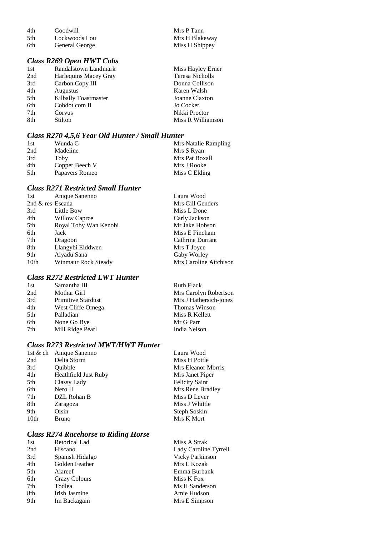4th Goodwill Mrs P Tann<br>5th Lockwoods Lou Mrs H Blakeway 5th Lockwoods Lou Mrs H Blakeway<br>6th General George Miss H Shippey General George

## *Class R269 Open HWT Cobs*

| 1st | Randalstown Landmark  | Miss Hayley Erner |
|-----|-----------------------|-------------------|
| 2nd | Harlequins Macey Gray | Teresa Nicholls   |
| 3rd | Carbon Copy III       | Donna Collison    |
| 4th | <b>Augustus</b>       | Karen Walsh       |
| 5th | Kilbally Toastmaster  | Joanne Claxton    |
| 6th | Cobdot com II         | Jo Cocker         |
| 7th | Corvus                | Nikki Proctor     |
| 8th | Stilton               | Miss R Williamson |
|     |                       |                   |

## *Class R270 4,5,6 Year Old Hunter / Small Hunter*

| 1st | Wunda C        | Mrs Natalie Rampling |
|-----|----------------|----------------------|
| 2nd | Madeline       | Mrs S Ryan           |
| 3rd | Toby           | Mrs Pat Boxall       |
| 4th | Copper Beech V | Mrs J Rooke          |
| 5th | Papavers Romeo | Miss C Elding        |

## *Class R271 Restricted Small Hunter*

| 1st              | Anique Sanenno        | Laura Wood             |
|------------------|-----------------------|------------------------|
| 2nd & res Escada |                       | Mrs Gill Genders       |
| 3rd              | Little Bow            | Miss L Done            |
| 4th              | Willow Caprce         | Carly Jackson          |
| 5th              | Royal Toby Wan Kenobi | Mr Jake Hobson         |
| 6th              | Jack                  | Miss E Fincham         |
| 7th              | Dragoon               | Cathrine Durrant       |
| 8th              | Llangybi Eiddwen      | Mrs T Joyce            |
| 9th              | Aiyadu Sana           | Gaby Worley            |
| 10th             | Winmaur Rock Steady   | Mrs Caroline Aitchison |

## *Class R272 Restricted LWT Hunter*

| 1st | Samantha III              | <b>Ruth Flack</b>      |
|-----|---------------------------|------------------------|
| 2nd | Mothar Girl               | Mrs Carolyn Robertson  |
| 3rd | <b>Primitive Stardust</b> | Mrs J Hathersich-jones |
| 4th | West Cliffe Omega         | Thomas Winson          |
| 5th | Palladian                 | Miss R Kellett         |
| 6th | None Go Bye               | Mr G Parr              |
| 7th | Mill Ridge Pearl          | India Nelson           |
|     |                           |                        |

## *Class R273 Restricted MWT/HWT Hunter*

| 1st & ch         | Anique Sanenno       | Laura Wood            |
|------------------|----------------------|-----------------------|
| 2nd              | Delta Storm          | Miss H Pottle         |
| 3rd              | Ouibble              | Mrs Eleanor Morris    |
| 4th              | Heathfield Just Ruby | Mrs Janet Piper       |
| 5th              | Classy Lady          | <b>Felicity Saint</b> |
| 6th              | Nero II              | Mrs Rene Bradley      |
| 7th              | DZL Rohan B          | Miss D Lever          |
| 8th              | Zaragoza             | Miss J Whittle        |
| 9th              | Oisin                | Steph Soskin          |
| 10 <sub>th</sub> | Bruno                | Mrs K Mort            |
|                  |                      |                       |

## *Class R274 Racehorse to Riding Horse*

| 1st | <b>Retorical Lad</b> | Miss A Strak           |
|-----|----------------------|------------------------|
| 2nd | Hiscano              | Lady Caroline Tyrrell  |
| 3rd | Spanish Hidalgo      | <b>Vicky Parkinson</b> |
| 4th | Golden Feather       | Mrs L Kozak            |
| 5th | Alareef              | Emma Burbank           |
| 6th | <b>Crazy Colours</b> | Miss K Fox             |
| 7th | Todlea               | Ms H Sanderson         |
| 8th | Irish Jasmine        | Amie Hudson            |
| 9th | Im Backagain         | Mrs E Simpson          |
|     |                      |                        |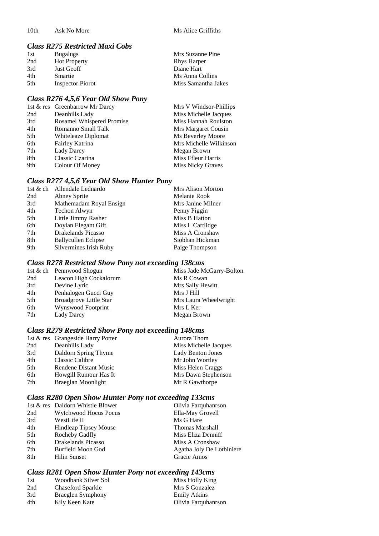10th Ask No More Ms Alice Griffiths

## *Class R275 Restricted Maxi Cobs*

| 1st | <b>Bugalugs</b>         | Mrs Suzanne Pine    |
|-----|-------------------------|---------------------|
| 2nd | <b>Hot Property</b>     | <b>Rhys Harper</b>  |
| 3rd | Just Geoff              | Diane Hart          |
| 4th | Smartie                 | Ms Anna Collins     |
| 5th | <b>Inspector Piorot</b> | Miss Samantha Jakes |

#### *Class R276 4,5,6 Year Old Show Pony*

|     | 1st & res Greenbarrow Mr Darcy | Mrs V Windsor-Phillips |
|-----|--------------------------------|------------------------|
| 2nd | Deanhills Lady                 | Miss Michelle Jacques  |
| 3rd | Rosamel Whispered Promise      | Miss Hannah Roulston   |
| 4th | Romanno Small Talk             | Mrs Margaret Cousin    |
| 5th | Whiteleaze Diplomat            | Ms Beverley Moore      |
| 6th | Fairley Katrina                | Mrs Michelle Wilkinson |
| 7th | Lady Darcy                     | Megan Brown            |
| 8th | Classic Czarina                | Miss Ffleur Harris     |
| 9th | Colour Of Money                | Miss Nicky Graves      |
|     |                                |                        |

#### *Class R277 4,5,6 Year Old Show Hunter Pony*

| <b>Mrs Alison Morton</b> |
|--------------------------|
|                          |
| Mrs Janine Milner        |
|                          |
|                          |
| Miss L Cartlidge         |
| Miss A Cronshaw          |
| Siobhan Hickman          |
| Paige Thompson           |
|                          |

# *Class R278 Restricted Show Pony not exceeding 138cms*

|     | 1st & ch Pennwood Shogun      | Miss Jade McGarry-Bolton |
|-----|-------------------------------|--------------------------|
| 2nd | Leacon High Cockalorum        | Ms R Cowan               |
| 3rd | Devine Lyric                  | Mrs Sally Hewitt         |
| 4th | Penhalogen Gucci Guy          | Mrs J Hill               |
| 5th | <b>Broadgrove Little Star</b> | Mrs Laura Wheelwright    |
| 6th | Wynswood Footprint            | Mrs L Ker                |
| 7th | Lady Darcy                    | Megan Brown              |
|     |                               |                          |

## *Class R279 Restricted Show Pony not exceeding 148cms*

|     | 1st & res Grangeside Harry Potter | Aurora Thom           |
|-----|-----------------------------------|-----------------------|
| 2nd | Deanhills Lady                    | Miss Michelle Jacques |
| 3rd | Daldorn Spring Thyme              | Lady Benton Jones     |
| 4th | <b>Classic Calibre</b>            | Mr John Wortley       |
| 5th | Rendene Distant Music             | Miss Helen Craggs     |
| 6th | Howgill Rumour Has It             | Mrs Dawn Stephenson   |
| 7th | Braeglan Moonlight                | Mr R Gawthorpe        |
|     |                                   |                       |

## *Class R280 Open Show Hunter Pony not exceeding 133cms*

|     | 1st & res Daldorn Whistle Blower | Olivia Farquhanrson       |
|-----|----------------------------------|---------------------------|
| 2nd | <b>Wytchwood Hocus Pocus</b>     | Ella-May Grovell          |
| 3rd | WestLife II                      | Ms G Hare                 |
| 4th | <b>Hindleap Tipsey Mouse</b>     | Thomas Marshall           |
| 5th | Rocheby Gadfly                   | Miss Eliza Denniff        |
| 6th | Drakelands Picasso               | Miss A Cronshaw           |
| 7th | Burfield Moon God                | Agatha Joly De Lotbiniere |
| 8th | <b>Hilin Sunset</b>              | Gracie Amos               |
|     |                                  |                           |

# *Class R281 Open Show Hunter Pony not exceeding 143cms*

| 1st | Woodbank Silver Sol | Miss Holly King     |
|-----|---------------------|---------------------|
| 2nd | Chaseford Sparkle   | Mrs S Gonzalez      |
| 3rd | Braeglen Symphony   | <b>Emily Atkins</b> |
| 4th | Kily Keen Kate      | Olivia Farquhanrson |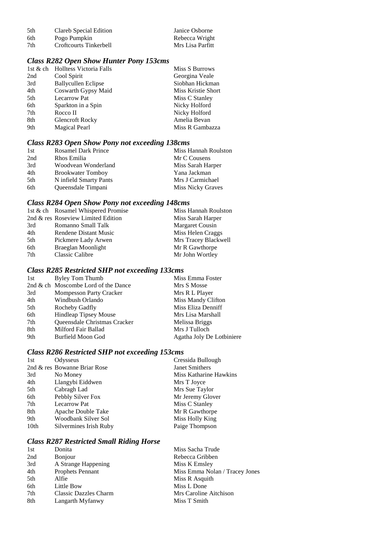| 5th | Clareb Special Edition | Janice Osborne   |
|-----|------------------------|------------------|
| 6th | Pogo Pumpkin           | Rebecca Wright   |
| 7th | Croftcourts Tinkerbell | Mrs Lisa Parfitt |

# *Class R282 Open Show Hunter Pony 153cms*

|     | 1st & ch Holltess Victoria Falls | Miss S Burrows     |
|-----|----------------------------------|--------------------|
| 2nd | Cool Spirit                      | Georgina Veale     |
| 3rd | <b>Ballycullen Eclipse</b>       | Siobhan Hickman    |
| 4th | Coswarth Gypsy Maid              | Miss Kristie Short |
| 5th | <b>Lecarrow Pat</b>              | Miss C Stanley     |
| 6th | Sparkton in a Spin               | Nicky Holford      |
| 7th | Rocco II                         | Nicky Holford      |
| 8th | <b>Glencroft Rocky</b>           | Amelia Bevan       |
| 9th | <b>Magical Pearl</b>             | Miss R Gambazza    |

## *Class R283 Open Show Pony not exceeding 138cms*

| 1st | <b>Rosamel Dark Prince</b> | Miss Hannah Roulston     |
|-----|----------------------------|--------------------------|
| 2nd | Rhos Emilia                | Mr C Cousens             |
| 3rd | Woodvean Wonderland        | Miss Sarah Harper        |
| 4th | <b>Brookwater Tomboy</b>   | Yana Jackman             |
| 5th | N infield Smarty Pants     | Mrs J Carmichael         |
| 6th | Queensdale Timpani         | <b>Miss Nicky Graves</b> |

# *Class R284 Open Show Pony not exceeding 148cms*

|     | 1st & ch Rosamel Whispered Promise | Miss Hannah Roulston |
|-----|------------------------------------|----------------------|
|     | 2nd & res Roseview Limited Edition | Miss Sarah Harper    |
| 3rd | Romanno Small Talk                 | Margaret Cousin      |
| 4th | Rendene Distant Music              | Miss Helen Craggs    |
| 5th | Pickmere Lady Arwen                | Mrs Tracey Blackwell |
| 6th | Braeglan Moonlight                 | Mr R Gawthorpe       |
| 7th | <b>Classic Calibre</b>             | Mr John Wortley      |

# *Class R285 Restricted SHP not exceeding 133cms*

| 1st | Byley Tom Thumb                     | Miss Emma Foster          |
|-----|-------------------------------------|---------------------------|
|     | 2nd & ch Moscombe Lord of the Dance | Mrs S Mosse               |
| 3rd | <b>Mompesson Party Cracker</b>      | Mrs R L Player            |
| 4th | Windbush Orlando                    | Miss Mandy Clifton        |
| 5th | Rocheby Gadfly                      | Miss Eliza Denniff        |
| 6th | Hindleap Tipsey Mouse               | Mrs Lisa Marshall         |
| 7th | Queensdale Christmas Cracker        | Melissa Briggs            |
| 8th | Milford Fair Ballad                 | Mrs J Tulloch             |
| 9th | Burfield Moon God                   | Agatha Joly De Lotbiniere |
|     |                                     |                           |

## *Class R286 Restricted SHP not exceeding 153cms*

| 1st              | Odysseus                     | Cressida Bullough      |
|------------------|------------------------------|------------------------|
|                  | 2nd & res Bowanne Briar Rose | <b>Janet Smithers</b>  |
| 3rd              | No Money                     | Miss Katharine Hawkins |
| 4th              | Llangybi Eiddwen             | Mrs T Joyce            |
| 5th              | Cabragh Lad                  | Mrs Sue Taylor         |
| 6th              | Pebbly Silver Fox            | Mr Jeremy Glover       |
| 7th              | <b>Lecarrow Pat</b>          | Miss C Stanley         |
| 8th              | Apache Double Take           | Mr R Gawthorpe         |
| 9th              | Woodbank Silver Sol          | Miss Holly King        |
| 10 <sub>th</sub> | Silvermines Irish Ruby       | Paige Thompson         |
|                  |                              |                        |

## *Class R287 Restricted Small Riding Horse*

| 1st | Donita                       | Miss Sacha Trude               |
|-----|------------------------------|--------------------------------|
| 2nd | <b>Bonjour</b>               | Rebecca Gribben                |
| 3rd | A Strange Happening          | Miss K Emsley                  |
| 4th | Prophets Pennant             | Miss Emma Nolan / Tracey Jones |
| 5th | Alfie                        | Miss R Asquith                 |
| 6th | Little Bow                   | Miss L Done                    |
| 7th | <b>Classic Dazzles Charm</b> | Mrs Caroline Aitchison         |
| 8th | Langarth Myfanwy             | Miss T Smith                   |
|     |                              |                                |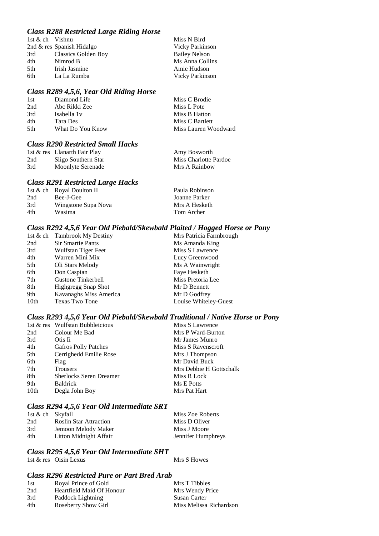## *Class R288 Restricted Large Riding Horse*

| 1st & ch Vishnu |                           | Miss N Bird            |
|-----------------|---------------------------|------------------------|
|                 | 2nd & res Spanish Hidalgo | <b>Vicky Parkinson</b> |
| 3rd             | Classics Golden Boy       | <b>Bailey Nelson</b>   |
| 4th             | Nimrod B                  | Ms Anna Collins        |
| 5th             | Irish Jasmine             | Amie Hudson            |
| 6th             | La La Rumba               | Vicky Parkinson        |

#### *Class R289 4,5,6, Year Old Riding Horse*

| 1st  | Diamond Life            | Miss C Brodie        |
|------|-------------------------|----------------------|
| 2nd  | Abc Rikki Zee           | Miss L Pote          |
| 3rd  | Isabella 1 <sub>v</sub> | Miss B Hatton        |
| 4th  | Tara Des                | Miss C Bartlett      |
| .5th | What Do You Know        | Miss Lauren Woodward |

#### *Class R290 Restricted Small Hacks*

|     | 1st & res Llanarth Fair Play | Amy Bosworth          |
|-----|------------------------------|-----------------------|
| 2nd | Sligo Southern Star          | Miss Charlotte Pardoe |
| 3rd | Moonlyte Serenade            | Mrs A Rainbow         |

#### *Class R291 Restricted Large Hacks*

|     | 1st & ch Royal Doulton II | Paula Robinson |
|-----|---------------------------|----------------|
| 2nd | Bee-J-Gee                 | Joanne Parker  |
| 3rd | Wingstone Supa Nova       | Mrs A Hesketh  |
| 4th | Wasima                    | Tom Archer     |

#### *Class R292 4,5,6 Year Old Piebald/Skewbald Plaited / Hogged Horse or Pony*

|      | 1st & ch Tambrook My Destiny | Mrs Patricia Farmbrough |
|------|------------------------------|-------------------------|
| 2nd  | <b>Sir Smartie Pants</b>     | Ms Amanda King          |
| 3rd  | Wulfstan Tiger Feet          | Miss S Lawrence         |
| 4th  | Warren Mini Mix              | Lucy Greenwood          |
| 5th  | Oli Stars Melody             | Ms A Wainwright         |
| 6th  | Don Caspian                  | Faye Hesketh            |
| 7th  | <b>Gustone Tinkerbell</b>    | Miss Pretoria Lee       |
| 8th  | Highgregg Snap Shot          | Mr D Bennett            |
| 9th  | Kavanaghs Miss America       | Mr D Godfrey            |
| 10th | <b>Texas Two Tone</b>        | Louise Whiteley-Guest   |

#### *Class R293 4,5,6 Year Old Piebald/Skewbald Traditional / Native Horse or Pony*

|      | 1st & res Wulfstan Bubbleicious | Miss S Lawrence         |
|------|---------------------------------|-------------------------|
| 2nd  | Colour Me Bad                   | Mrs P Ward-Burton       |
| 3rd  | Otis Ii                         | Mr James Munro          |
| 4th  | <b>Gafros Polly Patches</b>     | Miss S Ravenscroft      |
| 5th  | Cerrighedd Emilie Rose          | Mrs J Thompson          |
| 6th  | Flag                            | Mr David Buck           |
| 7th  | Trousers                        | Mrs Debbie H Gottschalk |
| 8th  | <b>Sherlocks Seren Dreamer</b>  | Miss R Lock             |
| 9th  | <b>Baldrick</b>                 | Ms E Potts              |
| 10th | Degla John Boy                  | Mrs Pat Hart            |

#### *Class R294 4,5,6 Year Old Intermediate SRT*

| 1st & ch Skyfall |                               | Miss Zoe Roberts   |
|------------------|-------------------------------|--------------------|
| 2nd              | <b>Roslin Star Attraction</b> | Miss D Oliver      |
| 3rd              | Jemoon Melody Maker           | Miss J Moore       |
| 4th              | Litton Midnight Affair        | Jennifer Humphreys |

#### *Class R295 4,5,6 Year Old Intermediate SHT*

1st & res Oisin Lexus Mrs S Howes

#### *Class R296 Restricted Pure or Part Bred Arab*

| 1st | Royal Prince of Gold      | Mrs T Tibbles           |
|-----|---------------------------|-------------------------|
| 2nd | Heartfield Maid Of Honour | Mrs Wendy Price         |
| 3rd | Paddock Lightning         | Susan Carter            |
| 4th | Roseberry Show Girl       | Miss Melissa Richardson |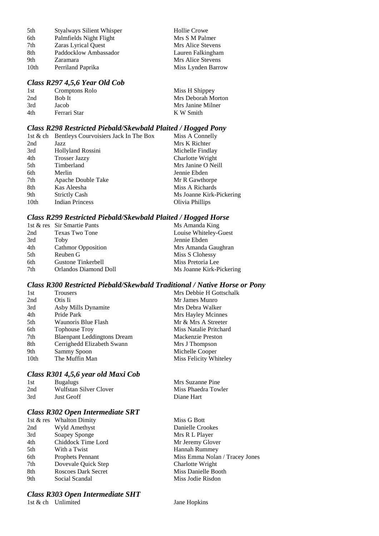| 5th  | <b>Styalways Silient Whisper</b> | Hollie Crowe       |
|------|----------------------------------|--------------------|
| 6th  | Palmfields Night Flight          | Mrs S M Palmer     |
| 7th  | Zaras Lyrical Quest              | Mrs Alice Stevens  |
| 8th  | Paddocklow Ambassador            | Lauren Falkingham  |
| 9th  | Zaramara                         | Mrs Alice Stevens  |
| 10th | Perriland Paprika                | Miss Lynden Barrow |

#### *Class R297 4,5,6 Year Old Cob*

| 1st | Cromptons Rolo | Miss H Shippey     |
|-----|----------------|--------------------|
| 2nd | Bob It         | Mrs Deborah Morton |
| 3rd | Jacob          | Mrs Janine Milner  |
| 4th | Ferrari Star   | K W Smith          |

### *Class R298 Restricted Piebald/Skewbald Plaited / Hogged Pony*

|      | 1st & ch Bentleys Courvoisiers Jack In The Box | Miss A Connelly          |
|------|------------------------------------------------|--------------------------|
| 2nd  | Jazz                                           | Mrs K Richter            |
| 3rd  | Hollyland Rossini                              | Michelle Findlay         |
| 4th  | <b>Trosser Jazzy</b>                           | Charlotte Wright         |
| 5th  | Timberland                                     | Mrs Janine O Neill       |
| 6th  | Merlin                                         | Jennie Ebden             |
| 7th  | Apache Double Take                             | Mr R Gawthorpe           |
| 8th  | Kas Aleesha                                    | Miss A Richards          |
| 9th  | <b>Strictly Cash</b>                           | Ms Joanne Kirk-Pickering |
| 10th | <b>Indian Princess</b>                         | Olivia Phillips          |
|      |                                                |                          |

## *Class R299 Restricted Piebald/Skewbald Plaited / Hogged Horse*

|     | 1st & res Sir Smartie Pants | Ms Amanda King           |
|-----|-----------------------------|--------------------------|
| 2nd | Texas Two Tone              | Louise Whiteley-Guest    |
| 3rd | Toby                        | Jennie Ebden             |
| 4th | <b>Cathmor Opposition</b>   | Mrs Amanda Gaughran      |
| 5th | Reuben G                    | Miss S Clohessy          |
| 6th | Gustone Tinkerbell          | Miss Pretoria Lee        |
| 7th | Orlandos Diamond Doll       | Ms Joanne Kirk-Pickering |
|     |                             |                          |

#### *Class R300 Restricted Piebald/Skewbald Traditional / Native Horse or Pony*

| 1st  | Trousers                           | Mrs Debbie H Gottschalk |
|------|------------------------------------|-------------------------|
| 2nd  | Otis Ii                            | Mr James Munro          |
| 3rd  | Asby Mills Dynamite                | Mrs Debra Walker        |
| 4th  | Pride Park                         | Mrs Hayley Mcinnes      |
| 5th  | Waunoris Blue Flash                | Mr & Mrs A Streeter     |
| 6th  | <b>Tophouse Troy</b>               | Miss Natalie Pritchard  |
| 7th  | <b>Blaenpant Leddingtons Dream</b> | Mackenzie Preston       |
| 8th  | Cerrighedd Elizabeth Swann         | Mrs J Thompson          |
| 9th  | Sammy Spoon                        | Michelle Cooper         |
| 10th | The Muffin Man                     | Miss Felicity Whiteley  |

#### *Class R301 4,5,6 year old Maxi Cob*

| 1st | <b>Bugalugs</b>        | Mrs Suzanne Pine    |
|-----|------------------------|---------------------|
| 2nd | Wulfstan Silver Clover | Miss Phaedra Towler |
| 3rd | Just Geoff             | Diane Hart          |

# *Class R302 Open Intermediate SRT*

|     | 1st & res Whalton Dimity | Miss G Bott                    |
|-----|--------------------------|--------------------------------|
| 2nd | Wyld Amethyst            | Danielle Crookes               |
| 3rd | Soapey Sponge            | Mrs R L Player                 |
| 4th | Chiddock Time Lord       | Mr Jeremy Glover               |
| 5th | With a Twist             | Hannah Rummey                  |
| 6th | <b>Prophets Pennant</b>  | Miss Emma Nolan / Tracey Jones |
| 7th | Dovevale Quick Step      | Charlotte Wright               |
| 8th | Roscoes Dark Secret      | Miss Danielle Booth            |
| 9th | Social Scandal           | Miss Jodie Risdon              |

#### *Class R303 Open Intermediate SHT*

1st & ch Unlimited Jane Hopkins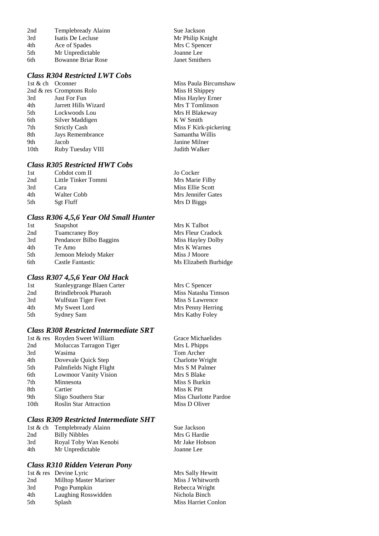| 2nd | Templebready Alainn       |
|-----|---------------------------|
| 3rd | Isatis De Lecluse         |
| 4th | Ace of Spades             |
| 5th | Mr Unpredictable          |
| 6th | <b>Bowanne Briar Rose</b> |

# *Class R304 Restricted LWT Cobs*

 $2$ nd  $\&$  res Cromptons Rolo 3rd Just For Fun<br>
4th Jarrett Hills Wizard Mrs T Tomlinson 4th Jarrett Hills Wizard 5th Lockwoods Lou Mrs H Blakeway 6th Silver Maddigen K W Smith<br>
7th Strictly Cash Miss F Kirk 7th Strictly Cash Miss F Kirk-pickering 8th Jays Remembrance Samantha Willis 9th Jacob Janine Milner<br>
10th Ruby Tuesday VIII Judith Walker Ruby Tuesday VIII

#### *Class R305 Restricted HWT Cobs*

| 1st | Cobdot com II       | Jo Cocker          |
|-----|---------------------|--------------------|
| 2nd | Little Tinker Tommi | Mrs Marie Filby    |
| 3rd | Cara                | Miss Ellie Scott   |
| 4th | Walter Cobb         | Mrs Jennifer Gates |
| 5th | Sgt Fluff           | Mrs D Biggs        |

Sue Jackson Mr Philip Knight Mrs C Spencer Joanne Lee Janet Smithers

Miss Paula Bircumshaw<br>Miss H Shippey

#### *Class R306 4,5,6 Year Old Small Hunter*

| 1st | Snapshot                | Mrs K Talbot          |
|-----|-------------------------|-----------------------|
| 2nd | Tuamcraney Boy          | Mrs Fleur Cradock     |
| 3rd | Pendancer Bilbo Baggins | Miss Hayley Dolby     |
| 4th | Te Amo                  | Mrs K Warnes          |
| 5th | Jemoon Melody Maker     | Miss J Moore          |
| 6th | Castle Fantastic        | Ms Elizabeth Burbidge |

#### *Class R307 4,5,6 Year Old Hack*

| 1st | Stanleygrange Blaen Carter | Mrs C Spencer       |
|-----|----------------------------|---------------------|
| 2nd | Brindlebrook Pharaoh       | Miss Natasha Timson |
| 3rd | Wulfstan Tiger Feet        | Miss S Lawrence     |
| 4th | My Sweet Lord              | Mrs Penny Herring   |
| 5th | Sydney Sam                 | Mrs Kathy Foley     |
|     |                            |                     |

## *Class R308 Restricted Intermediate SRT*

|                  | 1st & res Royden Sweet William | Grace Michaelides     |
|------------------|--------------------------------|-----------------------|
| 2nd              | Moluccas Tarragon Tiger        | Mrs L Phipps          |
| 3rd              | Wasima                         | Tom Archer            |
| 4th              | Dovevale Quick Step            | Charlotte Wright      |
| 5th              | Palmfields Night Flight        | Mrs S M Palmer        |
| 6th              | <b>Lowmoor Vanity Vision</b>   | Mrs S Blake           |
| 7th              | Minnesota                      | Miss S Burkin         |
| 8th              | Cartier                        | Miss K Pitt           |
| 9th              | Sligo Southern Star            | Miss Charlotte Pardoe |
| 10 <sub>th</sub> | <b>Roslin Star Attraction</b>  | Miss D Oliver         |
|                  |                                |                       |

## *Class R309 Restricted Intermediate SHT*

| 1st & ch Templebready Alainn | Sue Jackson    |
|------------------------------|----------------|
| Billy Nibbles                | Mrs G Hardie   |
| Royal Toby Wan Kenobi        | Mr Jake Hobson |
| Mr Unpredictable             | Joanne Lee     |
|                              |                |

## *Class R310 Ridden Veteran Pony*

|     | 1st & res Devine Lyric | Mrs Sally Hewitt           |
|-----|------------------------|----------------------------|
| 2nd | Milltop Master Mariner | Miss J Whitworth           |
| 3rd | Pogo Pumpkin           | Rebecca Wright             |
| 4th | Laughing Rosswidden    | Nichola Binch              |
| 5th | Splash                 | <b>Miss Harriet Conlon</b> |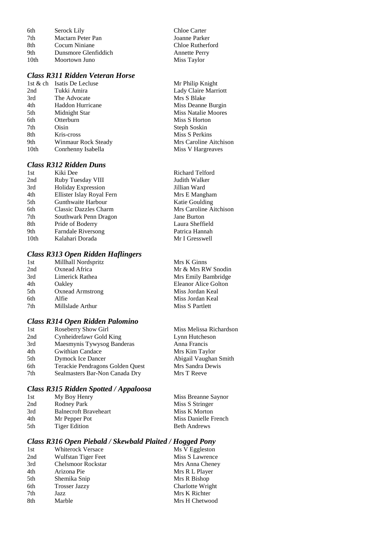| 6th  | Serock Lily          |
|------|----------------------|
| 7th  | Mactarn Peter Pan    |
| 8th  | Cocum Niniane        |
| 9th  | Dunsmore Glenfiddich |
| 10th | Moortown Juno        |

## *Class R311 Ridden Veteran Horse*

| 1st $\&$ ch      | Isatis De Lecluse   |
|------------------|---------------------|
| 2nd              | Tukki Amira         |
| 3rd              | The Advocate        |
| 4th              | Haddon Hurricane    |
| 5th              | Midnight Star       |
| 6th              | Otterburn           |
| 7th              | Oisin               |
| 8th              | Kris-cross          |
| 9th              | Winmaur Rock Steady |
| 10 <sub>th</sub> | Conrhenny Isabella  |

## *Class R312 Ridden Duns*

| 1st              | Kiki Dee                  |
|------------------|---------------------------|
| 2nd              | Ruby Tuesday VIII         |
| 3rd              | <b>Holiday Expression</b> |
| 4th              | Ellister Islay Royal Fern |
| 5th              | Gunthwaite Harbour        |
| 6th              | Classic Dazzles Charm     |
| 7th              | Southwark Penn Dragon     |
| 8th              | Pride of Boderry          |
| 9th              | Farndale Riversong        |
| 10 <sub>th</sub> | Kalahari Dorada           |

## *Class R313 Open Ridden Haflingers*

| 1st | Millhall Nordspritz     | Mrs K Ginns          |
|-----|-------------------------|----------------------|
| 2nd | Oxnead Africa           | Mr & Mrs RW Snodin   |
| 3rd | Limerick Rathea         | Mrs Emily Bambridge  |
| 4th | Oakley                  | Eleanor Alice Golton |
| 5th | <b>Oxnead Armstrong</b> | Miss Jordan Keal     |
| 6th | Alfie                   | Miss Jordan Keal     |
| 7th | Millslade Arthur        | Miss S Partlett      |
|     |                         |                      |

Chloe Carter Joanne Parker Chloe Rutherford Annette Perry Miss Taylor

Mr Philip Knight Lady Claire Marriott

Miss Deanne Burgin Miss Natalie Moores Miss S Horton Steph Soskin Miss S Perkins

Mrs Caroline Aitchison Miss V Hargreaves

Richard Telford Judith Walker Jillian Ward Mrs E Mangham Katie Goulding Mrs Caroline Aitchison

Jane Burton Laura Sheffield Patrica Hannah Mr I Gresswell

Miss Melissa Richardson Lynn Hutcheson Anna Francis Mrs Kim Taylor Abigail Vaughan Smith Mrs Sandra Dewis Mrs T Reeve

Mrs S Blake

#### *Class R314 Open Ridden Palomino*

| 1st | Roseberry Show Girl              |
|-----|----------------------------------|
| 2nd | Cynheidrefawr Gold King          |
| 3rd | Maesmynis Tywysog Banderas       |
| 4th | <b>Gwithian Candace</b>          |
| 5th | <b>Dymock Ice Dancer</b>         |
| 6th | Terackie Pendragons Golden Quest |
| 7th | Sealmasters Bar-Non Canada Dry   |
|     |                                  |

## *Class R315 Ridden Spotted / Appaloosa*

| 1st | My Boy Henry                 | Miss Breanne Saynor  |
|-----|------------------------------|----------------------|
| 2nd | Rodney Park                  | Miss S Stringer      |
| 3rd | <b>Balnecroft Braveheart</b> | Miss K Morton        |
| 4th | Mr Pepper Pot                | Miss Danielle French |
| 5th | <b>Tiger Edition</b>         | <b>Beth Andrews</b>  |

#### *Class R316 Open Piebald / Skewbald Plaited / Hogged Pony*

| 1st | <b>Whiterock Versace</b>  | Ms V Eggleston   |
|-----|---------------------------|------------------|
| 2nd | Wulfstan Tiger Feet       | Miss S Lawrence  |
| 3rd | <b>Chelsmoor Rockstar</b> | Mrs Anna Cheney  |
| 4th | Arizona Pie               | Mrs R L Player   |
| 5th | Shemika Snip              | Mrs R Bishop     |
| 6th | <b>Trosser Jazzy</b>      | Charlotte Wright |
| 7th | Jazz                      | Mrs K Richter    |
| 8th | Marble                    | Mrs H Chetwood   |
|     |                           |                  |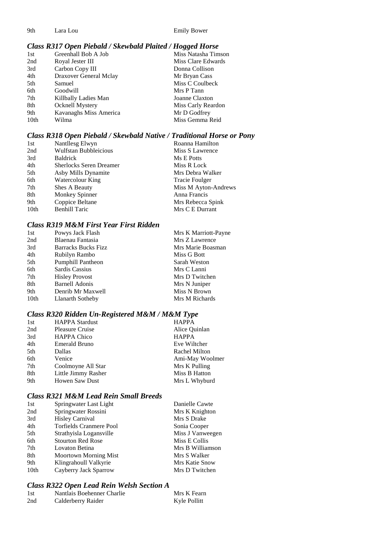9th Lara Lou Emily Bower

# *Class R317 Open Piebald / Skewbald Plaited / Hogged Horse*

| 1st              | Greenhall Bob A Job    | Miss Natasha Timson |
|------------------|------------------------|---------------------|
| 2nd              | Royal Jester III       | Miss Clare Edwards  |
| 3rd              | Carbon Copy III        | Donna Collison      |
| 4th              | Draxover General Mclay | Mr Bryan Cass       |
| 5th              | Samuel                 | Miss C Coulbeck     |
| 6th              | Goodwill               | Mrs P Tann          |
| 7th              | Killbally Ladies Man   | Joanne Claxton      |
| 8th              | Ocknell Mystery        | Miss Carly Reardon  |
| 9th              | Kavanaghs Miss America | Mr D Godfrey        |
| 10 <sub>th</sub> | Wilma                  | Miss Gemma Reid     |

## *Class R318 Open Piebald / Skewbald Native / Traditional Horse or Pony*

| 1st  | Nantllesg Elwyn                | Roanna Hamilton       |
|------|--------------------------------|-----------------------|
| 2nd  | <b>Wulfstan Bubbleicious</b>   | Miss S Lawrence       |
| 3rd  | <b>Baldrick</b>                | Ms E Potts            |
| 4th  | <b>Sherlocks Seren Dreamer</b> | Miss R Lock           |
| 5th  | Asby Mills Dynamite            | Mrs Debra Walker      |
| 6th  | Watercolour King               | <b>Tracie Foulger</b> |
| 7th  | Shes A Beauty                  | Miss M Ayton-Andrews  |
| 8th  | Monkey Spinner                 | Anna Francis          |
| 9th  | Coppice Beltane                | Mrs Rebecca Spink     |
| 10th | <b>Benhill Taric</b>           | Mrs C E Durrant       |
|      |                                |                       |

## *Class R319 M&M First Year First Ridden*

| Powys Jack Flash           | Mrs K Marriott-Payne |
|----------------------------|----------------------|
| Blaenau Fantasia           | Mrs Z Lawrence       |
| <b>Barracks Bucks Fizz</b> | Mrs Marie Boasman    |
| Rubilyn Rambo              | Miss G Bott          |
| Pumphill Pantheon          | Sarah Weston         |
| Sardis Cassius             | Mrs C Lanni          |
| <b>Hisley Provost</b>      | Mrs D Twitchen       |
| <b>Barnell Adonis</b>      | Mrs N Juniper        |
| Denrib Mr Maxwell          | Miss N Brown         |
| Llanarth Sotheby           | Mrs M Richards       |
|                            |                      |

# *Class R320 Ridden Un-Registered M&M / M&M Type*

| 1st | <b>HAPPA</b> Stardust  | <b>HAPPA</b>    |
|-----|------------------------|-----------------|
| 2nd | <b>Pleasure Cruise</b> | Alice Quinlan   |
| 3rd | HAPPA Chico            | <b>HAPPA</b>    |
| 4th | Emerald Bruno          | Eve Wiltcher    |
| 5th | Dallas                 | Rachel Milton   |
| 6th | Venice                 | Ami-May Woolmer |
| 7th | Coolmoyne All Star     | Mrs K Pulling   |
| 8th | Little Jimmy Rasher    | Miss B Hatton   |
| 9th | <b>Howen Saw Dust</b>  | Mrs L Whyburd   |

## *Class R321 M&M Lead Rein Small Breeds*

| 1st              | Springwater Last Light       | Danielle Cawte        |
|------------------|------------------------------|-----------------------|
| 2nd              | Springwater Rossini          | Mrs K Knighton        |
| 3rd              | <b>Hisley Carnival</b>       | Mrs S Drake           |
| 4th              | Torfields Cranmere Pool      | Sonia Cooper          |
| 5th              | Strathyisla Logansville      | Miss J Vanweegen      |
| 6th              | <b>Stourton Red Rose</b>     | Miss E Collis         |
| 7th              | Lovaton Betina               | Mrs B Williamson      |
| 8th              | <b>Moortown Morning Mist</b> | Mrs S Walker          |
| 9th              | Klingrahoull Valkyrie        | <b>Mrs Katie Snow</b> |
| 10 <sub>th</sub> | Cayberry Jack Sparrow        | Mrs D Twitchen        |
|                  |                              |                       |

# *Class R322 Open Lead Rein Welsh Section A*

| 1st | Nantlais Boehenner Charlie | Mrs K Fearn  |
|-----|----------------------------|--------------|
| 2nd | Calderberry Raider         | Kyle Pollitt |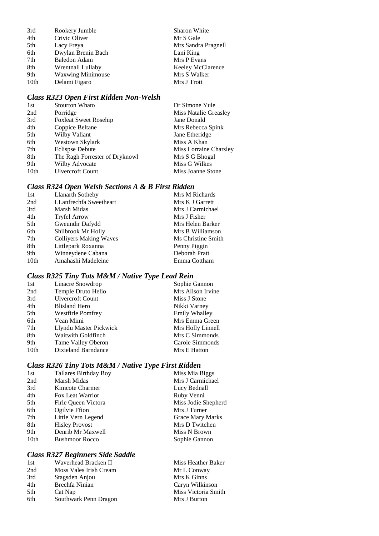| Rookery Jumble           | Sharon White        |
|--------------------------|---------------------|
| Crivic Oliver            | Mr S Gale           |
| Lacy Freya               | Mrs Sandra Pragnell |
| Dwylan Brenin Bach       | Lani King           |
| <b>Baledon Adam</b>      | Mrs P Evans         |
| Wrentnall Lullaby        | Keeley McClarence   |
| <b>Waxwing Minimouse</b> | Mrs S Walker        |
| Delami Figaro            | Mrs J Trott         |
|                          |                     |

#### *Class R323 Open First Ridden Non-Welsh*

| 1st  | <b>Stourton Whato</b>          | Dr Simone Yule         |
|------|--------------------------------|------------------------|
| 2nd  | Porridge                       | Miss Natalie Greasley  |
| 3rd  | <b>Foxleat Sweet Rosehip</b>   | Jane Donald            |
| 4th  | Coppice Beltane                | Mrs Rebecca Spink      |
| 5th  | Wilby Valiant                  | Jane Etheridge         |
| 6th  | Westown Skylark                | Miss A Khan            |
| 7th  | Eclispse Debute                | Miss Lorraine Charsley |
| 8th  | The Ragh Forrester of Dryknowl | Mrs S G Bhogal         |
| 9th  | Wilby Advocate                 | Miss G Wilkes          |
| 10th | <b>Ulvercroft Count</b>        | Miss Joanne Stone      |

# *Class R324 Open Welsh Sections A & B First Ridden*

| 1st              | <b>Llanarth Sotheby</b>       | Mrs M Richards     |
|------------------|-------------------------------|--------------------|
| 2nd              | LLanfrechfa Sweetheart        | Mrs K J Garrett    |
| 3rd              | Marsh Midas                   | Mrs J Carmichael   |
| 4th              | <b>Tryfel Arrow</b>           | Mrs J Fisher       |
| 5th              | Gweundir Dafydd               | Mrs Helen Barker   |
| 6th              | Shilbrook Mr Holly            | Mrs B Williamson   |
| 7th              | <b>Colliyers Making Waves</b> | Ms Christine Smith |
| 8th              | Littlepark Roxanna            | Penny Piggin       |
| 9th              | Winneydene Cabana             | Deborah Pratt      |
| 10 <sub>th</sub> | Amahashi Madeleine            | Emma Cottham       |
|                  |                               |                    |

# *Class R325 Tiny Tots M&M / Native Type Lead Rein*

| 1st              | Linacre Snowdrop         | Sophie Gannon     |
|------------------|--------------------------|-------------------|
| 2nd              | Temple Druto Helio       | Mrs Alison Irvine |
| 3rd              | <b>Ulvercroft Count</b>  | Miss J Stone      |
| 4th              | Blisland Hero            | Nikki Varney      |
| 5th              | <b>Westfirle Pomfrey</b> | Emily Whalley     |
| 6th              | Vean Mimi                | Mrs Emma Green    |
| 7th              | Llyndu Master Pickwick   | Mrs Holly Linnell |
| 8th              | Waitwith Goldfinch       | Mrs C Simmonds    |
| 9th              | Tame Valley Oberon       | Carole Simmonds   |
| 10 <sub>th</sub> | Dixieland Barndance      | Mrs E Hatton      |
|                  |                          |                   |

# *Class R326 Tiny Tots M&M / Native Type First Ridden*

| 1st  | Tallares Birthday Boy | Miss Mia Biggs      |
|------|-----------------------|---------------------|
| 2nd  | Marsh Midas           | Mrs J Carmichael    |
| 3rd  | Kimcote Charmer       | Lucy Bednall        |
| 4th  | Fox Leat Warrior      | Ruby Venni          |
| 5th  | Firle Oueen Victora   | Miss Jodie Shepherd |
| 6th  | Ogilvie Ffion         | Mrs J Turner        |
| 7th  | Little Vern Legend    | Grace Mary Marks    |
| 8th  | <b>Hisley Provost</b> | Mrs D Twitchen      |
| 9th  | Denrib Mr Maxwell     | Miss N Brown        |
| 10th | <b>Bushmoor Rocco</b> | Sophie Gannon       |
|      |                       |                     |

# *Class R327 Beginners Side Saddle*

| 1st | Waverhead Bracken II   | Miss Heather Baker  |
|-----|------------------------|---------------------|
| 2nd | Moss Vales Irish Cream | Mr L Conway         |
| 3rd | Stagsden Anjou         | Mrs K Ginns         |
| 4th | Brechfa Ninian         | Caryn Wilkinson     |
| 5th | Cat Nap                | Miss Victoria Smith |
| 6th | Southwark Penn Dragon  | Mrs J Burton        |
|     |                        |                     |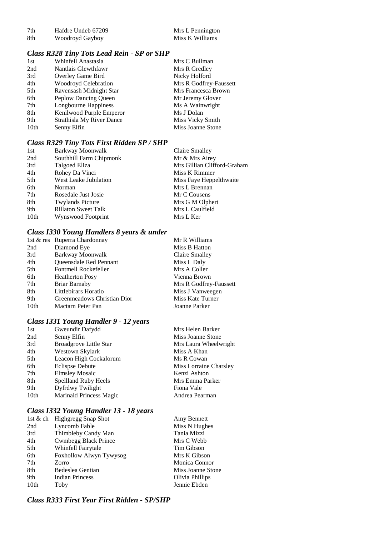| 7th  | Hafdre Undeb 67209 |
|------|--------------------|
| -8th | Woodroyd Gayboy    |

Mrs L Pennington<br>Miss K Williams

# *Class R328 Tiny Tots Lead Rein - SP or SHP*

| 1st  | Whinfell Anastasia               | Mrs C Bullman          |
|------|----------------------------------|------------------------|
| 2nd  | Nantlais Glewthfawr              | Mrs R Gredley          |
| 3rd  | Overley Game Bird                | Nicky Holford          |
| 4th  | Woodroyd Celebration             | Mrs R Godfrey-Faussett |
| 5th  | Ravensash Midnight Star          | Mrs Francesca Brown    |
| 6th  | Peplow Dancing Queen             | Mr Jeremy Glover       |
| 7th  | Longbourne Happiness             | Ms A Wainwright        |
| 8th  | Kenilwood Purple Emperor         | Ms J Dolan             |
| 9th  | <b>Strathisla My River Dance</b> | Miss Vicky Smith       |
| 10th | Senny Elfin                      | Miss Joanne Stone      |

# *Class R329 Tiny Tots First Ridden SP / SHP*

| 1st  | Barkway Moonwalk           | <b>Claire Smalley</b>       |
|------|----------------------------|-----------------------------|
| 2nd  | Southhill Farm Chipmonk    | Mr & Mrs Airey              |
| 3rd  | Talgoed Eliza              | Mrs Gillian Clifford-Graham |
| 4th  | Rohey Da Vinci             | Miss K Rimmer               |
| 5th  | West Leake Jubilation      | Miss Faye Heppelthwaite     |
| 6th  | Norman                     | Mrs L Brennan               |
| 7th  | Rosedale Just Josie        | Mr C Cousens                |
| 8th  | <b>Twylands Picture</b>    | Mrs G M Olphert             |
| 9th  | <b>Rillaton Sweet Talk</b> | Mrs L Caulfield             |
| 10th | Wynswood Footprint         | Mrs L Ker                   |

# *Class I330 Young Handlers 8 years & under*

|                  | 1st & res Ruperra Chardonnay | Mr R Williams          |
|------------------|------------------------------|------------------------|
| 2nd              | Diamond Eye                  | Miss B Hatton          |
| 3rd              | Barkway Moonwalk             | Claire Smalley         |
| 4th              | Queensdale Red Pennant       | Miss L Daly            |
| 5th              | Fontmell Rockefeller         | Mrs A Coller           |
| 6th              | <b>Heatherton Posy</b>       | Vienna Brown           |
| 7th              | Briar Barnaby                | Mrs R Godfrey-Faussett |
| 8th              | Littlebirars Horatio         | Miss J Vanweegen       |
| 9th              | Greenmeadows Christian Dior  | Miss Kate Turner       |
| 10 <sub>th</sub> | Mactarn Peter Pan            | Joanne Parker          |

# *Class I331 Young Handler 9 - 12 years*

| 1st  | Gweundir Dafydd                | Mrs Helen Barker       |
|------|--------------------------------|------------------------|
| 2nd  | Senny Elfin                    | Miss Joanne Stone      |
| 3rd  | <b>Broadgrove Little Star</b>  | Mrs Laura Wheelwright  |
| 4th  | Westown Skylark                | Miss A Khan            |
| 5th  | Leacon High Cockalorum         | Ms R Cowan             |
| 6th  | <b>Eclispse Debute</b>         | Miss Lorraine Charsley |
| 7th  | <b>Elmsley Mosaic</b>          | Kenzi Ashton           |
| 8th  | Spellland Ruby Heels           | Mrs Emma Parker        |
| 9th  | Dyfrdwy Twilight               | Fiona Vale             |
| 10th | <b>Marinald Princess Magic</b> | Andrea Pearman         |
|      |                                |                        |

# *Class I332 Young Handler 13 - 18 years*

|                  | 1st & ch Highgregg Snap Shot | Amy Bennett       |
|------------------|------------------------------|-------------------|
| 2nd              | Lyncomb Fable                | Miss N Hughes     |
| 3rd              | Thimbleby Candy Man          | Tania Mizzi       |
| 4th              | <b>Cwmbegg Black Prince</b>  | Mrs C Webb        |
| 5th              | Whinfell Fairytale           | Tim Gibson        |
| 6th              | Foxhollow Alwyn Tywysog      | Mrs K Gibson      |
| 7th              | Zorro                        | Monica Connor     |
| 8th              | Bedeslea Gentian             | Miss Joanne Stone |
| 9th              | <b>Indian Princess</b>       | Olivia Phillips   |
| 10 <sub>th</sub> | Toby                         | Jennie Ebden      |

*Class R333 First Year First Ridden - SP/SHP*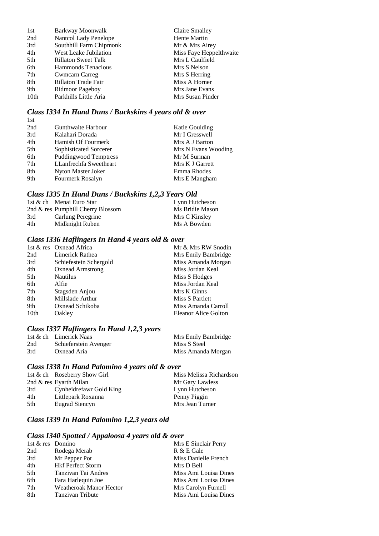| 1st              | Barkway Moonwalk        | Claire Smalley          |
|------------------|-------------------------|-------------------------|
| 2nd              | Nantcol Lady Penelope   | Hente Martin            |
| 3rd              | Southhill Farm Chipmonk | Mr & Mrs Airey          |
| 4th              | West Leake Jubilation   | Miss Faye Heppelthwaite |
| 5th              | Rillaton Sweet Talk     | Mrs L Caulfield         |
| 6th              | Hammonds Tenacious      | Mrs S Nelson            |
| 7th              | <b>Cwmcarn Carreg</b>   | Mrs S Herring           |
| 8th              | Rillaton Trade Fair     | Miss A Horner           |
| 9th              | Ridmoor Pageboy         | Mrs Jane Evans          |
| 10 <sub>th</sub> | Parkhills Little Aria   | Mrs Susan Pinder        |

# *Class I334 In Hand Duns / Buckskins 4 years old & over*

| 1st |                              |                     |
|-----|------------------------------|---------------------|
| 2nd | Gunthwaite Harbour           | Katie Goulding      |
| 3rd | Kalahari Dorada              | Mr I Gresswell      |
| 4th | Hamish Of Fourmerk           | Mrs A J Barton      |
| 5th | Sophisticated Sorcerer       | Mrs N Evans Wooding |
| 6th | <b>Puddingwood Temptress</b> | Mr M Surman         |
| 7th | LLanfrechfa Sweetheart       | Mrs K J Garrett     |
| 8th | Nyton Master Joker           | Emma Rhodes         |
| 9th | Fourmerk Rosalyn             | Mrs E Mangham       |

# *Class I335 In Hand Duns / Buckskins 1,2,3 Years Old*

|     | 1st & ch Menai Euro Star          | Lynn Hutcheson  |
|-----|-----------------------------------|-----------------|
|     | 2nd & res Pumphill Cherry Blossom | Ms Bridie Mason |
| 3rd | Carlung Peregrine                 | Mrs C Kinsley   |
| 4th | Midknight Ruben                   | Ms A Bowden     |

### *Class I336 Haflingers In Hand 4 years old & over*

|      | 1st & res Oxnead Africa | Mr & Mrs RW Snodin   |
|------|-------------------------|----------------------|
| 2nd  | Limerick Rathea         | Mrs Emily Bambridge  |
| 3rd  | Schiefestein Schergold  | Miss Amanda Morgan   |
| 4th  | <b>Oxnead Armstrong</b> | Miss Jordan Keal     |
| 5th  | <b>Nautilus</b>         | Miss S Hodges        |
| 6th  | Alfie                   | Miss Jordan Keal     |
| 7th  | Stagsden Anjou          | Mrs K Ginns          |
| 8th  | Millslade Arthur        | Miss S Partlett      |
| 9th  | Oxnead Schikoba         | Miss Amanda Carroll  |
| 10th | Oakley                  | Eleanor Alice Golton |

# *Class I337 Haflingers In Hand 1,2,3 years*

|     | 1st & ch Limerick Naas | Mrs Emily Bambridge |
|-----|------------------------|---------------------|
| 2nd | Schieferstein Avenger  | Miss S Steel        |
| 3rd | Oxnead Aria            | Miss Amanda Morgan  |

# *Class I338 In Hand Palomino 4 years old & over*

|     | 1st & ch Roseberry Show Girl | Miss Melissa Richardson |
|-----|------------------------------|-------------------------|
|     | 2nd & res Eyarth Milan       | Mr Gary Lawless         |
| 3rd | Cynheidrefawr Gold King      | Lynn Hutcheson          |
| 4th | Littlepark Roxanna           | Penny Piggin            |
| 5th | Eugrad Siencyn               | Mrs Jean Turner         |

# *Class I339 In Hand Palomino 1,2,3 years old*

## *Class I340 Spotted / Appaloosa 4 years old & over*

| 1st & res Domino |                                | Mrs E Sinclair Perry  |
|------------------|--------------------------------|-----------------------|
| 2nd              | Rodega Merab                   | R & E Gale            |
| 3rd              | Mr Pepper Pot                  | Miss Danielle French  |
| 4th              | <b>Hkf Perfect Storm</b>       | Mrs D Bell            |
| 5th              | Tanzivan Tai Andres            | Miss Ami Louisa Dines |
| 6th              | Fara Harlequin Joe             | Miss Ami Louisa Dines |
| 7th              | <b>Weatheroak Manor Hector</b> | Mrs Carolyn Furnell   |
| 8th              | <b>Tanzivan Tribute</b>        | Miss Ami Louisa Dines |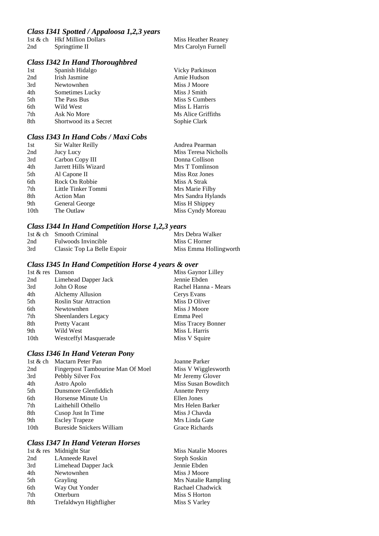#### *Class I341 Spotted / Appaloosa 1,2,3 years*

|     | 1st & ch Hkf Million Dollars | Miss Heather Reaney |
|-----|------------------------------|---------------------|
| 2nd | Springtime II                | Mrs Carolyn Furnell |

# *Class I342 In Hand Thoroughbred*

| 1st | Spanish Hidalgo        | <b>Vicky Parkinson</b> |
|-----|------------------------|------------------------|
| 2nd | Irish Jasmine          | Amie Hudson            |
| 3rd | Newtownhen             | Miss J Moore           |
| 4th | Sometimes Lucky        | Miss J Smith           |
| 5th | The Pass Bus           | Miss S Cumbers         |
| 6th | Wild West              | Miss L Harris          |
| 7th | Ask No More            | Ms Alice Griffiths     |
| 8th | Shortwood its a Secret | Sophie Clark           |

# *Class I343 In Hand Cobs / Maxi Cobs*

| 1st  | Sir Walter Reilly    | Andrea Pearman       |
|------|----------------------|----------------------|
| 2nd  | Jucy Lucy            | Miss Teresa Nicholls |
| 3rd  | Carbon Copy III      | Donna Collison       |
| 4th  | Jarrett Hills Wizard | Mrs T Tomlinson      |
| 5th  | Al Capone II         | Miss Roz Jones       |
| 6th  | Rock On Robbie       | Miss A Strak         |
| 7th  | Little Tinker Tommi  | Mrs Marie Filby      |
| 8th  | <b>Action Man</b>    | Mrs Sandra Hylands   |
| 9th  | General George       | Miss H Shippey       |
| 10th | The Outlaw           | Miss Cyndy Moreau    |

#### *Class I344 In Hand Competition Horse 1,2,3 years*

|     | 1st & ch Smooth Criminal    | Mrs Debra Walker       |
|-----|-----------------------------|------------------------|
| 2nd | Fulwoods Invincible         | Miss C Horner          |
| 3rd | Classic Top La Belle Espoir | Miss Emma Hollingworth |

# *Class I345 In Hand Competition Horse 4 years & over*

| 1st & res Danson |                               | Miss Gaynor Lilley   |
|------------------|-------------------------------|----------------------|
| 2nd              | Limehead Dapper Jack          | Jennie Ebden         |
| 3rd              | John O Rose                   | Rachel Hanna - Mears |
| 4th              | Alchemy Allusion              | Cerys Evans          |
| 5th              | <b>Roslin Star Attraction</b> | Miss D Oliver        |
| 6th              | Newtownhen                    | Miss J Moore         |
| 7th              | Sheenlanders Legacy           | Emma Peel            |
| 8th              | <b>Pretty Vacant</b>          | Miss Tracey Bonner   |
| 9th              | Wild West                     | Miss L Harris        |
| 10 <sub>th</sub> | <b>Westceffyl Masquerade</b>  | Miss V Squire        |

# *Class I346 In Hand Veteran Pony*

| 1st & ch         | Mactarn Peter Pan                 | Joanne Parker        |
|------------------|-----------------------------------|----------------------|
| 2nd              | Fingerpost Tambourine Man Of Moel | Miss V Wigglesworth  |
| 3rd              | Pebbly Silver Fox                 | Mr Jeremy Glover     |
| 4th              | Astro Apolo                       | Miss Susan Bowditch  |
| 5th              | Dunsmore Glenfiddich              | <b>Annette Perry</b> |
| 6th              | Horsense Minute Un                | Ellen Jones          |
| 7th              | Laithehill Othello                | Mrs Helen Barker     |
| 8th              | Cusop Just In Time                | Miss J Chavda        |
| 9th              | <b>Escley Trapeze</b>             | Mrs Linda Gate       |
| 10 <sub>th</sub> | Bureside Snickers William         | Grace Richards       |
|                  |                                   |                      |

# *Class I347 In Hand Veteran Horses*

|     | 1st & res Midnight Star | <b>Miss Natalie Moores</b> |
|-----|-------------------------|----------------------------|
| 2nd | <b>LAnneede Ravel</b>   | Steph Soskin               |
| 3rd | Limehead Dapper Jack    | Jennie Ebden               |
| 4th | Newtownhen              | Miss J Moore               |
| 5th | <b>Grayling</b>         | Mrs Natalie Rampling       |
| 6th | Way Out Yonder          | Rachael Chadwick           |
| 7th | Otterburn               | Miss S Horton              |
| 8th | Trefaldwyn Highfligher  | Miss S Varley              |
|     |                         |                            |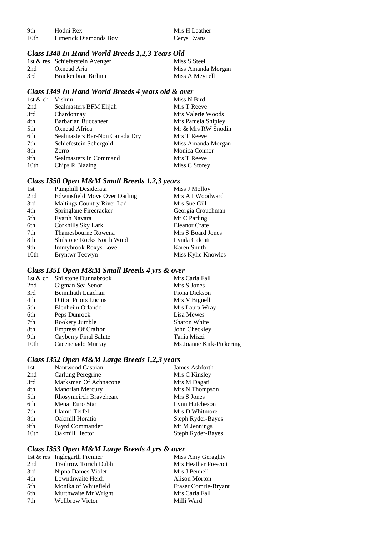| 9th              | Hodni Rex             | Mrs H Leather |
|------------------|-----------------------|---------------|
| 10 <sub>th</sub> | Limerick Diamonds Boy | Cerys Evans   |

# *Class I348 In Hand World Breeds 1,2,3 Years Old*

|     | 1st & res Schieferstein Avenger | Miss S Steel       |
|-----|---------------------------------|--------------------|
| 2nd | Oxnead Aria                     | Miss Amanda Morgan |
| 3rd | Brackenbrae Birlinn             | Miss A Meynell     |

#### *Class I349 In Hand World Breeds 4 years old & over*

| 1st $&$ ch | Vishnu                         | Miss N Bird        |
|------------|--------------------------------|--------------------|
| 2nd        | Sealmasters BFM Elijah         | Mrs T Reeve        |
| 3rd        | Chardonnay                     | Mrs Valerie Woods  |
| 4th        | Barbarian Buccaneer            | Mrs Pamela Shipley |
| 5th        | Oxnead Africa                  | Mr & Mrs RW Snodin |
| 6th        | Sealmasters Bar-Non Canada Dry | Mrs T Reeve        |
| 7th        | Schiefestein Schergold         | Miss Amanda Morgan |
| 8th        | Zorro                          | Monica Connor      |
| 9th        | Sealmasters In Command         | Mrs T Reeve        |
| 10th       | Chips R Blazing                | Miss C Storey      |

#### *Class I350 Open M&M Small Breeds 1,2,3 years*

| Pumphill Desiderata                  | Miss J Molloy        |
|--------------------------------------|----------------------|
| <b>Edwinsfield Move Over Darling</b> | Mrs A I Woodward     |
| Maltings Country River Lad           | Mrs Sue Gill         |
| Springlane Firecracker               | Georgia Crouchman    |
| Eyarth Navara                        | Mr C Parling         |
| Corkhills Sky Lark                   | <b>Eleanor Crate</b> |
| Thamesbourne Rowena                  | Mrs S Board Jones    |
| <b>Shilstone Rocks North Wind</b>    | Lynda Calcutt        |
| Immybrook Roxys Love                 | Karen Smith          |
| <b>Bryntwr</b> Tecwyn                | Miss Kylie Knowles   |
|                                      |                      |

# *Class I351 Open M&M Small Breeds 4 yrs & over*

|      | 1st & ch Shilstone Dunnabrook | Mrs Carla Fall           |
|------|-------------------------------|--------------------------|
| 2nd  | Gigman Sea Senor              | Mrs S Jones              |
| 3rd  | Beinnliath Luachair           | Fiona Dickson            |
| 4th  | <b>Ditton Priors Lucius</b>   | Mrs V Bignell            |
| 5th  | Blenheim Orlando              | Mrs Laura Wray           |
| 6th  | Peps Dunrock                  | Lisa Mewes               |
| 7th  | Rookery Jumble                | Sharon White             |
| 8th  | <b>Empress Of Crafton</b>     | John Checkley            |
| 9th  | Cayberry Final Salute         | Tania Mizzi              |
| 10th | Caeenenado Murray             | Ms Joanne Kirk-Pickering |

# *Class I352 Open M&M Large Breeds 1,2,3 years*

| 1st  | Nantwood Caspian        | James Ashforth    |
|------|-------------------------|-------------------|
| 2nd  | Carlung Peregrine       | Mrs C Kinsley     |
| 3rd  | Marksman Of Achnacone   | Mrs M Dagati      |
| 4th  | <b>Manorian Mercury</b> | Mrs N Thompson    |
| 5th  | Rhosymeirch Braveheart  | Mrs S Jones       |
| 6th  | Menai Euro Star         | Lynn Hutcheson    |
| 7th  | Llamri Terfel           | Mrs D Whitmore    |
| 8th  | Oakmill Horatio         | Steph Ryder-Bayes |
| 9th  | Fayrd Commander         | Mr M Jennings     |
| 10th | Oakmill Hector          | Steph Ryder-Bayes |
|      |                         |                   |

## *Class I353 Open M&M Large Breeds 4 yrs & over*

| Miss Amy Geraghty           |
|-----------------------------|
| <b>Mrs Heather Prescott</b> |
|                             |
|                             |
| Fraser Comrie-Bryant        |
|                             |
|                             |
|                             |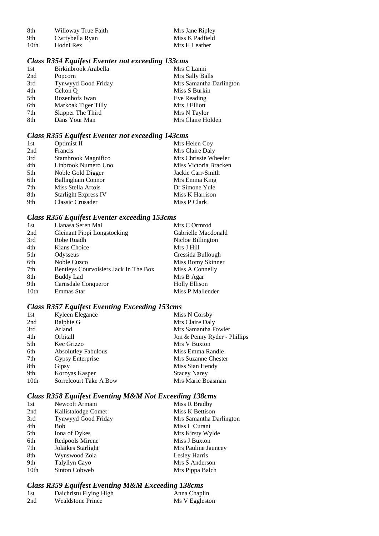| -8th | Willoway True Faith | Mrs Jane Ripley |
|------|---------------------|-----------------|
| -9th | Cwrtybella Ryan     | Miss K Padfield |
| 10th | Hodni Rex           | Mrs H Leather   |

## *Class R354 Equifest Eventer not exceeding 133cms*

| 1st | Birkinbrook Arabella | Mrs C Lanni             |
|-----|----------------------|-------------------------|
| 2nd | Popcorn              | Mrs Sally Balls         |
| 3rd | Tynwyyd Good Friday  | Mrs Samantha Darlington |
| 4th | Celton Q             | Miss S Burkin           |
| 5th | Rozenhofs Iwan       | Eve Reading             |
| 6th | Markoak Tiger Tilly  | Mrs J Elliott           |
| 7th | Skipper The Third    | Mrs N Taylor            |
| 8th | Dans Your Man        | Mrs Claire Holden       |
|     |                      |                         |

## *Class R355 Equifest Eventer not exceeding 143cms*

|                             | Mrs Helen Coy         |
|-----------------------------|-----------------------|
| Francis                     | Mrs Claire Daly       |
| Stambrook Magnifico         | Mrs Chrissie Wheeler  |
| Linbrook Numero Uno         | Miss Victoria Bracken |
| Noble Gold Digger           | Jackie Carr-Smith     |
| <b>Ballingham Connor</b>    | Mrs Emma King         |
| Miss Stella Artois          | Dr Simone Yule        |
| <b>Starlight Express IV</b> | Miss K Harrison       |
| Classic Crusader            | Miss P Clark          |
|                             | Optimist II           |

# *Class R356 Equifest Eventer exceeding 153cms*

| 1st  | Llanasa Seren Mai                     | Mrs C Ormrod         |
|------|---------------------------------------|----------------------|
| 2nd  | <b>Gleinant Pippi Longstocking</b>    | Gabrielle Macdonald  |
| 3rd  | Robe Ruadh                            | Nicloe Billington    |
| 4th  | Kians Choice                          | Mrs J Hill           |
| 5th  | Odysseus                              | Cressida Bullough    |
| 6th  | Noble Cuzco                           | Miss Romy Skinner    |
| 7th  | Bentleys Courvoisiers Jack In The Box | Miss A Connelly      |
| 8th  | Buddy Lad                             | Mrs B Agar           |
| 9th  | Carnsdale Conqueror                   | <b>Holly Ellison</b> |
| 10th | Emmas Star                            | Miss P Mallender     |
|      |                                       |                      |

# *Class R357 Equifest Eventing Exceeding 153cms*

| 1st              | Kyleen Elegance            | Miss N Corsby                |
|------------------|----------------------------|------------------------------|
| 2nd              | Ralphie G                  | Mrs Claire Daly              |
| 3rd              | Arland                     | Mrs Samantha Fowler          |
| 4th              | <i><b>Orbitall</b></i>     | Jon & Penny Ryder - Phillips |
| 5th              | Kec Grizzo                 | Mrs V Buxton                 |
| 6th              | <b>Absolutley Fabulous</b> | Miss Emma Randle             |
| 7th              | Gypsy Enterprise           | Mrs Suzanne Chester          |
| 8th              | Gipsy                      | Miss Sian Hendy              |
| 9th              | Koroyas Kasper             | <b>Stacey Narey</b>          |
| 10 <sub>th</sub> | Sorrelcourt Take A Bow     | Mrs Marie Boasman            |
|                  |                            |                              |

# *Class R358 Equifest Eventing M&M Not Exceeding 138cms*

| 1st  | Newcott Armani      | Miss R Bradby           |
|------|---------------------|-------------------------|
| 2nd  | Kallistalodge Comet | Miss K Bettison         |
| 3rd  | Tynwyyd Good Friday | Mrs Samantha Darlington |
| 4th  | Bob                 | Miss L Curant           |
| 5th  | Iona of Dykes       | Mrs Kirsty Wylde        |
| 6th  | Redpools Mirene     | Miss J Buxton           |
| 7th  | Jolaikes Starlight  | Mrs Pauline Jauncey     |
| 8th  | Wynswood Zola       | Lesley Harris           |
| 9th  | Talyllyn Cayo       | Mrs S Anderson          |
| 10th | Sinton Cobweb       | Mrs Pippa Balch         |
|      |                     |                         |

# *Class R359 Equifest Eventing M&M Exceeding 138cms*

| 1st | Daichristu Flying High   | Anna Chaplin   |
|-----|--------------------------|----------------|
| 2nd | <b>Wealdstone Prince</b> | Ms V Eggleston |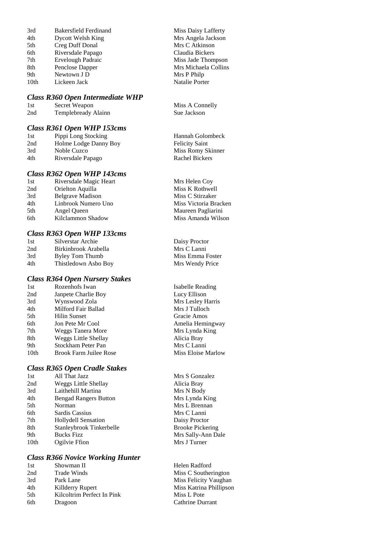| 3rd              | <b>Bakersfield Ferdinand</b> |
|------------------|------------------------------|
| 4th              | Dycott Welsh King            |
| 5th              | Creg Duff Donal              |
| 6th              | Riversdale Papago            |
| 7th              | Ervelough Padraic            |
| 8th              | Penclose Dapper              |
| 9th              | Newtown J D                  |
| 10 <sub>th</sub> | Lickeen Jack                 |
|                  |                              |

#### *Class R360 Open Intermediate WHP*

| 1st | Secret Weapon       |
|-----|---------------------|
| 2nd | Templebready Alainn |

#### *Class R361 Open WHP 153cms*

| 1st | Pippi Long Stocking   | Hannah Golombeck      |
|-----|-----------------------|-----------------------|
| 2nd | Holme Lodge Danny Boy | <b>Felicity Saint</b> |
| 3rd | Noble Cuzco           | Miss Romy Skinner     |
| 4th | Riversdale Papago     | Rachel Bickers        |
|     |                       |                       |

## *Class R362 Open WHP 143cms*

| 1st | Riversdale Magic Heart  |
|-----|-------------------------|
| 2nd | Orielton Aquilla        |
| 3rd | <b>Belgrave Madison</b> |
| 4th | Linbrook Numero Uno     |
| 5th | Angel Queen             |
| 6th | Kilclammon Shadow       |

# *Class R363 Open WHP 133cms*

1915 Silverstar Archie Daisy Proctor<br>1915 Birkinbrook Arabella<br>1915 Mrs C Lanni 2nd Birkinbrook Arabella 3rd Byley Tom Thumb Miss Emma Foster 4th Thistledown Asbo Boy Mrs Wendy Price

#### *Class R364 Open Nursery Stakes*

| 1st  | Rozenhofs Iwan                |
|------|-------------------------------|
| 2nd  | Janpete Charlie Boy           |
| 3rd  | Wynswood Zola                 |
| 4th  | Milford Fair Ballad           |
| 5th  | Hilin Sunset                  |
| 6th  | Jon Pete Mr Cool              |
| 7th  | Weggs Tanera More             |
| 8th  | <b>Weggs Little Shellay</b>   |
| 9th  | Stockham Peter Pan            |
| 10th | <b>Brook Farm Juilee Rose</b> |

#### *Class R365 Open Cradle Stakes*

| 1st              | All That Jazz                |
|------------------|------------------------------|
| 2nd              | Weggs Little Shellay         |
| 3rd              | Laithehill Martina           |
| 4th              | <b>Bengad Rangers Button</b> |
| 5th              | Norman                       |
| 6th              | Sardis Cassius               |
| 7th              | <b>Hollydell Sensation</b>   |
| 8th              | Stanleybrook Tinkerbelle     |
| 9th              | <b>Bucks Fizz</b>            |
| 10 <sub>th</sub> | Ogilvie Ffion                |

#### *Class R366 Novice Working Hunter*

| 1st  | Showman II                 | Helen Radfo  |
|------|----------------------------|--------------|
| 2nd  | <b>Trade Winds</b>         | Miss C Sout  |
| 3rd  | Park Lane                  | Miss Felicit |
| 4th  | Killderry Rupert           | Miss Katrin  |
| .5th | Kilcoltrim Perfect In Pink | Miss L Pote  |
| 6th  | Dragoon                    | Cathrine Du  |
|      |                            |              |

Miss Daisy Lafferty Mrs Angela Jackson Mrs C Atkinson Claudia Bickers Miss Jade Thompson Mrs Michaela Collins Mrs P Philp Natalie Porter

Miss A Connelly Sue Jackson

Mrs Helen Coy Miss K Rothwell Miss C Stirzaker Miss Victoria Bracken Maureen Pagliarini Miss Amanda Wilson

Isabelle Reading Lucy Ellison Mrs Lesley Harris Mrs J Tulloch Gracie Amos Amelia Hemingway Mrs Lynda King Alicia Bray Mrs C Lanni Miss Eloise Marlow

Mrs S Gonzalez Alicia Bray Mrs N Body Mrs Lynda King Mrs L Brennan Mrs C Lanni Daisy Proctor Brooke Pickering Mrs Sally-Ann Dale Mrs J Turner

Radford C Southerington Felicity Vaughan Katrina Phillipson ine Durrant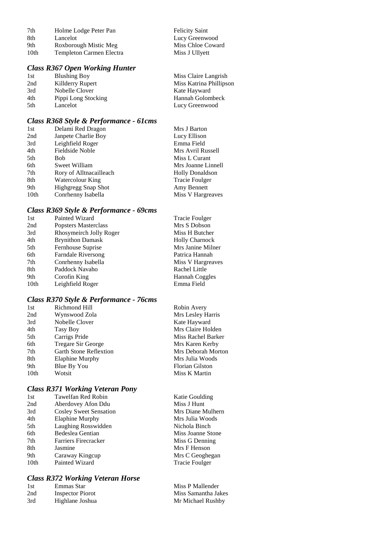| 7th  | Holme Lodge Peter Pan           | <b>Felicity Saint</b> |
|------|---------------------------------|-----------------------|
| 8th  | Lancelot                        | Lucy Greenwood        |
| 9th  | Roxborough Mistic Meg           | Miss Chloe Coward     |
| 10th | <b>Templeton Carmen Electra</b> | Miss J Ullyett        |

# *Class R367 Open Working Hunter*

| 1st | <b>Blushing Boy</b> | Miss Claire Langrish    |
|-----|---------------------|-------------------------|
| 2nd | Killderry Rupert    | Miss Katrina Phillipson |
| 3rd | Nobelle Clover      | Kate Hayward            |
| 4th | Pippi Long Stocking | Hannah Golombeck        |
| 5th | Lancelot            | Lucy Greenwood          |

# *Class R368 Style & Performance - 61cms*

| 1st              | Delami Red Dragon          | Mrs J Barton           |
|------------------|----------------------------|------------------------|
| 2nd              | Janpete Charlie Boy        | Lucy Ellison           |
| 3rd              | Leighfield Roger           | Emma Field             |
| 4th              | Fieldside Noble            | Mrs Avril Russell      |
| 5th              | <b>Bob</b>                 | Miss L Curant          |
| 6th              | Sweet William              | Mrs Joanne Linnell     |
| 7th              | Rory of Alltnacailleach    | <b>Holly Donaldson</b> |
| 8th              | Watercolour King           | <b>Tracie Foulger</b>  |
| 9th              | <b>Highgregg Snap Shot</b> | Amy Bennett            |
| 10 <sub>th</sub> | Conrhenny Isabella         | Miss V Hargreaves      |

# *Class R369 Style & Performance - 69cms*

| Painted Wizard            | <b>Tracie Foulger</b> |
|---------------------------|-----------------------|
| Popsters Masterclass      | Mrs S Dobson          |
| Rhosymeirch Jolly Roger   | Miss H Butcher        |
| <b>Brynithon Damask</b>   | <b>Holly Charnock</b> |
| Fernhouse Suprise         | Mrs Janine Milner     |
| <b>Farndale Riversong</b> | Patrica Hannah        |
| Conrhenny Isabella        | Miss V Hargreaves     |
| Paddock Navaho            | Rachel Little         |
| Corofin King              | Hannah Coggles        |
| Leighfield Roger          | Emma Field            |
|                           |                       |

# *Class R370 Style & Performance - 76cms*

| 1st  | Richmond Hill                 | Robin Avery        |
|------|-------------------------------|--------------------|
| 2nd  | Wynswood Zola                 | Mrs Lesley Harris  |
| 3rd  | Nobelle Clover                | Kate Hayward       |
| 4th  | Tasy Boy                      | Mrs Claire Holden  |
| 5th  | Carrigs Pride                 | Miss Rachel Barker |
| 6th  | Tregare Sir George            | Mrs Karen Kerby    |
| 7th  | <b>Garth Stone Reflextion</b> | Mrs Deborah Morton |
| 8th  | Elaphine Murphy               | Mrs Julia Woods    |
| 9th  | Blue By You                   | Florian Gilston    |
| 10th | Wotsit                        | Miss K Martin      |
|      |                               |                    |

# *Class R371 Working Veteran Pony*

| 1st  | Tawelfan Red Robin            | Katie Goulding        |
|------|-------------------------------|-----------------------|
| 2nd  | Aberdovey Afon Ddu            | Miss J Hunt           |
| 3rd  | <b>Cosley Sweet Sensation</b> | Mrs Diane Mulhern     |
| 4th  | Elaphine Murphy               | Mrs Julia Woods       |
| 5th  | Laughing Rosswidden           | Nichola Binch         |
| 6th  | Bedeslea Gentian              | Miss Joanne Stone     |
| 7th  | Farriers Firecracker          | Miss G Denning        |
| 8th  | Jasmine                       | Mrs F Henson          |
| 9th  | Caraway Kingcup               | Mrs C Geoghegan       |
| 10th | Painted Wizard                | <b>Tracie Foulger</b> |
|      |                               |                       |

# *Class R372 Working Veteran Horse*

| 1st | Emmas Star              | Miss P Mallender    |
|-----|-------------------------|---------------------|
| 2nd | <b>Inspector Piorot</b> | Miss Samantha Jakes |
| 3rd | Highlane Joshua         | Mr Michael Rushby   |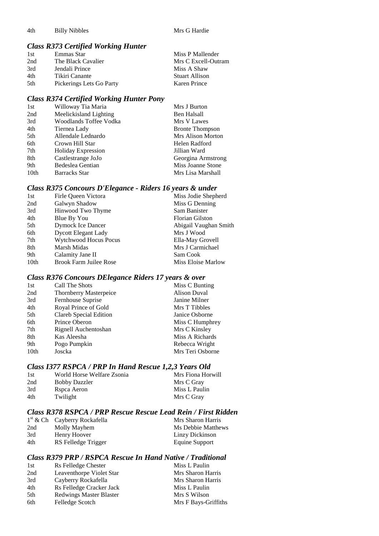4th Billy Nibbles Mrs G Hardie

# *Class R373 Certified Working Hunter*

| 1st  | Emmas Star               | Miss P Mallender      |
|------|--------------------------|-----------------------|
| 2nd  | The Black Cavalier       | Mrs C Excell-Outram   |
| 3rd  | Jendali Prince           | Miss A Shaw           |
| 4th  | Tikiri Canante           | <b>Stuart Allison</b> |
| .5th | Pickerings Lets Go Party | Karen Prince          |

# *Class R374 Certified Working Hunter Pony*

| 1st              | Willoway Tia Maria        | Mrs J Burton           |
|------------------|---------------------------|------------------------|
| 2nd              | Meelickisland Lighting    | Ben Halsall            |
| 3rd              | Woodlands Toffee Vodka    | Mrs V Lawes            |
| 4th              | Tiernea Lady              | <b>Bronte Thompson</b> |
| 5th              | Allendale Lednardo        | Mrs Alison Morton      |
| 6th              | Crown Hill Star           | Helen Radford          |
| 7th              | <b>Holiday Expression</b> | Jillian Ward           |
| 8th              | Castlestrange JoJo        | Georgina Armstrong     |
| 9th              | Bedeslea Gentian          | Miss Joanne Stone      |
| 10 <sub>th</sub> | <b>Barracks Star</b>      | Mrs Lisa Marshall      |

# *Class R375 Concours D'Elegance - Riders 16 years & under*

| 1st  | Firle Queen Victora           | Miss Jodie Shepherd   |
|------|-------------------------------|-----------------------|
| 2nd  | Galwyn Shadow                 | Miss G Denning        |
| 3rd  | Hinwood Two Thyme             | Sam Banister          |
| 4th  | Blue By You                   | Florian Gilston       |
| 5th  | <b>Dymock Ice Dancer</b>      | Abigail Vaughan Smith |
| 6th  | <b>Dycott Elegant Lady</b>    | Mrs J Wood            |
| 7th  | <b>Wytchwood Hocus Pocus</b>  | Ella-May Grovell      |
| 8th  | Marsh Midas                   | Mrs J Carmichael      |
| 9th  | Calamity Jane II              | Sam Cook              |
| 10th | <b>Brook Farm Juilee Rose</b> | Miss Eloise Marlow    |
|      |                               |                       |

#### *Class R376 Concours DElegance Riders 17 years & over*

| 1st              | Call The Shots                | Miss C Bunting   |
|------------------|-------------------------------|------------------|
| 2nd              | <b>Thornberry Masterpeice</b> | Alison Duval     |
| 3rd              | Fernhouse Suprise             | Janine Milner    |
| 4th              | Royal Prince of Gold          | Mrs T Tibbles    |
| 5th              | Clareb Special Edition        | Janice Osborne   |
| 6th              | Prince Oberon                 | Miss C Humphrey  |
| 7th              | Rignell Auchentoshan          | Mrs C Kinsley    |
| 8th              | Kas Aleesha                   | Miss A Richards  |
| 9th              | Pogo Pumpkin                  | Rebecca Wright   |
| 10 <sub>th</sub> | Joscka                        | Mrs Teri Osborne |

# *Class I377 RSPCA / PRP In Hand Rescue 1,2,3 Years Old*

| 1st | World Horse Welfare Zsonia | Mrs Fiona Horwill |
|-----|----------------------------|-------------------|
| 2nd | <b>Bobby Dazzler</b>       | Mrs C Gray        |
| 3rd | Rspca Aeron                | Miss L Paulin     |
| 4th | Twilight                   | Mrs C Gray        |

# *Class R378 RSPCA / PRP Rescue Rescue Lead Rein / First Ridden*

|     | $1st$ & Ch Cayberry Rockafella | Mrs Sharon Harris  |
|-----|--------------------------------|--------------------|
| 2nd | Molly Mayhem                   | Ms Debbie Matthews |
| 3rd | Henry Hoover                   | Linzy Dickinson    |
| 4th | RS Felledge Trigger            | Equine Support     |

#### *Class R379 PRP / RSPCA Rescue In Hand Native / Traditional*

| 1st | Rs Felledge Chester            | Miss L Paulin        |
|-----|--------------------------------|----------------------|
| 2nd | Leaventhorpe Violet Star       | Mrs Sharon Harris    |
| 3rd | Cayberry Rockafella            | Mrs Sharon Harris    |
| 4th | Rs Felledge Cracker Jack       | Miss L Paulin        |
| 5th | <b>Redwings Master Blaster</b> | Mrs S Wilson         |
| 6th | Felledge Scotch                | Mrs F Bays-Griffiths |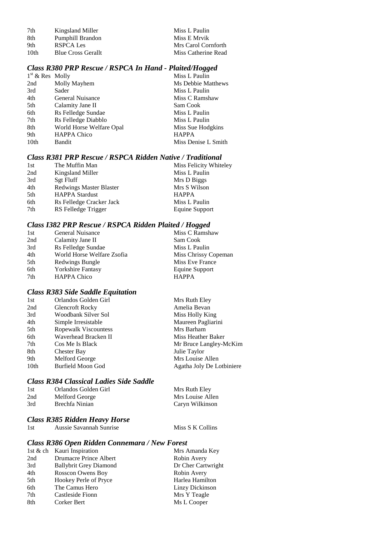| 7th  | Kingsland Miller          | Miss L Paulin       |
|------|---------------------------|---------------------|
| -8th | Pumphill Brandon          | Miss E Mrvik        |
| 9th  | RSPCA Les                 | Mrs Carol Cornforth |
| 10th | <b>Blue Cross Gerallt</b> | Miss Catherine Read |

#### *Class R380 PRP Rescue / RSPCA In Hand - Plaited/Hogged*

| $1st$ & Res Molly |                          | Miss L Paulin       |
|-------------------|--------------------------|---------------------|
| 2nd               | Molly Mayhem             | Ms Debbie Matthews  |
| 3rd               | Sader                    | Miss L Paulin       |
| 4th               | General Nuisance         | Miss C Ramshaw      |
| 5th               | Calamity Jane II         | Sam Cook            |
| 6th               | Rs Felledge Sundae       | Miss L Paulin       |
| 7th               | Rs Felledge Diabblo      | Miss L Paulin       |
| 8th               | World Horse Welfare Opal | Miss Sue Hodgkins   |
| 9th               | <b>HAPPA Chico</b>       | <b>HAPPA</b>        |
| 10th              | <b>Bandit</b>            | Miss Denise L Smith |

## *Class R381 PRP Rescue / RSPCA Ridden Native / Traditional*

| 1st | The Muffin Man                 | Miss Felicity Whiteley |
|-----|--------------------------------|------------------------|
| 2nd | Kingsland Miller               | Miss L Paulin          |
| 3rd | Sgt Fluff                      | Mrs D Biggs            |
| 4th | <b>Redwings Master Blaster</b> | Mrs S Wilson           |
| 5th | <b>HAPPA Stardust</b>          | <b>HAPPA</b>           |
| 6th | Rs Felledge Cracker Jack       | Miss L Paulin          |
| 7th | RS Felledge Trigger            | Equine Support         |
|     |                                |                        |

# *Class I382 PRP Rescue / RSPCA Ridden Plaited / Hogged*

| 1st | General Nuisance           | Miss C Ramshaw       |
|-----|----------------------------|----------------------|
| 2nd | Calamity Jane II           | Sam Cook             |
| 3rd | Rs Felledge Sundae         | Miss L Paulin        |
| 4th | World Horse Welfare Zsofia | Miss Chrissy Copeman |
| 5th | Redwings Bungle            | Miss Eve France      |
| 6th | <b>Yorkshire Fantasy</b>   | Equine Support       |
| 7th | <b>HAPPA Chico</b>         | <b>HAPPA</b>         |

# *Class R383 Side Saddle Equitation*

| 1st  | Orlandos Golden Girl   | Mrs Ruth Eley             |
|------|------------------------|---------------------------|
| 2nd  | <b>Glencroft Rocky</b> | Amelia Bevan              |
| 3rd  | Woodbank Silver Sol    | Miss Holly King           |
| 4th  | Simple Irresistable    | Maureen Pagliarini        |
| 5th  | Ropewalk Viscountess   | Mrs Barham                |
| 6th  | Waverhead Bracken II   | Miss Heather Baker        |
| 7th  | Cos Me Is Black        | Mr Bruce Langley-McKim    |
| 8th  | <b>Chester Bay</b>     | Julie Taylor              |
| 9th  | Melford George         | Mrs Louise Allen          |
| 10th | Burfield Moon God      | Agatha Joly De Lotbiniere |

## *Class R384 Classical Ladies Side Saddle*

| 1st | Orlandos Golden Girl | Mrs Ruth Eley    |
|-----|----------------------|------------------|
| 2nd | Melford George       | Mrs Louise Allen |
| 3rd | Brechfa Ninian       | Caryn Wilkinson  |

Miss S K Collins

# *Class R385 Ridden Heavy Horse*

| 1st | Aussie Savannah Sunrise |
|-----|-------------------------|
|-----|-------------------------|

### *Class R386 Open Ridden Connemara / New Forest*

|     | 1st & ch Kauri Inspiration    | Mrs Amanda Key     |
|-----|-------------------------------|--------------------|
| 2nd | Drumacre Prince Albert        | Robin Avery        |
| 3rd | <b>Ballybrit Grey Diamond</b> | Dr Cher Cartwright |
| 4th | Rosscon Owens Boy             | Robin Avery        |
| 5th | Hookey Perle of Pryce         | Harlea Hamilton    |
| 6th | The Camus Hero                | Linzy Dickinson    |
| 7th | Castleside Fionn              | Mrs Y Teagle       |
| 8th | Corker Bert                   | Ms L Cooper        |
|     |                               |                    |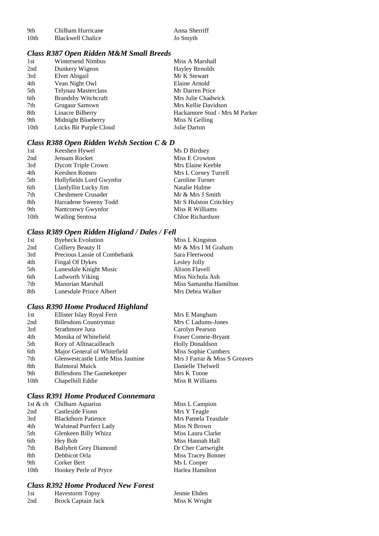| 9th  | Chilham Hurricane        |
|------|--------------------------|
| 10th | <b>Blackwell Chalice</b> |

Anna Sherriff Jo Smyth

# *Class R387 Open Ridden M&M Small Breeds*

| 1st  | Wintersend Nimbus          | Miss A Marshall               |
|------|----------------------------|-------------------------------|
| 2nd  | Dunkery Wigeon             | <b>Hayley Renolds</b>         |
| 3rd  | Elvet Abigail              | Mr K Stewart                  |
| 4th  | Vean Night Owl             | Elaine Arnold                 |
| 5th  | Telynau Masterclass        | Mr Darren Price               |
| 6th  | <b>Brandsby Witchcraft</b> | Mrs Julie Chadwick            |
| 7th  | Grugaur Samswn             | Mrs Kellie Davidson           |
| 8th  | Linacre Bilberry           | Hackamore Stud - Mrs M Parker |
| 9th  | Midnight Blueberry         | Miss N Gelling                |
| 10th | Locks Bit Purple Cloud     | Jolie Darton                  |

## *Class R388 Open Ridden Welsh Section C & D*

| 1st  | Keeshen Hywel              | Ms D Birdsey           |
|------|----------------------------|------------------------|
| 2nd  | Jensam Rocket              | Miss E Crowton         |
| 3rd  | <b>Dycott Triple Crown</b> | Mrs Elaine Keeble      |
| 4th  | Keeshen Romeo              | Mrs L Corney Turrell   |
| 5th  | Hollyfields Lord Gwynfor   | Caroline Turner        |
| 6th  | Llanfyllin Lucky Jim       | Natalie Hulme          |
| 7th  | <b>Cheshmere Crusader</b>  | Mr & Mrs J Smith       |
| 8th  | Harradene Sweeny Todd      | Mr S Hulston Critchley |
| 9th  | Nantconwy Gwynfor          | Miss R Williams        |
| 10th | <b>Watling Sentosa</b>     | Chloe Richardson       |

# *Class R389 Open Ridden Higland / Dales / Fell*

| 1st | <b>Byebeck Evolution</b>     | Miss L Kingston        |
|-----|------------------------------|------------------------|
| 2nd | Colliery Beauty II           | Mr & Mrs I M Graham    |
| 3rd | Precious Lassie of Combebank | Sara Fleetwood         |
| 4th | Fingal Of Dykes              | Lesley Jolly           |
| 5th | Lunesdale Knight Music       | Alison Flavell         |
| 6th | Ludworth Viking              | Miss Nichola Ash       |
| 7th | <b>Manorian Marshall</b>     | Miss Samantha Hamilton |
| 8th | Lunesdale Prince Albert      | Mrs Debra Walker       |

# *Class R390 Home Produced Highland*

| 1st  | Ellister Islay Royal Fern          | Mrs E Mangham                 |
|------|------------------------------------|-------------------------------|
| 2nd  | <b>Billesdons Countryman</b>       | Mrs C Ladums-Jones            |
| 3rd  | Strathmore Jura                    | Carolyn Pearson               |
| 4th  | Monika of Whitefield               | Fraser Comrie-Bryant          |
| 5th  | Rory of Alltnacailleach            | <b>Holly Donaldson</b>        |
| 6th  | Major General of Whitefield        | Miss Sophie Cumbers           |
| 7th  | Glenwestcastle Little Miss Jasmine | Mrs J Farrar & Miss S Greaves |
| 8th  | <b>Balmoral Muick</b>              | Danielle Thelwell             |
| 9th  | <b>Billesdons The Gamekeeper</b>   | Mrs K Toone                   |
| 10th | Chapelhill Eddie                   | Miss R Williams               |
|      |                                    |                               |

# *Class R391 Home Produced Connemara*

|      | 1st & ch Chilham Aquarius     | Miss L Campion      |
|------|-------------------------------|---------------------|
| 2nd  | Castleside Fionn              | Mrs Y Teagle        |
| 3rd  | <b>Blackthorn Patience</b>    | Mrs Pamela Teasdale |
| 4th  | <b>Walstead Purrfect Lady</b> | Miss N Brown        |
| 5th  | Glenkeen Billy Whizz          | Miss Laura Clarke   |
| 6th  | Hey Bob                       | Miss Hannah Hall    |
| 7th  | <b>Ballybrit Grey Diamond</b> | Dr Cher Cartwright  |
| 8th  | Debbicot Orla                 | Miss Tracey Bonner  |
| 9th  | Corker Bert                   | Ms L Cooper         |
| 10th | Hookey Perle of Pryce         | Harlea Hamilton     |
|      |                               |                     |

## *Class R392 Home Produced New Forest*

| 1st | <b>Havestorm Topsy</b> | Jennie Ebden  |
|-----|------------------------|---------------|
| 2nd | Brock Captain Jack     | Miss K Wright |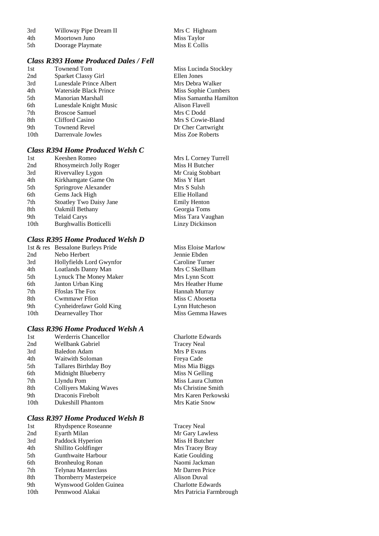| 3rd | Willoway Pipe Dream II | Mrs C Highnam |
|-----|------------------------|---------------|
| 4th | Moortown Juno          | Miss Taylor   |

4th Moortown Juno<br>
5th Doorage Playmate Miss E Collis Doorage Playmate

### *Class R393 Home Produced Dales / Fell*

| 1st  | Townend Tom             | Miss Lucinda Stockley  |
|------|-------------------------|------------------------|
| 2nd  | Sparket Classy Girl     | Ellen Jones            |
| 3rd  | Lunesdale Prince Albert | Mrs Debra Walker       |
| 4th  | Waterside Black Prince  | Miss Sophie Cumbers    |
| 5th  | Manorian Marshall       | Miss Samantha Hamilton |
| 6th  | Lunesdale Knight Music  | Alison Flavell         |
| 7th  | <b>Broscoe Samuel</b>   | Mrs C Dodd             |
| 8th  | Clifford Casino         | Mrs S Cowie-Bland      |
| 9th  | Townend Revel           | Dr Cher Cartwright     |
| 10th | Darrenvale Jowles       | Miss Zoe Roberts       |
|      |                         |                        |

# *Class R394 Home Produced Welsh C*

| 1st  | Keeshen Romeo                  | Mrs L Corney Turrell |
|------|--------------------------------|----------------------|
| 2nd  | Rhosymeirch Jolly Roger        | Miss H Butcher       |
| 3rd  | Rivervalley Lygon              | Mr Craig Stobbart    |
| 4th  | Kirkhamgate Game On            | Miss Y Hart          |
| 5th  | Springrove Alexander           | Mrs S Sulsh          |
| 6th  | Gems Jack High                 | Ellie Holland        |
| 7th  | <b>Stoatley Two Daisy Jane</b> | <b>Emily Henton</b>  |
| 8th  | Oakmill Bethany                | Georgia Toms         |
| 9th  | <b>Telaid Carys</b>            | Miss Tara Vaughan    |
| 10th | Burghwallis Botticelli         | Linzy Dickinson      |
|      |                                |                      |

## *Class R395 Home Produced Welsh D*

|                  | 1st & res Bessalone Burleys Pride | Miss Eloise Mar |
|------------------|-----------------------------------|-----------------|
| 2nd              | Nebo Herbert                      | Jennie Ebden    |
| 3rd              | Hollyfields Lord Gwynfor          | Caroline Turner |
| 4th              | Loatlands Danny Man               | Mrs C Skellham  |
| 5th              | Lynuck The Money Maker            | Mrs Lynn Scott  |
| 6th              | Janton Urban King                 | Mrs Heather Hu  |
| 7th              | <b>Froslas The Fox</b>            | Hannah Murray   |
| 8th              | Cwmmawr Ffion                     | Miss C Abosetta |
| 9th              | Cynheidrefawr Gold King           | Lynn Hutcheson  |
| 10 <sub>th</sub> | Dearnevalley Thor                 | Miss Gemma Ha   |
|                  |                                   |                 |

## *Class R396 Home Produced Welsh A*

| 1st              | Werderris Chancellor          |
|------------------|-------------------------------|
| 2nd              | Wellbank Gabriel              |
| 3rd              | <b>Baledon Adam</b>           |
| 4th              | Waitwith Soloman              |
| 5th              | Tallares Birthday Boy         |
| 6th              | Midnight Blueberry            |
| 7th              | Llyndu Pom                    |
| 8th              | <b>Colliyers Making Waves</b> |
| 9th              | Draconis Firebolt             |
| 10 <sub>th</sub> | Dukeshill Phantom             |
|                  |                               |

# *Class R397 Home Produced Welsh B*

| 1st             | Rhydspence Roseanne           |
|-----------------|-------------------------------|
| 2 <sub>nd</sub> | Eyarth Milan                  |
| 3rd             | Paddock Hyperion              |
| 4th             | Shillito Goldfinger           |
| 5th             | Gunthwaite Harbour            |
| 6th             | <b>Bronheulog Ronan</b>       |
| 7th             | <b>Telynau Masterclass</b>    |
| 8th             | <b>Thornberry Masterpeice</b> |
| 9th             | Wynswood Golden Guinea        |
| 10th            | Pennwood Alakai               |

oise Marlow<br>Ebden ther Hume emma Hawes

Charlotte Edwards Tracey Neal Mrs P Evans Freya Cade Miss Mia Biggs Miss N Gelling Miss Laura Clutton **Ms Christine Smith** Mrs Karen Perkowski **Mrs Katie Snow** 

Tracey Neal Mr Gary Lawless Miss H Butcher Mrs Tracey Bray Katie Goulding Naomi Jackman Mr Darren Price Alison Duval Charlotte Edwards Mrs Patricia Farmbrough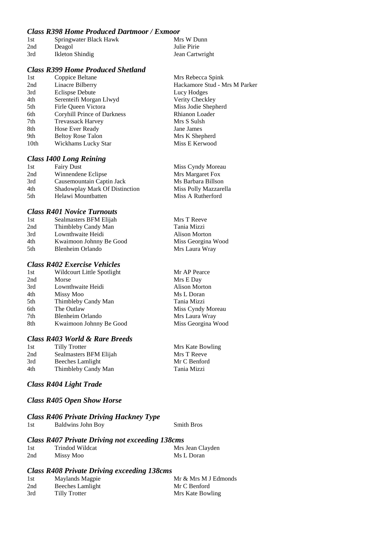#### *Class R398 Home Produced Dartmoor / Exmoor*

| 1st | Springwater Black Hawk | Mrs W Dunn      |
|-----|------------------------|-----------------|
| 2nd | Deagol                 | Julie Pirie     |
| 3rd | Ikleton Shindig        | Jean Cartwright |

# *Class R399 Home Produced Shetland*

1st Coppice Beltane Mrs Rebecca Spink<br>
2nd Linacre Bilberry Hackamore Stud - N 2nd Linacre Bilberry Hackamore Stud - Mrs M Parker 3rd Eclispse Debute Lucy Hodges 4th Serenteifi Morgan Llwyd Verity Checkley 5th Firle Queen Victora Miss Jodie Shepherd 6th Coryhill Prince of Darkness Rhianon Loader 7th Trevassack Harvey Mrs S Sulsh<br>8th Hose Ever Ready Jane James 8th Hose Ever Ready Jane James<br>
9th Beltoy Rose Talon Mrs K Shepherd Beltoy Rose Talon Mrs K Shepherd<br>Wickhams Lucky Star Miss E Kerwood 10th Wickhams Lucky Star

## *Class I400 Long Reining*

| 1st  | <b>Fairy Dust</b>                     | Miss Cyndy Moreau     |
|------|---------------------------------------|-----------------------|
| 2nd  | Winnendene Eclipse                    | Mrs Margaret Fox      |
| 3rd  | Causemountain Captin Jack             | Ms Barbara Billson    |
| 4th  | <b>Shadowplay Mark Of Distinction</b> | Miss Polly Mazzarella |
| .5th | Helawi Mountbatten                    | Miss A Rutherford     |

## *Class R401 Novice Turnouts*

| 1st  | Sealmasters BFM Elijah  | Mrs T Reeve          |
|------|-------------------------|----------------------|
| 2nd  | Thimbleby Candy Man     | Tania Mizzi          |
| 3rd  | Lownthwaite Heidi       | <b>Alison Morton</b> |
| 4th  | Kwaimoon Johnny Be Good | Miss Georgina Wood   |
| .5th | Blenheim Orlando        | Mrs Laura Wray       |
|      |                         |                      |

# *Class R402 Exercise Vehicles*

| 1st | Wildcourt Little Spotlight |
|-----|----------------------------|
| 2nd | Morse                      |
| 3rd | Lownthwaite Heidi          |
| 4th | Missy Moo                  |
| 5th | Thimbleby Candy Man        |
| 6th | The Outlaw                 |
| 7th | Blenheim Orlando           |
| 8th | Kwaimoon Johnny Be Good    |
|     |                            |

# *Class R403 World & Rare Breeds*

| 1st | Tilly Trotter          | Mrs Kate Bowling |
|-----|------------------------|------------------|
| 2nd | Sealmasters BFM Elijah | Mrs T Reeve      |
| 3rd | Beeches Lamlight       | Mr C Benford     |
| 4th | Thimbleby Candy Man    | Tania Mizzi      |
|     |                        |                  |

# *Class R404 Light Trade*

## *Class R405 Open Show Horse*

|     | <b>Class R406 Private Driving Hackney Type</b> |                   |
|-----|------------------------------------------------|-------------------|
| 1st | Baldwins John Boy                              | <b>Smith Bros</b> |

# *Class R407 Private Driving not exceeding 138cms*

| 1st | Trindod Wildcat | Mrs Jean Clayden |
|-----|-----------------|------------------|
| 2nd | Missy Moo       | Ms L Doran       |

# *Class R408 Private Driving exceeding 138cms*

| 1st | Maylands Magpie  | Mr & Mrs M J Edmonds |
|-----|------------------|----------------------|
| 2nd | Beeches Lamlight | Mr C Benford         |
| 3rd | Tilly Trotter    | Mrs Kate Bowling     |

Mr AP Pearce Mrs E Day Alison Morton Ms L Doran Tania Mizzi Miss Cyndy Moreau Mrs Laura Wray Miss Georgina Wood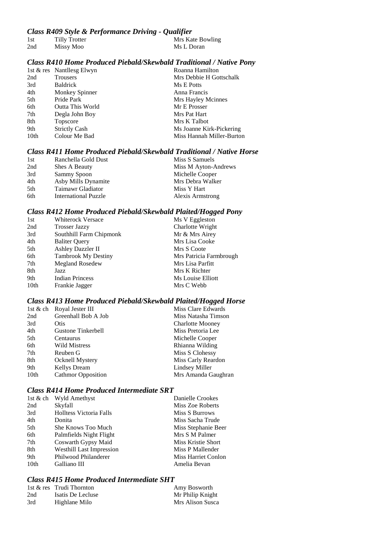## *Class R409 Style & Performance Driving - Qualifier*

| 1st | Tilly Trotter |  | Mrs Kate Bowling |
|-----|---------------|--|------------------|
| 2nd | Missy Moo     |  | Ms L Doran       |

# *Class R410 Home Produced Piebald/Skewbald Traditional / Native Pony*

|      | 1st & res Nantllesg Elwyn | Roanna Hamilton           |
|------|---------------------------|---------------------------|
| 2nd  | Trousers                  | Mrs Debbie H Gottschalk   |
| 3rd  | <b>Baldrick</b>           | Ms E Potts                |
| 4th  | Monkey Spinner            | Anna Francis              |
| 5th  | Pride Park                | Mrs Hayley Mcinnes        |
| 6th  | Outta This World          | Mr E Prosser              |
| 7th  | Degla John Boy            | Mrs Pat Hart              |
| 8th  | Topscore                  | Mrs K Talbot              |
| 9th  | <b>Strictly Cash</b>      | Ms Joanne Kirk-Pickering  |
| 10th | Colour Me Bad             | Miss Hannah Miller-Burton |

## *Class R411 Home Produced Piebald/Skewbald Traditional / Native Horse*

| 1st | Ranchella Gold Dust  | Miss S Samuels       |
|-----|----------------------|----------------------|
| 2nd | Shes A Beauty        | Miss M Ayton-Andrews |
| 3rd | Sammy Spoon          | Michelle Cooper      |
| 4th | Asby Mills Dynamite  | Mrs Debra Walker     |
| 5th | Taimawr Gladiator    | Miss Y Hart          |
| 6th | International Puzzle | Alexis Armstrong     |

#### *Class R412 Home Produced Piebald/Skewbald Plaited/Hogged Pony*

| 1st              | <b>Whiterock Versace</b>   | .<br>Ms V Eggleston     |
|------------------|----------------------------|-------------------------|
| 2nd              | <b>Trosser Jazzy</b>       | Charlotte Wright        |
| 3rd              | Southhill Farm Chipmonk    | Mr & Mrs Airey          |
| 4th              | <b>Baliter Query</b>       | Mrs Lisa Cooke          |
| 5th              | <b>Ashley Dazzler II</b>   | Mrs S Coote             |
| 6th              | <b>Tambrook My Destiny</b> | Mrs Patricia Farmbrough |
| 7th              | <b>Megland Rosedew</b>     | Mrs Lisa Parfitt        |
| 8th              | Jazz                       | Mrs K Richter           |
| 9th              | <b>Indian Princess</b>     | Ms Louise Elliott       |
| 10 <sub>th</sub> | Frankie Jagger             | Mrs C Webb              |
|                  |                            |                         |

#### *Class R413 Home Produced Piebald/Skewbald Plaited/Hogged Horse*

|      | 1st & ch Royal Jester III | Miss Clare Edwards      |
|------|---------------------------|-------------------------|
| 2nd  | Greenhall Bob A Job       | Miss Natasha Timson     |
| 3rd  | Otis                      | <b>Charlotte Mooney</b> |
| 4th  | Gustone Tinkerbell        | Miss Pretoria Lee       |
| 5th  | Centaurus                 | Michelle Cooper         |
| 6th  | Wild Mistress             | Rhianna Wilding         |
| 7th  | Reuben G                  | Miss S Clohessy         |
| 8th  | Ocknell Mystery           | Miss Carly Reardon      |
| 9th  | <b>Kellys Dream</b>       | Lindsey Miller          |
| 10th | <b>Cathmor Opposition</b> | Mrs Amanda Gaughran     |

## *Class R414 Home Produced Intermediate SRT*

| 1st & ch         | Wyld Amethyst                   | Danielle Crookes    |
|------------------|---------------------------------|---------------------|
| 2nd              | Skyfall                         | Miss Zoe Roberts    |
| 3rd              | Holltess Victoria Falls         | Miss S Burrows      |
| 4th              | Donita                          | Miss Sacha Trude    |
| 5th              | She Knows Too Much              | Miss Stephanie Beer |
| 6th              | Palmfields Night Flight         | Mrs S M Palmer      |
| 7th              | Coswarth Gypsy Maid             | Miss Kristie Short  |
| 8th              | <b>Westhill Last Impression</b> | Miss P Mallender    |
| 9th              | Philwood Philanderer            | Miss Harriet Conlon |
| 10 <sub>th</sub> | Galliano III                    | Amelia Bevan        |

## *Class R415 Home Produced Intermediate SHT*

|     | 1st & res Trudi Thornton | Amy Bosworth     |
|-----|--------------------------|------------------|
| 2nd | Isatis De Lecluse        | Mr Philip Knight |
| 3rd | Highlane Milo            | Mrs Alison Susca |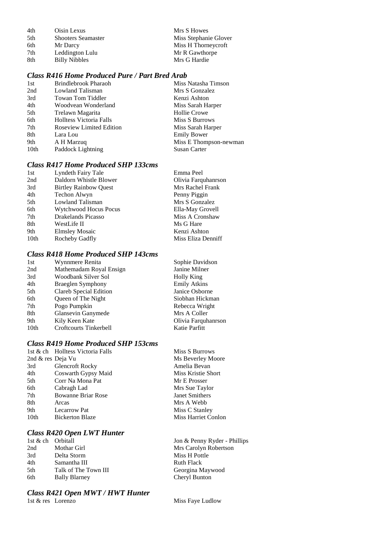4th Oisin Lexus Mrs S Howes<br>5th Shooters Seamaster Miss Stephani 5th Shooters Seamaster Miss Stephanie Glover<br>6th Mr Darcy Miss H Thorneycroft 6th Mr Darcy Miss H Thorneycroft<br>
7th Leddington Lulu Mr R Gawthorpe 1. Leddington Lulu Mr R Gawthor<br>
2. Mr R Gawthorped Mr R Gawthorped Mr R Gawthorped Mr R Gawthorped Mr R Gawthorped Mr R Gawthorped Mr R Gawt 8th Billy Nibbles

# *Class R416 Home Produced Pure / Part Bred Arab*

| Brindlebrook Pharaoh            | Miss Natasha Timson    |
|---------------------------------|------------------------|
| Lowland Talisman                | Mrs S Gonzalez         |
| Towan Tom Tiddler               | Kenzi Ashton           |
| Woodvean Wonderland             | Miss Sarah Harper      |
| Trelawn Magarita                | <b>Hollie Crowe</b>    |
| <b>Holltess Victoria Falls</b>  | Miss S Burrows         |
| <b>Roseview Limited Edition</b> | Miss Sarah Harper      |
| Lara Lou                        | <b>Emily Bower</b>     |
| A H Marzuq                      | Miss E Thompson-newman |
| Paddock Lightning               | <b>Susan Carter</b>    |
|                                 |                        |

## *Class R417 Home Produced SHP 133cms*

|      | Clubb IV-11/ HOME I FOURCEU D'ITT TOOCHEB |                     |
|------|-------------------------------------------|---------------------|
| 1st  | Lyndeth Fairy Tale                        | Emma Peel           |
| 2nd  | Daldorn Whistle Blower                    | Olivia Farquhanrson |
| 3rd  | <b>Birtley Rainbow Quest</b>              | Mrs Rachel Frank    |
| 4th  | Techon Alwyn                              | Penny Piggin        |
| 5th  | Lowland Talisman                          | Mrs S Gonzalez      |
| 6th  | Wytchwood Hocus Pocus                     | Ella-May Grovell    |
| 7th  | Drakelands Picasso                        | Miss A Cronshaw     |
| 8th  | WestLife II                               | Ms G Hare           |
| 9th  | <b>Elmsley Mosaic</b>                     | Kenzi Ashton        |
| 10th | Rocheby Gadfly                            | Miss Eliza Denniff  |
|      |                                           |                     |

## *Class R418 Home Produced SHP 143cms*

|      | <u>UMOO ALIJO AIVING ATOMMOOM DAIA TITOONO</u> |                     |
|------|------------------------------------------------|---------------------|
| 1st  | Wynnmere Renita                                | Sophie Davidson     |
| 2nd  | Mathemadam Royal Ensign                        | Janine Milner       |
| 3rd  | Woodbank Silver Sol                            | <b>Holly King</b>   |
| 4th  | <b>Braeglen Symphony</b>                       | <b>Emily Atkins</b> |
| 5th  | Clareb Special Edition                         | Janice Osborne      |
| 6th  | Queen of The Night                             | Siobhan Hickman     |
| 7th  | Pogo Pumpkin                                   | Rebecca Wright      |
| 8th  | Glansevin Ganymede                             | Mrs A Coller        |
| 9th  | Kily Keen Kate                                 | Olivia Farquhanrson |
| 10th | <b>Croftcourts Tinkerbell</b>                  | Katie Parfitt       |
|      |                                                |                     |

### *Class R419 Home Produced SHP 153cms*

|                   | 1st & ch Holltess Victoria Falls | Miss S Burrows             |
|-------------------|----------------------------------|----------------------------|
| 2nd & res Deja Vu |                                  | Ms Beverley Moore          |
| 3rd               | <b>Glencroft Rocky</b>           | Amelia Bevan               |
| 4th               | Coswarth Gypsy Maid              | Miss Kristie Short         |
| 5th               | Corr Na Mona Pat                 | Mr E Prosser               |
| 6th               | Cabragh Lad                      | Mrs Sue Taylor             |
| 7th               | <b>Bowanne Briar Rose</b>        | <b>Janet Smithers</b>      |
| 8th               | Arcas                            | Mrs A Webb                 |
| 9th               | <b>Lecarrow Pat</b>              | Miss C Stanley             |
| 10th              | <b>Bickerton Blaze</b>           | <b>Miss Harriet Conlon</b> |
|                   |                                  |                            |

## *Class R420 Open LWT Hunter*

| 1st & ch Orbitall |                      |
|-------------------|----------------------|
| 2nd               | Mothar Girl          |
| 3rd               | Delta Storm          |
| 4th               | Samantha III         |
| .5th              | Talk of The Town III |
| 6th               | <b>Bally Blarney</b> |

# *Class R421 Open MWT / HWT Hunter*

Jon & Penny Ryder - Phillips Mrs Carolyn Robertson Miss H Pottle Ruth Flack Georgina Maywood Cheryl Bunton

Miss Faye Ludlow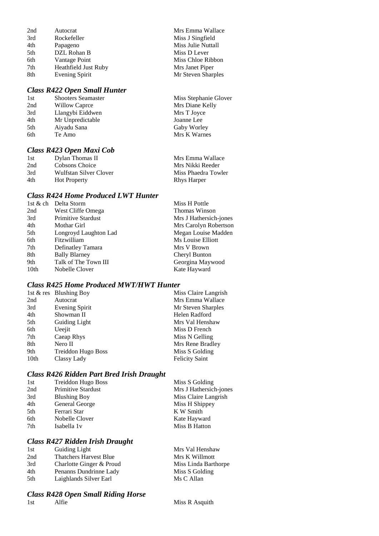| 2nd | Autocrat             | Mrs Emma Wallace   |
|-----|----------------------|--------------------|
| 3rd | Rockefeller          | Miss J Singfield   |
| 4th | Papageno             | Miss Julie Nuttall |
| 5th | DZL Rohan B          | Miss D Lever       |
| 6th | Vantage Point        | Miss Chloe Ribbon  |
| 7th | Heathfield Just Ruby | Mrs Janet Piper    |
| 8th | Evening Spirit       | Mr Steven Sharples |

### *Class R422 Open Small Hunter*

| 1st | <b>Shooters Seamaster</b> | Miss Stephanie Glover |
|-----|---------------------------|-----------------------|
| 2nd | Willow Caprce             | Mrs Diane Kelly       |
| 3rd | Llangybi Eiddwen          | Mrs T Joyce           |
| 4th | Mr Unpredictable          | Joanne Lee            |
| 5th | Aiyadu Sana               | Gaby Worley           |
| 6th | Te Amo                    | Mrs K Warnes          |
|     |                           |                       |

#### *Class R423 Open Maxi Cob*

| 1st | Dylan Thomas II        | Mrs Emma Wallace    |
|-----|------------------------|---------------------|
| 2nd | Cobsons Choice         | Mrs Nikki Reeder    |
| 3rd | Wulfstan Silver Clover | Miss Phaedra Towler |
| 4th | <b>Hot Property</b>    | <b>Rhys Harper</b>  |

## *Class R424 Home Produced LWT Hunter*

|      | 1st & ch Delta Storm      | Miss H Pottle          |
|------|---------------------------|------------------------|
| 2nd  | West Cliffe Omega         | <b>Thomas Winson</b>   |
| 3rd  | <b>Primitive Stardust</b> | Mrs J Hathersich-jones |
| 4th  | Mothar Girl               | Mrs Carolyn Robertson  |
| 5th  | Longroyd Laughton Lad     | Megan Louise Madden    |
| 6th  | Fitzwilliam               | Ms Louise Elliott      |
| 7th  | Definatley Tamara         | Mrs V Brown            |
| 8th  | <b>Bally Blarney</b>      | Cheryl Bunton          |
| 9th  | Talk of The Town III      | Georgina Maywood       |
| 10th | Nobelle Clover            | Kate Hayward           |
|      |                           |                        |

#### *Class R425 Home Produced MWT/HWT Hunter*

|      | 1st $\&$ res Blushing Boy | Miss Claire Langrish  |
|------|---------------------------|-----------------------|
| 2nd  | Autocrat                  | Mrs Emma Wallace      |
| 3rd  | Evening Spirit            | Mr Steven Sharples    |
| 4th  | Showman II                | Helen Radford         |
| 5th  | Guiding Light             | Mrs Val Henshaw       |
| 6th  | Ueejit                    | Miss D French         |
| 7th  | Caeap Rhys                | Miss N Gelling        |
| 8th  | Nero II                   | Mrs Rene Bradley      |
| 9th  | Treiddon Hugo Boss        | Miss S Golding        |
| 10th | Classy Lady               | <b>Felicity Saint</b> |

#### *Class R426 Ridden Part Bred Irish Draught*

| 1st | Treiddon Hugo Boss        | Miss S Golding         |
|-----|---------------------------|------------------------|
| 2nd | <b>Primitive Stardust</b> | Mrs J Hathersich-jones |
| 3rd | <b>Blushing Boy</b>       | Miss Claire Langrish   |
| 4th | General George            | Miss H Shippey         |
| 5th | Ferrari Star              | K W Smith              |
| 6th | Nobelle Clover            | Kate Hayward           |
| 7th | Isabella 1 <sub>v</sub>   | Miss B Hatton          |
|     |                           |                        |

#### *Class R427 Ridden Irish Draught*

| 1st | Guiding Light                 | Mrs Val Henshaw      |
|-----|-------------------------------|----------------------|
| 2nd | <b>Thatchers Harvest Blue</b> | Mrs K Willmott       |
| 3rd | Charlotte Ginger & Proud      | Miss Linda Barthorpe |
| 4th | Penanns Dundrinne Lady        | Miss S Golding       |
| 5th | Laighlands Silver Earl        | Ms C Allan           |
|     |                               |                      |

#### *Class R428 Open Small Riding Horse*

1st Alfie Alfie Miss R Asquith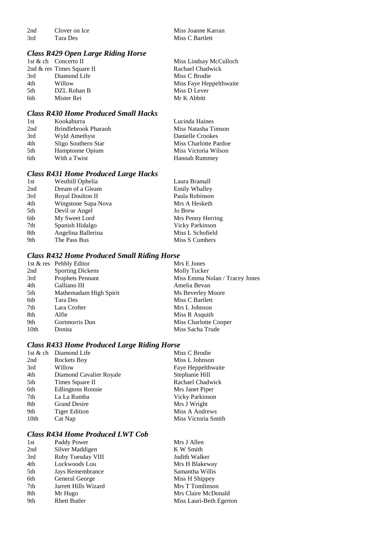2nd Clover on Ice Miss Joanne Karran<br>
3rd Tara Des Miss C Bartlett

*Class R429 Open Large Riding Horse*

2nd & res Times Square II<br>3rd Diamond Life 3rd Diamond Life Miss C Brodie<br>4th Willow Miss Fave Hep 4th Willow Miss Faye Heppelthwaite<br>5th DZL Rohan B Miss D Lever 6th Mister Rei Mr K Abbitt

Miss Lindsay McCulloch<br>Rachael Chadwick Miss D Lever

Miss C Bartlett

#### *Class R430 Home Produced Small Hacks*

| Kookaburra           | Lucinda Haines        |
|----------------------|-----------------------|
| Brindlebrook Pharaoh | Miss Natasha Timson   |
| Wyld Amethyst        | Danielle Crookes      |
| Sligo Southern Star  | Miss Charlotte Pardoe |
| Hamptonne Opium      | Miss Victoria Wilson  |
| With a Twist         | Hannah Rummey         |
|                      |                       |

#### *Class R431 Home Produced Large Hacks*

| Westhill Ophelia    | Laura Bramall          |
|---------------------|------------------------|
| Dream of a Gleam    | <b>Emily Whalley</b>   |
| Royal Doulton II    | Paula Robinson         |
| Wingstone Supa Nova | Mrs A Hesketh          |
| Devil or Angel      | Jo Brew                |
| My Sweet Lord       | Mrs Penny Herring      |
| Spanish Hidalgo     | <b>Vicky Parkinson</b> |
| Angelina Ballerina  | Miss L Schofield       |
| The Pass Bus        | Miss S Cumbers         |
|                     |                        |

#### *Class R432 Home Produced Small Riding Horse*

|                 | 1st & res Pebbly Editor | Mrs E Jones                    |
|-----------------|-------------------------|--------------------------------|
| 2nd             | <b>Sporting Dickens</b> | Molly Tucker                   |
| 3rd             | <b>Prophets Pennant</b> | Miss Emma Nolan / Tracey Jones |
| 4th             | Galliano III            | Amelia Bevan                   |
| 5th             | Mathemadam High Spirit  | Ms Beverley Moore              |
| 6th             | Tara Des                | Miss C Bartlett                |
| 7 <sub>th</sub> | Lara Crofter            | Mrs L Johnson                  |
| 8th             | Alfie                   | Miss R Asquith                 |
| 9th             | Gortmorris Dun          | Miss Charlotte Cooper          |
| 10th            | Donita                  | Miss Sacha Trude               |
|                 |                         |                                |

### *Class R433 Home Produced Large Riding Horse*

|      | 1st & ch Diamond Life    | Miss C Brodie          |
|------|--------------------------|------------------------|
| 2nd  | <b>Rockets Boy</b>       | Miss L Johnson         |
| 3rd  | Willow                   | Faye Heppelthwaite     |
| 4th  | Diamond Cavalier Royale  | Stephanie Hill         |
| 5th  | Times Square II          | Rachael Chadwick       |
| 6th  | <b>Edlingtons Ronnie</b> | Mrs Janet Piper        |
| 7th  | La La Rumba              | <b>Vicky Parkinson</b> |
| 8th  | <b>Grand Desire</b>      | Mrs J Wright           |
| 9th  | <b>Tiger Edition</b>     | Miss A Andrews         |
| 10th | Cat Nap                  | Miss Victoria Smith    |
|      |                          |                        |

#### *Class R434 Home Produced LWT Cob*

| 1st | Paddy Power          | Mrs J Allen             |
|-----|----------------------|-------------------------|
| 2nd | Silver Maddigen      | K W Smith               |
| 3rd | Ruby Tuesday VIII    | Judith Walker           |
| 4th | Lockwoods Lou        | Mrs H Blakeway          |
| 5th | Jays Remembrance     | Samantha Willis         |
| 6th | General George       | Miss H Shippey          |
| 7th | Jarrett Hills Wizard | Mrs T Tomlinson         |
| 8th | Mr Hugo              | Mrs Claire McDonald     |
| 9th | <b>Rhett Butler</b>  | Miss Lauri-Beth Egerton |
|     |                      |                         |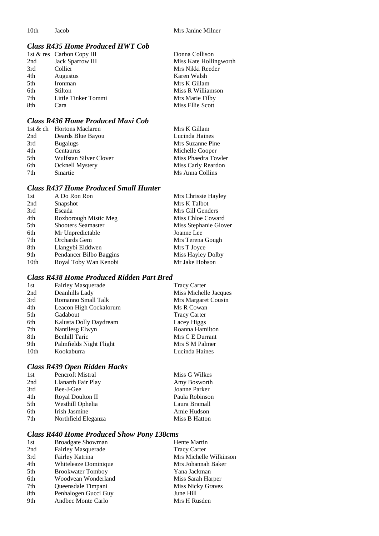## *Class R435 Home Produced HWT Cob*

|     | 1st & res Carbon Copy III | Donna Collison         |
|-----|---------------------------|------------------------|
| 2nd | Jack Sparrow III          | Miss Kate Hollingworth |
| 3rd | Collier                   | Mrs Nikki Reeder       |
| 4th | Augustus                  | Karen Walsh            |
| 5th | Ironman                   | Mrs K Gillam           |
| 6th | Stilton                   | Miss R Williamson      |
| 7th | Little Tinker Tommi       | Mrs Marie Filby        |
| 8th | Cara                      | Miss Ellie Scott       |

## *Class R436 Home Produced Maxi Cob*

|     | 1st & ch Hortons Maclaren | Mrs K Gillam        |
|-----|---------------------------|---------------------|
| 2nd | Deards Blue Bayou         | Lucinda Haines      |
| 3rd | <b>Bugalugs</b>           | Mrs Suzanne Pine    |
| 4th | Centaurus                 | Michelle Cooper     |
| 5th | Wulfstan Silver Clover    | Miss Phaedra Towler |
| 6th | <b>Ocknell Mystery</b>    | Miss Carly Reardon  |
| 7th | Smartie                   | Ms Anna Collins     |

## *Class R437 Home Produced Small Hunter*

| 1st  | A Do Ron Ron              | Mrs Chrissie Hayley   |
|------|---------------------------|-----------------------|
| 2nd  | Snapshot                  | Mrs K Talbot          |
| 3rd  | Escada                    | Mrs Gill Genders      |
| 4th  | Roxborough Mistic Meg     | Miss Chloe Coward     |
| 5th  | <b>Shooters Seamaster</b> | Miss Stephanie Glover |
| 6th  | Mr Unpredictable          | Joanne Lee            |
| 7th  | Orchards Gem              | Mrs Terena Gough      |
| 8th  | Llangybi Eiddwen          | Mrs T Joyce           |
| 9th  | Pendancer Bilbo Baggins   | Miss Hayley Dolby     |
| 10th | Royal Toby Wan Kenobi     | Mr Jake Hobson        |
|      |                           |                       |

# *Class R438 Home Produced Ridden Part Bred*

| 1st              | <b>Fairley Masquerade</b> | <b>Tracy Carter</b>   |
|------------------|---------------------------|-----------------------|
| 2nd              | Deanhills Lady            | Miss Michelle Jacques |
| 3rd              | Romanno Small Talk        | Mrs Margaret Cousin   |
| 4th              | Leacon High Cockalorum    | Ms R Cowan            |
| 5th              | Gadabout                  | <b>Tracy Carter</b>   |
| 6th              | Kalusta Dolly Daydream    | Lacey Higgs           |
| 7th              | Nantllesg Elwyn           | Roanna Hamilton       |
| 8th              | <b>Benhill Taric</b>      | Mrs C E Durrant       |
| 9th              | Palmfields Night Flight   | Mrs S M Palmer        |
| 10 <sub>th</sub> | Kookaburra                | Lucinda Haines        |

# *Class R439 Open Ridden Hacks*

| 1st | Pencroft Mistral    | Miss G Wilkes  |
|-----|---------------------|----------------|
| 2nd | Llanarth Fair Play  | Amy Bosworth   |
| 3rd | Bee-J-Gee           | Joanne Parker  |
| 4th | Royal Doulton II    | Paula Robinson |
| 5th | Westhill Ophelia    | Laura Bramall  |
| 6th | Irish Jasmine       | Amie Hudson    |
| 7th | Northfield Eleganza | Miss B Hatton  |
|     |                     |                |

## *Class R440 Home Produced Show Pony 138cms*

| 1st | <b>Broadgate Showman</b>  | Hente Martin           |
|-----|---------------------------|------------------------|
| 2nd | <b>Fairley Masquerade</b> | <b>Tracy Carter</b>    |
| 3rd | Fairley Katrina           | Mrs Michelle Wilkinson |
| 4th | Whiteleaze Dominique      | Mrs Johannah Baker     |
| 5th | <b>Brookwater Tomboy</b>  | Yana Jackman           |
| 6th | Woodvean Wonderland       | Miss Sarah Harper      |
| 7th | Queensdale Timpani        | Miss Nicky Graves      |
| 8th | Penhalogen Gucci Guy      | June Hill              |
| 9th | Andbec Monte Carlo        | Mrs H Rusden           |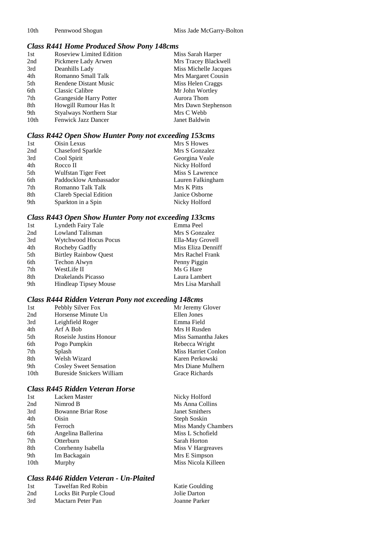#### *Class R441 Home Produced Show Pony 148cms*

| 1st              | <b>Roseview Limited Edition</b> | Miss Sarah Harper     |
|------------------|---------------------------------|-----------------------|
| 2nd              | Pickmere Lady Arwen             | Mrs Tracey Blackwell  |
| 3rd              | Deanhills Lady                  | Miss Michelle Jacques |
| 4th              | Romanno Small Talk              | Mrs Margaret Cousin   |
| 5th              | Rendene Distant Music           | Miss Helen Craggs     |
| 6th              | Classic Calibre                 | Mr John Wortley       |
| 7th              | Grangeside Harry Potter         | Aurora Thom           |
| 8th              | Howgill Rumour Has It           | Mrs Dawn Stephenson   |
| 9th              | Styalways Northern Star         | Mrs C Webb            |
| 10 <sub>th</sub> | Fenwick Jazz Dancer             | Janet Baldwin         |

## *Class R442 Open Show Hunter Pony not exceeding 153cms*

| 1st | Oisin Lexus            | Mrs S Howes       |
|-----|------------------------|-------------------|
| 2nd | Chaseford Sparkle      | Mrs S Gonzalez    |
| 3rd | Cool Spirit            | Georgina Veale    |
| 4th | Rocco II               | Nicky Holford     |
| 5th | Wulfstan Tiger Feet    | Miss S Lawrence   |
| 6th | Paddocklow Ambassador  | Lauren Falkingham |
| 7th | Romanno Talk Talk      | Mrs K Pitts       |
| 8th | Clareb Special Edition | Janice Osborne    |
| 9th | Sparkton in a Spin     | Nicky Holford     |
|     |                        |                   |

## *Class R443 Open Show Hunter Pony not exceeding 133cms*

| 1st | Lyndeth Fairy Tale           | Emma Peel          |
|-----|------------------------------|--------------------|
| 2nd | Lowland Talisman             | Mrs S Gonzalez     |
| 3rd | <b>Wytchwood Hocus Pocus</b> | Ella-May Grovell   |
| 4th | Rocheby Gadfly               | Miss Eliza Denniff |
| 5th | <b>Birtley Rainbow Quest</b> | Mrs Rachel Frank   |
| 6th | Techon Alwyn                 | Penny Piggin       |
| 7th | WestLife II                  | Ms G Hare          |
| 8th | Drakelands Picasso           | Laura Lambert      |
| 9th | <b>Hindleap Tipsey Mouse</b> | Mrs Lisa Marshall  |

# *Class R444 Ridden Veteran Pony not exceeding 148cms*

| 1st  | Pebbly Silver Fox                | Mr Jeremy Glover    |
|------|----------------------------------|---------------------|
| 2nd  | Horsense Minute Un               | Ellen Jones         |
| 3rd  | Leighfield Roger                 | Emma Field          |
| 4th  | Arf A Bob                        | Mrs H Rusden        |
| 5th  | Roseisle Justins Honour          | Miss Samantha Jakes |
| 6th  | Pogo Pumpkin                     | Rebecca Wright      |
| 7th  | Splash                           | Miss Harriet Conlon |
| 8th  | Welsh Wizard                     | Karen Perkowski     |
| 9th  | <b>Cosley Sweet Sensation</b>    | Mrs Diane Mulhern   |
| 10th | <b>Bureside Snickers William</b> | Grace Richards      |
|      |                                  |                     |

## *Class R445 Ridden Veteran Horse*

| 1st  | <b>Lacken Master</b>      | Nicky Holford              |
|------|---------------------------|----------------------------|
| 2nd  | Nimrod B                  | Ms Anna Collins            |
| 3rd  | <b>Bowanne Briar Rose</b> | Janet Smithers             |
| 4th  | Oisin                     | Steph Soskin               |
| 5th  | Ferroch                   | <b>Miss Mandy Chambers</b> |
| 6th  | Angelina Ballerina        | Miss L Schofield           |
| 7th  | Otterburn                 | Sarah Horton               |
| 8th  | Conrhenny Isabella        | Miss V Hargreaves          |
| 9th  | Im Backagain              | Mrs E Simpson              |
| 10th | Murphy                    | Miss Nicola Killeen        |
|      |                           |                            |

## *Class R446 Ridden Veteran - Un-Plaited*

| 1st | Tawelfan Red Robin     | Katie Goulding |
|-----|------------------------|----------------|
| 2nd | Locks Bit Purple Cloud | Jolie Darton   |
| 3rd | Mactarn Peter Pan      | Joanne Parker  |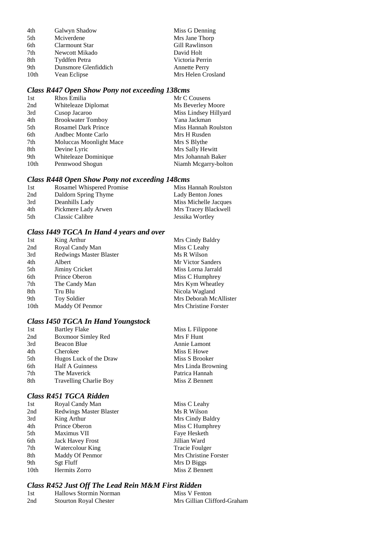| Galwyn Shadow        | Miss G Denning       |
|----------------------|----------------------|
| Mciverdene           | Mrs Jane Thorp       |
| Clarmount Star       | Gill Rawlinson       |
| Newcott Mikado       | David Holt           |
| Tyddfen Petra        | Victoria Perrin      |
| Dunsmore Glenfiddich | <b>Annette Perry</b> |
| Vean Eclipse         | Mrs Helen Crosland   |
|                      |                      |

# *Class R447 Open Show Pony not exceeding 138cms*

| Rhos Emilia                | Mr C Cousens          |
|----------------------------|-----------------------|
| Whiteleaze Diplomat        | Ms Beverley Moore     |
| Cusop Jacaroo              | Miss Lindsey Hillyard |
| <b>Brookwater Tomboy</b>   | Yana Jackman          |
| <b>Rosamel Dark Prince</b> | Miss Hannah Roulston  |
| Andbec Monte Carlo         | Mrs H Rusden          |
| Moluccas Moonlight Mace    | Mrs S Blythe          |
| Devine Lyric               | Mrs Sally Hewitt      |
| Whiteleaze Dominique       | Mrs Johannah Baker    |
| Pennwood Shogun            | Niamh Mcgarry-bolton  |
|                            |                       |

# *Class R448 Open Show Pony not exceeding 148cms*

| 1st | Rosamel Whispered Promise | Miss Hannah Roulston  |
|-----|---------------------------|-----------------------|
| 2nd | Daldorn Spring Thyme      | Lady Benton Jones     |
| 3rd | Deanhills Lady            | Miss Michelle Jacques |
| 4th | Pickmere Lady Arwen       | Mrs Tracey Blackwell  |
| 5th | Classic Calibre           | Jessika Wortley       |

# *Class I449 TGCA In Hand 4 years and over*

| King Arthur                    | Mrs Cindy Baldry       |
|--------------------------------|------------------------|
| Royal Candy Man                | Miss C Leahy           |
| <b>Redwings Master Blaster</b> | Ms R Wilson            |
| Albert                         | Mr Victor Sanders      |
| Jiminy Cricket                 | Miss Lorna Jarrald     |
| Prince Oberon                  | Miss C Humphrey        |
| The Candy Man                  | Mrs Kym Wheatley       |
| Tru Blu                        | Nicola Wagland         |
| Toy Soldier                    | Mrs Deborah McAllister |
| Maddy Of Penmor                | Mrs Christine Forster  |
|                                |                        |

# *Class I450 TGCA In Hand Youngstock*

| 1st | <b>Bartley Flake</b>          | Miss L Filippone   |
|-----|-------------------------------|--------------------|
| 2nd | Boxmoor Simley Red            | Mrs F Hunt         |
| 3rd | Beacon Blue                   | Annie Lamont       |
| 4th | Cherokee                      | Miss E Howe        |
| 5th | Hugos Luck of the Draw        | Miss S Brooker     |
| 6th | Half A Guinness               | Mrs Linda Browning |
| 7th | The Maverick                  | Patrica Hannah     |
| 8th | <b>Travelling Charlie Boy</b> | Miss Z Bennett     |
|     |                               |                    |

## *Class R451 TGCA Ridden*

| 1st              | Royal Candy Man                | Miss C Leahy          |
|------------------|--------------------------------|-----------------------|
| 2nd              | <b>Redwings Master Blaster</b> | Ms R Wilson           |
| 3rd              | King Arthur                    | Mrs Cindy Baldry      |
| 4th              | Prince Oberon                  | Miss C Humphrey       |
| 5th              | Maximus VII                    | Faye Hesketh          |
| 6th              | <b>Jack Havey Frost</b>        | Jillian Ward          |
| 7th              | Watercolour King               | <b>Tracie Foulger</b> |
| 8th              | Maddy Of Penmor                | Mrs Christine Forster |
| 9th              | Sgt Fluff                      | Mrs D Biggs           |
| 10 <sub>th</sub> | Hermits Zorro                  | Miss Z Bennett        |

# *Class R452 Just Off The Lead Rein M&M First Ridden*

| 1st | Hallows Stormin Norman        | Miss V Fenton               |
|-----|-------------------------------|-----------------------------|
| 2nd | <b>Stourton Royal Chester</b> | Mrs Gillian Clifford-Graham |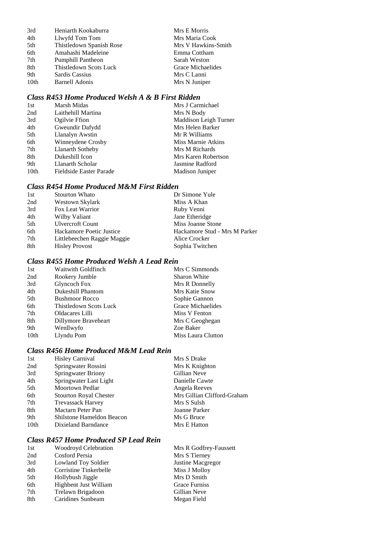| 3rd  | Heniarth Kookaburra      | Mrs E Morris        |
|------|--------------------------|---------------------|
| 4th  | Llwyfd Tom Tom           | Mrs Maria Cook      |
| 5th  | Thistledown Spanish Rose | Mrs V Hawkins-Smith |
| 6th  | Amahashi Madeleine       | Emma Cottham        |
| 7th  | <b>Pumphill Pantheon</b> | Sarah Weston        |
| 8th  | Thistledown Scots Luck   | Grace Michaelides   |
| 9th  | Sardis Cassius           | Mrs C Lanni         |
| 10th | <b>Barnell Adonis</b>    | Mrs N Juniper       |

# *Class R453 Home Produced Welsh A & B First Ridden*

| Marsh Midas             | Mrs J Carmichael      |
|-------------------------|-----------------------|
| Laithehill Martina      | Mrs N Body            |
| Ogilvie Ffion           | Maddison Leigh Turner |
| Gweundir Dafydd         | Mrs Helen Barker      |
| Llanalyn Awstin         | Mr R Williams         |
| Winneydene Crosby       | Miss Marnie Atkins    |
| Llanarth Sotheby        | Mrs M Richards        |
| Dukeshill Icon          | Mrs Karen Robertson   |
| Llanarth Scholar        | Jasmine Radford       |
| Fieldside Easter Parade | Madison Juniper       |
|                         |                       |

## *Class R454 Home Produced M&M First Ridden*

| 1st | Stourton Whato              | Dr Simone Yule                |
|-----|-----------------------------|-------------------------------|
| 2nd | Westown Skylark             | Miss A Khan                   |
| 3rd | Fox Leat Warrior            | Ruby Venni                    |
| 4th | Wilby Valiant               | Jane Etheridge                |
| 5th | <b>Ulvercroft Count</b>     | Miss Joanne Stone             |
| 6th | Hackamore Poetic Justice    | Hackamore Stud - Mrs M Parker |
| 7th | Littlebeechen Raggie Maggie | Alice Crocker                 |
| 8th | <b>Hisley Provost</b>       | Sophia Twitchen               |
|     |                             |                               |

## *Class R455 Home Produced Welsh A Lead Rein*

| 1st              | <b>Waitwith Goldfinch</b> | Mrs C Simmonds      |
|------------------|---------------------------|---------------------|
| 2nd              | Rookery Jumble            | <b>Sharon White</b> |
| 3rd              | Glyncoch Fox              | Mrs R Donnelly      |
| 4th              | Dukeshill Phantom         | Mrs Katie Snow      |
| 5th              | <b>Bushmoor Rocco</b>     | Sophie Gannon       |
| 6th              | Thistledown Scots Luck    | Grace Michaelides   |
| 7th              | Oldacares Lilli           | Miss V Fenton       |
| 8th              | Dillymore Braveheart      | Mrs C Geoghegan     |
| 9th              | Wenllwyfo                 | Zoe Baker           |
| 10 <sub>th</sub> | Llyndu Pom                | Miss Laura Clutton  |

## *Class R456 Home Produced M&M Lead Rein*

| 1st  | <b>Hisley Carnival</b>        | Mrs S Drake                 |
|------|-------------------------------|-----------------------------|
| 2nd  | Springwater Rossini           | Mrs K Knighton              |
| 3rd  | <b>Springwater Briony</b>     | Gillian Neve                |
| 4th  | Springwater Last Light        | Danielle Cawte              |
| 5th  | <b>Moortown Pedlar</b>        | Angela Reeves               |
| 6th  | <b>Stourton Royal Chester</b> | Mrs Gillian Clifford-Graham |
| 7th  | <b>Trevassack Harvey</b>      | Mrs S Sulsh                 |
| 8th  | Mactarn Peter Pan             | Joanne Parker               |
| 9th  | Shilstone Hameldon Beacon     | Ms G Bruce                  |
| 10th | Dixieland Barndance           | Mrs E Hatton                |
|      |                               |                             |

# *Class R457 Home Produced SP Lead Rein*

| 1st | Woodroyd Celebration   | Mrs R Godfrey-Faussett |
|-----|------------------------|------------------------|
| 2nd | Cosford Persia         | Mrs S Tierney          |
| 3rd | Lowland Toy Soldier    | Justine Macgregor      |
| 4th | Corristine Tinkerbelle | Miss J Molloy          |
| 5th | Hollybush Jiggle       | Mrs D Smith            |
| 6th | Highbent Just William  | <b>Grace Furniss</b>   |
| 7th | Trelawn Brigadoon      | Gillian Neve           |
| 8th | Caridines Sunbeam      | Megan Field            |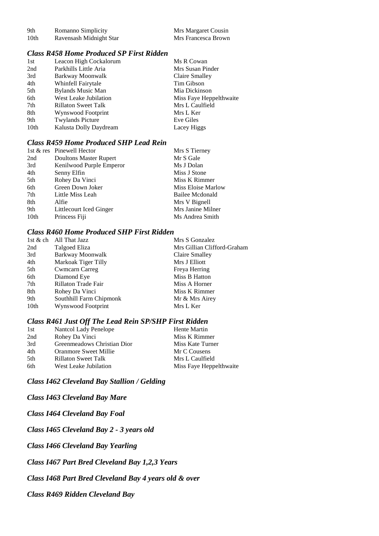| 9th  | Romanno Simplicity      | Mrs Margaret Cousin |
|------|-------------------------|---------------------|
| 10th | Ravensash Midnight Star | Mrs Francesca Brown |

### *Class R458 Home Produced SP First Ridden*

| 1st  | Leacon High Cockalorum     | Ms R Cowan              |
|------|----------------------------|-------------------------|
| 2nd  | Parkhills Little Aria      | Mrs Susan Pinder        |
| 3rd  | Barkway Moonwalk           | Claire Smalley          |
| 4th  | Whinfell Fairytale         | Tim Gibson              |
| 5th  | <b>Bylands Music Man</b>   | Mia Dickinson           |
| 6th  | West Leake Jubilation      | Miss Faye Heppelthwaite |
| 7th  | <b>Rillaton Sweet Talk</b> | Mrs L Caulfield         |
| 8th  | Wynswood Footprint         | Mrs L Ker               |
| 9th  | <b>Twylands Picture</b>    | Eve Giles               |
| 10th | Kalusta Dolly Daydream     | Lacey Higgs             |

## *Class R459 Home Produced SHP Lead Rein*

|      | 1st & res Pinewell Hector | Mrs S Tierney      |
|------|---------------------------|--------------------|
| 2nd  | Doultons Master Rupert    | Mr S Gale          |
| 3rd  | Kenilwood Purple Emperor  | Ms J Dolan         |
| 4th  | Senny Elfin               | Miss J Stone       |
| 5th  | Rohey Da Vinci            | Miss K Rimmer      |
| 6th  | Green Down Joker          | Miss Eloise Marlow |
| 7th  | Little Miss Leah          | Bailee Mcdonald    |
| 8th  | Alfie                     | Mrs V Bignell      |
| 9th  | Littlecourt Iced Ginger   | Mrs Janine Milner  |
| 10th | Princess Fiji             | Ms Andrea Smith    |

## *Class R460 Home Produced SHP First Ridden*

|      | 1st & ch All That Jazz  | Mrs S Gonzalez              |
|------|-------------------------|-----------------------------|
| 2nd  | Talgoed Eliza           | Mrs Gillian Clifford-Graham |
| 3rd  | Barkway Moonwalk        | Claire Smalley              |
| 4th  | Markoak Tiger Tilly     | Mrs J Elliott               |
| 5th  | <b>Cwmcarn Carreg</b>   | Freya Herring               |
| 6th  | Diamond Eye             | Miss B Hatton               |
| 7th  | Rillaton Trade Fair     | Miss A Horner               |
| 8th  | Rohey Da Vinci          | Miss K Rimmer               |
| 9th  | Southhill Farm Chipmonk | Mr & Mrs Airey              |
| 10th | Wynswood Footprint      | Mrs L Ker                   |
|      |                         |                             |

#### *Class R461 Just Off The Lead Rein SP/SHP First Ridden*

| 1st  | Nantcol Lady Penelope        | Hente Martin            |
|------|------------------------------|-------------------------|
| 2nd  | Rohey Da Vinci               | Miss K Rimmer           |
| 3rd  | Greenmeadows Christian Dior  | Miss Kate Turner        |
| 4th  | <b>Oranmore Sweet Millie</b> | Mr C Cousens            |
| .5th | <b>Rillaton Sweet Talk</b>   | Mrs L Caulfield         |
| 6th  | West Leake Jubilation        | Miss Faye Heppelthwaite |

*Class I462 Cleveland Bay Stallion / Gelding*

*Class I463 Cleveland Bay Mare*

*Class I464 Cleveland Bay Foal*

*Class I465 Cleveland Bay 2 - 3 years old*

*Class I466 Cleveland Bay Yearling*

*Class I467 Part Bred Cleveland Bay 1,2,3 Years*

*Class I468 Part Bred Cleveland Bay 4 years old & over*

*Class R469 Ridden Cleveland Bay*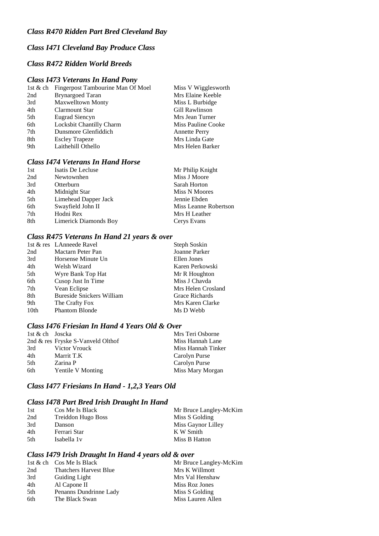## *Class R470 Ridden Part Bred Cleveland Bay*

# *Class I471 Cleveland Bay Produce Class*

### *Class R472 Ridden World Breeds*

#### *Class I473 Veterans In Hand Pony*

| Fingerpost Tambourine Man Of Moel | Miss V Wigglesworth  |
|-----------------------------------|----------------------|
| <b>Brynargoed Taran</b>           | Mrs Elaine Keeble    |
| <b>Maxwelltown Monty</b>          | Miss L Burbidge      |
| Clarmount Star                    | Gill Rawlinson       |
| Eugrad Siencyn                    | Mrs Jean Turner      |
| Locksbit Chantilly Charm          | Miss Pauline Cooke   |
| Dunsmore Glenfiddich              | <b>Annette Perry</b> |
| <b>Escley Trapeze</b>             | Mrs Linda Gate       |
| Laithehill Othello                | Mrs Helen Barker     |
|                                   |                      |

## *Class I474 Veterans In Hand Horse*

| 1st | Isatis De Lecluse     | Mr Philip Knight      |
|-----|-----------------------|-----------------------|
| 2nd | Newtownhen            | Miss J Moore          |
| 3rd | Otterburn             | Sarah Horton          |
| 4th | Midnight Star         | Miss N Moores         |
| 5th | Limehead Dapper Jack  | Jennie Ebden          |
| 6th | Swayfield John II     | Miss Leanne Robertson |
| 7th | Hodni Rex             | Mrs H Leather         |
| 8th | Limerick Diamonds Boy | Cerys Evans           |

### *Class R475 Veterans In Hand 21 years & over*

|                  | 1st & res LAnneede Ravel         | Steph Soskin       |
|------------------|----------------------------------|--------------------|
| 2nd              | Mactarn Peter Pan                | Joanne Parker      |
| 3rd              | Horsense Minute Un               | Ellen Jones        |
| 4th              | Welsh Wizard                     | Karen Perkowski    |
| 5th              | Wyre Bank Top Hat                | Mr R Houghton      |
| 6th              | Cusop Just In Time               | Miss J Chavda      |
| 7th              | Vean Eclipse                     | Mrs Helen Crosland |
| 8th              | <b>Bureside Snickers William</b> | Grace Richards     |
| 9th              | The Crafty Fox                   | Mrs Karen Clarke   |
| 10 <sub>th</sub> | <b>Phantom Blonde</b>            | Ms D Webb          |

## *Class I476 Friesian In Hand 4 Years Old & Over*

|     | 1st & ch Joscka                   | Mrs Teri Osborne   |
|-----|-----------------------------------|--------------------|
|     | 2nd & res Fryske S-Vanveld Olthof | Miss Hannah Lane   |
| 3rd | Victor Vrouck                     | Miss Hannah Tinker |
| 4th | Marrit T.K                        | Carolyn Purse      |
| 5th | Zarina P                          | Carolyn Purse      |
| 6th | Yentile V Monting                 | Miss Mary Morgan   |

# *Class I477 Friesians In Hand - 1,2,3 Years Old*

### *Class I478 Part Bred Irish Draught In Hand*

| 1st  | Cos Me Is Black         | Mr Bruce Langley-McKim |
|------|-------------------------|------------------------|
| 2nd  | Treiddon Hugo Boss      | Miss S Golding         |
| 3rd  | Danson                  | Miss Gaynor Lilley     |
| 4th  | Ferrari Star            | K W Smith              |
| .5th | Isabella 1 <sub>v</sub> | Miss B Hatton          |

## *Class I479 Irish Draught In Hand 4 years old & over*

|     | 1st & ch $\cos M$ e Is Black  | Mr Bruce Langley-McKim |
|-----|-------------------------------|------------------------|
| 2nd | <b>Thatchers Harvest Blue</b> | Mrs K Willmott         |
| 3rd | Guiding Light                 | Mrs Val Henshaw        |
| 4th | Al Capone II                  | Miss Roz Jones         |
| 5th | Penanns Dundrinne Lady        | Miss S Golding         |
| 6th | The Black Swan                | Miss Lauren Allen      |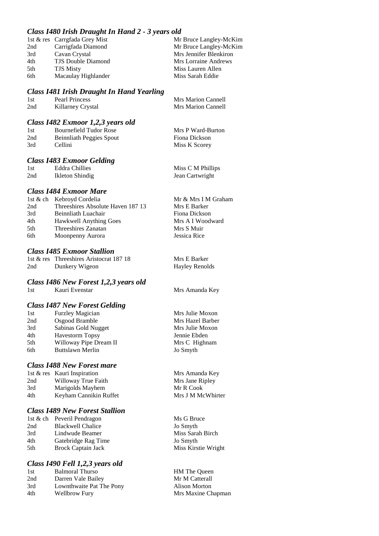#### *Class I480 Irish Draught In Hand 2 - 3 years old*

|     | 1st & res Carrgfada Grey Mist | Mr Bruce Langley-McKim |
|-----|-------------------------------|------------------------|
| 2nd | Carrigfada Diamond            | Mr Bruce Langley-McKim |
| 3rd | Cavan Crystal                 | Mrs Jennifer Blenkiron |
| 4th | <b>TJS Double Diamond</b>     | Mrs Lorraine Andrews   |
| 5th | <b>TJS Misty</b>              | Miss Lauren Allen      |
| 6th | Macaulay Highlander           | Miss Sarah Eddie       |
|     |                               |                        |

#### *Class I481 Irish Draught In Hand Yearling*

| 1st | Pearl Princess    | Mrs Marion Cannell |
|-----|-------------------|--------------------|
| 2nd | Killarney Crystal | Mrs Marion Cannell |

#### *Class I482 Exmoor 1,2,3 years old*

| 1st | Bournefield Tudor Rose   | Mrs P Ward-Burton |
|-----|--------------------------|-------------------|
| 2nd | Beinnliath Peggies Spout | Fiona Dickson     |
| 3rd | Cellini                  | Miss K Scorey     |

#### *Class I483 Exmoor Gelding*

| 1st | <b>Eddra Chillies</b> | Miss C M Phillips |
|-----|-----------------------|-------------------|
| 2nd | Ikleton Shindig       | Jean Cartwright   |

#### *Class I484 Exmoor Mare*

| Mr & Mrs I M Graham |
|---------------------|
| Mrs E Barker        |
| Fiona Dickson       |
| Mrs A I Woodward    |
| Mrs S Muir          |
| Jessica Rice        |
|                     |

#### *Class I485 Exmoor Stallion*

|     | 1st & res Threeshires Aristocrat 187 18 |
|-----|-----------------------------------------|
| 2nd | Dunkery Wigeon                          |

#### *Class I486 New Forest 1,2,3 years old*

| 1st | Kauri Evenstar |
|-----|----------------|
|-----|----------------|

#### *Class I487 New Forest Gelding*

| 1st | <b>Furzley Magician</b> |
|-----|-------------------------|
| 2nd | Osgood Bramble          |
| 3rd | Sabinas Gold Nugget     |
| 4th | <b>Havestorm Topsy</b>  |
| 5th | Willoway Pipe Dream II  |
| 6th | Buttslawn Merlin        |
|     |                         |

#### *Class I488 New Forest mare*

|     | 1st & res Kauri Inspiration |
|-----|-----------------------------|
| 2nd | Willoway True Faith         |
| 3rd | Marigolds Mayhem            |
| 4th | Keyham Cannikin Ruffet      |

#### *Class I489 New Forest Stallion*

1st & ch Peveril Pendragon Ms G Bruce 2nd Blackwell Chalice Jo Smyth<br>3rd Lindwude Beamer Miss Sara 3rd Lindwude Beamer Miss Sarah Birch 4th Gatebridge Rag Time Jo Smyth 5th Brock Captain Jack Miss Kirstie Wright

#### *Class I490 Fell 1,2,3 years old*

| 1st | <b>Balmoral Thurso</b>   |
|-----|--------------------------|
| 2nd | Darren Vale Bailey       |
| 3rd | Lownthwaite Pat The Pony |
| 4th | <b>Wellbrow Fury</b>     |

Mrs E Barker Hayley Renolds

Mrs Amanda Key

Mrs Julie Moxon Mrs Hazel Barber Mrs Julie Moxon Jennie Ebden Mrs C Highnam Jo Smyth

Mrs Amanda Key Mrs Jane Ripley Mr R Cook Mrs J M McWhirter

HM The Queen Mr M Catterall Alison Morton Mrs Maxine Chapman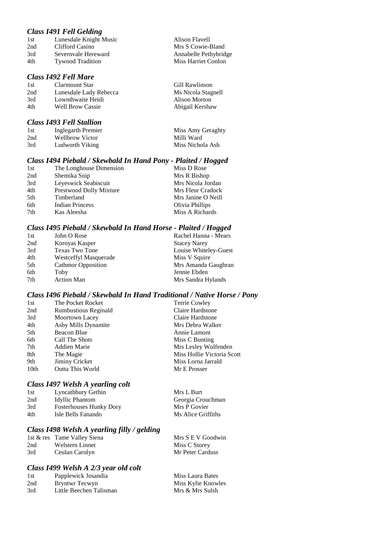#### *Class I491 Fell Gelding*

| 1st | Lunesdale Knight Music  | Alison Flavell        |
|-----|-------------------------|-----------------------|
| 2nd | Clifford Casino         | Mrs S Cowie-Bland     |
| 3rd | Severnyale Hereward     | Annabelle Pethybridge |
| 4th | <b>Tywood Tradition</b> | Miss Harriet Conlon   |
|     |                         |                       |

# *Class I492 Fell Mare*

#### 1st Clarmount Star Gill Rawlinson<br>2nd Lunesdale Lady Rebecca Ms Nicola Stag Lunesdale Lady Rebecca Ms Nicola Stagnell 3rd Lownthwaite Heidi Alison Morton 4th Well Brow Cassie Abigail Kershaw

## *Class I493 Fell Stallion*

| 1st | Inglegarth Premier | Miss Amy Geraghty |
|-----|--------------------|-------------------|
| 2nd | Wellbrow Victor    | Milli Ward        |
| 3rd | Ludworth Viking    | Miss Nichola Ash  |

#### *Class I494 Piebald / Skewbald In Hand Pony - Plaited / Hogged*

| 1st | The Longhouse Dimension | Miss D Rose        |
|-----|-------------------------|--------------------|
| 2nd | Shemika Snip            | Mrs R Bishop       |
| 3rd | Leyeswick Seabiscuit    | Mrs Nicola Jordan  |
| 4th | Prestwood Dolly Mixture | Mrs Fleur Cradock  |
| 5th | Timberland              | Mrs Janine O Neill |
| 6th | <b>Indian Princess</b>  | Olivia Phillips    |
| 7th | Kas Aleesha             | Miss A Richards    |

#### *Class I495 Piebald / Skewbald In Hand Horse - Plaited / Hogged*

| 1st | John O Rose                  | Rachel Hanna - Mears  |
|-----|------------------------------|-----------------------|
| 2nd | Koroyas Kasper               | <b>Stacey Narey</b>   |
| 3rd | <b>Texas Two Tone</b>        | Louise Whiteley-Guest |
| 4th | <b>Westceffyl Masquerade</b> | Miss V Squire         |
| 5th | <b>Cathmor Opposition</b>    | Mrs Amanda Gaughran   |
| 6th | Toby                         | Jennie Ebden          |
| 7th | <b>Action Man</b>            | Mrs Sandra Hylands    |

#### *Class I496 Piebald / Skewbald In Hand Traditional / Native Horse / Pony*

| The Pocket Rocket           | <b>Terrie Cowley</b>       |
|-----------------------------|----------------------------|
| <b>Rumbustious Reginald</b> | Claire Hardstone           |
| Moortown Lacey              | Claire Hardstone           |
| Asby Mills Dynamite         | Mrs Debra Walker           |
| Beacon Blue                 | Annie Lamont               |
| Call The Shots              | Miss C Bunting             |
| Addien Marie                | Mrs Lesley Wolfenden       |
| The Magie                   | Miss Hollie Victoria Scott |
| Jiminy Cricket              | Miss Lorna Jarrald         |
| Outta This World            | Mr E Prosser               |
|                             |                            |

#### *Class I497 Welsh A yearling colt*

| 1st | Lyncathbury Gethin             | Mrs L Burt         |
|-----|--------------------------------|--------------------|
| 2nd | Idyllic Phantom                | Georgia Crouchman  |
| 3rd | <b>Fosterhouses Hunky Dory</b> | Mrs P Govier       |
| 4th | Isle Bells Fanando             | Ms Alice Griffiths |

## *Class I498 Welsh A yearling filly / gelding*

|     | 1st & res Tame Valley Siena | Mrs S E V Goodwin |
|-----|-----------------------------|-------------------|
| 2nd | Welstern Linnet             | Miss C Storey     |
| 3rd | Ceulan Carolyn              | Mr Peter Carduss  |

## *Class I499 Welsh A 2/3 year old colt*

| 1st | Papplewick Josandia     | Miss Laura Bates   |
|-----|-------------------------|--------------------|
| 2nd | Bryntwr Tecwyn          | Miss Kylie Knowles |
| 3rd | Little Beechen Talisman | Mrs & Mrs Sulsh    |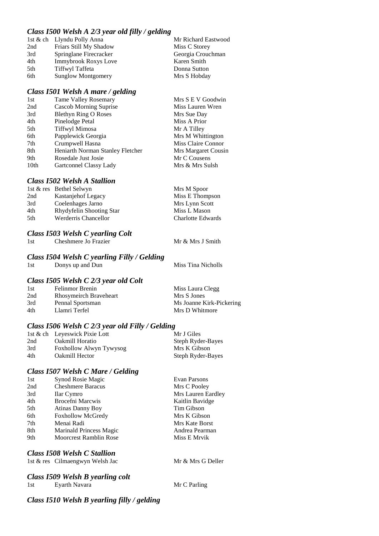### *Class I500 Welsh A 2/3 year old filly / gelding*

### *Class I501 Welsh A mare / gelding*

| 1st              | <b>Tame Valley Rosemary</b>      | Mrs S E V Goodwin   |
|------------------|----------------------------------|---------------------|
| 2nd              | <b>Cascob Morning Suprise</b>    | Miss Lauren Wren    |
| 3rd              | <b>Blethyn Ring O Roses</b>      | Mrs Sue Day         |
| 4th              | Pinelodge Petal                  | Miss A Prior        |
| 5th              | <b>Tiffwyl Mimosa</b>            | Mr A Tilley         |
| 6th              | Papplewick Georgia               | Mrs M Whittington   |
| 7th              | Crumpwell Hasna                  | Miss Claire Connor  |
| 8th              | Heniarth Norman Stanley Fletcher | Mrs Margaret Cousin |
| 9th              | Rosedale Just Josie              | Mr C Cousens        |
| 10 <sub>th</sub> | Gartconnel Classy Lady           | Mrs & Mrs Sulsh     |

### *Class I502 Welsh A Stallion*

|     | 1st & res Bethel Selwyn  | Mrs M Spoor              |
|-----|--------------------------|--------------------------|
| 2nd | Kastanjehof Legacy       | Miss E Thompson          |
| 3rd | Coelenhages Jarno        | Mrs Lynn Scott           |
| 4th | Rhydyfelin Shooting Star | Miss L Mason             |
| 5th | Werderris Chancellor     | <b>Charlotte Edwards</b> |

# *Class I503 Welsh C yearling Colt*

1. Cheshmere Jo Frazier Mr & Mrs J Smith

### *Class I504 Welsh C yearling Filly / Gelding*

1st Donys up and Dun Miss Tina Nicholls

### *Class I505 Welsh C 2/3 year old Colt*

| 1st | Felinmor Brenin        | Miss Laura Clegg         |
|-----|------------------------|--------------------------|
| 2nd | Rhosymeirch Braveheart | Mrs S Jones              |
| 3rd | Pennal Sportsman       | Ms Joanne Kirk-Pickering |
| 4th | Llamri Terfel          | Mrs D Whitmore           |

### *Class I506 Welsh C 2/3 year old Filly / Gelding*

|     | 1st & ch Leyeswick Pixie Lott | Mr J Giles        |
|-----|-------------------------------|-------------------|
| 2nd | Oakmill Horatio               | Steph Ryder-Bayes |
| 3rd | Foxhollow Alwyn Tywysog       | Mrs K Gibson      |
| 4th | <b>Oakmill Hector</b>         | Steph Ryder-Bayes |

### *Class I507 Welsh C Mare / Gelding*

| 1st | Synod Rosie Magic             | Evan Parsons       |
|-----|-------------------------------|--------------------|
| 2nd | <b>Cheshmere Baracus</b>      | Mrs C Pooley       |
| 3rd | <b>Ilar Cymro</b>             | Mrs Lauren Eardley |
| 4th | <b>Brocefni Marcwis</b>       | Kaitlin Bavidge    |
| 5th | <b>Atinas Danny Boy</b>       | Tim Gibson         |
| 6th | <b>Foxhollow McGredy</b>      | Mrs K Gibson       |
| 7th | Menai Radi                    | Mrs Kate Borst     |
| 8th | Marinald Princess Magic       | Andrea Pearman     |
| 9th | <b>Moorcrest Ramblin Rose</b> | Miss E Mrvik       |
|     |                               |                    |

### *Class I508 Welsh C Stallion*

1st & res Cilmaengwyn Welsh Jac Mr & Mrs G Deller

# *Class I509 Welsh B yearling colt*

1. Eyarth Navara Mr C Parling

### *Class I510 Welsh B yearling filly / gelding*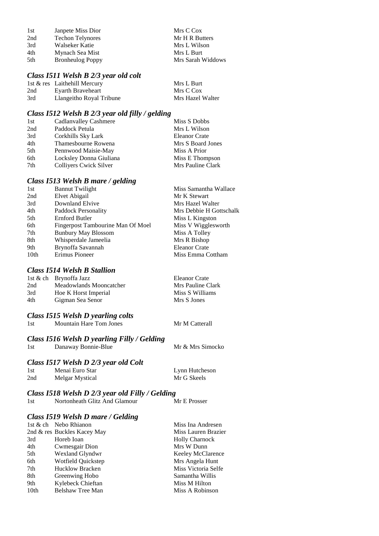| 1st | Janpete Miss Dior       | Mrs C Cox         |
|-----|-------------------------|-------------------|
| 2nd | <b>Techon Telynores</b> | Mr H R Butters    |
| 3rd | Walseker Katie          | Mrs L Wilson      |
| 4th | Mynach Sea Mist         | Mrs L Burt        |
| 5th | <b>Bronheulog Poppy</b> | Mrs Sarah Widdows |

### *Class I511 Welsh B 2/3 year old colt*

|     | 1st & res Laithehill Mercury | Mrs L Burt       |
|-----|------------------------------|------------------|
| 2nd | Evarth Braveheart            | Mrs C Cox        |
| 3rd | Llangeitho Royal Tribune     | Mrs Hazel Walter |

# *Class I512 Welsh B 2/3 year old filly / gelding*

| 1st | Cadlanvalley Cashmere   | Miss S Dobbs      |
|-----|-------------------------|-------------------|
| 2nd | Paddock Petula          | Mrs L Wilson      |
| 3rd | Corkhills Sky Lark      | Eleanor Crate     |
| 4th | Thamesbourne Rowena     | Mrs S Board Jones |
| 5th | Pennwood Maisie-May     | Miss A Prior      |
| 6th | Locksley Donna Giuliana | Miss E Thompson   |
| 7th | Colliyers Cwick Silver  | Mrs Pauline Clark |

### *Class I513 Welsh B mare / gelding*

| 1st              | <b>Bannut Twilight</b>            | Miss Samantha Wallace   |
|------------------|-----------------------------------|-------------------------|
| 2nd              | Elvet Abigail                     | Mr K Stewart            |
| 3rd              | Downland Elvive                   | Mrs Hazel Walter        |
| 4th              | Paddock Personality               | Mrs Debbie H Gottschalk |
| 5th              | Ernford Butler                    | Miss L Kingston         |
| 6th              | Fingerpost Tambourine Man Of Moel | Miss V Wigglesworth     |
| 7th              | <b>Bunbury May Blossom</b>        | Miss A Tolley           |
| 8th              | Whisperdale Jameelia              | Mrs R Bishop            |
| 9th              | Brynoffa Savannah                 | <b>Eleanor Crate</b>    |
| 10 <sub>th</sub> | Erimus Pioneer                    | Miss Emma Cottham       |
|                  |                                   |                         |

### *Class I514 Welsh B Stallion*

|     | 1st & ch Brynoffa Jazz  | Eleanor Crate     |
|-----|-------------------------|-------------------|
| 2nd | Meadowlands Mooncatcher | Mrs Pauline Clark |
| 3rd | Hoe K Horst Imperial    | Miss S Williams   |
| 4th | Gigman Sea Senor        | Mrs S Jones       |

### *Class I515 Welsh D yearling colts*

# *Class I516 Welsh D yearling Filly / Gelding*

Danaway Bonnie-Blue Mr & Mrs Simocko

Mr M Catterall

# *Class I517 Welsh D 2/3 year old Colt*

| 1st | Menai Euro Star | Lynn Hutcheson |
|-----|-----------------|----------------|
| 2nd | Melgar Mystical | Mr G Skeels    |

### *Class I518 Welsh D 2/3 year old Filly / Gelding*

### *Class I519 Welsh D mare / Gelding*

|                  | 1st & ch Nebo Rhianon       | Miss Ina Andresen     |
|------------------|-----------------------------|-----------------------|
|                  | 2nd & res Buckles Kacey May | Miss Lauren Brazier   |
| 3rd              | Horeb Ioan                  | <b>Holly Charnock</b> |
| 4th              | Cwmesgair Dion              | Mrs W Dunn            |
| 5th              | Wexland Glyndwr             | Keeley McClarence     |
| 6th              | Wotfield Quickstep          | Mrs Angela Hunt       |
| 7th              | <b>Hucklow Bracken</b>      | Miss Victoria Selfe   |
| 8th              | Greenwing Hobo              | Samantha Willis       |
| 9th              | Kylebeck Chieftan           | Miss M Hilton         |
| 10 <sub>th</sub> | <b>Belshaw Tree Man</b>     | Miss A Robinson       |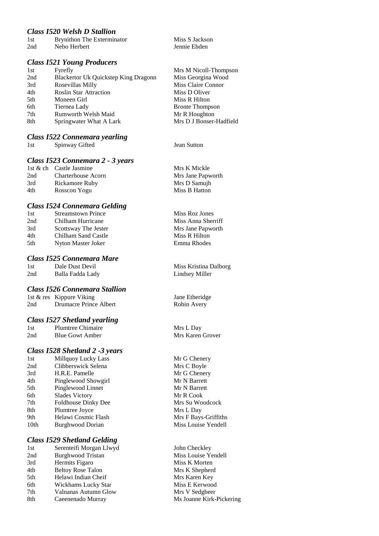### *Class I520 Welsh D Stallion*

| 1st | Brynithon The Exterminator |
|-----|----------------------------|
| 2nd | Nebo Herbert               |

### *Class I521 Young Producers*

| 1st | Fyrefly                              | Mrs M Nicoll-Thompson   |
|-----|--------------------------------------|-------------------------|
| 2nd | Blackertor Uk Quickstep King Dragonn | Miss Georgina Wood      |
| 3rd | Rosevillas Milly                     | Miss Claire Connor      |
| 4th | <b>Roslin Star Attraction</b>        | Miss D Oliver           |
| 5th | Moneen Girl                          | Miss R Hilton           |
| 6th | Tiernea Lady                         | <b>Bronte Thompson</b>  |
| 7th | <b>Rumworth Welsh Maid</b>           | Mr R Houghton           |
| 8th | Springwater What A Lark              | Mrs D J Bonser-Hadfield |
|     |                                      |                         |

# *Class I522 Connemara yearling*

**19 Spinway Gifted** Jean Sutton

### *Class I523 Connemara 2 - 3 years*

|     | 1st & ch Castle Jasmine | Mrs K Mickle      |
|-----|-------------------------|-------------------|
| 2nd | Charterhouse Acorn      | Mrs Jane Papworth |
| 3rd | Rickamore Ruby          | Mrs D Samuih      |
| 4th | Rosscon Yogu            | Miss B Hatton     |

### *Class I524 Connemara Gelding*

| 1st | <b>Streamstown Prince</b> | Miss Roz Jones     |
|-----|---------------------------|--------------------|
| 2nd | Chilham Hurricane         | Miss Anna Sherriff |
| 3rd | Scottsway The Jester      | Mrs Jane Papworth  |
| 4th | Chilham Sand Castle       | Miss R Hilton      |
| 5th | Nyton Master Joker        | Emma Rhodes        |
|     |                           |                    |

### *Class I525 Connemara Mare*

| 1st | Dale Dust Devil  |
|-----|------------------|
| 2nd | Balla Fadda Lady |

### *Class I526 Connemara Stallion*

|     | 1st & res Kippure Viking |
|-----|--------------------------|
| 2nd | Drumacre Prince Albert   |

### *Class I527 Shetland yearling*

| 1st | Plumtree Chimaire      |
|-----|------------------------|
| 2nd | <b>Blue Gowt Amber</b> |

### *Class I528 Shetland 2 -3 years*

| Millquoy Lucky Lass     |
|-------------------------|
| Clibberswick Selena     |
| H.R.E. Pamelle          |
| Pinglewood Showgirl     |
| Pinglewood Linnet       |
| <b>Slades Victory</b>   |
| Foldhouse Dinky Dee     |
| Plumtree Joyce          |
| Helawi Cosmic Flash     |
| <b>Burghwood Dorian</b> |
|                         |

### *Class I529 Shetland Gelding*

| 1st             | Serenteifi Morgan Llwyd  |
|-----------------|--------------------------|
| 2 <sub>nd</sub> | <b>Burghwood Tristan</b> |
| 3rd             | Hermits Figaro           |
| 4th             | <b>Beltoy Rose Talon</b> |
| 5th             | Helawi Indian Cheif      |
| 6th             | Wickhams Lucky Star      |
| 7th             | Valnanas Autumn Glow     |
| 8th             | Caeenenado Murray        |

Miss S Jackson Jennie Ebden

| Mrs M Nicoll-Thompson   |
|-------------------------|
| Miss Georgina Wood      |
| Miss Claire Connor      |
| Miss D Oliver           |
| Miss R Hilton           |
| <b>Bronte Thompson</b>  |
| Mr R Houghton           |
| Mrs D J Bonser-Hadfield |

| Mrs K Mickle      |  |
|-------------------|--|
| Mrs Jane Papworth |  |
| Mrs D Samujh      |  |
| Miss B Hatton     |  |

Miss Kristina Dalborg Lindsey Miller

Jane Etheridge Robin Avery

Mrs L Day Mrs Karen Grover

Mr G Chenery Mrs C Boyle Mr G Chenery Mr N Barrett Mr N Barrett Mr R Cook Mrs Su Woodcock Mrs L Day Mrs F Bays-Griffiths Miss Louise Yendell

John Checkley Miss Louise Yendell Miss K Morten Mrs K Shepherd Mrs Karen Key Miss E Kerwood Mrs V Sedgbeer Ms Joanne Kirk-Pickering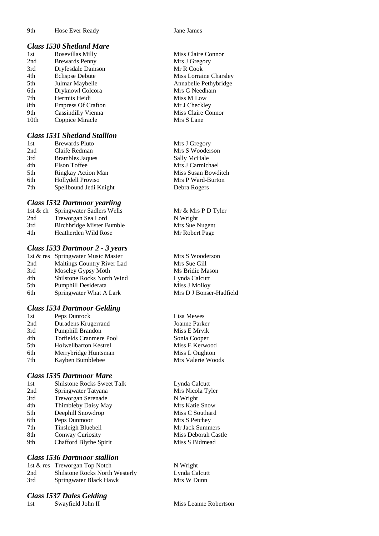#### *Class I530 Shetland Mare*

| 1st              | Rosevillas Milly          |
|------------------|---------------------------|
| 2nd              | <b>Brewards Penny</b>     |
| 3rd              | Dryfesdale Damson         |
| 4th              | <b>Eclispse Debute</b>    |
| 5th              | Julmar Maybelle           |
| 6th              | Dryknowl Colcora          |
| 7th              | Hermits Heidi             |
| 8th              | <b>Empress Of Crafton</b> |
| 9th              | <b>Cassindilly Vienna</b> |
| 10 <sub>th</sub> | Coppice Miracle           |

### *Class I531 Shetland Stallion*

| 1st | <b>Brewards Pluto</b>  | Mrs J Gregory |
|-----|------------------------|---------------|
| 2nd | Claife Redman          | Mrs S Wooder  |
| 3rd | <b>Brambles Jaques</b> | Sally McHale  |
| 4th | Elson Toffee           | Mrs J Carmich |
| 5th | Ringkay Action Man     | Miss Susan Bo |
| 6th | Hollydell Proviso      | Mrs P Ward-E  |
| 7th | Spellbound Jedi Knight | Debra Rogers  |

### *Class I532 Dartmoor yearling*

| 1st & ch Springwater Sadlers Wells |
|------------------------------------|
| Treworgan Sea Lord                 |
| <b>Birchbridge Mister Bumble</b>   |
| Heatherden Wild Rose               |
|                                    |

### *Class I533 Dartmoor 2 - 3 years*

|     | 1st & res Springwater Music Master |
|-----|------------------------------------|
| 2nd | Maltings Country River Lad         |
| 3rd | Moseley Gypsy Moth                 |
| 4th | Shilstone Rocks North Wind         |
| 5th | Pumphill Desiderata                |
| 6th | Springwater What A Lark            |

### *Class I534 Dartmoor Gelding*

| 1st | Peps Dunrock            |
|-----|-------------------------|
| 2nd | Duradens Krugerrand     |
| 3rd | Pumphill Brandon        |
| 4th | Torfields Cranmere Pool |
| 5th | Holwellbarton Kestrel   |
| 6th | Merrybridge Huntsman    |
| 7th | Kavben Bumblebee        |

### *Class I535 Dartmoor Mare*

| 1st | <b>Shilstone Rocks Sweet Talk</b> |
|-----|-----------------------------------|
| 2nd | Springwater Tatyana               |
| 3rd | <b>Treworgan Serenade</b>         |
| 4th | Thimbleby Daisy May               |
| 5th | Deephill Snowdrop                 |
| 6th | Peps Dunmoor                      |
| 7th | Tinsleigh Bluebell                |
| 8th | Conway Curiosity                  |
| 9th | Chafford Blythe Spirit            |
|     |                                   |

### *Class I536 Dartmoor stallion*

|     | 1st & res Treworgan Top Notch         |
|-----|---------------------------------------|
| 2nd | <b>Shilstone Rocks North Westerly</b> |
| 3rd | Springwater Black Hawk                |

### *Class I537 Dales Gelding*

1st Swayfield John II Miss Leanne Robertson

Miss Claire Connor Mrs J Gregory Mr R Cook Miss Lorraine Charsley Annabelle Pethybridge Mrs G Needham Miss M Low Mr J Checkley Miss Claire Connor Mrs S Lane

Mrs J Gregory Mrs S Wooderson Sally McHale Mrs J Carmichael Miss Susan Bowditch Mrs P Ward-Burton

Mr & Mrs P D Tyler N Wright Mrs Sue Nugent Mr Robert Page

Mrs S Wooderson Mrs Sue Gill Ms Bridie Mason Lynda Calcutt Miss J Molloy Mrs D J Bonser-Hadfield

Lisa Mewes Joanne Parker Miss E Mrvik Sonia Cooper Miss E Kerwood Miss L Oughton yben Bumblebee Mrs Valerie Woods

> Lynda Calcutt Mrs Nicola Tyler N Wright Mrs Katie Snow Miss C Southard Mrs S Petchey Mr Jack Summers Miss Deborah Castle Miss S Bidmead

N Wright Lynda Calcutt Mrs W Dunn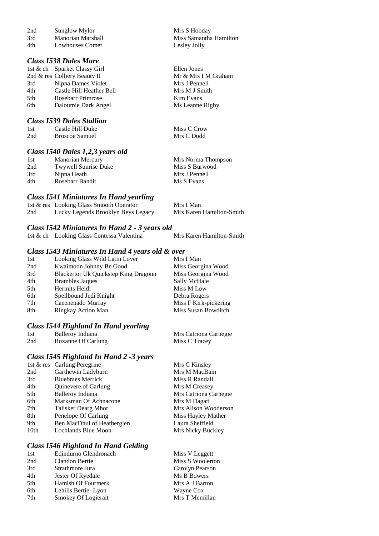| 2nd | Sunglow Mylor     |  |
|-----|-------------------|--|
| 3rd | Manorian Marshall |  |
| 4th | Lowhouses Comet   |  |

### *Class I538 Dales Mare*

|     | 1st & ch Sparket Classy Girl |
|-----|------------------------------|
|     | 2nd & res Colliery Beauty II |
| 3rd | Nipna Dames Violet           |
| 4th | Castle Hill Heather Bell     |
| 5th | <b>Rosebarr Primrose</b>     |
| 6th | Daloumie Dark Angel          |

### *Class I539 Dales Stallion*

| 1st | Castle Hill Duke | Miss C Crow |
|-----|------------------|-------------|
| 2nd | Broscoe Samuel   | Mrs C Dodd  |

Mrs S Hobday

Ellen Jones

Mrs J Pennell Mrs M J Smith Kim Evans Ms Leanne Rigby

Miss Samantha Hamilton<br>Lesley Jolly

Mr & Mrs I M Graham

### *Class I540 Dales 1,2,3 years old*

| 1st | Manorian Mercury     | Mrs Norma Thompson |
|-----|----------------------|--------------------|
| 2nd | Twywell Sunrise Duke | Miss S Burwood     |
| 3rd | Nipna Heath          | Mrs J Pennell      |
| 4th | Rosebarr Bandit      | Ms S Evans         |
|     |                      |                    |

### *Class I541 Miniatures In Hand yearling*

|     | 1st & res Looking Glass Smooth Operator | Mrs I Man                |
|-----|-----------------------------------------|--------------------------|
| 2nd | Lucky Legends Brooklyn Beys Legacy      | Mrs Karen Hamilton-Smith |

### *Class I542 Miniatures In Hand 2 - 3 years old*

| 1st & ch Looking Glass Contessa Valentina | Mrs Karen Hamilton-Smith |
|-------------------------------------------|--------------------------|

### *Class I543 Miniatures In Hand 4 years old & over*

| 1st | Looking Glass Wild Latin Lover       | Mrs I Man             |
|-----|--------------------------------------|-----------------------|
| 2nd | Kwaimoon Johnny Be Good              | Miss Georgina Wood    |
| 3rd | Blackertor Uk Quickstep King Dragonn | Miss Georgina Wood    |
| 4th | <b>Brambles Jaques</b>               | Sally McHale          |
| 5th | Hermits Heidi                        | Miss M Low            |
| 6th | Spellbound Jedi Knight               | Debra Rogers          |
| 7th | Caeenenado Murray                    | Miss F Kirk-pickering |
| 8th | Ringkay Action Man                   | Miss Susan Bowditch   |

### *Class I544 Highland In Hand yearling*

| 1st | Balleroy Indiana   | Mrs Catriona Carnegie |
|-----|--------------------|-----------------------|
| 2nd | Roxanne Of Carlung | Miss C Tracey         |

### *Class I545 Highland In Hand 2 -3 years*

|      | 1st & res Carlung Peregrine | Mrs C Kinsley         |
|------|-----------------------------|-----------------------|
| 2nd  | Garthewin Ladyburn          | Mrs M MacBain         |
| 3rd  | <b>Bluebraes Merrick</b>    | Miss R Randall        |
| 4th  | Quinevere of Carlung        | Mrs M Creasey         |
| 5th  | Balleroy Indiana            | Mrs Catriona Carnegie |
| 6th  | Marksman Of Achnacone       | Mrs M Dagati          |
| 7th  | Talisker Dearg Mhor         | Mrs Alison Wooderson  |
| 8th  | Penelope Of Carlung         | Miss Hayley Mather    |
| 9th  | Ben MacDhui of Heatherglen  | Laura Sheffield       |
| 10th | Lochlands Blue Moon         | Mrs Nicky Buckley     |
|      |                             |                       |

### *Class I546 Highland In Hand Gelding*

| 1st | Edindurno Glendronach | Miss V Leggett   |
|-----|-----------------------|------------------|
| 2nd | Clandon Bertie        | Miss S Woolerton |
| 3rd | Strathmore Jura       | Carolyn Pearson  |
| 4th | Jester Of Ryedale     | Ms B Bowers      |
| 5th | Hamish Of Fourmerk    | Mrs A J Barton   |
| 6th | Lehills Bertie-Lyon   | Wayne Cox        |
| 7th | Smokey Of Logierait   | Mrs T Mcmillan   |
|     |                       |                  |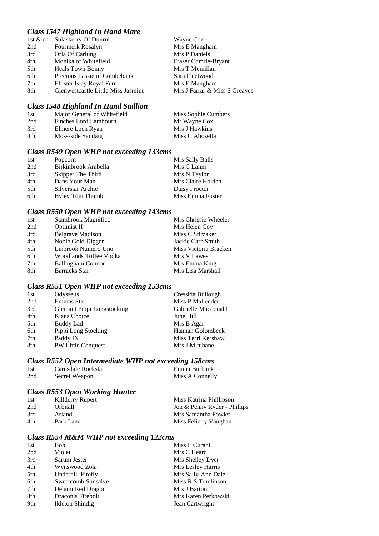### *Class I547 Highland In Hand Mare*

|     | 1st & ch Sulaskerry Of Dunrui      | Wayne Cox                     |
|-----|------------------------------------|-------------------------------|
| 2nd | Fourmerk Rosalyn                   | Mrs E Mangham                 |
| 3rd | Orla Of Carlung                    | Mrs P Daniels                 |
| 4th | Monika of Whitefield               | Fraser Comrie-Bryant          |
| 5th | <b>Heals Town Bonny</b>            | Mrs T Mcmillan                |
| 6th | Precious Lassie of Combebank       | Sara Fleetwood                |
| 7th | Ellister Islay Royal Fern          | Mrs E Mangham                 |
| 8th | Glenwestcastle Little Miss Jasmine | Mrs J Farrar & Miss S Greaves |

### *Class I548 Highland In Hand Stallion*

| Major General of Whitefield | Miss Sophie Cumbers |
|-----------------------------|---------------------|
| Finches Lord Lambourn       | Mr Wayne Cox        |
| Elmere Loch Ryan            | Mrs J Hawkins       |
| Moss-side Sandaig           | Miss C Abosetta     |
|                             |                     |

# *Class R549 Open WHP not exceeding 133cms*

| 1st | Popcorn              | Mrs Sally Balls   |
|-----|----------------------|-------------------|
| 2nd | Birkinbrook Arabella | Mrs C Lanni       |
| 3rd | Skipper The Third    | Mrs N Taylor      |
| 4th | Dans Your Man        | Mrs Claire Holden |
| 5th | Silverstar Archie    | Daisy Proctor     |
| 6th | Byley Tom Thumb      | Miss Emma Foster  |

### *Class R550 Open WHP not exceeding 143cms*

| 1st | Stambrook Magnifico      | Mrs Chrissie Wheeler  |
|-----|--------------------------|-----------------------|
| 2nd | Optimist II              | Mrs Helen Coy         |
| 3rd | <b>Belgrave Madison</b>  | Miss C Stirzaker      |
| 4th | Noble Gold Digger        | Jackie Carr-Smith     |
| 5th | Linbrook Numero Uno      | Miss Victoria Bracken |
| 6th | Woodlands Toffee Vodka   | Mrs V Lawes           |
| 7th | <b>Ballingham Connor</b> | Mrs Emma King         |
| 8th | <b>Barracks Star</b>     | Mrs Lisa Marshall     |
|     |                          |                       |

# *Class R551 Open WHP not exceeding 153cms*

| 1st | Odysseus                    | Cressida Bullough   |
|-----|-----------------------------|---------------------|
| 2nd | Emmas Star                  | Miss P Mallender    |
| 3rd | Gleinant Pippi Longstocking | Gabrielle Macdonald |
| 4th | Kians Choice                | June Hill           |
| 5th | Buddy Lad                   | Mrs B Agar          |
| 6th | Pippi Long Stocking         | Hannah Golombeck    |
| 7th | Paddy IX                    | Miss Terri Kershaw  |
| 8th | PW Little Conquest          | Mrs J Minihane      |

# *Class R552 Open Intermediate WHP not exceeding 158cms*

| 1st | Carnsdale Rockstar | Emma Burbank    |
|-----|--------------------|-----------------|
| 2nd | Secret Weapon      | Miss A Connelly |

# *Class R553 Open Working Hunter*

| 1st | Killderry Rupert       | Miss Katrina Phillipson      |
|-----|------------------------|------------------------------|
| 2nd | <i><b>Orbitall</b></i> | Jon & Penny Ryder - Phillips |
| 3rd | Arland                 | Mrs Samantha Fowler          |
| 4th | Park Lane              | Miss Felicity Vaughan        |

# *Class R554 M&M WHP not exceeding 122cms*

| 2nd<br>Violet<br>Mrs C Heard<br>3rd<br>Sarum Jester<br>Mrs Shelley Dyer<br>Mrs Lesley Harris<br>4th<br>Wynswood Zola<br>Underhill Firefly<br>Mrs Sally-Ann Dale<br>5th<br>Miss R S Tomlinson<br>Sweetcomb Sunsalve<br>6th<br>7th<br>Delami Red Dragon<br>Mrs J Barton |
|-----------------------------------------------------------------------------------------------------------------------------------------------------------------------------------------------------------------------------------------------------------------------|
|                                                                                                                                                                                                                                                                       |
|                                                                                                                                                                                                                                                                       |
|                                                                                                                                                                                                                                                                       |
|                                                                                                                                                                                                                                                                       |
|                                                                                                                                                                                                                                                                       |
|                                                                                                                                                                                                                                                                       |
| 8th<br>Draconis Firebolt<br>Mrs Karen Perkowski                                                                                                                                                                                                                       |
| 9th<br>Ikleton Shindig<br>Jean Cartwright                                                                                                                                                                                                                             |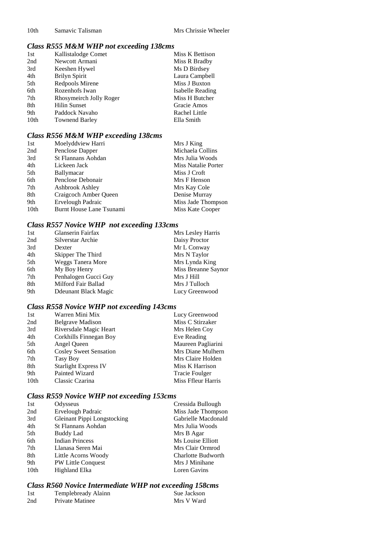# *Class R555 M&M WHP not exceeding 138cms*

| 1st              | Kallistalodge Comet     | Miss K Bettison  |
|------------------|-------------------------|------------------|
| 2nd              | Newcott Armani          | Miss R Bradby    |
| 3rd              | Keeshen Hywel           | Ms D Birdsey     |
| 4th              | Brilyn Spirit           | Laura Campbell   |
| 5th              | Redpools Mirene         | Miss J Buxton    |
| 6th              | Rozenhofs Iwan          | Isabelle Reading |
| 7th              | Rhosymeirch Jolly Roger | Miss H Butcher   |
| 8th              | <b>Hilin Sunset</b>     | Gracie Amos      |
| 9th              | Paddock Navaho          | Rachel Little    |
| 10 <sub>th</sub> | <b>Townend Barley</b>   | Ella Smith       |

# *Class R556 M&M WHP exceeding 138cms*

| 1st              | Moelyddview Harri         | Mrs J King          |
|------------------|---------------------------|---------------------|
| 2nd              | Penclose Dapper           | Michaela Collins    |
| 3rd              | <b>St Flannans Aohdan</b> | Mrs Julia Woods     |
| 4th              | Lickeen Jack              | Miss Natalie Porter |
| 5th              | <b>Ballymacar</b>         | Miss J Croft        |
| 6th              | Penclose Debonair         | Mrs F Henson        |
| 7th              | Ashbrook Ashley           | Mrs Kay Cole        |
| 8th              | Craigcoch Amber Queen     | Denise Murray       |
| 9th              | Ervelough Padraic         | Miss Jade Thompson  |
| 10 <sub>th</sub> | Burnt House Lane Tsunami  | Miss Kate Cooper    |

# *Class R557 Novice WHP not exceeding 133cms*

| Glanserin Fairfax        | Mrs Lesley Harris   |
|--------------------------|---------------------|
| Silverstar Archie        | Daisy Proctor       |
| Dexter                   | Mr L Conway         |
| Skipper The Third        | Mrs N Taylor        |
| <b>Weggs Tanera More</b> | Mrs Lynda King      |
| My Boy Henry             | Miss Breanne Saynor |
| Penhalogen Gucci Guy     | Mrs J Hill          |
| Milford Fair Ballad      | Mrs J Tulloch       |
| Ddeunant Black Magic     | Lucy Greenwood      |
|                          |                     |

# *Class R558 Novice WHP not exceeding 143cms*

| 1st              | Warren Mini Mix               | Lucy Greenwood        |
|------------------|-------------------------------|-----------------------|
| 2nd              | <b>Belgrave Madison</b>       | Miss C Stirzaker      |
| 3rd              | Riversdale Magic Heart        | Mrs Helen Coy         |
| 4th              | Corkhills Finnegan Boy        | Eve Reading           |
| 5th              | Angel Queen                   | Maureen Pagliarini    |
| 6th              | <b>Cosley Sweet Sensation</b> | Mrs Diane Mulhern     |
| 7th              | Tasy Boy                      | Mrs Claire Holden     |
| 8th              | <b>Starlight Express IV</b>   | Miss K Harrison       |
| 9th              | Painted Wizard                | <b>Tracie Foulger</b> |
| 10 <sub>th</sub> | Classic Czarina               | Miss Ffleur Harris    |

# *Class R559 Novice WHP not exceeding 153cms*

| 1st              | Odysseus                    | Cressida Bullough         |
|------------------|-----------------------------|---------------------------|
| 2nd              | <b>Ervelough Padraic</b>    | Miss Jade Thompson        |
| 3rd              | Gleinant Pippi Longstocking | Gabrielle Macdonald       |
| 4th              | St Flannans Aohdan          | Mrs Julia Woods           |
| 5th              | Buddy Lad                   | Mrs B Agar                |
| 6th              | <b>Indian Princess</b>      | Ms Louise Elliott         |
| 7th              | Llanasa Seren Mai           | Mrs Clair Ormrod          |
| 8th              | Little Acorns Woody         | <b>Charlotte Budworth</b> |
| 9th              | <b>PW Little Conquest</b>   | Mrs J Minihane            |
| 10 <sub>th</sub> | <b>Highland Elka</b>        | Loren Gavins              |
|                  |                             |                           |

# *Class R560 Novice Intermediate WHP not exceeding 158cms*

| 1st | Templebready Alainn | Sue Jackson |
|-----|---------------------|-------------|
| 2nd | Private Matinee     | Mrs V Ward  |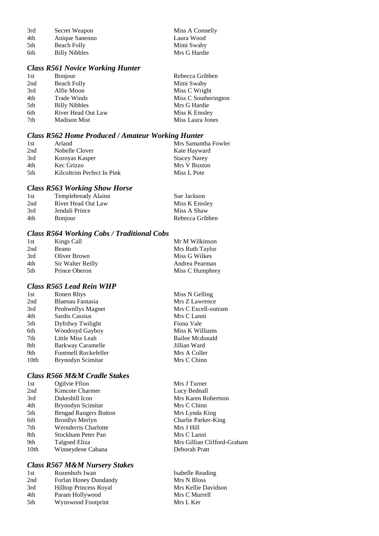| 3rd | Secret Weapon        | Miss A Connelly |
|-----|----------------------|-----------------|
| 4th | Anique Sanenno       | Laura Wood      |
| 5th | Beach Folly          | Mimi Swaby      |
| 6th | <b>Billy Nibbles</b> | Mrs G Hardie    |

### *Class R561 Novice Working Hunter*

| 1st | <b>Bonjour</b>       | Rebecca Gribben      |
|-----|----------------------|----------------------|
| 2nd | <b>Beach Folly</b>   | Mimi Swaby           |
| 3rd | Alfie Moon           | Miss C Wright        |
| 4th | Trade Winds          | Miss C Southerington |
| 5th | <b>Billy Nibbles</b> | Mrs G Hardie         |
| 6th | River Head Out Law   | Miss K Emsley        |
| 7th | <b>Madison Mist</b>  | Miss Laura Jones     |

### *Class R562 Home Produced / Amateur Working Hunter*

| 1st  | Arland                     | Mrs Samantha Fowler |
|------|----------------------------|---------------------|
| 2nd  | Nobelle Clover             | Kate Hayward        |
| 3rd  | Koroyas Kasper             | <b>Stacey Narey</b> |
| 4th  | Kec Grizzo                 | Mrs V Buxton        |
| .5th | Kilcoltrim Perfect In Pink | Miss L Pote         |

# *Class R563 Working Show Horse*

| 1st | Templebready Alainn | Sue Jackson     |
|-----|---------------------|-----------------|
| 2nd | River Head Out Law  | Miss K Emsley   |
| 3rd | Jendali Prince      | Miss A Shaw     |
| 4th | <b>B</b> onjour     | Rebecca Gribben |

### *Class R564 Working Cobs / Traditional Cobs*

| 1st | Kings Call        | Mr M Wilkinson  |
|-----|-------------------|-----------------|
| 2nd | Beano             | Mrs Ruth Taylor |
| 3rd | Oliver Brown      | Miss G Wilkes   |
| 4th | Sir Walter Reilly | Andrea Pearman  |
| 5th | Prince Oberon     | Miss C Humphrey |

### *Class R565 Lead Rein WHP*

| 1st  | Ronen Rhys           | Miss N Gelling      |
|------|----------------------|---------------------|
| 2nd  | Blaenau Fantasia     | Mrs Z Lawrence      |
| 3rd  | Penhwnllys Magnet    | Mrs C Excell-outram |
| 4th  | Sardis Cassius       | Mrs C Lanni         |
| 5th  | Dyfrdwy Twilight     | Fiona Vale          |
| 6th  | Woodroyd Gayboy      | Miss K Williams     |
| 7th  | Little Miss Leah     | Bailee Mcdonald     |
| 8th  | Barkway Caramelle    | Jillian Ward        |
| 9th  | Fontmell Rockefeller | Mrs A Coller        |
| 10th | Brynodyn Scimitar    | Mrs C Chinn         |
|      |                      |                     |

# *Class R566 M&M Cradle Stakes*

| 1st              | Ogilvie Ffion                | Mrs J Turner      |
|------------------|------------------------------|-------------------|
| 2nd              | Kimcote Charmer              | Lucy Bednall      |
| 3rd              | Dukeshill Icon               | Mrs Karen Robe    |
| 4th              | Brynodyn Scimitar            | Mrs C Chinn       |
| 5th              | <b>Bengad Rangers Button</b> | Mrs Lynda King    |
| 6th              | <b>Bronllys Merlyn</b>       | Charlie Parker-K  |
| 7th              | <b>Wernderris Charlotte</b>  | Mrs J Hill        |
| 8th              | Stockham Peter Pan           | Mrs C Lanni       |
| 9th              | Talgoed Eliza                | Mrs Gillian Clift |
| 10 <sub>th</sub> | Winneydene Cabana            | Deborah Pratt     |
|                  |                              |                   |

### *Class R567 M&M Nursery Stakes*

| 1st | Rozenhofs Iwan                |
|-----|-------------------------------|
| 2nd | Forlan Honey Dundandy         |
| 3rd | <b>Hilltop Princess Royal</b> |
| 4th | Param Hollywood               |
| 5th | Wynswood Footprint            |

Robertson rker-King n Clifford-Graham

Isabelle Reading Mrs N Bloss Mrs Kellie Davidson Mrs C Murrell Mrs L Ker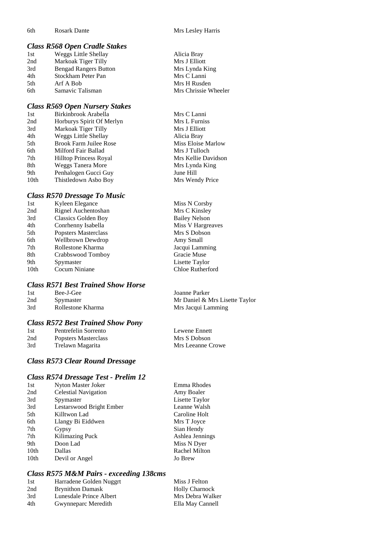### *Class R568 Open Cradle Stakes*

| 1st | Weggs Little Shellay         | Alicia Bray          |
|-----|------------------------------|----------------------|
| 2nd | Markoak Tiger Tilly          | Mrs J Elliott        |
| 3rd | <b>Bengad Rangers Button</b> | Mrs Lynda King       |
| 4th | Stockham Peter Pan           | Mrs C Lanni          |
| 5th | Arf A Bob                    | Mrs H Rusden         |
| 6th | Samavic Talisman             | Mrs Chrissie Wheeler |
|     |                              |                      |

### *Class R569 Open Nursery Stakes*

| 1st  | Birkinbrook Arabella          |
|------|-------------------------------|
| 2nd  | Horburys Spirit Of Merlyn     |
| 3rd  | Markoak Tiger Tilly           |
| 4th  | <b>Weggs Little Shellay</b>   |
| 5th  | <b>Brook Farm Juilee Rose</b> |
| 6th  | Milford Fair Ballad           |
| 7th  | <b>Hilltop Princess Royal</b> |
| 8th  | Weggs Tanera More             |
| 9th  | Penhalogen Gucci Guy          |
| 10th | Thistledown Asbo Boy          |

### *Class R570 Dressage To Music*

| 1st  | Kyleen Elegance            | Miss N Corsby           |
|------|----------------------------|-------------------------|
| 2nd  | Rignel Auchentoshan        | Mrs C Kinsley           |
| 3rd  | <b>Classics Golden Boy</b> | <b>Bailey Nelson</b>    |
| 4th  | Conrhenny Isabella         | Miss V Hargreaves       |
| 5th  | Popsters Masterclass       | Mrs S Dobson            |
| 6th  | <b>Wellbrown Dewdrop</b>   | Amy Small               |
| 7th  | Rollestone Kharma          | Jacqui Lamming          |
| 8th  | Crabbswood Tomboy          | Gracie Muse             |
| 9th  | Spymaster                  | Lisette Taylor          |
| 10th | Cocum Niniane              | <b>Chloe Rutherford</b> |
|      |                            |                         |

### *Class R571 Best Trained Show Horse*

| 1st | Bee-J-Gee         | Joanne Parker                  |
|-----|-------------------|--------------------------------|
| 2nd | Spymaster         | Mr Daniel & Mrs Lisette Taylor |
| 3rd | Rollestone Kharma | Mrs Jacqui Lamming             |

### *Class R572 Best Trained Show Pony*

| 1st | Pentrefelin Sorrento |
|-----|----------------------|
| 2nd | Popsters Masterclass |
| 3rd | Trelawn Magarita     |

# *Class R573 Clear Round Dressage*

### *Class R574 Dressage Test - Prelim 12*

| 1st  | Nyton Master Joker          | Emma Rhodes     |
|------|-----------------------------|-----------------|
| 2nd  | <b>Celestial Navigation</b> | Amy Boaler      |
| 3rd  | Spymaster                   | Lisette Taylor  |
| 3rd  | Lestarswood Bright Ember    | Leanne Walsh    |
| 5th  | Killtwon Lad                | Caroline Holt   |
| 6th  | Llangy Bi Eiddwen           | Mrs T Joyce     |
| 7th  | Gypsy                       | Sian Hendy      |
| 7th  | Kilimazing Puck             | Ashlea Jennings |
| 9th  | Doon Lad                    | Miss N Dyer     |
| 10th | Dallas                      | Rachel Milton   |
| 10th | Devil or Angel              | <b>Jo Brew</b>  |

### *Class R575 M&M Pairs - exceeding 138cms*

| Miss J Felton                                                                                        |
|------------------------------------------------------------------------------------------------------|
| <b>Holly Charnock</b>                                                                                |
| Mrs Debra Walker                                                                                     |
| Ella May Cannell                                                                                     |
| Harradene Golden Nuggrt<br><b>Brynithon Damask</b><br>Lunesdale Prince Albert<br>Gwynneparc Meredith |

| Alicia Bray          |
|----------------------|
| Mrs J Elliott        |
| Mrs Lynda King       |
| Mrs C Lanni          |
| Mrs H Rusden         |
| Mrs Chrissie Wheeler |

Mrs C Lanni Mrs L Furniss Mrs J Elliott Alicia Bray Miss Eloise Marlow Mrs J Tulloch Mrs Kellie Davidson Mrs Lynda King June Hill Mrs Wendy Price

Lewene Ennett Mrs S Dobson Mrs Leeanne Crowe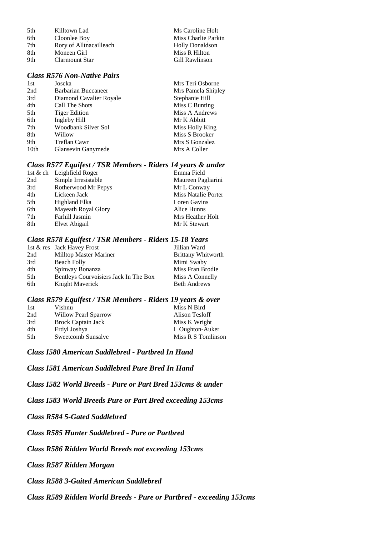| 5th | Killtown Lad            | Ms Caroline Holt       |
|-----|-------------------------|------------------------|
| 6th | Cloonlee Boy            | Miss Charlie Parkin    |
| 7th | Rory of Alltnacailleach | <b>Holly Donaldson</b> |
| 8th | Moneen Girl             | Miss R Hilton          |
| 9th | Clarmount Star          | Gill Rawlinson         |
|     |                         |                        |

Teri Osborne Pamela Shipley

### *Class R576 Non-Native Pairs*

| 1st  | Joscka                  | Mrs Teri Osborne |
|------|-------------------------|------------------|
| 2nd  | Barbarian Buccaneer     | Mrs Pamela Ship  |
| 3rd  | Diamond Cavalier Royale | Stephanie Hill   |
| 4th  | Call The Shots          | Miss C Bunting   |
| 5th  | <b>Tiger Edition</b>    | Miss A Andrews   |
| 6th  | Ingleby Hill            | Mr K Abbitt      |
| 7th  | Woodbank Silver Sol     | Miss Holly King  |
| 8th  | Willow                  | Miss S Brooker   |
| 9th  | Treflan Cawr            | Mrs S Gonzalez   |
| 10th | Glansevin Ganymede      | Mrs A Coller     |
|      |                         |                  |

### *Class R577 Equifest / TSR Members - Riders 14 years & under*

|     | 1st & ch Leighfield Roger | Emma Field                 |
|-----|---------------------------|----------------------------|
| 2nd | Simple Irresistable       | Maureen Pagliarini         |
| 3rd | Rotherwood Mr Pepys       | Mr L Conway                |
| 4th | Lickeen Jack              | <b>Miss Natalie Porter</b> |
| 5th | Highland Elka             | Loren Gavins               |
| 6th | Mayeath Royal Glory       | Alice Hunns                |
| 7th | Farhill Jasmin            | Mrs Heather Holt           |
| 8th | Elvet Abigail             | Mr K Stewart               |
|     |                           |                            |

#### *Class R578 Equifest / TSR Members - Riders 15-18 Years*

|     | 1st & res Jack Havey Frost            | Jillian Ward              |
|-----|---------------------------------------|---------------------------|
| 2nd | Milltop Master Mariner                | <b>Brittany Whitworth</b> |
| 3rd | Beach Folly                           | Mimi Swaby                |
| 4th | Spinway Bonanza                       | Miss Fran Brodie          |
| 5th | Bentleys Courvoisiers Jack In The Box | Miss A Connelly           |
| 6th | Knight Maverick                       | <b>Beth Andrews</b>       |

### *Class R579 Equifest / TSR Members - Riders 19 years & over*

| 1st | Vishnu                    | Miss N Bird        |
|-----|---------------------------|--------------------|
| 2nd | Willow Pearl Sparrow      | Alison Tesloff     |
| 3rd | <b>Brock Captain Jack</b> | Miss K Wright      |
| 4th | Erdyl Joshya              | L Oughton-Auker    |
| 5th | Sweetcomb Sunsalve        | Miss R S Tomlinson |

*Class I580 American Saddlebred - Partbred In Hand*

*Class I581 American Saddlebred Pure Bred In Hand*

*Class I582 World Breeds - Pure or Part Bred 153cms & under*

*Class I583 World Breeds Pure or Part Bred exceeding 153cms*

*Class R584 5-Gated Saddlebred*

*Class R585 Hunter Saddlebred - Pure or Partbred*

*Class R586 Ridden World Breeds not exceeding 153cms*

*Class R587 Ridden Morgan*

*Class R588 3-Gaited American Saddlebred*

*Class R589 Ridden World Breeds - Pure or Partbred - exceeding 153cms*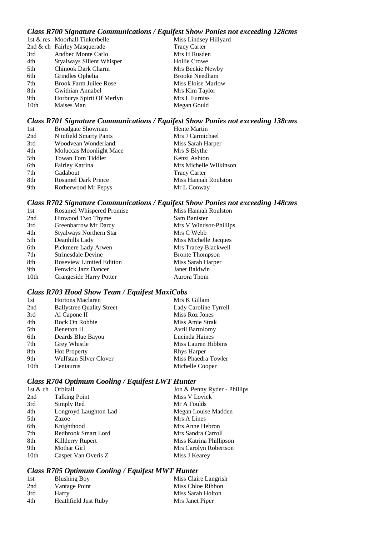# *Class R700 Signature Communications / Equifest Show Ponies not exceeding 128cms*

|      | 1st & res Moorhall Tinkerbelle   | Miss Lindsey Hillyard |
|------|----------------------------------|-----------------------|
|      | 2nd & ch Fairley Masquerade      | <b>Tracy Carter</b>   |
| 3rd  | Andbec Monte Carlo               | Mrs H Rusden          |
| 4th  | <b>Styalways Silient Whisper</b> | Hollie Crowe          |
| 5th  | Chinook Dark Charm               | Mrs Beckie Newby      |
| 6th  | Grindles Ophelia                 | <b>Brooke Needham</b> |
| 7th  | Brook Farm Juilee Rose           | Miss Eloise Marlow    |
| 8th  | Gwithian Annabel                 | Mrs Kim Taylor        |
| 9th  | Horburys Spirit Of Merlyn        | Mrs L Furniss         |
| 10th | Maises Man                       | Megan Gould           |
|      |                                  |                       |

### *Class R701 Signature Communications / Equifest Show Ponies not exceeding 138cms*

| Hente Martin<br>1st<br><b>Broadgate Showman</b>           |  |
|-----------------------------------------------------------|--|
| N infield Smarty Pants<br>2nd<br>Mrs J Carmichael         |  |
| 3rd<br>Woodvean Wonderland<br>Miss Sarah Harper           |  |
| 4th<br>Mrs S Blythe<br>Moluccas Moonlight Mace            |  |
| 5th<br>Kenzi Ashton<br>Towan Tom Tiddler                  |  |
| 6th<br>Mrs Michelle Wilkinson<br>Fairley Katrina          |  |
| 7th<br>Gadabout<br><b>Tracy Carter</b>                    |  |
| 8th<br>Miss Hannah Roulston<br><b>Rosamel Dark Prince</b> |  |
| 9th<br>Rotherwood Mr Pepys<br>Mr L Conway                 |  |

# *Class R702 Signature Communications / Equifest Show Ponies not exceeding 148cms*

| 1st              | <b>Rosamel Whispered Promise</b> | Miss Hannah Roulston   |
|------------------|----------------------------------|------------------------|
| 2nd              | Hinwood Two Thyme                | Sam Banister           |
| 3rd              | Greenbarrow Mr Darcy             | Mrs V Windsor-Phillips |
| 4th              | Styalways Northern Star          | Mrs C Webb             |
| 5th              | Deanhills Lady                   | Miss Michelle Jacques  |
| 6th              | Pickmere Lady Arwen              | Mrs Tracey Blackwell   |
| 7th              | Strinesdale Devine               | <b>Bronte Thompson</b> |
| 8th              | <b>Roseview Limited Edition</b>  | Miss Sarah Harper      |
| 9th              | <b>Fenwick Jazz Dancer</b>       | Janet Baldwin          |
| 10 <sub>th</sub> | Grangeside Harry Potter          | Aurora Thom            |
|                  |                                  |                        |

# *Class R703 Hood Show Team / Equifest MaxiCobs*

| <b>Hortons Maclaren</b>          | Mrs K Gillam          |
|----------------------------------|-----------------------|
| <b>Ballystree Quality Street</b> | Lady Caroline Tyrrell |
| Al Capone II                     | Miss Roz Jones        |
| Rock On Robbie                   | Miss Amie Strak       |
| <b>Benetton II</b>               | Avril Bartolomy       |
| Deards Blue Bayou                | Lucinda Haines        |
| Grey Whistle                     | Miss Lauren Hibbins   |
| <b>Hot Property</b>              | <b>Rhys Harper</b>    |
| Wulfstan Silver Clover           | Miss Phaedra Towler   |
| Centaurus                        | Michelle Cooper       |
|                                  |                       |

# *Class R704 Optimum Cooling / Equifest LWT Hunter*

| 1st $&$ ch       | Orbitall              | Jon & Penny Ryder - Phillips |
|------------------|-----------------------|------------------------------|
| 2nd              | <b>Talking Point</b>  | Miss V Lovick                |
| 3rd              | Simply Red            | Mr A Foulds                  |
| 4th              | Longroyd Laughton Lad | Megan Louise Madden          |
| 5th              | Zazoe                 | Mrs A Lines                  |
| 6th              | Knighthood            | Mrs Anne Hebron              |
| 7th              | Redbrook Smart Lord   | Mrs Sandra Carroll           |
| 8th              | Killderry Rupert      | Miss Katrina Phillipson      |
| 9th              | Mothar Girl           | Mrs Carolyn Robertson        |
| 10 <sub>th</sub> | Casper Van Overis Z   | Miss J Kearey                |
|                  |                       |                              |

# *Class R705 Optimum Cooling / Equifest MWT Hunter*

| 1st | <b>Blushing Boy</b>  | Miss Claire Langrish |
|-----|----------------------|----------------------|
| 2nd | Vantage Point        | Miss Chloe Ribbon    |
| 3rd | Harry                | Miss Sarah Holton    |
| 4th | Heathfield Just Ruby | Mrs Janet Piper      |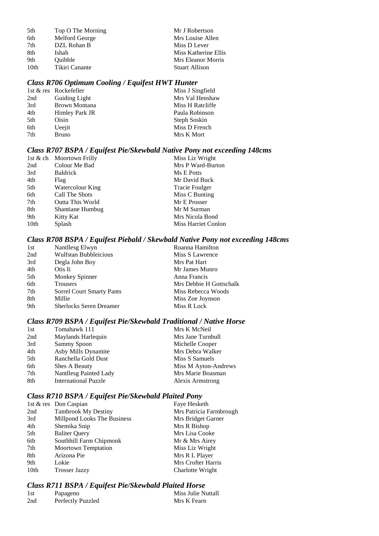| 5th              | Top O The Morning | Mr J Robertson        |
|------------------|-------------------|-----------------------|
| 6th              | Melford George    | Mrs Louise Allen      |
| 7th              | DZL Rohan B       | Miss D Lever          |
| 8th              | Ishah             | Miss Katherine Ellis  |
| 9th              | Ouibble           | Mrs Eleanor Morris    |
| 10 <sub>th</sub> | Tikiri Canante    | <b>Stuart Allison</b> |

# *Class R706 Optimum Cooling / Equifest HWT Hunter*

|     | 1st & res Rockefeller | Miss J Singfield |
|-----|-----------------------|------------------|
| 2nd | Guiding Light         | Mrs Val Henshaw  |
| 3rd | Brown Montana         | Miss H Ratcliffe |
| 4th | Himley Park JR        | Paula Robinson   |
| 5th | Oisin                 | Steph Soskin     |
| 6th | Ueejit                | Miss D French    |
| 7th | <b>Bruno</b>          | Mrs K Mort       |
|     |                       |                  |

### *Class R707 BSPA / Equifest Pie/Skewbald Native Pony not exceeding 148cms*

| Miss Liz Wright<br>1st & ch Moortown Frilly      |                     |
|--------------------------------------------------|---------------------|
| Colour Me Bad<br>2nd                             | Mrs P Ward-Burton   |
| 3rd<br><b>Baldrick</b><br>Ms E Potts             |                     |
| 4th<br>Mr David Buck<br>Flag                     |                     |
| 5th<br>Watercolour King<br><b>Tracie Foulger</b> |                     |
| Call The Shots<br>Miss C Bunting<br>6th          |                     |
| 7th<br>Outta This World<br>Mr E Prosser          |                     |
| 8th<br>Mr M Surman<br><b>Shantiane Humbug</b>    |                     |
| 9th<br>Mrs Nicola Bond<br>Kitty Kat              |                     |
| 10th<br>Splash                                   | Miss Harriet Conlon |

### *Class R708 BSPA / Equifest Piebald / Skewbald Native Pony not exceeding 148cms*

| 1st | Nantllesg Elwyn                  | Roanna Hamilton         |
|-----|----------------------------------|-------------------------|
| 2nd | <b>Wulfstan Bubbleicious</b>     | Miss S Lawrence         |
| 3rd | Degla John Boy                   | Mrs Pat Hart            |
| 4th | Otis Ii                          | Mr James Munro          |
| 5th | Monkey Spinner                   | Anna Francis            |
| 6th | <b>Trousers</b>                  | Mrs Debbie H Gottschalk |
| 7th | <b>Sorrel Court Smarty Pants</b> | Miss Rebecca Woods      |
| 8th | Millie                           | Miss Zoe Joynson        |
| 9th | <b>Sherlocks Seren Dreamer</b>   | Miss R Lock             |
|     |                                  |                         |

### *Class R709 BSPA / Equifest Pie/Skewbald Traditional / Native Horse*

| 1st | Tomahawk 111                | Mrs K McNeil         |
|-----|-----------------------------|----------------------|
| 2nd | Maylands Harlequin          | Mrs Jane Turnbull    |
| 3rd | Sammy Spoon                 | Michelle Cooper      |
| 4th | Asby Mills Dynamite         | Mrs Debra Walker     |
| 5th | Ranchella Gold Dust         | Miss S Samuels       |
| 6th | Shes A Beauty               | Miss M Ayton-Andrews |
| 7th | Nantllesg Painted Lady      | Mrs Marie Boasman    |
| 8th | <b>International Puzzle</b> | Alexis Armstrong     |

### *Class R710 BSPA / Equifest Pie/Skewbald Plaited Pony*

|      | 1st & res Don Caspian       | Faye Hesketh            |
|------|-----------------------------|-------------------------|
| 2nd  | <b>Tambrook My Destiny</b>  | Mrs Patricia Farmbrough |
| 3rd  | Millpond Looks The Business | Mrs Bridget Garner      |
| 4th  | Shemika Snip                | Mrs R Bishop            |
| 5th  | <b>Baliter Query</b>        | Mrs Lisa Cooke          |
| 6th  | Southhill Farm Chipmonk     | Mr & Mrs Airey          |
| 7th  | <b>Moortown Temptation</b>  | Miss Liz Wright         |
| 8th  | Arizona Pie                 | Mrs R L Player          |
| 9th  | Lokie                       | Mrs Crofter Harris      |
| 10th | <b>Trosser Jazzy</b>        | Charlotte Wright        |
|      |                             |                         |

### *Class R711 BSPA / Equifest Pie/Skewbald Plaited Horse*

|     | . .               |                    |
|-----|-------------------|--------------------|
| 1st | Papageno          | Miss Julie Nuttall |
| 2nd | Perfectly Puzzled | Mrs K Fearn        |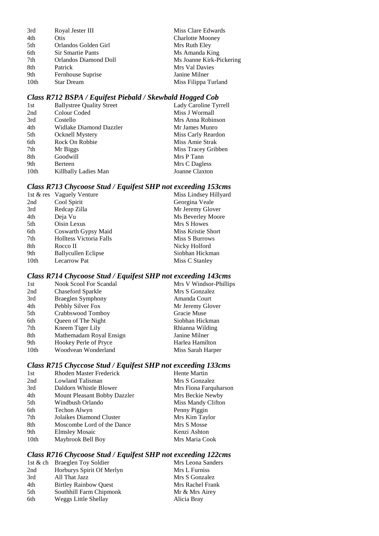| Royal Jester III         | Miss Clare Edwards       |
|--------------------------|--------------------------|
| Otis                     | <b>Charlotte Mooney</b>  |
| Orlandos Golden Girl     | Mrs Ruth Eley            |
| <b>Sir Smartie Pants</b> | Ms Amanda King           |
| Orlandos Diamond Doll    | Ms Joanne Kirk-Pickering |
| Patrick                  | Mrs Val Davies           |
| Fernhouse Suprise        | Janine Milner            |
| <b>Star Dream</b>        | Miss Filippa Turland     |
|                          |                          |

# *Class R712 BSPA / Equifest Piebald / Skewbald Hogged Cob*

| 1st              | <b>Ballystree Quality Street</b> | Lady Caroline Tyrrell |
|------------------|----------------------------------|-----------------------|
| 2nd              | Colour Coded                     | Miss J Wormall        |
| 3rd              | Costello                         | Mrs Anna Robinson     |
| 4th              | Widlake Diamond Dazzler          | Mr James Munro        |
| 5th              | <b>Ocknell Mystery</b>           | Miss Carly Reardon    |
| 6th              | Rock On Robbie                   | Miss Amie Strak       |
| 7th              | Mr Biggs                         | Miss Tracey Gribben   |
| 8th              | Goodwill                         | Mrs P Tann            |
| 9th              | Berteen                          | Mrs C Dagless         |
| 10 <sub>th</sub> | Killbally Ladies Man             | Joanne Claxton        |
|                  |                                  |                       |

# *Class R713 Chycoose Stud / Equifest SHP not exceeding 153cms*

|      | 1st & res Vaguely Venture      | Miss Lindsey Hillyard     |
|------|--------------------------------|---------------------------|
| 2nd  | Cool Spirit                    | Georgina Veale            |
| 3rd  | Redcap Zilla                   | Mr Jeremy Glover          |
| 4th  | Deja Vu                        | Ms Beverley Moore         |
| 5th  | Oisin Lexus                    | Mrs S Howes               |
| 6th  | Coswarth Gypsy Maid            | <b>Miss Kristie Short</b> |
| 7th  | <b>Holltess Victoria Falls</b> | Miss S Burrows            |
| 8th  | Rocco II                       | Nicky Holford             |
| 9th  | <b>Ballycullen Eclipse</b>     | Siobhan Hickman           |
| 10th | <b>Lecarrow Pat</b>            | Miss C Stanley            |
|      |                                |                           |

# *Class R714 Chycoose Stud / Equifest SHP not exceeding 143cms*

| 1st              | <b>Nook Scool For Scandal</b> | Mrs V Windsor-Phillips |
|------------------|-------------------------------|------------------------|
| 2nd              | Chaseford Sparkle             | Mrs S Gonzalez         |
| 3rd              | Braeglen Symphony             | Amanda Court           |
| 4th              | Pebbly Silver Fox             | Mr Jeremy Glover       |
| 5th              | Crabbswood Tomboy             | Gracie Muse            |
| 6th              | Queen of The Night            | Siobhan Hickman        |
| 7th              | Kneem Tiger Lily              | Rhianna Wilding        |
| 8th              | Mathemadam Royal Ensign       | Janine Milner          |
| 9th              | Hookey Perle of Pryce         | Harlea Hamilton        |
| 10 <sub>th</sub> | Woodvean Wonderland           | Miss Sarah Harper      |
|                  |                               |                        |

# *Class R715 Chyccose Stud / Equifest SHP not exceeding 133cms*

| 1st              | <b>Rhoden Master Frederick</b> | Hente Martin          |
|------------------|--------------------------------|-----------------------|
| 2nd              | Lowland Talisman               | Mrs S Gonzalez        |
| 3rd              | Daldorn Whistle Blower         | Mrs Fiona Farquharson |
| 4th              | Mount Pleasant Bobby Dazzler   | Mrs Beckie Newby      |
| 5th              | Windbush Orlando               | Miss Mandy Clifton    |
| 6th              | Techon Alwyn                   | Penny Piggin          |
| 7th              | Jolaikes Diamond Cluster       | Mrs Kim Taylor        |
| 8th              | Moscombe Lord of the Dance     | Mrs S Mosse           |
| 9th              | <b>Elmsley Mosaic</b>          | Kenzi Ashton          |
| 10 <sub>th</sub> | Maybrook Bell Boy              | Mrs Maria Cook        |
|                  |                                |                       |

# *Class R716 Chycoose Stud / Equifest SHP not exceeding 122cms*

|     | 1st & ch Braeglen Toy Soldier | Mrs Leona Sanders |
|-----|-------------------------------|-------------------|
| 2nd | Horburys Spirit Of Merlyn     | Mrs L Furniss     |
| 3rd | All That Jazz                 | Mrs S Gonzalez    |
| 4th | <b>Birtley Rainbow Ouest</b>  | Mrs Rachel Frank  |
| 5th | Southhill Farm Chipmonk       | Mr & Mrs Airey    |
| 6th | Weggs Little Shellay          | Alicia Bray       |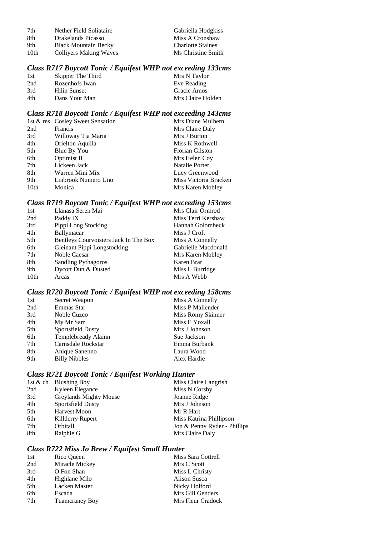| 7th  | Nether Field Soliataire       | Gabriella Hodgkiss       |
|------|-------------------------------|--------------------------|
| -8th | Drakelands Picasso            | Miss A Cronshaw          |
| 9th  | <b>Black Mountain Becky</b>   | <b>Charlotte Staines</b> |
| 10th | <b>Collivers Making Waves</b> | Ms Christine Smith       |

# *Class R717 Boycott Tonic / Equifest WHP not exceeding 133cms*

| 1st | Skipper The Third | Mrs N Taylor      |
|-----|-------------------|-------------------|
| 2nd | Rozenhofs Iwan    | Eve Reading       |
| 3rd | Hilin Sunset      | Gracie Amos       |
| 4th | Dans Your Man     | Mrs Claire Holden |

# *Class R718 Boycott Tonic / Equifest WHP not exceeding 143cms*

|                  | 1st & res Cosley Sweet Sensation | Mrs Diane Mulhern      |
|------------------|----------------------------------|------------------------|
| 2nd              | Francis                          | Mrs Claire Daly        |
| 3rd              | Willoway Tia Maria               | Mrs J Burton           |
| 4th              | Orielton Aquilla                 | Miss K Rothwell        |
| 5th              | Blue By You                      | <b>Florian Gilston</b> |
| 6th              | Optimist II                      | Mrs Helen Coy          |
| 7th              | Lickeen Jack                     | Natalie Porter         |
| 8th              | Warren Mini Mix                  | Lucy Greenwood         |
| 9th              | Linbrook Numero Uno              | Miss Victoria Bracken  |
| 10 <sub>th</sub> | Monica                           | Mrs Karen Mobley       |

# *Class R719 Boycott Tonic / Equifest WHP not exceeding 153cms*

| 1st  | Llanasa Seren Mai                     | Mrs Clair Ormrod    |
|------|---------------------------------------|---------------------|
| 2nd  | Paddy IX                              | Miss Terri Kershaw  |
| 3rd  | Pippi Long Stocking                   | Hannah Golombeck    |
| 4th  | Ballymacar                            | Miss J Croft        |
| 5th  | Bentleys Courvoisiers Jack In The Box | Miss A Connelly     |
| 6th  | <b>Gleinant Pippi Longstocking</b>    | Gabrielle Macdonald |
| 7th  | Noble Caesar                          | Mrs Karen Mobley    |
| 8th  | <b>Sandling Pythagoros</b>            | Karen Brar          |
| 9th  | Dycott Dun & Dusted                   | Miss L Burridge     |
| 10th | Arcas                                 | Mrs A Webb          |
|      |                                       |                     |

# *Class R720 Boycott Tonic / Equifest WHP not exceeding 158cms*

| 1st | Secret Weapon        | Miss A Connelly   |
|-----|----------------------|-------------------|
| 2nd | Emmas Star           | Miss P Mallender  |
| 3rd | Noble Cuzco          | Miss Romy Skinner |
| 4th | My Mr Sam            | Miss E Yoxall     |
| 5th | Sportsfield Dusty    | Mrs J Johnson     |
| 6th | Templebready Alainn  | Sue Jackson       |
| 7th | Carnsdale Rockstar   | Emma Burbank      |
| 8th | Anique Sanenno       | Laura Wood        |
| 9th | <b>Billy Nibbles</b> | Alex Hardie       |

# *Class R721 Boycott Tonic / Equifest Working Hunter*

|     | 1st & ch Blushing Boy  | Miss Claire Langrish         |
|-----|------------------------|------------------------------|
| 2nd | Kyleen Elegance        | Miss N Corsby                |
| 3rd | Greylands Mighty Mouse | Joanne Ridge                 |
| 4th | Sportsfield Dusty      | Mrs J Johnson                |
| 5th | <b>Harvest Moon</b>    | Mr R Hart                    |
| 6th | Killderry Rupert       | Miss Katrina Phillipson      |
| 7th | Orbitall               | Jon & Penny Ryder - Phillips |
| 8th | Ralphie G              | Mrs Claire Daly              |
|     |                        |                              |

### *Class R722 Miss Jo Brew / Equifest Small Hunter*

| 1st | Rico Queen     | Miss Sara Cottrell |
|-----|----------------|--------------------|
| 2nd | Miracle Mickey | Mrs C Scott        |
| 3rd | O Fon Shan     | Miss L Christy     |
| 4th | Highlane Milo  | Alison Susca       |
| 5th | Lacken Master  | Nicky Holford      |
| 6th | Escada         | Mrs Gill Genders   |
| 7th | Tuamcraney Boy | Mrs Fleur Cradock  |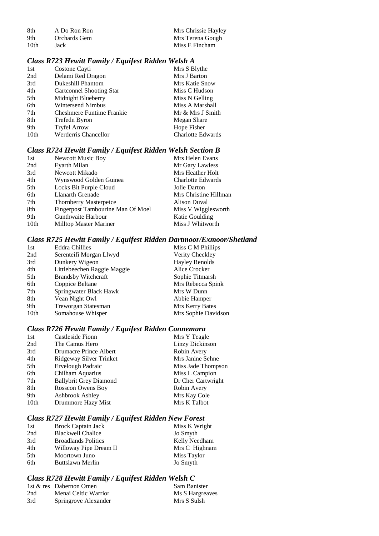| -8th | A Do Ron Ron | Mrs Chrissie Hayley |
|------|--------------|---------------------|
| -9th | Orchards Gem | Mrs Terena Gough    |
| 10th | Jack         | Miss E Fincham      |

### *Class R723 Hewitt Family / Equifest Ridden Welsh A*

| 1st              | Costone Cayti                    | Mrs S Blythe             |
|------------------|----------------------------------|--------------------------|
| 2nd              | Delami Red Dragon                | Mrs J Barton             |
| 3rd              | Dukeshill Phantom                | <b>Mrs Katie Snow</b>    |
| 4th              | Gartconnel Shooting Star         | Miss C Hudson            |
| 5th              | Midnight Blueberry               | Miss N Gelling           |
| 6th              | <b>Wintersend Nimbus</b>         | Miss A Marshall          |
| 7th              | <b>Cheshmere Funtime Frankie</b> | Mr & Mrs J Smith         |
| 8th              | Trefedn Byron                    | Megan Share              |
| 9th              | <b>Tryfel Arrow</b>              | Hope Fisher              |
| 10 <sub>th</sub> | <b>Werderris Chancellor</b>      | <b>Charlotte Edwards</b> |
|                  |                                  |                          |

# *Class R724 Hewitt Family / Equifest Ridden Welsh Section B*

| 1st  | <b>Newcott Music Boy</b>          | Mrs Helen Evans          |
|------|-----------------------------------|--------------------------|
| 2nd  | Eyarth Milan                      | Mr Gary Lawless          |
| 3rd  | Newcott Mikado                    | Mrs Heather Holt         |
| 4th  | Wynswood Golden Guinea            | <b>Charlotte Edwards</b> |
| 5th  | Locks Bit Purple Cloud            | Jolie Darton             |
| 6th  | Llanarth Grenade                  | Mrs Christine Hillman    |
| 7th  | Thornberry Masterpeice            | Alison Duval             |
| 8th  | Fingerpost Tambourine Man Of Moel | Miss V Wigglesworth      |
| 9th  | Gunthwaite Harbour                | Katie Goulding           |
| 10th | Milltop Master Mariner            | Miss J Whitworth         |

### *Class R725 Hewitt Family / Equifest Ridden Dartmoor/Exmoor/Shetland*

| 1st              | <b>Eddra Chillies</b>       | Miss C M Phillips     |
|------------------|-----------------------------|-----------------------|
| 2nd              | Serenteifi Morgan Llwyd     | Verity Checkley       |
| 3rd              | Dunkery Wigeon              | <b>Hayley Renolds</b> |
| 4th              | Littlebeechen Raggie Maggie | Alice Crocker         |
| 5th              | <b>Brandsby Witchcraft</b>  | Sophie Titmarsh       |
| 6th              | Coppice Beltane             | Mrs Rebecca Spink     |
| 7th              | Springwater Black Hawk      | Mrs W Dunn            |
| 8th              | Vean Night Owl              | Abbie Hamper          |
| 9th              | Treworgan Statesman         | Mrs Kerry Bates       |
| 10 <sub>th</sub> | Somahouse Whisper           | Mrs Sophie Davidson   |

# *Class R726 Hewitt Family / Equifest Ridden Connemara*

| Linzy Dickinson<br>2nd<br>The Camus Hero<br>Robin Avery<br>3rd<br>Drumacre Prince Albert | Mrs Y Teagle |
|------------------------------------------------------------------------------------------|--------------|
|                                                                                          |              |
|                                                                                          |              |
| Mrs Janine Sehne<br>Ridgeway Silver Trinket<br>4th                                       |              |
| Ervelough Padraic<br>5th<br>Miss Jade Thompson                                           |              |
| Chilham Aquarius<br>Miss L Campion<br>6th                                                |              |
| Dr Cher Cartwright<br><b>Ballybrit Grey Diamond</b><br>7th                               |              |
| <b>Rosscon Owens Boy</b><br>8th<br>Robin Avery                                           |              |
| Ashbrook Ashley<br>Mrs Kay Cole<br>9th                                                   |              |
| 10 <sub>th</sub><br>Mrs K Talbot<br>Drummore Hazy Mist                                   |              |

# *Class R727 Hewitt Family / Equifest Ridden New Forest*

| 1st | Brock Captain Jack         | Miss K Wright |
|-----|----------------------------|---------------|
| 2nd | <b>Blackwell Chalice</b>   | Jo Smyth      |
| 3rd | <b>Broadlands Politics</b> | Kelly Needham |
| 4th | Willoway Pipe Dream II     | Mrs C Highnam |
| 5th | Moortown Juno              | Miss Taylor   |
| 6th | Buttslawn Merlin           | Jo Smyth      |

# *Class R728 Hewitt Family / Equifest Ridden Welsh C*

|     | 1st & res Dabernon Omen | Sam Banister    |
|-----|-------------------------|-----------------|
| 2nd | Menai Celtic Warrior    | Ms S Hargreaves |
| 3rd | Springrove Alexander    | Mrs S Sulsh     |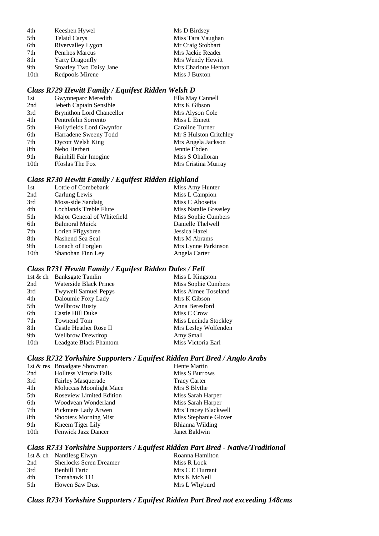| 4th  | Keeshen Hywel                  | Ms D Birdsey         |
|------|--------------------------------|----------------------|
| 5th  | <b>Telaid Carys</b>            | Miss Tara Vaughan    |
| 6th  | Rivervalley Lygon              | Mr Craig Stobbart    |
| 7th  | <b>Penrhos Marcus</b>          | Mrs Jackie Reader    |
| 8th  | <b>Yarty Dragonfly</b>         | Mrs Wendy Hewitt     |
| 9th  | <b>Stoatley Two Daisy Jane</b> | Mrs Charlotte Henton |
| 10th | Redpools Mirene                | Miss J Buxton        |

# *Class R729 Hewitt Family / Equifest Ridden Welsh D*

| Gwynneparc Meredith              | Ella May Cannell       |
|----------------------------------|------------------------|
| Jebeth Captain Sensible          | Mrs K Gibson           |
| <b>Brynithon Lord Chancellor</b> | Mrs Alyson Cole        |
| Pentrefelin Sorrento             | Miss L Ennett          |
| Hollyfields Lord Gwynfor         | Caroline Turner        |
| Harradene Sweeny Todd            | Mr S Hulston Critchley |
| Dycott Welsh King                | Mrs Angela Jackson     |
| Nebo Herbert                     | Jennie Ebden           |
| Rainhill Fair Imogine            | Miss S Ohalloran       |
| <b>Froslas The Fox</b>           | Mrs Cristina Murray    |
|                                  |                        |

# *Class R730 Hewitt Family / Equifest Ridden Highland*

| Lottie of Combebank         | Miss Amy Hunter       |
|-----------------------------|-----------------------|
| Carlung Lewis               | Miss L Campion        |
| Moss-side Sandaig           | Miss C Abosetta       |
| Lochlands Treble Flute      | Miss Natalie Greasley |
| Major General of Whitefield | Miss Sophie Cumbers   |
| <b>Balmoral Muick</b>       | Danielle Thelwell     |
| Lorien Ffigysbren           | Jessica Hazel         |
| Nashend Sea Seal            | Mrs M Abrams          |
| Lonach of Forglen           | Mrs Lynne Parkinson   |
| Shanohan Finn Ley           | Angela Carter         |
|                             |                       |

### *Class R731 Hewitt Family / Equifest Ridden Dales / Fell*

|      | 1st & ch Banksgate Tamlin   | Miss L Kingston       |
|------|-----------------------------|-----------------------|
| 2nd  | Waterside Black Prince      | Miss Sophie Cumbers   |
| 3rd  | <b>Twywell Samuel Pepys</b> | Miss Aimee Toseland   |
| 4th  | Daloumie Foxy Lady          | Mrs K Gibson          |
| 5th  | <b>Wellbrow Rusty</b>       | Anna Beresford        |
| 6th  | Castle Hill Duke            | Miss C Crow           |
| 7th  | Townend Tom                 | Miss Lucinda Stockley |
| 8th  | Castle Heather Rose II      | Mrs Lesley Wolfenden  |
| 9th  | <b>Wellbrow Drewdrop</b>    | Amy Small             |
| 10th | Leadgate Black Phantom      | Miss Victoria Earl    |
|      |                             |                       |

# *Class R732 Yorkshire Supporters / Equifest Ridden Part Bred / Anglo Arabs*

|                  | 1st & res Broadgate Showman     | <b>Hente Martin</b>   |
|------------------|---------------------------------|-----------------------|
| 2nd              | <b>Holltess Victoria Falls</b>  | Miss S Burrows        |
| 3rd              | <b>Fairley Masquerade</b>       | <b>Tracy Carter</b>   |
| 4th              | Moluccas Moonlight Mace         | Mrs S Blythe          |
| 5th              | <b>Roseview Limited Edition</b> | Miss Sarah Harper     |
| 6th              | Woodvean Wonderland             | Miss Sarah Harper     |
| 7th              | Pickmere Lady Arwen             | Mrs Tracey Blackwell  |
| 8th              | <b>Shooters Morning Mist</b>    | Miss Stephanie Glover |
| 9th              | Kneem Tiger Lily                | Rhianna Wilding       |
| 10 <sub>th</sub> | <b>Fenwick Jazz Dancer</b>      | Janet Baldwin         |

# *Class R733 Yorkshire Supporters / Equifest Ridden Part Bred - Native/Traditional*

|     | 1st & ch Nantllesg Elwyn       | Roanna Hamilton |
|-----|--------------------------------|-----------------|
| 2nd | <b>Sherlocks Seren Dreamer</b> | Miss R Lock     |
| 3rd | <b>Benhill Taric</b>           | Mrs C E Durrant |
| 4th | Tomahawk 111                   | Mrs K McNeil    |
| 5th | <b>Howen Saw Dust</b>          | Mrs L Whyburd   |
|     |                                |                 |

# *Class R734 Yorkshire Supporters / Equifest Ridden Part Bred not exceeding 148cms*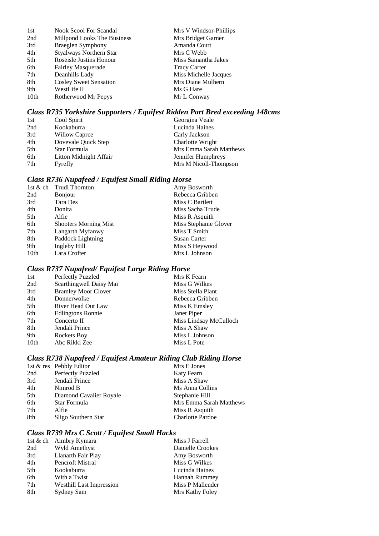| 1st  | <b>Nook Scool For Scandal</b>  | Mrs V Windsor-Phillips |
|------|--------------------------------|------------------------|
| 2nd  | Millpond Looks The Business    | Mrs Bridget Garner     |
| 3rd  | Braeglen Symphony              | Amanda Court           |
| 4th  | <b>Styalways Northern Star</b> | Mrs C Webb             |
| 5th  | Roseisle Justins Honour        | Miss Samantha Jakes    |
| 6th  | <b>Fairley Masquerade</b>      | <b>Tracy Carter</b>    |
| 7th  | Deanhills Lady                 | Miss Michelle Jacques  |
| 8th  | <b>Cosley Sweet Sensation</b>  | Mrs Diane Mulhern      |
| 9th  | WestLife II                    | Ms G Hare              |
| 10th | Rotherwood Mr Pepys            | Mr L Conway            |

# *Class R735 Yorkshire Supporters / Equifest Ridden Part Bred exceeding 148cms*

| 1st | Cool Spirit            | Georgina Veale          |
|-----|------------------------|-------------------------|
| 2nd | Kookaburra             | Lucinda Haines          |
| 3rd | Willow Caprce          | Carly Jackson           |
| 4th | Dovevale Quick Step    | Charlotte Wright        |
| 5th | Star Formula           | Mrs Emma Sarah Matthews |
| 6th | Litton Midnight Affair | Jennifer Humphreys      |
| 7th | Fyrefly                | Mrs M Nicoll-Thompson   |

# *Class R736 Nupafeed / Equifest Small Riding Horse*

|      | 1st $\&$ ch Trudi Thornton   | Amy Bosworth          |
|------|------------------------------|-----------------------|
| 2nd  | <b>B</b> onjour              | Rebecca Gribben       |
| 3rd  | Tara Des                     | Miss C Bartlett       |
| 4th  | Donita                       | Miss Sacha Trude      |
| 5th  | Alfie                        | Miss R Asquith        |
| 6th  | <b>Shooters Morning Mist</b> | Miss Stephanie Glover |
| 7th  | Langarth Myfanwy             | Miss T Smith          |
| 8th  | Paddock Lightning            | Susan Carter          |
| 9th  | Ingleby Hill                 | Miss S Heywood        |
| 10th | Lara Crofter                 | Mrs L Johnson         |
|      |                              |                       |

# *Class R737 Nupafeed/ Equifest Large Riding Horse*

| Perfectly Puzzled          | Mrs K Fearn            |
|----------------------------|------------------------|
| Scarthingwell Daisy Mai    | Miss G Wilkes          |
| <b>Bramley Moor Clover</b> | Miss Stella Plant      |
| Donnerwolke                | Rebecca Gribben        |
| River Head Out Law         | Miss K Emsley          |
| <b>Edlingtons Ronnie</b>   | Janet Piper            |
| Concerto II                | Miss Lindsay McCulloch |
| Jendali Prince             | Miss A Shaw            |
| Rockets Boy                | Miss L Johnson         |
| Abc Rikki Zee              | Miss L Pote            |
|                            |                        |

# *Class R738 Nupafeed / Equifest Amateur Riding Club Riding Horse*

|     | 1st & res Pebbly Editor | Mrs E Jones             |
|-----|-------------------------|-------------------------|
| 2nd | Perfectly Puzzled       | Katy Fearn              |
| 3rd | Jendali Prince          | Miss A Shaw             |
| 4th | Nimrod B                | Ms Anna Collins         |
| 5th | Diamond Cavalier Royale | Stephanie Hill          |
| 6th | Star Formula            | Mrs Emma Sarah Matthews |
| 7th | Alfie                   | Miss R Asquith          |
| 8th | Sligo Southern Star     | <b>Charlotte Pardoe</b> |

# *Class R739 Mrs C Scott / Equifest Small Hacks*

|     | 1st & ch Aimbry Kymara          | Miss J Farrell       |
|-----|---------------------------------|----------------------|
| 2nd | Wyld Amethyst                   | Danielle Crookes     |
| 3rd | Llanarth Fair Play              | Amy Bosworth         |
| 4th | Pencroft Mistral                | Miss G Wilkes        |
| 5th | Kookaburra                      | Lucinda Haines       |
| 6th | With a Twist                    | <b>Hannah Rummey</b> |
| 7th | <b>Westhill Last Impression</b> | Miss P Mallender     |
| 8th | Sydney Sam                      | Mrs Kathy Foley      |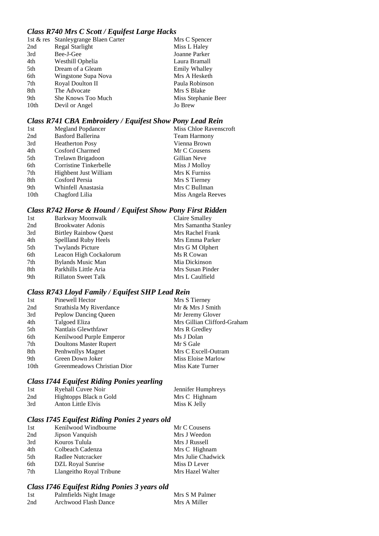### *Class R740 Mrs C Scott / Equifest Large Hacks*

|                  | 1st & res Stanleygrange Blaen Carter | Mrs C Spencer        |
|------------------|--------------------------------------|----------------------|
| 2nd              | Regal Starlight                      | Miss L Haley         |
| 3rd              | Bee-J-Gee                            | Joanne Parker        |
| 4th              | Westhill Ophelia                     | Laura Bramall        |
| 5th              | Dream of a Gleam                     | <b>Emily Whalley</b> |
| 6th              | Wingstone Supa Nova                  | Mrs A Hesketh        |
| 7th              | Royal Doulton II                     | Paula Robinson       |
| 8th              | The Advocate                         | Mrs S Blake          |
| 9th              | <b>She Knows Too Much</b>            | Miss Stephanie Beer  |
| 10 <sub>th</sub> | Devil or Angel                       | Jo Brew              |
|                  |                                      |                      |

### *Class R741 CBA Embroidery / Equifest Show Pony Lead Rein*

| 1st              | Megland Popdancer      | Miss Chloe Ravenscroft |
|------------------|------------------------|------------------------|
| 2nd              | Basford Ballerina      | <b>Team Harmony</b>    |
| 3rd              | <b>Heatherton Posy</b> | Vienna Brown           |
| 4th              | Cosford Charmed        | Mr C Cousens           |
| 5th              | Trelawn Brigadoon      | Gillian Neve           |
| 6th              | Corristine Tinkerbelle | Miss J Molloy          |
| 7th              | Highbent Just William  | Mrs K Furniss          |
| 8th              | Cosford Persia         | Mrs S Tierney          |
| 9th              | Whinfell Anastasia     | Mrs C Bullman          |
| 10 <sub>th</sub> | Chagford Lilia         | Miss Angela Reeves     |

# *Class R742 Horse & Hound / Equifest Show Pony First Ridden*

| Barkway Moonwalk             | Claire Smalley       |
|------------------------------|----------------------|
| <b>Brookwater Adonis</b>     | Mrs Samantha Stanley |
| <b>Birtley Rainbow Quest</b> | Mrs Rachel Frank     |
| Spellland Ruby Heels         | Mrs Emma Parker      |
| <b>Twylands Picture</b>      | Mrs G M Olphert      |
| Leacon High Cockalorum       | Ms R Cowan           |
| <b>Bylands Music Man</b>     | Mia Dickinson        |
| Parkhills Little Aria        | Mrs Susan Pinder     |
| <b>Rillaton Sweet Talk</b>   | Mrs L Caulfield      |
|                              |                      |

# *Class R743 Lloyd Family / Equifest SHP Lead Rein*

| 1st  | Pinewell Hector               | Mrs S Tierney               |
|------|-------------------------------|-----------------------------|
| 2nd  | Strathisla My Riverdance      | Mr & Mrs J Smith            |
| 3rd  | Peplow Dancing Queen          | Mr Jeremy Glover            |
| 4th  | Talgoed Eliza                 | Mrs Gillian Clifford-Graham |
| 5th  | Nantlais Glewthfawr           | Mrs R Gredley               |
| 6th  | Kenilwood Purple Emperor      | Ms J Dolan                  |
| 7th  | <b>Doultons Master Rupert</b> | Mr S Gale                   |
| 8th  | Penhwnllys Magnet             | Mrs C Excell-Outram         |
| 9th  | Green Down Joker              | Miss Eloise Marlow          |
| 10th | Greenmeadows Christian Dior   | Miss Kate Turner            |
|      |                               |                             |

# *Class I744 Equifest Riding Ponies yearling*

| 1st | Ryehall Cuvee Noir     | Jennifer Humphreys |
|-----|------------------------|--------------------|
| 2nd | Hightopps Black n Gold | Mrs C Highnam      |
| 3rd | Anton Little Elvis     | Miss K Jelly       |

# *Class I745 Equifest Riding Ponies 2 years old*

| 1st             | Kenilwood Windbourne     | Mr C Cousens       |
|-----------------|--------------------------|--------------------|
| 2nd             | Jipson Vanquish          | Mrs J Weedon       |
| 3rd             | Kouros Tulula            | Mrs J Russell      |
| 4th             | Colbeach Cadenza         | Mrs C Highnam      |
| 5 <sup>th</sup> | Radlee Nutcracker        | Mrs Julie Chadwick |
| 6th             | DZL Royal Sunrise        | Miss D Lever       |
| 7th             | Llangeitho Royal Tribune | Mrs Hazel Walter   |

# *Class I746 Equifest Ridng Ponies 3 years old*

| 1st | Palmfields Night Image | Mrs S M Palmer |
|-----|------------------------|----------------|
| 2nd | Archwood Flash Dance   | Mrs A Miller   |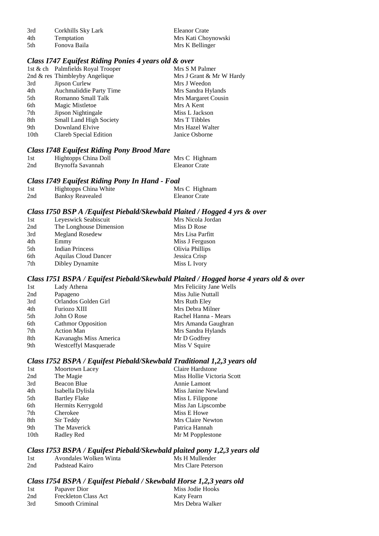3rd Corkhills Sky Lark Eleanor Crate<br>4th Temptation Mrs Kati Cho

4th Temptation Mrs Kati Choynowski<br>5th Fonova Baila Mrs K Bellinger Mrs K Bellinger

### *Class I747 Equifest Riding Ponies 4 years old & over*

|      | 1st & ch Palmfields Royal Trooper | Mrs S M Palmer           |
|------|-----------------------------------|--------------------------|
|      | 2nd & res Thimbleyby Angelique    | Mrs J Grant & Mr W Hardy |
| 3rd  | Jipson Curlew                     | Mrs J Weedon             |
| 4th  | Auchmaliddie Party Time           | Mrs Sandra Hylands       |
| 5th  | Romanno Small Talk                | Mrs Margaret Cousin      |
| 6th  | Magic Mistletoe                   | Mrs A Kent               |
| 7th  | Jipson Nightingale                | Miss L Jackson           |
| 8th  | Small Land High Society           | Mrs T Tibbles            |
| 9th  | Downland Elvive                   | Mrs Hazel Walter         |
| 10th | Clareb Special Edition            | Janice Osborne           |
|      |                                   |                          |

### *Class I748 Equifest Riding Pony Brood Mare*

| 1st | Hightopps China Doll | Mrs C Highnam |
|-----|----------------------|---------------|
| 2nd | Brynoffa Savannah    | Eleanor Crate |

### *Class I749 Equifest Riding Pony In Hand - Foal*

| 1st | Hightopps China White   | Mrs C Highnam |
|-----|-------------------------|---------------|
| 2nd | <b>Banksy Reavealed</b> | Eleanor Crate |

### *Class I750 BSP A /Equifest Piebald/Skewbald Plaited / Hogged 4 yrs & over*

### *Class I751 BSPA / Equifest Piebald/Skewbald Plaited / Hogged horse 4 years old & over*

| 1st | Lady Athena               | Mrs Feliciity Jane Wells |
|-----|---------------------------|--------------------------|
| 2nd | Papageno                  | Miss Julie Nuttall       |
| 3rd | Orlandos Golden Girl      | Mrs Ruth Eley            |
| 4th | Furiozo XIII              | Mrs Debra Milner         |
| 5th | John O Rose               | Rachel Hanna - Mears     |
| 6th | <b>Cathmor Opposition</b> | Mrs Amanda Gaughran      |
| 7th | <b>Action Man</b>         | Mrs Sandra Hylands       |
| 8th | Kavanaghs Miss America    | Mr D Godfrey             |
| 9th | Westceffyl Masquerade     | Miss V Squire            |

### *Class I752 BSPA / Equifest Piebald/Skewbald Traditional 1,2,3 years old*

| 1st  | Moortown Lacey       | Claire Hardstone           |
|------|----------------------|----------------------------|
| 2nd  | The Magie            | Miss Hollie Victoria Scott |
| 3rd  | Beacon Blue          | Annie Lamont               |
| 4th  | Isabella Dylisla     | Miss Janine Newland        |
| 5th  | <b>Bartley Flake</b> | Miss L Filippone           |
| 6th  | Hermits Kerrygold    | Miss Jan Lipscombe         |
| 7th  | Cherokee             | Miss E Howe                |
| 8th  | Sir Teddy            | Mrs Claire Newton          |
| 9th  | The Maverick         | Patrica Hannah             |
| 10th | Radley Red           | Mr M Popplestone           |
|      |                      |                            |

### *Class I753 BSPA / Equifest Piebald/Skewbald plaited pony 1,2,3 years old*

| 1st | Avondales Wolken Winta | Ms H Mullender     |
|-----|------------------------|--------------------|
| 2nd | Padstead Kairo         | Mrs Clare Peterson |

### *Class I754 BSPA / Equifest Piebald / Skewbald Horse 1,2,3 years old*

| 1st | Papaver Dior                | Miss Jodie Hooks |
|-----|-----------------------------|------------------|
| 2nd | <b>Freckleton Class Act</b> | Katy Fearn       |
| 3rd | Smooth Criminal             | Mrs Debra Walker |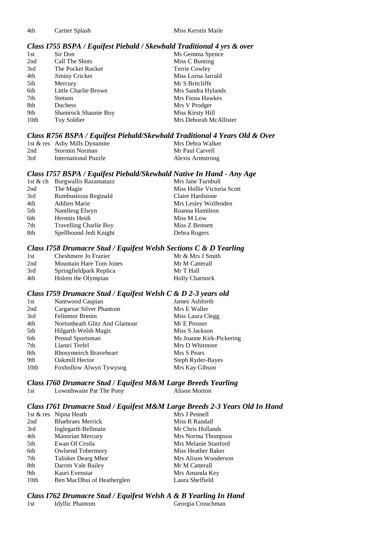4th Cartier Splash Miss Kerstin Maile

#### *Class I755 BSPA / Equifest Piebald / Skewbald Traditional 4 yrs & over*

| 1st  | Sir Don                     | Ms Gemma Spence         |
|------|-----------------------------|-------------------------|
| 2nd  | Call The Shots              | Miss C Bunting          |
| 3rd  | The Pocket Rocket           | Terrie Cowley           |
| 4th  | Jiminy Cricket              | Miss Lorna Jarrald      |
| 5th  | Mercury                     | Mr S Britcliffe         |
| 6th  | Little Charlie Brown        | Mrs Sandra Hylands      |
| 7th  | <b>Stetson</b>              | <b>Mrs Fiona Hawkes</b> |
| 8th  | Duchess                     | Mrs V Prodger           |
| 9th  | <b>Shamrock Shaunie Boy</b> | Miss Kirsty Hill        |
| 10th | Toy Soldier                 | Mrs Deborah McAllister  |

### *Class R756 BSPA / Equifest Piebald/Skewbald Traditional 4 Years Old & Over*

|     | 1st & res Asby Mills Dynamite | Mrs Debra Walker |
|-----|-------------------------------|------------------|
| 2nd | Stormin Norman                | Mr Paul Carvell  |
| 3rd | International Puzzle          | Alexis Armstrong |

### *Class I757 BSPA / Equifest Piebald/Skewbald Native In Hand - Any Age*

|     | 1st & ch Burgwallis Razamatazz | Mrs Jane Turnbull          |
|-----|--------------------------------|----------------------------|
| 2nd | The Magie                      | Miss Hollie Victoria Scott |
| 3rd | <b>Rumbustious Reginald</b>    | Claire Hardstone           |
| 4th | Addien Marie                   | Mrs Lesley Wolfenden       |
| 5th | Nantllesg Elwyn                | Roanna Hamilton            |
| 6th | Hermits Heidi                  | Miss M Low                 |
| 7th | <b>Travelling Charlie Boy</b>  | Miss Z Bennett             |
| 8th | Spellbound Jedi Knight         | Debra Rogers               |
|     |                                |                            |

### *Class I758 Drumacre Stud / Equifest Welsh Sections C & D Yearling*

| 1st | Cheshmere Jo Frazier           | Mr & Mrs J Smith      |
|-----|--------------------------------|-----------------------|
| 2nd | <b>Mountain Hare Tom Jones</b> | Mr M Catterall        |
| 3rd | Springfieldpark Replica        | Mr T Hall             |
| 4th | Holren the Olympian            | <b>Holly Charnock</b> |

### *Class I759 Drumacre Stud / Equifest Welsh C & D 2-3 years old*

| 1st  | Nantwood Caspian              | James Ashforth           |
|------|-------------------------------|--------------------------|
| 2nd  | Cargarsar Silver Phantom      | Mrs E Waller             |
| 3rd  | <b>Felinmor Brenin</b>        | Miss Laura Clegg         |
| 4th  | Nortonheath Glitz And Glamour | Mr E Prosser             |
| 5th  | Hilgarth Welsh Magic          | Miss S Jackson           |
| 6th  | Pennal Sportsman              | Ms Joanne Kirk-Pickering |
| 7th  | Llamri Terfel                 | Mrs D Whitmore           |
| 8th  | Rhosymeirch Braveheart        | Mrs S Pears              |
| 9th  | Oakmill Hector                | Steph Ryder-Bayes        |
| 10th | Foxhollow Alwyn Tywysog       | Mrs Kay Gibson           |

# *Class I760 Drumacre Stud / Equifest M&M Large Breeds Yearling*

1st Lownthwaite Pat The Pony

### *Class I761 Drumacre Stud / Equifest M&M Large Breeds 2-3 Years Old In Hand*

|                  | 1st $&$ res Nipna Heath    | Mrs J Pennell        |
|------------------|----------------------------|----------------------|
| 2nd              | <b>Bluebraes Merrick</b>   | Miss R Randall       |
| 3rd              | Inglegarth Bellmain        | Mr Chris Hollands    |
| 4th              | Manorian Mercury           | Mrs Norma Thompson   |
| 5th              | Ewan Of Croila             | Mrs Melanie Stanford |
| 6th              | <b>Owlsend Tobermory</b>   | Miss Heather Baker   |
| 7th              | Talisker Dearg Mhor        | Mrs Alison Wooderson |
| 8th              | Darren Vale Bailey         | Mr M Catterall       |
| 9th              | Kauri Evenstar             | Mrs Amanda Key       |
| 10 <sub>th</sub> | Ben MacDhui of Heatherglen | Laura Sheffield      |

### *Class I762 Drumacre Stud / Equifest Welsh A & B Yearling In Hand*

1st Idyllic Phantom Georgia Crouchman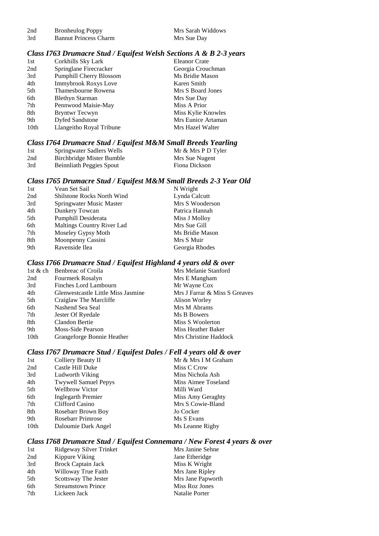| 2nd | <b>Bronheulog Poppy</b>      |  |
|-----|------------------------------|--|
| 3rd | <b>Bannut Princess Charm</b> |  |

Mrs Sarah Widdows Mrs Sue Day

### *Class I763 Drumacre Stud / Equifest Welsh Sections A & B 2-3 years*

| 1st  | Corkhills Sky Lark             | <b>Eleanor Crate</b> |
|------|--------------------------------|----------------------|
| 2nd  | Springlane Firecracker         | Georgia Crouchman    |
| 3rd  | <b>Pumphill Cherry Blossom</b> | Ms Bridie Mason      |
| 4th  | Immybrook Roxys Love           | Karen Smith          |
| 5th  | Thamesbourne Rowena            | Mrs S Board Jones    |
| 6th  | <b>Blethyn Starman</b>         | Mrs Sue Day          |
| 7th  | Pennwood Maisie-May            | Miss A Prior         |
| 8th  | <b>Bryntwr Tecwyn</b>          | Miss Kylie Knowles   |
| 9th  | <b>Dyfed Sandstone</b>         | Mrs Eunice Artaman   |
| 10th | Llangeitho Royal Tribune       | Mrs Hazel Walter     |

### *Class I764 Drumacre Stud / Equifest M&M Small Breeds Yearling*

| 1st | Springwater Sadlers Wells | Mr & Mrs P D Tyler |
|-----|---------------------------|--------------------|
| 2nd | Birchbridge Mister Bumble | Mrs Sue Nugent     |
| 3rd | Beinnliath Peggies Spout  | Fiona Dickson      |

### *Class I765 Drumacre Stud / Equifest M&M Small Breeds 2-3 Year Old*

### *Class I766 Drumacre Stud / Equifest Highland 4 years old & over*

|      | 1st & ch Benbreac of Croila        | Mrs Melanie Stanford          |
|------|------------------------------------|-------------------------------|
| 2nd  | Fourmerk Rosalyn                   | Mrs E Mangham                 |
| 3rd  | Finches Lord Lambourn              | Mr Wayne Cox                  |
| 4th  | Glenwestcastle Little Miss Jasmine | Mrs J Farrar & Miss S Greaves |
| 5th  | Craiglaw The Marcliffe             | Alison Worley                 |
| 6th  | Nashend Sea Seal                   | Mrs M Abrams                  |
| 7th  | Jester Of Ryedale                  | Ms B Bowers                   |
| 8th  | Clandon Bertie                     | Miss S Woolerton              |
| 9th  | Moss-Side Pearson                  | Miss Heather Baker            |
| 10th | Grangeforge Bonnie Heather         | Mrs Christine Haddock         |

### *Class I767 Drumacre Stud / Equifest Dales / Fell 4 years old & over*

| 1st  | Colliery Beauty II          | Mr & Mrs I M Graham |
|------|-----------------------------|---------------------|
| 2nd  | Castle Hill Duke            | Miss C Crow         |
| 3rd  | Ludworth Viking             | Miss Nichola Ash    |
| 4th  | <b>Twywell Samuel Pepys</b> | Miss Aimee Toseland |
| 5th  | <b>Wellbrow Victor</b>      | Milli Ward          |
| 6th  | Inglegarth Premier          | Miss Amy Geraghty   |
| 7th  | Clifford Casino             | Mrs S Cowie-Bland   |
| 8th  | Rosebarr Brown Boy          | Jo Cocker           |
| 9th  | Rosebarr Primrose           | Ms S Evans          |
| 10th | Daloumie Dark Angel         | Ms Leanne Rigby     |
|      |                             |                     |

### *Class I768 Drumacre Stud / Equifest Connemara / New Forest 4 years & over*

|                           | Mrs Janine Sehne                          |
|---------------------------|-------------------------------------------|
|                           | Jane Etheridge                            |
| <b>Brock Captain Jack</b> | Miss K Wright                             |
| Willoway True Faith       | Mrs Jane Ripley                           |
| Scottsway The Jester      | Mrs Jane Papworth                         |
| <b>Streamstown Prince</b> | Miss Roz Jones                            |
| Lickeen Jack              | Natalie Porter                            |
|                           | Ridgeway Silver Trinket<br>Kippure Viking |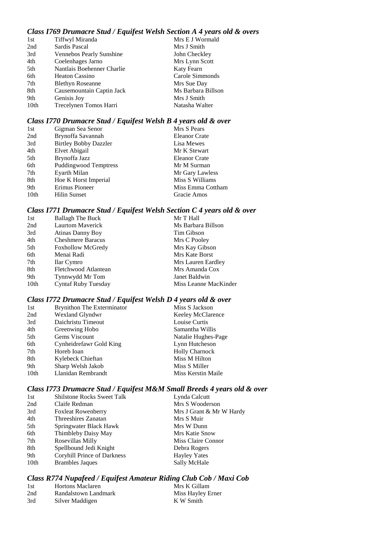### *Class I769 Drumacre Stud / Equifest Welsh Section A 4 years old & overs*

| 1st  | Tiffwyl Miranda            | Mrs E J Wormald    |
|------|----------------------------|--------------------|
| 2nd  | Sardis Pascal              | Mrs J Smith        |
| 3rd  | Vennebos Pearly Sunshine   | John Checkley      |
| 4th  | Coelenhages Jarno          | Mrs Lynn Scott     |
| 5th  | Nantlais Boehenner Charlie | Katy Fearn         |
| 6th  | <b>Heaton Cassino</b>      | Carole Simmonds    |
| 7th  | <b>Blethyn Roseanne</b>    | Mrs Sue Day        |
| 8th  | Causemountain Captin Jack  | Ms Barbara Billson |
| 9th  | Genisis Joy                | Mrs J Smith        |
| 10th | Trecelynen Tomos Harri     | Natasha Walter     |
|      |                            |                    |

### *Class I770 Drumacre Stud / Equifest Welsh B 4 years old & over*

| 1st              | Gigman Sea Senor             | Mrs S Pears          |
|------------------|------------------------------|----------------------|
| 2nd              | Brynoffa Savannah            | <b>Eleanor Crate</b> |
| 3rd              | <b>Birtley Bobby Dazzler</b> | Lisa Mewes           |
| 4th              | Elvet Abigail                | Mr K Stewart         |
| 5th              | Brynoffa Jazz                | Eleanor Crate        |
| 6th              | <b>Puddingwood Temptress</b> | Mr M Surman          |
| 7th              | Eyarth Milan                 | Mr Gary Lawless      |
| 8th              | Hoe K Horst Imperial         | Miss S Williams      |
| 9th              | Erimus Pioneer               | Miss Emma Cottham    |
| 10 <sub>th</sub> | Hilin Sunset                 | Gracie Amos          |

# *Class I771 Drumacre Stud / Equifest Welsh Section C 4 years old & over*

| 1st  | <b>Ballagh The Buck</b>    | Mr T Hall             |
|------|----------------------------|-----------------------|
| 2nd  | <b>Laurtom Maverick</b>    | Ms Barbara Billson    |
| 3rd  | Atinas Danny Boy           | Tim Gibson            |
| 4th  | <b>Cheshmere Baracus</b>   | Mrs C Pooley          |
| 5th  | <b>Foxhollow McGredy</b>   | Mrs Kay Gibson        |
| 6th  | Menai Radi                 | Mrs Kate Borst        |
| 7th  | Ilar Cymro                 | Mrs Lauren Eardley    |
| 8th  | Fletchwood Atlantean       | Mrs Amanda Cox        |
| 9th  | Tynnwydd Mr Tom            | Janet Baldwin         |
| 10th | <b>Cyntaf Ruby Tuesday</b> | Miss Leanne MacKinder |

# *Class I772 Drumacre Stud / Equifest Welsh D 4 years old & over*

| 1st  | Brynithon The Exterminator | Miss S Jackson        |
|------|----------------------------|-----------------------|
| 2nd  | Wexland Glyndwr            | Keeley McClarence     |
| 3rd  | Daichristu Timeout         | Louise Curtis         |
| 4th  | Greenwing Hobo             | Samantha Willis       |
| 5th  | Gems Viscount              | Natalie Hughes-Page   |
| 6th  | Cynheidrefawr Gold King    | Lynn Hutcheson        |
| 7th  | Horeb Ioan                 | <b>Holly Charnock</b> |
| 8th  | Kylebeck Chieftan          | Miss M Hilton         |
| 9th  | Sharp Welsh Jakob          | Miss S Miller         |
| 10th | Llanidan Rembrandt         | Miss Kerstin Maile    |

# *Class I773 Drumacre Stud / Equifest M&M Small Breeds 4 years old & over*

| 1st  | <b>Shilstone Rocks Sweet Talk</b>  | Lynda Calcutt            |
|------|------------------------------------|--------------------------|
| 2nd  | Claife Redman                      | Mrs S Wooderson          |
| 3rd  | <b>Foxleat Rowenberry</b>          | Mrs J Grant & Mr W Hardy |
| 4th  | Threeshires Zanatan                | Mrs S Muir               |
| 5th  | Springwater Black Hawk             | Mrs W Dunn               |
| 6th  | Thimbleby Daisy May                | <b>Mrs Katie Snow</b>    |
| 7th  | Rosevillas Milly                   | Miss Claire Connor       |
| 8th  | Spellbound Jedi Knight             | Debra Rogers             |
| 9th  | <b>Coryhill Prince of Darkness</b> | <b>Hayley Yates</b>      |
| 10th | <b>Brambles Jaques</b>             | Sally McHale             |

# *Class R774 Nupafeed / Equifest Amateur Riding Club Cob / Maxi Cob*

| 1st | <b>Hortons Maclaren</b> | Mrs K Gillam      |
|-----|-------------------------|-------------------|
| 2nd | Randalstown Landmark    | Miss Hayley Erner |
| 3rd | Silver Maddigen         | K W Smith         |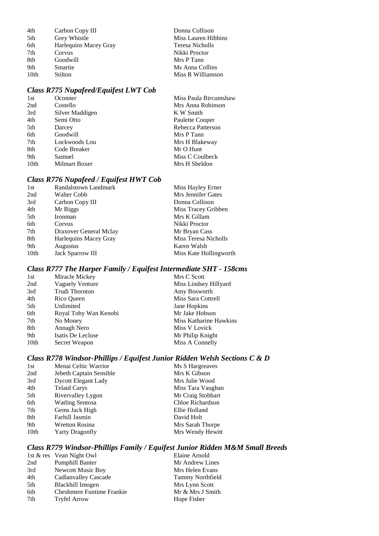| 4th             | Carbon Copy III       | Donna Collison      |
|-----------------|-----------------------|---------------------|
| 5th             | Grey Whistle          | Miss Lauren Hibbins |
| 6th             | Harlequins Macey Gray | Teresa Nicholls     |
| 7 <sub>th</sub> | Corvus                | Nikki Proctor       |
| 8th             | Goodwill              | Mrs P Tann          |
| 9th             | Smartie               | Ms Anna Collins     |
| 10th            | Stilton               | Miss R Williamson   |

# *Class R775 Nupafeed/Equifest LWT Cob*

| 1st              | Oconner         | Miss Paula Bircumshaw |
|------------------|-----------------|-----------------------|
| 2nd              | Costello        | Mrs Anna Robinson     |
| 3rd              | Silver Maddigen | K W Smith             |
| 4th              | Semi Otto       | Paulette Cooper       |
| 5th              | Darcey          | Rebecca Patterson     |
| 6th              | Goodwill        | Mrs P Tann            |
| 7th              | Lockwoods Lou   | Mrs H Blakeway        |
| 8th              | Code Breaker    | Mr O Hunt             |
| 9th              | Samuel          | Miss C Coulbeck       |
| 10 <sub>th</sub> | Milmart Boxer   | Mrs H Sheldon         |
|                  |                 |                       |

# *Class R776 Nupafeed / Equifest HWT Cob*

| Randalstown Landmark    | Miss Hayley Erner      |
|-------------------------|------------------------|
| Walter Cobb             | Mrs Jennifer Gates     |
| Carbon Copy III         | Donna Collison         |
| Mr Biggs                | Miss Tracey Gribben    |
| Ironman                 | Mrs K Gillam           |
| Corvus                  | Nikki Proctor          |
| Draxover General Mclay  | Mr Bryan Cass          |
| Harlequins Macey Gray   | Miss Teresa Nicholls   |
| <b>Augustus</b>         | Karen Walsh            |
| <b>Jack Sparrow III</b> | Miss Kate Hollingworth |
|                         |                        |

# *Class R777 The Harper Family / Equifest Intermediate SHT - 158cms*

| 1st  | Miracle Mickey        | Mrs C Scott            |
|------|-----------------------|------------------------|
| 2nd  | Vaguely Venture       | Miss Lindsey Hillyard  |
| 3rd  | Trudi Thornton        | Amy Bosworth           |
| 4th  | Rico Queen            | Miss Sara Cottrell     |
| 5th  | Unlimited             | Jane Hopkins           |
| 6th  | Royal Toby Wan Kenobi | Mr Jake Hobson         |
| 7th  | No Money              | Miss Katharine Hawkins |
| 8th  | Annagh Nero           | Miss V Lovick          |
| 9th  | Isatis De Lecluse     | Mr Philip Knight       |
| 10th | Secret Weapon         | Miss A Connelly        |

# *Class R778 Windsor-Phillips / Equifest Junior Ridden Welsh Sections C & D*

# *Class R779 Windsor-Phillips Family / Equifest Junior Ridden M&M Small Breeds*

|     | 1st & res Vean Night Owl         | Elaine Arnold           |
|-----|----------------------------------|-------------------------|
| 2nd | <b>Pumphill Banter</b>           | Mr Andrew Lines         |
| 3rd | Newcott Music Boy                | Mrs Helen Evans         |
| 4th | <b>Cadlanvalley Cascade</b>      | <b>Tammy Northfield</b> |
| 5th | Blackhill Imogen                 | Mrs Lynn Scott          |
| 6th | <b>Cheshmere Funtime Frankie</b> | Mr & Mrs J Smith        |
| 7th | <b>Tryfel Arrow</b>              | Hope Fisher             |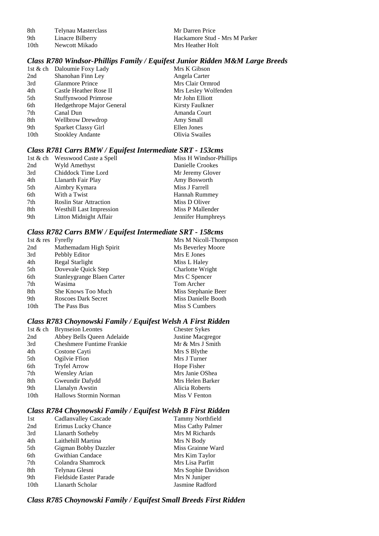| 8th  | Telynau Masterclass | Mr Darren Price  |
|------|---------------------|------------------|
| 9th  | Linacre Bilberry    | Hackamore Stud   |
| 10th | Newcott Mikado      | Mrs Heather Holt |

### more Stud - Mrs M Parker 10th New Holt

# *Class R780 Windsor-Phillips Family / Equifest Junior Ridden M&M Large Breeds*

|                  | 1st & ch Daloumie Foxy Lady | Mrs K Gibson         |
|------------------|-----------------------------|----------------------|
| 2nd              | Shanohan Finn Ley           | Angela Carter        |
| 3rd              | <b>Glanmore Prince</b>      | Mrs Clair Ormrod     |
| 4th              | Castle Heather Rose II      | Mrs Lesley Wolfenden |
| 5th              | <b>Stuffynwood Primrose</b> | Mr John Elliott      |
| 6th              | Hedgethrope Major General   | Kirsty Faulkner      |
| 7th              | Canal Dun                   | Amanda Court         |
| 8th              | <b>Wellbrow Drewdrop</b>    | Amy Small            |
| 9th              | Sparket Classy Girl         | Ellen Jones          |
| 10 <sub>th</sub> | <b>Stookley Andante</b>     | Olivia Swailes       |
|                  |                             |                      |

### *Class R781 Carrs BMW / Equifest Intermediate SRT - 153cms*

|     | 1st & ch Wesswood Caste a Spell | Miss H Windsor-Phillips |
|-----|---------------------------------|-------------------------|
| 2nd | Wyld Amethyst                   | Danielle Crookes        |
| 3rd | Chiddock Time Lord              | Mr Jeremy Glover        |
| 4th | Llanarth Fair Play              | Amy Bosworth            |
| 5th | Aimbry Kymara                   | Miss J Farrell          |
| 6th | With a Twist                    | <b>Hannah Rummey</b>    |
| 7th | <b>Roslin Star Attraction</b>   | Miss D Oliver           |
| 8th | <b>Westhill Last Impression</b> | Miss P Mallender        |
| 9th | Litton Midnight Affair          | Jennifer Humphreys      |

### *Class R782 Carrs BMW / Equifest Intermediate SRT - 158cms*

| 1st & res Fyrefly |                            | Mrs M Nicoll-Thompson |
|-------------------|----------------------------|-----------------------|
| 2nd               | Mathemadam High Spirit     | Ms Beverley Moore     |
| 3rd               | Pebbly Editor              | Mrs E Jones           |
| 4th               | Regal Starlight            | Miss L Haley          |
| 5th               | Dovevale Quick Step        | Charlotte Wright      |
| 6th               | Stanleygrange Blaen Carter | Mrs C Spencer         |
| 7th               | Wasima                     | Tom Archer            |
| 8th               | She Knows Too Much         | Miss Stephanie Beer   |
| 9th               | Roscoes Dark Secret        | Miss Danielle Booth   |
| 10th              | The Pass Bus               | Miss S Cumbers        |

### *Class R783 Choynowski Family / Equifest Welsh A First Ridden*

| 1st & ch | <b>Brynseion Leontes</b>         | <b>Chester Sykes</b> |
|----------|----------------------------------|----------------------|
| 2nd      | Abbey Bells Queen Adelaide       | Justine Macgregor    |
| 3rd      | <b>Cheshmere Funtime Frankie</b> | Mr & Mrs J Smith     |
| 4th      | Costone Cayti                    | Mrs S Blythe         |
| 5th      | Ogilvie Ffion                    | Mrs J Turner         |
| 6th      | <b>Tryfel Arrow</b>              | Hope Fisher          |
| 7th      | <b>Wensley Arian</b>             | Mrs Janie OShea      |
| 8th      | Gweundir Dafydd                  | Mrs Helen Barker     |
| 9th      | Llanalyn Awstin                  | Alicia Roberts       |
| 10th     | <b>Hallows Stormin Norman</b>    | Miss V Fenton        |

# *Class R784 Choynowski Family / Equifest Welsh B First Ridden*

| 1st              | Cadlanvalley Cascade           | Tammy Northfield    |
|------------------|--------------------------------|---------------------|
| 2nd              | Erimus Lucky Chance            | Miss Cathy Palmer   |
| 3rd              | Llanarth Sotheby               | Mrs M Richards      |
| 4th              | Laithehill Martina             | Mrs N Body          |
| 5th              | Gigman Bobby Dazzler           | Miss Grainne Ward   |
| 6th              | <b>Gwithian Candace</b>        | Mrs Kim Taylor      |
| 7th              | Colandra Shamrock              | Mrs Lisa Parfitt    |
| 8th              | Telynau Glesni                 | Mrs Sophie Davidson |
| 9th              | <b>Fieldside Easter Parade</b> | Mrs N Juniper       |
| 10 <sub>th</sub> | Llanarth Scholar               | Jasmine Radford     |

# *Class R785 Choynowski Family / Equifest Small Breeds First Ridden*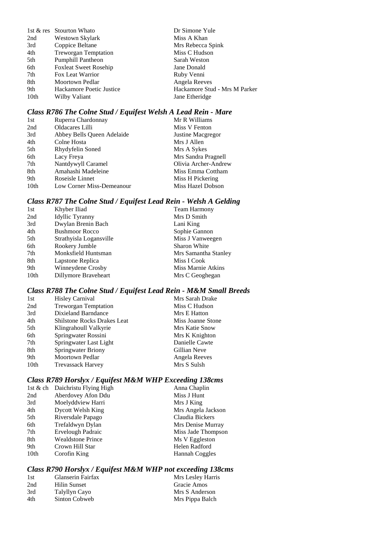|                  | 1st & res Stourton Whato     | Dr Simone Yule                |
|------------------|------------------------------|-------------------------------|
| 2nd              | Westown Skylark              | Miss A Khan                   |
| 3rd              | Coppice Beltane              | Mrs Rebecca Spink             |
| 4th              | <b>Treworgan Temptation</b>  | Miss C Hudson                 |
| 5th              | <b>Pumphill Pantheon</b>     | Sarah Weston                  |
| 6th              | <b>Foxleat Sweet Rosehip</b> | Jane Donald                   |
| 7 <sup>th</sup>  | Fox Leat Warrior             | Ruby Venni                    |
| 8th              | Moortown Pedlar              | Angela Reeves                 |
| 9th              | Hackamore Poetic Justice     | Hackamore Stud - Mrs M Parker |
| 10 <sub>th</sub> | Wilby Valiant                | Jane Etheridge                |

# *Class R786 The Colne Stud / Equifest Welsh A Lead Rein - Mare*

| 1st              | Ruperra Chardonnay         | Mr R Williams        |
|------------------|----------------------------|----------------------|
| 2nd              | Oldacares Lilli            | Miss V Fenton        |
| 3rd              | Abbey Bells Queen Adelaide | Justine Macgregor    |
| 4th              | Colne Hosta                | Mrs J Allen          |
| 5th              | Rhydyfelin Soned           | Mrs A Sykes          |
| 6th              | Lacy Freya                 | Mrs Sandra Pragnell  |
| 7th              | Nantdywyll Caramel         | Olivia Archer-Andrew |
| 8th              | Amahashi Madeleine         | Miss Emma Cottham    |
| 9th              | Roseisle Linnet            | Miss H Pickering     |
| 10 <sub>th</sub> | Low Corner Miss-Demeanour  | Miss Hazel Dobson    |
|                  |                            |                      |

# *Class R787 The Colne Stud / Equifest Lead Rein - Welsh A Gelding*

| 1st  | Khyber Iliad            | <b>Team Harmony</b>  |
|------|-------------------------|----------------------|
| 2nd  | <b>Idyllic Tyranny</b>  | Mrs D Smith          |
| 3rd  | Dwylan Brenin Bach      | Lani King            |
| 4th  | <b>Bushmoor Rocco</b>   | Sophie Gannon        |
| 5th  | Strathyisla Logansville | Miss J Vanweegen     |
| 6th  | Rookery Jumble          | <b>Sharon White</b>  |
| 7th  | Monksfield Huntsman     | Mrs Samantha Stanley |
| 8th  | Lapstone Replica        | Miss I Cook          |
| 9th  | Winneydene Crosby       | Miss Marnie Atkins   |
| 10th | Dillymore Braveheart    | Mrs C Geoghegan      |

# *Class R788 The Colne Stud / Equifest Lead Rein - M&M Small Breeds*

| 1st  | <b>Hisley Carnival</b>             | Mrs Sarah Drake   |
|------|------------------------------------|-------------------|
| 2nd  | <b>Treworgan Temptation</b>        | Miss C Hudson     |
| 3rd  | <b>Dixieland Barndance</b>         | Mrs E Hatton      |
| 4th  | <b>Shilstone Rocks Drakes Leat</b> | Miss Joanne Stone |
| 5th  | Klingrahoull Valkyrie              | Mrs Katie Snow    |
| 6th  | Springwater Rossini                | Mrs K Knighton    |
| 7th  | Springwater Last Light             | Danielle Cawte    |
| 8th  | <b>Springwater Briony</b>          | Gillian Neve      |
| 9th  | <b>Moortown Pedlar</b>             | Angela Reeves     |
| 10th | <b>Trevassack Harvey</b>           | Mrs S Sulsh       |

# *Class R789 Horslyx / Equifest M&M WHP Exceeding 138cms*

| 1st & ch         | Daichristu Flying High   | Anna Chaplin          |
|------------------|--------------------------|-----------------------|
| 2nd              | Aberdovey Afon Ddu       | Miss J Hunt           |
| 3rd              | Moelyddview Harri        | Mrs J King            |
| 4th              | <b>Dycott Welsh King</b> | Mrs Angela Jackson    |
| 5th              | Riversdale Papago        | Claudia Bickers       |
| 6th              | Trefaldwyn Dylan         | Mrs Denise Murray     |
| 7th              | <b>Ervelough Padraic</b> | Miss Jade Thompson    |
| 8th              | <b>Wealdstone Prince</b> | Ms V Eggleston        |
| 9th              | Crown Hill Star          | Helen Radford         |
| 10 <sub>th</sub> | Corofin King             | <b>Hannah Coggles</b> |
|                  |                          |                       |

# *Class R790 Horslyx / Equifest M&M WHP not exceeding 138cms*

| 1st | Glanserin Fairfax | Mrs Lesley Harris |
|-----|-------------------|-------------------|
| 2nd | Hilin Sunset      | Gracie Amos       |
| 3rd | Talyllyn Cayo     | Mrs S Anderson    |
| 4th | Sinton Cobweb     | Mrs Pippa Balch   |